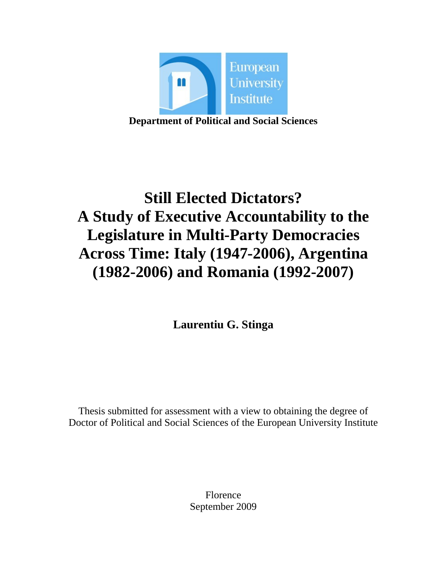

**Department of Political and Social Sciences** 

# **Still Elected Dictators? A Study of Executive Accountability to the Legislature in Multi-Party Democracies Across Time: Italy (1947-2006), Argentina (1982-2006) and Romania (1992-2007)**

**Laurentiu G. Stinga** 

Thesis submitted for assessment with a view to obtaining the degree of Doctor of Political and Social Sciences of the European University Institute

> Florence September 2009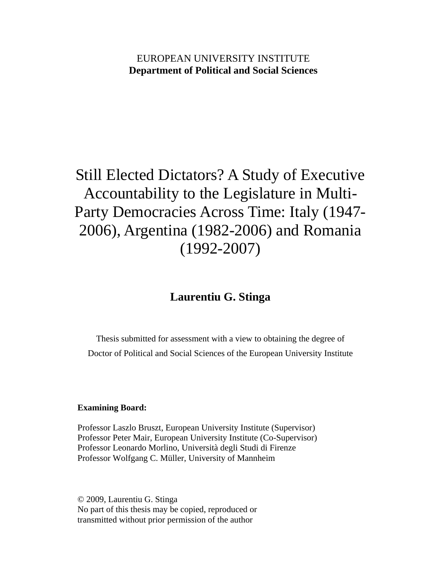# EUROPEAN UNIVERSITY INSTITUTE **Department of Political and Social Sciences**

# Still Elected Dictators? A Study of Executive Accountability to the Legislature in Multi-Party Democracies Across Time: Italy (1947- 2006), Argentina (1982-2006) and Romania (1992-2007)

# **Laurentiu G. Stinga**

Thesis submitted for assessment with a view to obtaining the degree of Doctor of Political and Social Sciences of the European University Institute

#### **Examining Board:**

Professor Laszlo Bruszt, European University Institute (Supervisor) Professor Peter Mair, European University Institute (Co-Supervisor) Professor Leonardo Morlino, Università degli Studi di Firenze Professor Wolfgang C. Müller, University of Mannheim

© 2009, Laurentiu G. Stinga No part of this thesis may be copied, reproduced or transmitted without prior permission of the author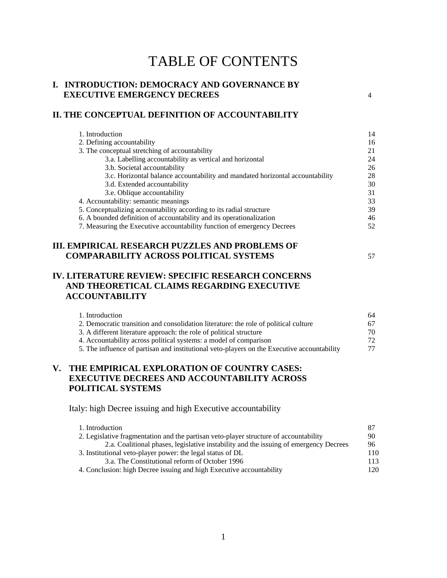# TABLE OF CONTENTS

### **I. INTRODUCTION: DEMOCRACY AND GOVERNANCE BY EXECUTIVE EMERGENCY DECREES** 4

#### **II. THE CONCEPTUAL DEFINITION OF ACCOUNTABILITY**

| 1. Introduction                                                               | 14 |
|-------------------------------------------------------------------------------|----|
| 2. Defining accountability                                                    | 16 |
| 3. The conceptual stretching of accountability                                | 21 |
| 3.a. Labelling accountability as vertical and horizontal                      | 24 |
| 3.b. Societal accountability                                                  | 26 |
| 3.c. Horizontal balance accountability and mandated horizontal accountability | 28 |
| 3.d. Extended accountability                                                  | 30 |
| 3.e. Oblique accountability                                                   | 31 |
| 4. Accountability: semantic meanings                                          | 33 |
| 5. Conceptualizing accountability according to its radial structure           | 39 |
| 6. A bounded definition of accountability and its operationalization          | 46 |
| 7. Measuring the Executive accountability function of emergency Decrees       | 52 |

## **III. EMPIRICAL RESEARCH PUZZLES AND PROBLEMS OF COMPARABILITY ACROSS POLITICAL SYSTEMS** 57

# **IV. LITERATURE REVIEW: SPECIFIC RESEARCH CONCERNS AND THEORETICAL CLAIMS REGARDING EXECUTIVE ACCOUNTABILITY**

| 1. Introduction                                                                             | 64 |
|---------------------------------------------------------------------------------------------|----|
| 2. Democratic transition and consolidation literature: the role of political culture        | 67 |
| 3. A different literature approach: the role of political structure                         | 70 |
| 4. Accountability across political systems: a model of comparison                           | 72 |
| 5. The influence of partisan and institutional veto-players on the Executive accountability | 77 |

## **V. THE EMPIRICAL EXPLORATION OF COUNTRY CASES: EXECUTIVE DECREES AND ACCOUNTABILITY ACROSS POLITICAL SYSTEMS**

Italy: high Decree issuing and high Executive accountability

| 1. Introduction                                                                       | -87 |
|---------------------------------------------------------------------------------------|-----|
| 2. Legislative fragmentation and the partisan veto-player structure of accountability | 90  |
| 2.a. Coalitional phases, legislative instability and the issuing of emergency Decrees | 96  |
| 3. Institutional veto-player power: the legal status of DL                            | 110 |
| 3.a. The Constitutional reform of October 1996                                        | 113 |
| 4. Conclusion: high Decree issuing and high Executive accountability                  | 120 |
|                                                                                       |     |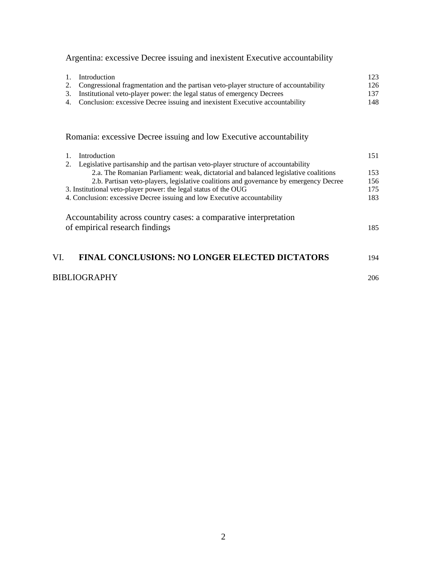Argentina: excessive Decree issuing and inexistent Executive accountability

| $\mathbf{L}$ | Introduction                                                                            | 123 |
|--------------|-----------------------------------------------------------------------------------------|-----|
|              | 2. Congressional fragmentation and the partisan veto-player structure of accountability | 126 |
|              | 3. Institutional veto-player power: the legal status of emergency Decrees               | 137 |
|              | 4. Conclusion: excessive Decree issuing and inexistent Executive accountability         | 148 |

Romania: excessive Decree issuing and low Executive accountability

| Introduction                                                                                        | 151 |
|-----------------------------------------------------------------------------------------------------|-----|
| Legislative partisanship and the partisan veto-player structure of accountability<br>2.             |     |
| 2.a. The Romanian Parliament: weak, dictatorial and balanced legislative coalitions                 | 153 |
| 2.b. Partisan veto-players, legislative coalitions and governance by emergency Decree               | 156 |
| 3. Institutional veto-player power: the legal status of the OUG                                     | 175 |
| 4. Conclusion: excessive Decree issuing and low Executive accountability                            | 183 |
| Accountability across country cases: a comparative interpretation<br>of empirical research findings | 185 |
| INAL CONCLUSIONS: NO LONGER ELECTED DICTATORS                                                       | 194 |

## BIBLIOGRAPHY 206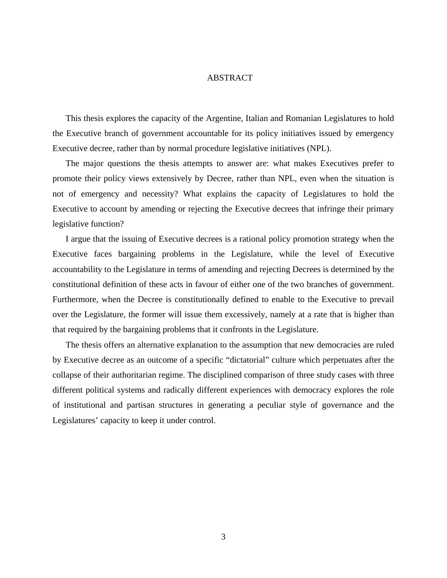#### ABSTRACT

This thesis explores the capacity of the Argentine, Italian and Romanian Legislatures to hold the Executive branch of government accountable for its policy initiatives issued by emergency Executive decree, rather than by normal procedure legislative initiatives (NPL).

The major questions the thesis attempts to answer are: what makes Executives prefer to promote their policy views extensively by Decree, rather than NPL, even when the situation is not of emergency and necessity? What explains the capacity of Legislatures to hold the Executive to account by amending or rejecting the Executive decrees that infringe their primary legislative function?

I argue that the issuing of Executive decrees is a rational policy promotion strategy when the Executive faces bargaining problems in the Legislature, while the level of Executive accountability to the Legislature in terms of amending and rejecting Decrees is determined by the constitutional definition of these acts in favour of either one of the two branches of government. Furthermore, when the Decree is constitutionally defined to enable to the Executive to prevail over the Legislature, the former will issue them excessively, namely at a rate that is higher than that required by the bargaining problems that it confronts in the Legislature.

The thesis offers an alternative explanation to the assumption that new democracies are ruled by Executive decree as an outcome of a specific "dictatorial" culture which perpetuates after the collapse of their authoritarian regime. The disciplined comparison of three study cases with three different political systems and radically different experiences with democracy explores the role of institutional and partisan structures in generating a peculiar style of governance and the Legislatures' capacity to keep it under control.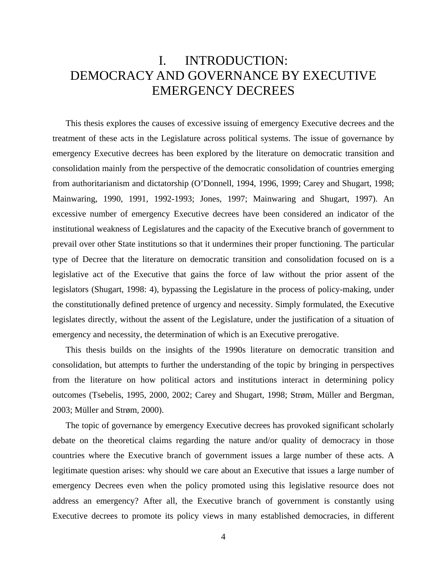# I. INTRODUCTION: DEMOCRACY AND GOVERNANCE BY EXECUTIVE EMERGENCY DECREES

This thesis explores the causes of excessive issuing of emergency Executive decrees and the treatment of these acts in the Legislature across political systems. The issue of governance by emergency Executive decrees has been explored by the literature on democratic transition and consolidation mainly from the perspective of the democratic consolidation of countries emerging from authoritarianism and dictatorship (O'Donnell, 1994, 1996, 1999; Carey and Shugart, 1998; Mainwaring, 1990, 1991, 1992-1993; Jones, 1997; Mainwaring and Shugart, 1997). An excessive number of emergency Executive decrees have been considered an indicator of the institutional weakness of Legislatures and the capacity of the Executive branch of government to prevail over other State institutions so that it undermines their proper functioning. The particular type of Decree that the literature on democratic transition and consolidation focused on is a legislative act of the Executive that gains the force of law without the prior assent of the legislators (Shugart, 1998: 4), bypassing the Legislature in the process of policy-making, under the constitutionally defined pretence of urgency and necessity. Simply formulated, the Executive legislates directly, without the assent of the Legislature, under the justification of a situation of emergency and necessity, the determination of which is an Executive prerogative.

This thesis builds on the insights of the 1990s literature on democratic transition and consolidation, but attempts to further the understanding of the topic by bringing in perspectives from the literature on how political actors and institutions interact in determining policy outcomes (Tsebelis, 1995, 2000, 2002; Carey and Shugart, 1998; Strøm, Müller and Bergman, 2003; Müller and Strøm, 2000).

The topic of governance by emergency Executive decrees has provoked significant scholarly debate on the theoretical claims regarding the nature and/or quality of democracy in those countries where the Executive branch of government issues a large number of these acts. A legitimate question arises: why should we care about an Executive that issues a large number of emergency Decrees even when the policy promoted using this legislative resource does not address an emergency? After all, the Executive branch of government is constantly using Executive decrees to promote its policy views in many established democracies, in different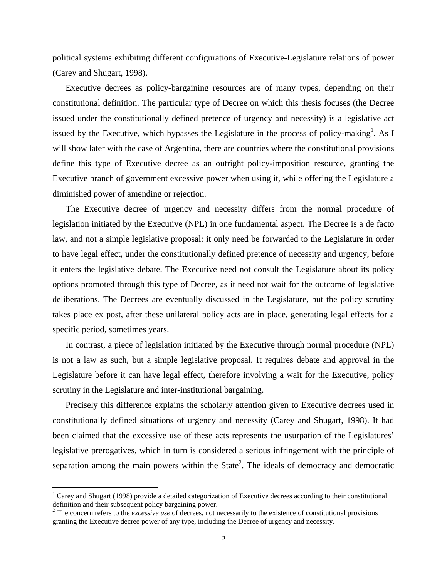political systems exhibiting different configurations of Executive-Legislature relations of power (Carey and Shugart, 1998).

Executive decrees as policy-bargaining resources are of many types, depending on their constitutional definition. The particular type of Decree on which this thesis focuses (the Decree issued under the constitutionally defined pretence of urgency and necessity) is a legislative act issued by the Executive, which bypasses the Legislature in the process of policy-making<sup>1</sup>. As I will show later with the case of Argentina, there are countries where the constitutional provisions define this type of Executive decree as an outright policy-imposition resource, granting the Executive branch of government excessive power when using it, while offering the Legislature a diminished power of amending or rejection.

The Executive decree of urgency and necessity differs from the normal procedure of legislation initiated by the Executive (NPL) in one fundamental aspect. The Decree is a de facto law, and not a simple legislative proposal: it only need be forwarded to the Legislature in order to have legal effect, under the constitutionally defined pretence of necessity and urgency, before it enters the legislative debate. The Executive need not consult the Legislature about its policy options promoted through this type of Decree, as it need not wait for the outcome of legislative deliberations. The Decrees are eventually discussed in the Legislature, but the policy scrutiny takes place ex post, after these unilateral policy acts are in place, generating legal effects for a specific period, sometimes years.

In contrast, a piece of legislation initiated by the Executive through normal procedure (NPL) is not a law as such, but a simple legislative proposal. It requires debate and approval in the Legislature before it can have legal effect, therefore involving a wait for the Executive, policy scrutiny in the Legislature and inter-institutional bargaining.

Precisely this difference explains the scholarly attention given to Executive decrees used in constitutionally defined situations of urgency and necessity (Carey and Shugart, 1998). It had been claimed that the excessive use of these acts represents the usurpation of the Legislatures' legislative prerogatives, which in turn is considered a serious infringement with the principle of separation among the main powers within the State<sup>2</sup>. The ideals of democracy and democratic

<u>.</u>

<sup>&</sup>lt;sup>1</sup> Carey and Shugart (1998) provide a detailed categorization of Executive decrees according to their constitutional definition and their subsequent policy bargaining power.

<sup>&</sup>lt;sup>2</sup> The concern refers to the *excessive use* of decrees, not necessarily to the existence of constitutional provisions granting the Executive decree power of any type, including the Decree of urgency and necessity.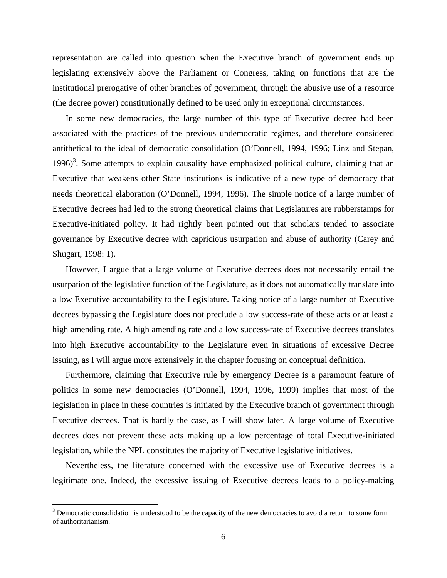representation are called into question when the Executive branch of government ends up legislating extensively above the Parliament or Congress, taking on functions that are the institutional prerogative of other branches of government, through the abusive use of a resource (the decree power) constitutionally defined to be used only in exceptional circumstances.

In some new democracies, the large number of this type of Executive decree had been associated with the practices of the previous undemocratic regimes, and therefore considered antithetical to the ideal of democratic consolidation (O'Donnell, 1994, 1996; Linz and Stepan,  $1996$ <sup>3</sup>. Some attempts to explain causality have emphasized political culture, claiming that an Executive that weakens other State institutions is indicative of a new type of democracy that needs theoretical elaboration (O'Donnell, 1994, 1996). The simple notice of a large number of Executive decrees had led to the strong theoretical claims that Legislatures are rubberstamps for Executive-initiated policy. It had rightly been pointed out that scholars tended to associate governance by Executive decree with capricious usurpation and abuse of authority (Carey and Shugart, 1998: 1).

However, I argue that a large volume of Executive decrees does not necessarily entail the usurpation of the legislative function of the Legislature, as it does not automatically translate into a low Executive accountability to the Legislature. Taking notice of a large number of Executive decrees bypassing the Legislature does not preclude a low success-rate of these acts or at least a high amending rate. A high amending rate and a low success-rate of Executive decrees translates into high Executive accountability to the Legislature even in situations of excessive Decree issuing, as I will argue more extensively in the chapter focusing on conceptual definition.

Furthermore, claiming that Executive rule by emergency Decree is a paramount feature of politics in some new democracies (O'Donnell, 1994, 1996, 1999) implies that most of the legislation in place in these countries is initiated by the Executive branch of government through Executive decrees. That is hardly the case, as I will show later. A large volume of Executive decrees does not prevent these acts making up a low percentage of total Executive-initiated legislation, while the NPL constitutes the majority of Executive legislative initiatives.

Nevertheless, the literature concerned with the excessive use of Executive decrees is a legitimate one. Indeed, the excessive issuing of Executive decrees leads to a policy-making

 $\overline{a}$ 

 $3$  Democratic consolidation is understood to be the capacity of the new democracies to avoid a return to some form of authoritarianism.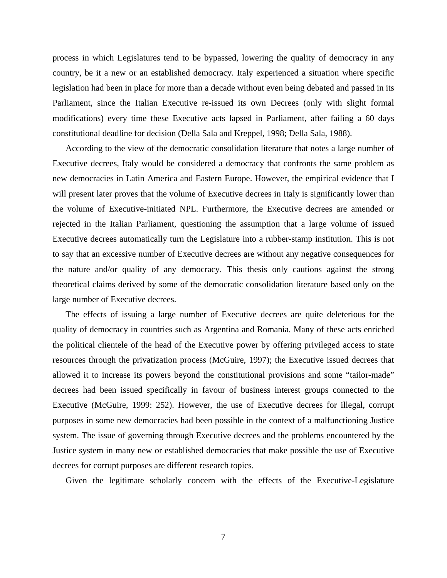process in which Legislatures tend to be bypassed, lowering the quality of democracy in any country, be it a new or an established democracy. Italy experienced a situation where specific legislation had been in place for more than a decade without even being debated and passed in its Parliament, since the Italian Executive re-issued its own Decrees (only with slight formal modifications) every time these Executive acts lapsed in Parliament, after failing a 60 days constitutional deadline for decision (Della Sala and Kreppel, 1998; Della Sala, 1988).

According to the view of the democratic consolidation literature that notes a large number of Executive decrees, Italy would be considered a democracy that confronts the same problem as new democracies in Latin America and Eastern Europe. However, the empirical evidence that I will present later proves that the volume of Executive decrees in Italy is significantly lower than the volume of Executive-initiated NPL. Furthermore, the Executive decrees are amended or rejected in the Italian Parliament, questioning the assumption that a large volume of issued Executive decrees automatically turn the Legislature into a rubber-stamp institution. This is not to say that an excessive number of Executive decrees are without any negative consequences for the nature and/or quality of any democracy. This thesis only cautions against the strong theoretical claims derived by some of the democratic consolidation literature based only on the large number of Executive decrees.

The effects of issuing a large number of Executive decrees are quite deleterious for the quality of democracy in countries such as Argentina and Romania. Many of these acts enriched the political clientele of the head of the Executive power by offering privileged access to state resources through the privatization process (McGuire, 1997); the Executive issued decrees that allowed it to increase its powers beyond the constitutional provisions and some "tailor-made" decrees had been issued specifically in favour of business interest groups connected to the Executive (McGuire, 1999: 252). However, the use of Executive decrees for illegal, corrupt purposes in some new democracies had been possible in the context of a malfunctioning Justice system. The issue of governing through Executive decrees and the problems encountered by the Justice system in many new or established democracies that make possible the use of Executive decrees for corrupt purposes are different research topics.

Given the legitimate scholarly concern with the effects of the Executive-Legislature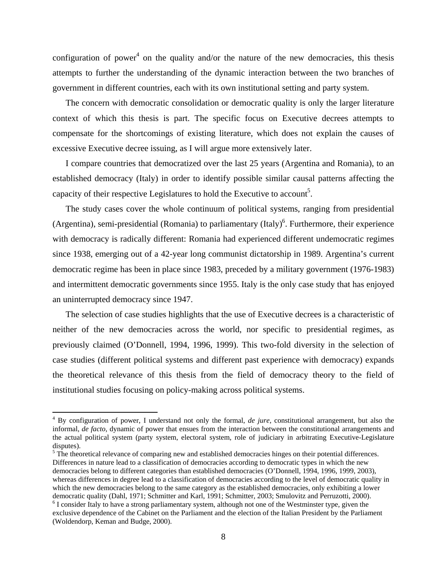configuration of power<sup>4</sup> on the quality and/or the nature of the new democracies, this thesis attempts to further the understanding of the dynamic interaction between the two branches of government in different countries, each with its own institutional setting and party system.

The concern with democratic consolidation or democratic quality is only the larger literature context of which this thesis is part. The specific focus on Executive decrees attempts to compensate for the shortcomings of existing literature, which does not explain the causes of excessive Executive decree issuing, as I will argue more extensively later.

I compare countries that democratized over the last 25 years (Argentina and Romania), to an established democracy (Italy) in order to identify possible similar causal patterns affecting the capacity of their respective Legislatures to hold the Executive to account<sup>5</sup>.

The study cases cover the whole continuum of political systems, ranging from presidential (Argentina), semi-presidential (Romania) to parliamentary (Italy)<sup>6</sup>. Furthermore, their experience with democracy is radically different: Romania had experienced different undemocratic regimes since 1938, emerging out of a 42-year long communist dictatorship in 1989. Argentina's current democratic regime has been in place since 1983, preceded by a military government (1976-1983) and intermittent democratic governments since 1955. Italy is the only case study that has enjoyed an uninterrupted democracy since 1947.

The selection of case studies highlights that the use of Executive decrees is a characteristic of neither of the new democracies across the world, nor specific to presidential regimes, as previously claimed (O'Donnell, 1994, 1996, 1999). This two-fold diversity in the selection of case studies (different political systems and different past experience with democracy) expands the theoretical relevance of this thesis from the field of democracy theory to the field of institutional studies focusing on policy-making across political systems.

 $<sup>5</sup>$  The theoretical relevance of comparing new and established democracies hinges on their potential differences.</sup> Differences in nature lead to a classification of democracies according to democratic types in which the new democracies belong to different categories than established democracies (O'Donnell, 1994, 1996, 1999, 2003), whereas differences in degree lead to a classification of democracies according to the level of democratic quality in which the new democracies belong to the same category as the established democracies, only exhibiting a lower democratic quality (Dahl, 1971; Schmitter and Karl, 1991; Schmitter, 2003; Smulovitz and Perruzotti, 2000).

 4 By configuration of power, I understand not only the formal, *de jure*, constitutional arrangement, but also the informal, *de facto*, dynamic of power that ensues from the interaction between the constitutional arrangements and the actual political system (party system, electoral system, role of judiciary in arbitrating Executive-Legislature disputes).

<sup>&</sup>lt;sup>6</sup> I consider Italy to have a strong parliamentary system, although not one of the Westminster type, given the exclusive dependence of the Cabinet on the Parliament and the election of the Italian President by the Parliament (Woldendorp, Keman and Budge, 2000).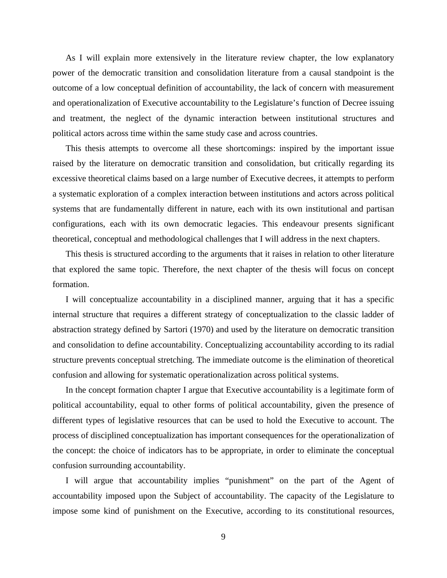As I will explain more extensively in the literature review chapter, the low explanatory power of the democratic transition and consolidation literature from a causal standpoint is the outcome of a low conceptual definition of accountability, the lack of concern with measurement and operationalization of Executive accountability to the Legislature's function of Decree issuing and treatment, the neglect of the dynamic interaction between institutional structures and political actors across time within the same study case and across countries.

This thesis attempts to overcome all these shortcomings: inspired by the important issue raised by the literature on democratic transition and consolidation, but critically regarding its excessive theoretical claims based on a large number of Executive decrees, it attempts to perform a systematic exploration of a complex interaction between institutions and actors across political systems that are fundamentally different in nature, each with its own institutional and partisan configurations, each with its own democratic legacies. This endeavour presents significant theoretical, conceptual and methodological challenges that I will address in the next chapters.

This thesis is structured according to the arguments that it raises in relation to other literature that explored the same topic. Therefore, the next chapter of the thesis will focus on concept formation.

I will conceptualize accountability in a disciplined manner, arguing that it has a specific internal structure that requires a different strategy of conceptualization to the classic ladder of abstraction strategy defined by Sartori (1970) and used by the literature on democratic transition and consolidation to define accountability. Conceptualizing accountability according to its radial structure prevents conceptual stretching. The immediate outcome is the elimination of theoretical confusion and allowing for systematic operationalization across political systems.

In the concept formation chapter I argue that Executive accountability is a legitimate form of political accountability, equal to other forms of political accountability, given the presence of different types of legislative resources that can be used to hold the Executive to account. The process of disciplined conceptualization has important consequences for the operationalization of the concept: the choice of indicators has to be appropriate, in order to eliminate the conceptual confusion surrounding accountability.

I will argue that accountability implies "punishment" on the part of the Agent of accountability imposed upon the Subject of accountability. The capacity of the Legislature to impose some kind of punishment on the Executive, according to its constitutional resources,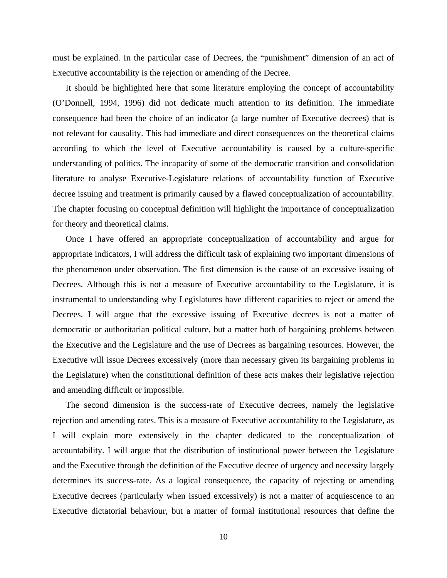must be explained. In the particular case of Decrees, the "punishment" dimension of an act of Executive accountability is the rejection or amending of the Decree.

It should be highlighted here that some literature employing the concept of accountability (O'Donnell, 1994, 1996) did not dedicate much attention to its definition. The immediate consequence had been the choice of an indicator (a large number of Executive decrees) that is not relevant for causality. This had immediate and direct consequences on the theoretical claims according to which the level of Executive accountability is caused by a culture-specific understanding of politics. The incapacity of some of the democratic transition and consolidation literature to analyse Executive-Legislature relations of accountability function of Executive decree issuing and treatment is primarily caused by a flawed conceptualization of accountability. The chapter focusing on conceptual definition will highlight the importance of conceptualization for theory and theoretical claims.

Once I have offered an appropriate conceptualization of accountability and argue for appropriate indicators, I will address the difficult task of explaining two important dimensions of the phenomenon under observation. The first dimension is the cause of an excessive issuing of Decrees. Although this is not a measure of Executive accountability to the Legislature, it is instrumental to understanding why Legislatures have different capacities to reject or amend the Decrees. I will argue that the excessive issuing of Executive decrees is not a matter of democratic or authoritarian political culture, but a matter both of bargaining problems between the Executive and the Legislature and the use of Decrees as bargaining resources. However, the Executive will issue Decrees excessively (more than necessary given its bargaining problems in the Legislature) when the constitutional definition of these acts makes their legislative rejection and amending difficult or impossible.

The second dimension is the success-rate of Executive decrees, namely the legislative rejection and amending rates. This is a measure of Executive accountability to the Legislature, as I will explain more extensively in the chapter dedicated to the conceptualization of accountability. I will argue that the distribution of institutional power between the Legislature and the Executive through the definition of the Executive decree of urgency and necessity largely determines its success-rate. As a logical consequence, the capacity of rejecting or amending Executive decrees (particularly when issued excessively) is not a matter of acquiescence to an Executive dictatorial behaviour, but a matter of formal institutional resources that define the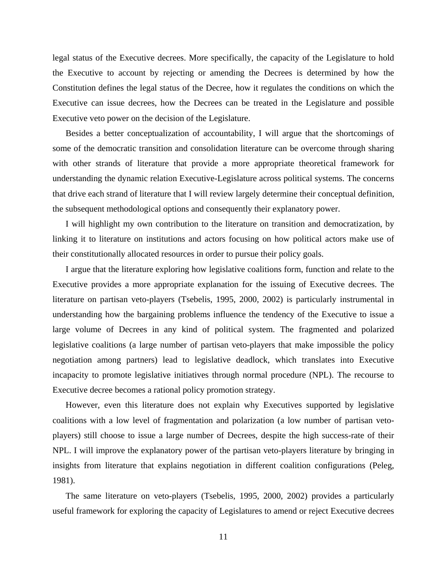legal status of the Executive decrees. More specifically, the capacity of the Legislature to hold the Executive to account by rejecting or amending the Decrees is determined by how the Constitution defines the legal status of the Decree, how it regulates the conditions on which the Executive can issue decrees, how the Decrees can be treated in the Legislature and possible Executive veto power on the decision of the Legislature.

Besides a better conceptualization of accountability, I will argue that the shortcomings of some of the democratic transition and consolidation literature can be overcome through sharing with other strands of literature that provide a more appropriate theoretical framework for understanding the dynamic relation Executive-Legislature across political systems. The concerns that drive each strand of literature that I will review largely determine their conceptual definition, the subsequent methodological options and consequently their explanatory power.

I will highlight my own contribution to the literature on transition and democratization, by linking it to literature on institutions and actors focusing on how political actors make use of their constitutionally allocated resources in order to pursue their policy goals.

I argue that the literature exploring how legislative coalitions form, function and relate to the Executive provides a more appropriate explanation for the issuing of Executive decrees. The literature on partisan veto-players (Tsebelis, 1995, 2000, 2002) is particularly instrumental in understanding how the bargaining problems influence the tendency of the Executive to issue a large volume of Decrees in any kind of political system. The fragmented and polarized legislative coalitions (a large number of partisan veto-players that make impossible the policy negotiation among partners) lead to legislative deadlock, which translates into Executive incapacity to promote legislative initiatives through normal procedure (NPL). The recourse to Executive decree becomes a rational policy promotion strategy.

However, even this literature does not explain why Executives supported by legislative coalitions with a low level of fragmentation and polarization (a low number of partisan vetoplayers) still choose to issue a large number of Decrees, despite the high success-rate of their NPL. I will improve the explanatory power of the partisan veto-players literature by bringing in insights from literature that explains negotiation in different coalition configurations (Peleg, 1981).

The same literature on veto-players (Tsebelis, 1995, 2000, 2002) provides a particularly useful framework for exploring the capacity of Legislatures to amend or reject Executive decrees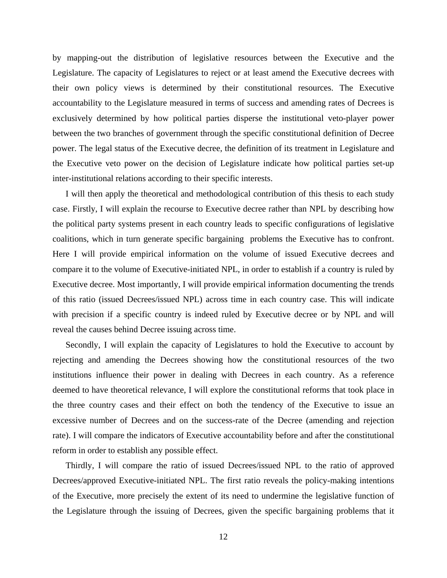by mapping-out the distribution of legislative resources between the Executive and the Legislature. The capacity of Legislatures to reject or at least amend the Executive decrees with their own policy views is determined by their constitutional resources. The Executive accountability to the Legislature measured in terms of success and amending rates of Decrees is exclusively determined by how political parties disperse the institutional veto-player power between the two branches of government through the specific constitutional definition of Decree power. The legal status of the Executive decree, the definition of its treatment in Legislature and the Executive veto power on the decision of Legislature indicate how political parties set-up inter-institutional relations according to their specific interests.

I will then apply the theoretical and methodological contribution of this thesis to each study case. Firstly, I will explain the recourse to Executive decree rather than NPL by describing how the political party systems present in each country leads to specific configurations of legislative coalitions, which in turn generate specific bargaining problems the Executive has to confront. Here I will provide empirical information on the volume of issued Executive decrees and compare it to the volume of Executive-initiated NPL, in order to establish if a country is ruled by Executive decree. Most importantly, I will provide empirical information documenting the trends of this ratio (issued Decrees/issued NPL) across time in each country case. This will indicate with precision if a specific country is indeed ruled by Executive decree or by NPL and will reveal the causes behind Decree issuing across time.

Secondly, I will explain the capacity of Legislatures to hold the Executive to account by rejecting and amending the Decrees showing how the constitutional resources of the two institutions influence their power in dealing with Decrees in each country. As a reference deemed to have theoretical relevance, I will explore the constitutional reforms that took place in the three country cases and their effect on both the tendency of the Executive to issue an excessive number of Decrees and on the success-rate of the Decree (amending and rejection rate). I will compare the indicators of Executive accountability before and after the constitutional reform in order to establish any possible effect.

Thirdly, I will compare the ratio of issued Decrees/issued NPL to the ratio of approved Decrees/approved Executive-initiated NPL. The first ratio reveals the policy-making intentions of the Executive, more precisely the extent of its need to undermine the legislative function of the Legislature through the issuing of Decrees, given the specific bargaining problems that it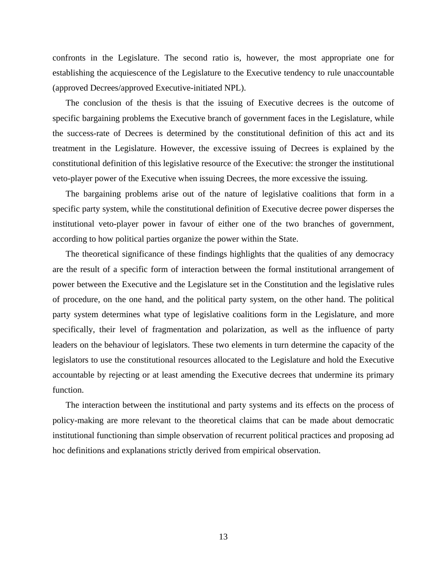confronts in the Legislature. The second ratio is, however, the most appropriate one for establishing the acquiescence of the Legislature to the Executive tendency to rule unaccountable (approved Decrees/approved Executive-initiated NPL).

The conclusion of the thesis is that the issuing of Executive decrees is the outcome of specific bargaining problems the Executive branch of government faces in the Legislature, while the success-rate of Decrees is determined by the constitutional definition of this act and its treatment in the Legislature. However, the excessive issuing of Decrees is explained by the constitutional definition of this legislative resource of the Executive: the stronger the institutional veto-player power of the Executive when issuing Decrees, the more excessive the issuing.

The bargaining problems arise out of the nature of legislative coalitions that form in a specific party system, while the constitutional definition of Executive decree power disperses the institutional veto-player power in favour of either one of the two branches of government, according to how political parties organize the power within the State.

The theoretical significance of these findings highlights that the qualities of any democracy are the result of a specific form of interaction between the formal institutional arrangement of power between the Executive and the Legislature set in the Constitution and the legislative rules of procedure, on the one hand, and the political party system, on the other hand. The political party system determines what type of legislative coalitions form in the Legislature, and more specifically, their level of fragmentation and polarization, as well as the influence of party leaders on the behaviour of legislators. These two elements in turn determine the capacity of the legislators to use the constitutional resources allocated to the Legislature and hold the Executive accountable by rejecting or at least amending the Executive decrees that undermine its primary function.

The interaction between the institutional and party systems and its effects on the process of policy-making are more relevant to the theoretical claims that can be made about democratic institutional functioning than simple observation of recurrent political practices and proposing ad hoc definitions and explanations strictly derived from empirical observation.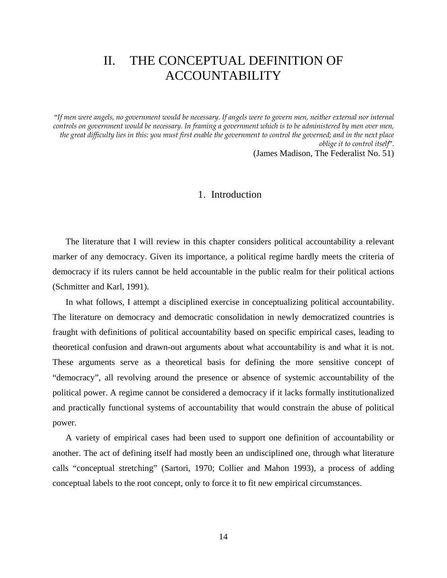# II. THE CONCEPTUAL DEFINITION OF ACCOUNTABILITY

"*If men were angels, no government would be necessary. If angels were to govern men, neither external nor internal controls on government would be necessary. In framing a government which is to be administered by men over men, the great difficulty lies in this: you must first enable the government to control the governed; and in the next place oblige it to control itself*". (James Madison, The Federalist No. 51)

#### 1. Introduction

The literature that I will review in this chapter considers political accountability a relevant marker of any democracy. Given its importance, a political regime hardly meets the criteria of democracy if its rulers cannot be held accountable in the public realm for their political actions (Schmitter and Karl, 1991).

In what follows, I attempt a disciplined exercise in conceptualizing political accountability. The literature on democracy and democratic consolidation in newly democratized countries is fraught with definitions of political accountability based on specific empirical cases, leading to theoretical confusion and drawn-out arguments about what accountability is and what it is not. These arguments serve as a theoretical basis for defining the more sensitive concept of "democracy", all revolving around the presence or absence of systemic accountability of the political power. A regime cannot be considered a democracy if it lacks formally institutionalized and practically functional systems of accountability that would constrain the abuse of political power.

A variety of empirical cases had been used to support one definition of accountability or another. The act of defining itself had mostly been an undisciplined one, through what literature calls "conceptual stretching" (Sartori, 1970; Collier and Mahon 1993), a process of adding conceptual labels to the root concept, only to force it to fit new empirical circumstances.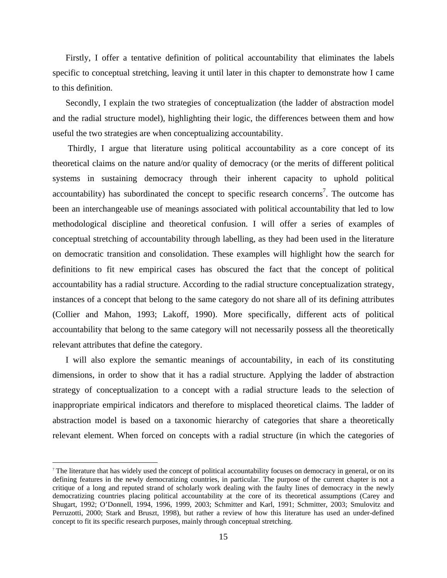Firstly, I offer a tentative definition of political accountability that eliminates the labels specific to conceptual stretching, leaving it until later in this chapter to demonstrate how I came to this definition.

Secondly, I explain the two strategies of conceptualization (the ladder of abstraction model and the radial structure model), highlighting their logic, the differences between them and how useful the two strategies are when conceptualizing accountability.

 Thirdly, I argue that literature using political accountability as a core concept of its theoretical claims on the nature and/or quality of democracy (or the merits of different political systems in sustaining democracy through their inherent capacity to uphold political accountability) has subordinated the concept to specific research concerns<sup>7</sup>. The outcome has been an interchangeable use of meanings associated with political accountability that led to low methodological discipline and theoretical confusion. I will offer a series of examples of conceptual stretching of accountability through labelling, as they had been used in the literature on democratic transition and consolidation. These examples will highlight how the search for definitions to fit new empirical cases has obscured the fact that the concept of political accountability has a radial structure. According to the radial structure conceptualization strategy, instances of a concept that belong to the same category do not share all of its defining attributes (Collier and Mahon, 1993; Lakoff, 1990). More specifically, different acts of political accountability that belong to the same category will not necessarily possess all the theoretically relevant attributes that define the category.

I will also explore the semantic meanings of accountability, in each of its constituting dimensions, in order to show that it has a radial structure. Applying the ladder of abstraction strategy of conceptualization to a concept with a radial structure leads to the selection of inappropriate empirical indicators and therefore to misplaced theoretical claims. The ladder of abstraction model is based on a taxonomic hierarchy of categories that share a theoretically relevant element. When forced on concepts with a radial structure (in which the categories of

 $\overline{a}$ 

<sup>&</sup>lt;sup>7</sup> The literature that has widely used the concept of political accountability focuses on democracy in general, or on its defining features in the newly democratizing countries, in particular. The purpose of the current chapter is not a critique of a long and reputed strand of scholarly work dealing with the faulty lines of democracy in the newly democratizing countries placing political accountability at the core of its theoretical assumptions (Carey and Shugart, 1992; O'Donnell, 1994, 1996, 1999, 2003; Schmitter and Karl, 1991; Schmitter, 2003; Smulovitz and Perruzotti, 2000; Stark and Bruszt, 1998), but rather a review of how this literature has used an under-defined concept to fit its specific research purposes, mainly through conceptual stretching.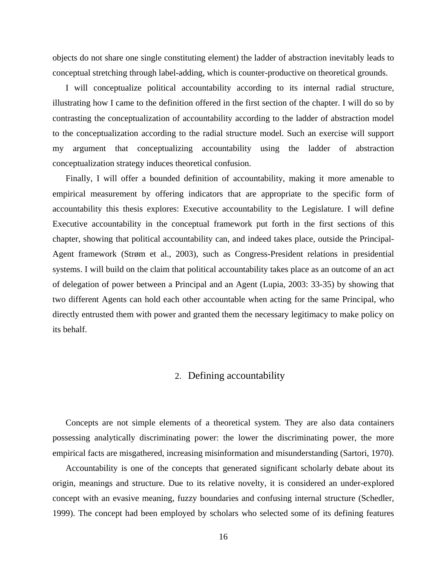objects do not share one single constituting element) the ladder of abstraction inevitably leads to conceptual stretching through label-adding, which is counter-productive on theoretical grounds.

I will conceptualize political accountability according to its internal radial structure, illustrating how I came to the definition offered in the first section of the chapter. I will do so by contrasting the conceptualization of accountability according to the ladder of abstraction model to the conceptualization according to the radial structure model. Such an exercise will support my argument that conceptualizing accountability using the ladder of abstraction conceptualization strategy induces theoretical confusion.

Finally, I will offer a bounded definition of accountability, making it more amenable to empirical measurement by offering indicators that are appropriate to the specific form of accountability this thesis explores: Executive accountability to the Legislature. I will define Executive accountability in the conceptual framework put forth in the first sections of this chapter, showing that political accountability can, and indeed takes place, outside the Principal-Agent framework (Strøm et al., 2003), such as Congress-President relations in presidential systems. I will build on the claim that political accountability takes place as an outcome of an act of delegation of power between a Principal and an Agent (Lupia, 2003: 33-35) by showing that two different Agents can hold each other accountable when acting for the same Principal, who directly entrusted them with power and granted them the necessary legitimacy to make policy on its behalf.

## 2. Defining accountability

Concepts are not simple elements of a theoretical system. They are also data containers possessing analytically discriminating power: the lower the discriminating power, the more empirical facts are misgathered, increasing misinformation and misunderstanding (Sartori, 1970).

Accountability is one of the concepts that generated significant scholarly debate about its origin, meanings and structure. Due to its relative novelty, it is considered an under-explored concept with an evasive meaning, fuzzy boundaries and confusing internal structure (Schedler, 1999). The concept had been employed by scholars who selected some of its defining features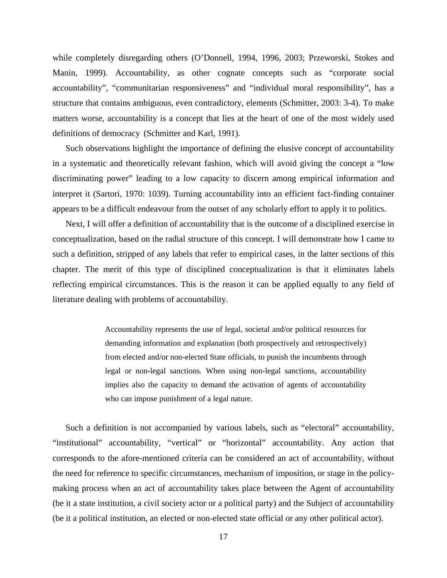while completely disregarding others (O'Donnell, 1994, 1996, 2003; Przeworski, Stokes and Manin, 1999). Accountability, as other cognate concepts such as "corporate social accountability", "communitarian responsiveness" and "individual moral responsibility", has a structure that contains ambiguous, even contradictory, elements (Schmitter, 2003: 3-4). To make matters worse, accountability is a concept that lies at the heart of one of the most widely used definitions of democracy (Schmitter and Karl, 1991).

Such observations highlight the importance of defining the elusive concept of accountability in a systematic and theoretically relevant fashion, which will avoid giving the concept a "low discriminating power" leading to a low capacity to discern among empirical information and interpret it (Sartori, 1970: 1039). Turning accountability into an efficient fact-finding container appears to be a difficult endeavour from the outset of any scholarly effort to apply it to politics.

Next, I will offer a definition of accountability that is the outcome of a disciplined exercise in conceptualization, based on the radial structure of this concept. I will demonstrate how I came to such a definition, stripped of any labels that refer to empirical cases, in the latter sections of this chapter. The merit of this type of disciplined conceptualization is that it eliminates labels reflecting empirical circumstances. This is the reason it can be applied equally to any field of literature dealing with problems of accountability.

> Accountability represents the use of legal, societal and/or political resources for demanding information and explanation (both prospectively and retrospectively) from elected and/or non-elected State officials, to punish the incumbents through legal or non-legal sanctions. When using non-legal sanctions, accountability implies also the capacity to demand the activation of agents of accountability who can impose punishment of a legal nature.

Such a definition is not accompanied by various labels, such as "electoral" accountability, "institutional" accountability, "vertical" or "horizontal" accountability. Any action that corresponds to the afore-mentioned criteria can be considered an act of accountability, without the need for reference to specific circumstances, mechanism of imposition, or stage in the policymaking process when an act of accountability takes place between the Agent of accountability (be it a state institution, a civil society actor or a political party) and the Subject of accountability (be it a political institution, an elected or non-elected state official or any other political actor).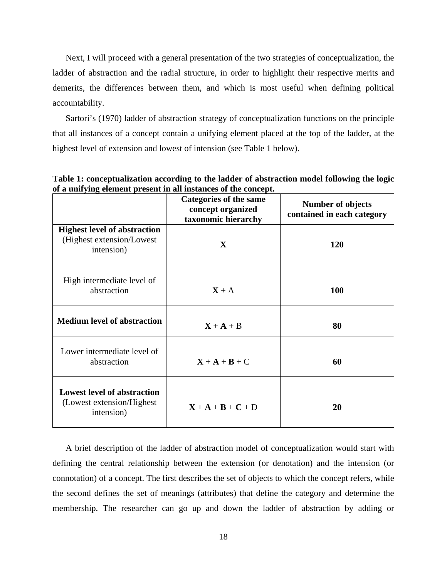Next, I will proceed with a general presentation of the two strategies of conceptualization, the ladder of abstraction and the radial structure, in order to highlight their respective merits and demerits, the differences between them, and which is most useful when defining political accountability.

Sartori's (1970) ladder of abstraction strategy of conceptualization functions on the principle that all instances of a concept contain a unifying element placed at the top of the ladder, at the highest level of extension and lowest of intension (see Table 1 below).

|                                                                                | <b>Categories of the same</b><br>concept organized<br>taxonomic hierarchy | <b>Number of objects</b><br>contained in each category |
|--------------------------------------------------------------------------------|---------------------------------------------------------------------------|--------------------------------------------------------|
| <b>Highest level of abstraction</b><br>(Highest extension/Lowest<br>intension) | $\mathbf{X}$                                                              | 120                                                    |
| High intermediate level of<br>abstraction                                      | $X + A$                                                                   | <b>100</b>                                             |
| <b>Medium level of abstraction</b>                                             | $X + A + B$                                                               | 80                                                     |
| Lower intermediate level of<br>abstraction                                     | $X + A + B + C$                                                           | 60                                                     |
| <b>Lowest level of abstraction</b><br>(Lowest extension/Highest)<br>intension) | $X + A + B + C + D$                                                       | 20                                                     |

**Table 1: conceptualization according to the ladder of abstraction model following the logic of a unifying element present in all instances of the concept.** 

A brief description of the ladder of abstraction model of conceptualization would start with defining the central relationship between the extension (or denotation) and the intension (or connotation) of a concept. The first describes the set of objects to which the concept refers, while the second defines the set of meanings (attributes) that define the category and determine the membership. The researcher can go up and down the ladder of abstraction by adding or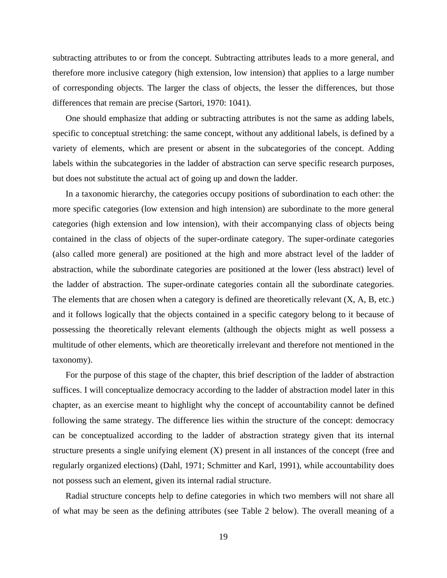subtracting attributes to or from the concept. Subtracting attributes leads to a more general, and therefore more inclusive category (high extension, low intension) that applies to a large number of corresponding objects. The larger the class of objects, the lesser the differences, but those differences that remain are precise (Sartori, 1970: 1041).

One should emphasize that adding or subtracting attributes is not the same as adding labels, specific to conceptual stretching: the same concept, without any additional labels, is defined by a variety of elements, which are present or absent in the subcategories of the concept. Adding labels within the subcategories in the ladder of abstraction can serve specific research purposes, but does not substitute the actual act of going up and down the ladder.

In a taxonomic hierarchy, the categories occupy positions of subordination to each other: the more specific categories (low extension and high intension) are subordinate to the more general categories (high extension and low intension), with their accompanying class of objects being contained in the class of objects of the super-ordinate category. The super-ordinate categories (also called more general) are positioned at the high and more abstract level of the ladder of abstraction, while the subordinate categories are positioned at the lower (less abstract) level of the ladder of abstraction. The super-ordinate categories contain all the subordinate categories. The elements that are chosen when a category is defined are theoretically relevant (X, A, B, etc.) and it follows logically that the objects contained in a specific category belong to it because of possessing the theoretically relevant elements (although the objects might as well possess a multitude of other elements, which are theoretically irrelevant and therefore not mentioned in the taxonomy).

For the purpose of this stage of the chapter, this brief description of the ladder of abstraction suffices. I will conceptualize democracy according to the ladder of abstraction model later in this chapter, as an exercise meant to highlight why the concept of accountability cannot be defined following the same strategy. The difference lies within the structure of the concept: democracy can be conceptualized according to the ladder of abstraction strategy given that its internal structure presents a single unifying element (X) present in all instances of the concept (free and regularly organized elections) (Dahl, 1971; Schmitter and Karl, 1991), while accountability does not possess such an element, given its internal radial structure.

Radial structure concepts help to define categories in which two members will not share all of what may be seen as the defining attributes (see Table 2 below). The overall meaning of a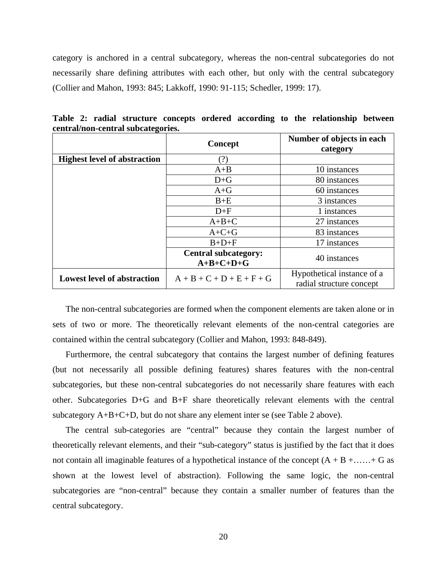category is anchored in a central subcategory, whereas the non-central subcategories do not necessarily share defining attributes with each other, but only with the central subcategory (Collier and Mahon, 1993: 845; Lakkoff, 1990: 91-115; Schedler, 1999: 17).

|                                     | Concept                                    | Number of objects in each<br>category                  |
|-------------------------------------|--------------------------------------------|--------------------------------------------------------|
| <b>Highest level of abstraction</b> | ?)                                         |                                                        |
|                                     | $A+B$                                      | 10 instances                                           |
|                                     | $D + G$                                    | 80 instances                                           |
|                                     | $A + G$                                    | 60 instances                                           |
|                                     | $B+E$                                      | 3 instances                                            |
|                                     | $D+F$                                      | 1 instances                                            |
|                                     | $A+B+C$                                    | 27 instances                                           |
|                                     | $A+C+G$                                    | 83 instances                                           |
|                                     | $B+D+F$                                    | 17 instances                                           |
|                                     | <b>Central subcategory:</b><br>$A+B+C+D+G$ | 40 instances                                           |
| <b>Lowest level of abstraction</b>  | $A + B + C + D + E + F + G$                | Hypothetical instance of a<br>radial structure concept |

**Table 2: radial structure concepts ordered according to the relationship between central/non-central subcategories.** 

The non-central subcategories are formed when the component elements are taken alone or in sets of two or more. The theoretically relevant elements of the non-central categories are contained within the central subcategory (Collier and Mahon, 1993: 848-849).

Furthermore, the central subcategory that contains the largest number of defining features (but not necessarily all possible defining features) shares features with the non-central subcategories, but these non-central subcategories do not necessarily share features with each other. Subcategories D+G and B+F share theoretically relevant elements with the central subcategory A+B+C+D, but do not share any element inter se (see Table 2 above).

The central sub-categories are "central" because they contain the largest number of theoretically relevant elements, and their "sub-category" status is justified by the fact that it does not contain all imaginable features of a hypothetical instance of the concept  $(A + B + \ldots + G)$  as shown at the lowest level of abstraction). Following the same logic, the non-central subcategories are "non-central" because they contain a smaller number of features than the central subcategory.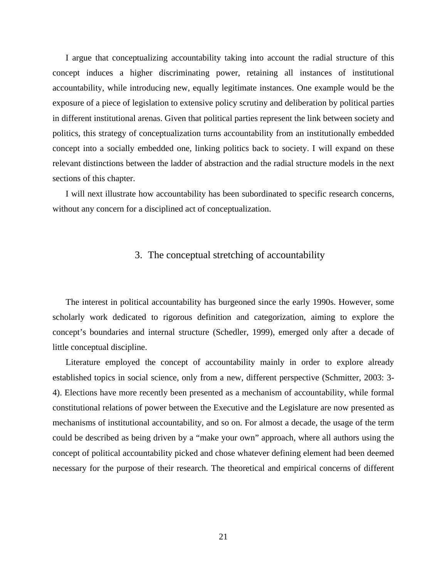I argue that conceptualizing accountability taking into account the radial structure of this concept induces a higher discriminating power, retaining all instances of institutional accountability, while introducing new, equally legitimate instances. One example would be the exposure of a piece of legislation to extensive policy scrutiny and deliberation by political parties in different institutional arenas. Given that political parties represent the link between society and politics, this strategy of conceptualization turns accountability from an institutionally embedded concept into a socially embedded one, linking politics back to society. I will expand on these relevant distinctions between the ladder of abstraction and the radial structure models in the next sections of this chapter.

I will next illustrate how accountability has been subordinated to specific research concerns, without any concern for a disciplined act of conceptualization.

#### 3. The conceptual stretching of accountability

The interest in political accountability has burgeoned since the early 1990s. However, some scholarly work dedicated to rigorous definition and categorization, aiming to explore the concept's boundaries and internal structure (Schedler, 1999), emerged only after a decade of little conceptual discipline.

Literature employed the concept of accountability mainly in order to explore already established topics in social science, only from a new, different perspective (Schmitter, 2003: 3- 4). Elections have more recently been presented as a mechanism of accountability, while formal constitutional relations of power between the Executive and the Legislature are now presented as mechanisms of institutional accountability, and so on. For almost a decade, the usage of the term could be described as being driven by a "make your own" approach, where all authors using the concept of political accountability picked and chose whatever defining element had been deemed necessary for the purpose of their research. The theoretical and empirical concerns of different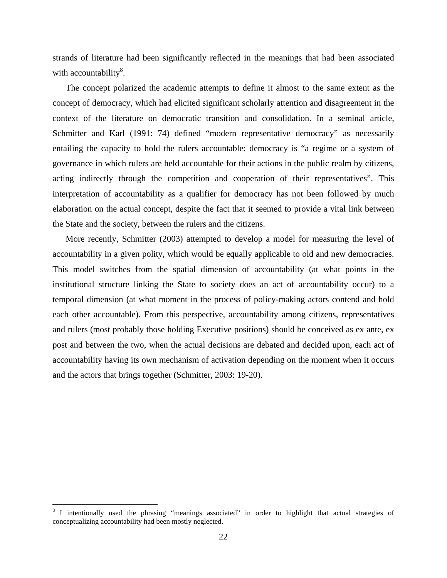strands of literature had been significantly reflected in the meanings that had been associated with accountability $^{8}$ .

The concept polarized the academic attempts to define it almost to the same extent as the concept of democracy, which had elicited significant scholarly attention and disagreement in the context of the literature on democratic transition and consolidation. In a seminal article, Schmitter and Karl (1991: 74) defined "modern representative democracy" as necessarily entailing the capacity to hold the rulers accountable: democracy is "a regime or a system of governance in which rulers are held accountable for their actions in the public realm by citizens, acting indirectly through the competition and cooperation of their representatives". This interpretation of accountability as a qualifier for democracy has not been followed by much elaboration on the actual concept, despite the fact that it seemed to provide a vital link between the State and the society, between the rulers and the citizens.

More recently, Schmitter (2003) attempted to develop a model for measuring the level of accountability in a given polity, which would be equally applicable to old and new democracies. This model switches from the spatial dimension of accountability (at what points in the institutional structure linking the State to society does an act of accountability occur) to a temporal dimension (at what moment in the process of policy-making actors contend and hold each other accountable). From this perspective, accountability among citizens, representatives and rulers (most probably those holding Executive positions) should be conceived as ex ante, ex post and between the two, when the actual decisions are debated and decided upon, each act of accountability having its own mechanism of activation depending on the moment when it occurs and the actors that brings together (Schmitter, 2003: 19-20).

1

<sup>&</sup>lt;sup>8</sup> I intentionally used the phrasing "meanings associated" in order to highlight that actual strategies of conceptualizing accountability had been mostly neglected.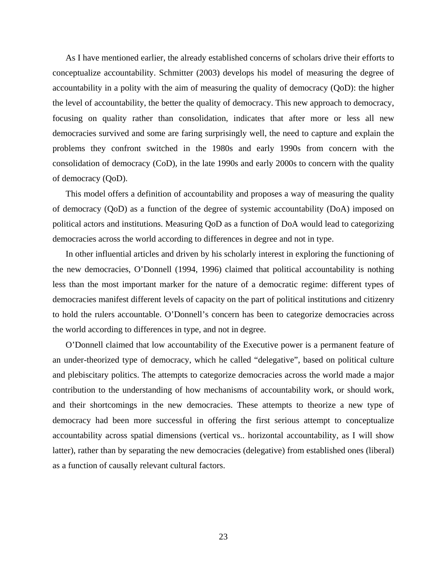As I have mentioned earlier, the already established concerns of scholars drive their efforts to conceptualize accountability. Schmitter (2003) develops his model of measuring the degree of accountability in a polity with the aim of measuring the quality of democracy (QoD): the higher the level of accountability, the better the quality of democracy. This new approach to democracy, focusing on quality rather than consolidation, indicates that after more or less all new democracies survived and some are faring surprisingly well, the need to capture and explain the problems they confront switched in the 1980s and early 1990s from concern with the consolidation of democracy (CoD), in the late 1990s and early 2000s to concern with the quality of democracy (QoD).

This model offers a definition of accountability and proposes a way of measuring the quality of democracy (QoD) as a function of the degree of systemic accountability (DoA) imposed on political actors and institutions. Measuring QoD as a function of DoA would lead to categorizing democracies across the world according to differences in degree and not in type.

In other influential articles and driven by his scholarly interest in exploring the functioning of the new democracies, O'Donnell (1994, 1996) claimed that political accountability is nothing less than the most important marker for the nature of a democratic regime: different types of democracies manifest different levels of capacity on the part of political institutions and citizenry to hold the rulers accountable. O'Donnell's concern has been to categorize democracies across the world according to differences in type, and not in degree.

O'Donnell claimed that low accountability of the Executive power is a permanent feature of an under-theorized type of democracy, which he called "delegative", based on political culture and plebiscitary politics. The attempts to categorize democracies across the world made a major contribution to the understanding of how mechanisms of accountability work, or should work, and their shortcomings in the new democracies. These attempts to theorize a new type of democracy had been more successful in offering the first serious attempt to conceptualize accountability across spatial dimensions (vertical vs.. horizontal accountability, as I will show latter), rather than by separating the new democracies (delegative) from established ones (liberal) as a function of causally relevant cultural factors.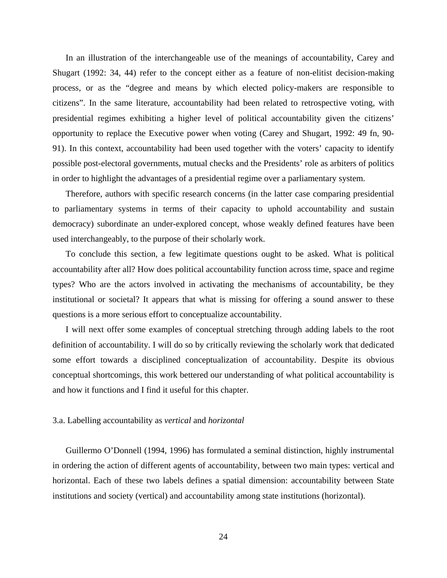In an illustration of the interchangeable use of the meanings of accountability, Carey and Shugart (1992: 34, 44) refer to the concept either as a feature of non-elitist decision-making process, or as the "degree and means by which elected policy-makers are responsible to citizens". In the same literature, accountability had been related to retrospective voting, with presidential regimes exhibiting a higher level of political accountability given the citizens' opportunity to replace the Executive power when voting (Carey and Shugart, 1992: 49 fn, 90- 91). In this context, accountability had been used together with the voters' capacity to identify possible post-electoral governments, mutual checks and the Presidents' role as arbiters of politics in order to highlight the advantages of a presidential regime over a parliamentary system.

Therefore, authors with specific research concerns (in the latter case comparing presidential to parliamentary systems in terms of their capacity to uphold accountability and sustain democracy) subordinate an under-explored concept, whose weakly defined features have been used interchangeably, to the purpose of their scholarly work.

To conclude this section, a few legitimate questions ought to be asked. What is political accountability after all? How does political accountability function across time, space and regime types? Who are the actors involved in activating the mechanisms of accountability, be they institutional or societal? It appears that what is missing for offering a sound answer to these questions is a more serious effort to conceptualize accountability.

I will next offer some examples of conceptual stretching through adding labels to the root definition of accountability. I will do so by critically reviewing the scholarly work that dedicated some effort towards a disciplined conceptualization of accountability. Despite its obvious conceptual shortcomings, this work bettered our understanding of what political accountability is and how it functions and I find it useful for this chapter.

#### 3.a. Labelling accountability as *vertical* and *horizontal*

Guillermo O'Donnell (1994, 1996) has formulated a seminal distinction, highly instrumental in ordering the action of different agents of accountability, between two main types: vertical and horizontal. Each of these two labels defines a spatial dimension: accountability between State institutions and society (vertical) and accountability among state institutions (horizontal).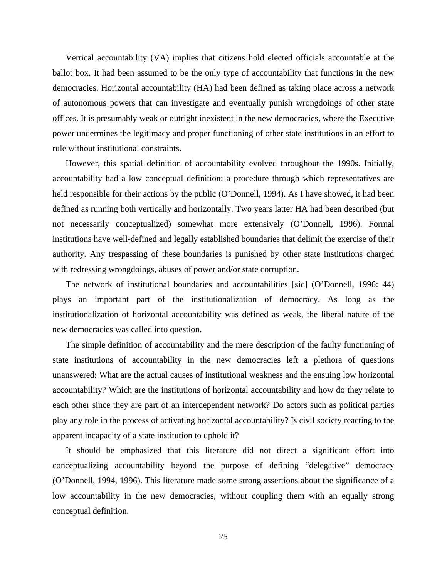Vertical accountability (VA) implies that citizens hold elected officials accountable at the ballot box. It had been assumed to be the only type of accountability that functions in the new democracies. Horizontal accountability (HA) had been defined as taking place across a network of autonomous powers that can investigate and eventually punish wrongdoings of other state offices. It is presumably weak or outright inexistent in the new democracies, where the Executive power undermines the legitimacy and proper functioning of other state institutions in an effort to rule without institutional constraints.

However, this spatial definition of accountability evolved throughout the 1990s. Initially, accountability had a low conceptual definition: a procedure through which representatives are held responsible for their actions by the public (O'Donnell, 1994). As I have showed, it had been defined as running both vertically and horizontally. Two years latter HA had been described (but not necessarily conceptualized) somewhat more extensively (O'Donnell, 1996). Formal institutions have well-defined and legally established boundaries that delimit the exercise of their authority. Any trespassing of these boundaries is punished by other state institutions charged with redressing wrongdoings, abuses of power and/or state corruption.

The network of institutional boundaries and accountabilities [sic] (O'Donnell, 1996: 44) plays an important part of the institutionalization of democracy. As long as the institutionalization of horizontal accountability was defined as weak, the liberal nature of the new democracies was called into question.

The simple definition of accountability and the mere description of the faulty functioning of state institutions of accountability in the new democracies left a plethora of questions unanswered: What are the actual causes of institutional weakness and the ensuing low horizontal accountability? Which are the institutions of horizontal accountability and how do they relate to each other since they are part of an interdependent network? Do actors such as political parties play any role in the process of activating horizontal accountability? Is civil society reacting to the apparent incapacity of a state institution to uphold it?

It should be emphasized that this literature did not direct a significant effort into conceptualizing accountability beyond the purpose of defining "delegative" democracy (O'Donnell, 1994, 1996). This literature made some strong assertions about the significance of a low accountability in the new democracies, without coupling them with an equally strong conceptual definition.

25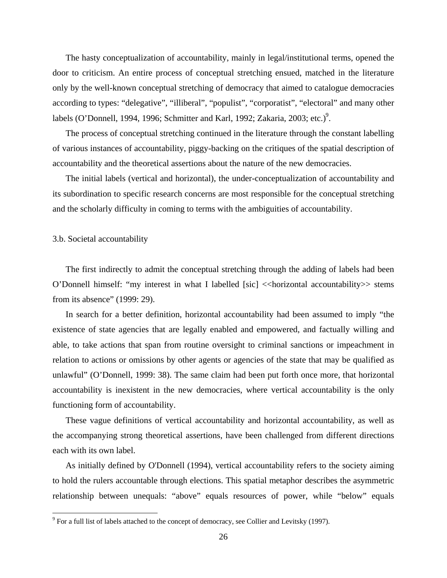The hasty conceptualization of accountability, mainly in legal/institutional terms, opened the door to criticism. An entire process of conceptual stretching ensued, matched in the literature only by the well-known conceptual stretching of democracy that aimed to catalogue democracies according to types: "delegative", "illiberal", "populist", "corporatist", "electoral" and many other labels (O'Donnell, 1994, 1996; Schmitter and Karl, 1992; Zakaria, 2003; etc.)<sup>9</sup>.

The process of conceptual stretching continued in the literature through the constant labelling of various instances of accountability, piggy-backing on the critiques of the spatial description of accountability and the theoretical assertions about the nature of the new democracies.

The initial labels (vertical and horizontal), the under-conceptualization of accountability and its subordination to specific research concerns are most responsible for the conceptual stretching and the scholarly difficulty in coming to terms with the ambiguities of accountability.

3.b. Societal accountability

 $\overline{a}$ 

The first indirectly to admit the conceptual stretching through the adding of labels had been O'Donnell himself: "my interest in what I labelled [sic] << horizontal accountability >> stems from its absence" (1999: 29).

In search for a better definition, horizontal accountability had been assumed to imply "the existence of state agencies that are legally enabled and empowered, and factually willing and able, to take actions that span from routine oversight to criminal sanctions or impeachment in relation to actions or omissions by other agents or agencies of the state that may be qualified as unlawful" (O'Donnell, 1999: 38). The same claim had been put forth once more, that horizontal accountability is inexistent in the new democracies, where vertical accountability is the only functioning form of accountability.

These vague definitions of vertical accountability and horizontal accountability, as well as the accompanying strong theoretical assertions, have been challenged from different directions each with its own label.

As initially defined by O'Donnell (1994), vertical accountability refers to the society aiming to hold the rulers accountable through elections. This spatial metaphor describes the asymmetric relationship between unequals: "above" equals resources of power, while "below" equals

 $9^9$  For a full list of labels attached to the concept of democracy, see Collier and Levitsky (1997).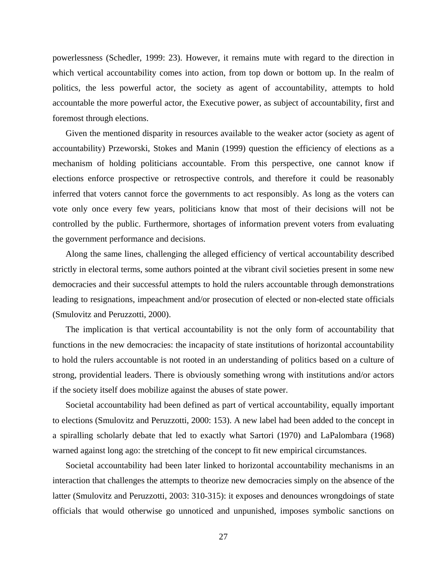powerlessness (Schedler, 1999: 23). However, it remains mute with regard to the direction in which vertical accountability comes into action, from top down or bottom up. In the realm of politics, the less powerful actor, the society as agent of accountability, attempts to hold accountable the more powerful actor, the Executive power, as subject of accountability, first and foremost through elections.

Given the mentioned disparity in resources available to the weaker actor (society as agent of accountability) Przeworski, Stokes and Manin (1999) question the efficiency of elections as a mechanism of holding politicians accountable. From this perspective, one cannot know if elections enforce prospective or retrospective controls, and therefore it could be reasonably inferred that voters cannot force the governments to act responsibly. As long as the voters can vote only once every few years, politicians know that most of their decisions will not be controlled by the public. Furthermore, shortages of information prevent voters from evaluating the government performance and decisions.

Along the same lines, challenging the alleged efficiency of vertical accountability described strictly in electoral terms, some authors pointed at the vibrant civil societies present in some new democracies and their successful attempts to hold the rulers accountable through demonstrations leading to resignations, impeachment and/or prosecution of elected or non-elected state officials (Smulovitz and Peruzzotti, 2000).

The implication is that vertical accountability is not the only form of accountability that functions in the new democracies: the incapacity of state institutions of horizontal accountability to hold the rulers accountable is not rooted in an understanding of politics based on a culture of strong, providential leaders. There is obviously something wrong with institutions and/or actors if the society itself does mobilize against the abuses of state power.

Societal accountability had been defined as part of vertical accountability, equally important to elections (Smulovitz and Peruzzotti, 2000: 153). A new label had been added to the concept in a spiralling scholarly debate that led to exactly what Sartori (1970) and LaPalombara (1968) warned against long ago: the stretching of the concept to fit new empirical circumstances.

Societal accountability had been later linked to horizontal accountability mechanisms in an interaction that challenges the attempts to theorize new democracies simply on the absence of the latter (Smulovitz and Peruzzotti, 2003: 310-315): it exposes and denounces wrongdoings of state officials that would otherwise go unnoticed and unpunished, imposes symbolic sanctions on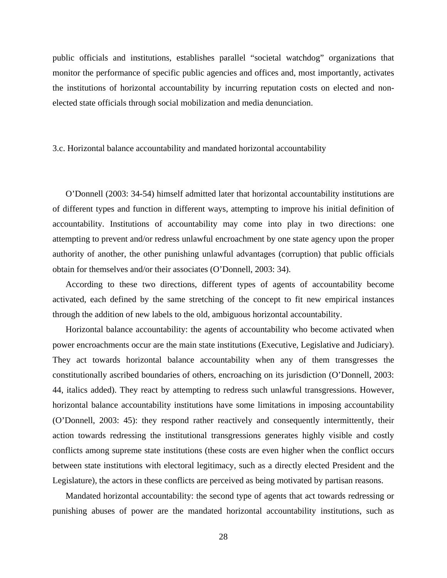public officials and institutions, establishes parallel "societal watchdog" organizations that monitor the performance of specific public agencies and offices and, most importantly, activates the institutions of horizontal accountability by incurring reputation costs on elected and nonelected state officials through social mobilization and media denunciation.

#### 3.c. Horizontal balance accountability and mandated horizontal accountability

O'Donnell (2003: 34-54) himself admitted later that horizontal accountability institutions are of different types and function in different ways, attempting to improve his initial definition of accountability. Institutions of accountability may come into play in two directions: one attempting to prevent and/or redress unlawful encroachment by one state agency upon the proper authority of another, the other punishing unlawful advantages (corruption) that public officials obtain for themselves and/or their associates (O'Donnell, 2003: 34).

According to these two directions, different types of agents of accountability become activated, each defined by the same stretching of the concept to fit new empirical instances through the addition of new labels to the old, ambiguous horizontal accountability.

Horizontal balance accountability: the agents of accountability who become activated when power encroachments occur are the main state institutions (Executive, Legislative and Judiciary). They act towards horizontal balance accountability when any of them transgresses the constitutionally ascribed boundaries of others, encroaching on its jurisdiction (O'Donnell, 2003: 44, italics added). They react by attempting to redress such unlawful transgressions. However, horizontal balance accountability institutions have some limitations in imposing accountability (O'Donnell, 2003: 45): they respond rather reactively and consequently intermittently, their action towards redressing the institutional transgressions generates highly visible and costly conflicts among supreme state institutions (these costs are even higher when the conflict occurs between state institutions with electoral legitimacy, such as a directly elected President and the Legislature), the actors in these conflicts are perceived as being motivated by partisan reasons.

Mandated horizontal accountability: the second type of agents that act towards redressing or punishing abuses of power are the mandated horizontal accountability institutions, such as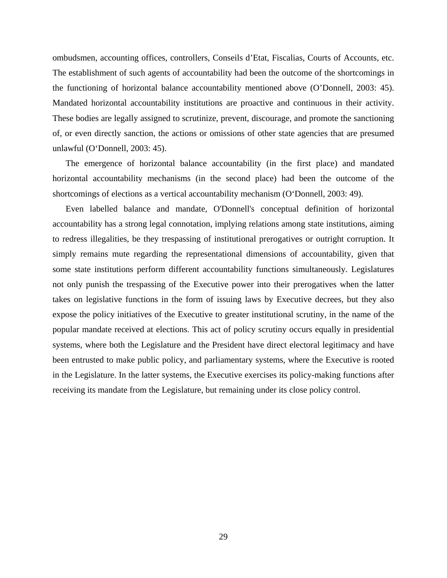ombudsmen, accounting offices, controllers, Conseils d'Etat, Fiscalias, Courts of Accounts, etc. The establishment of such agents of accountability had been the outcome of the shortcomings in the functioning of horizontal balance accountability mentioned above (O'Donnell, 2003: 45). Mandated horizontal accountability institutions are proactive and continuous in their activity. These bodies are legally assigned to scrutinize, prevent, discourage, and promote the sanctioning of, or even directly sanction, the actions or omissions of other state agencies that are presumed unlawful (O'Donnell, 2003: 45).

The emergence of horizontal balance accountability (in the first place) and mandated horizontal accountability mechanisms (in the second place) had been the outcome of the shortcomings of elections as a vertical accountability mechanism (O'Donnell, 2003: 49).

Even labelled balance and mandate, O'Donnell's conceptual definition of horizontal accountability has a strong legal connotation, implying relations among state institutions, aiming to redress illegalities, be they trespassing of institutional prerogatives or outright corruption. It simply remains mute regarding the representational dimensions of accountability, given that some state institutions perform different accountability functions simultaneously. Legislatures not only punish the trespassing of the Executive power into their prerogatives when the latter takes on legislative functions in the form of issuing laws by Executive decrees, but they also expose the policy initiatives of the Executive to greater institutional scrutiny, in the name of the popular mandate received at elections. This act of policy scrutiny occurs equally in presidential systems, where both the Legislature and the President have direct electoral legitimacy and have been entrusted to make public policy, and parliamentary systems, where the Executive is rooted in the Legislature. In the latter systems, the Executive exercises its policy-making functions after receiving its mandate from the Legislature, but remaining under its close policy control.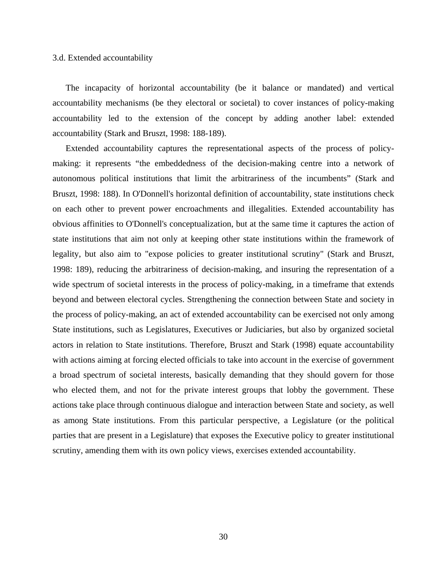#### 3.d. Extended accountability

The incapacity of horizontal accountability (be it balance or mandated) and vertical accountability mechanisms (be they electoral or societal) to cover instances of policy-making accountability led to the extension of the concept by adding another label: extended accountability (Stark and Bruszt, 1998: 188-189).

Extended accountability captures the representational aspects of the process of policymaking: it represents "the embeddedness of the decision-making centre into a network of autonomous political institutions that limit the arbitrariness of the incumbents" (Stark and Bruszt, 1998: 188). In O'Donnell's horizontal definition of accountability, state institutions check on each other to prevent power encroachments and illegalities. Extended accountability has obvious affinities to O'Donnell's conceptualization, but at the same time it captures the action of state institutions that aim not only at keeping other state institutions within the framework of legality, but also aim to "expose policies to greater institutional scrutiny" (Stark and Bruszt, 1998: 189), reducing the arbitrariness of decision-making, and insuring the representation of a wide spectrum of societal interests in the process of policy-making, in a timeframe that extends beyond and between electoral cycles. Strengthening the connection between State and society in the process of policy-making, an act of extended accountability can be exercised not only among State institutions, such as Legislatures, Executives or Judiciaries, but also by organized societal actors in relation to State institutions. Therefore, Bruszt and Stark (1998) equate accountability with actions aiming at forcing elected officials to take into account in the exercise of government a broad spectrum of societal interests, basically demanding that they should govern for those who elected them, and not for the private interest groups that lobby the government. These actions take place through continuous dialogue and interaction between State and society, as well as among State institutions. From this particular perspective, a Legislature (or the political parties that are present in a Legislature) that exposes the Executive policy to greater institutional scrutiny, amending them with its own policy views, exercises extended accountability.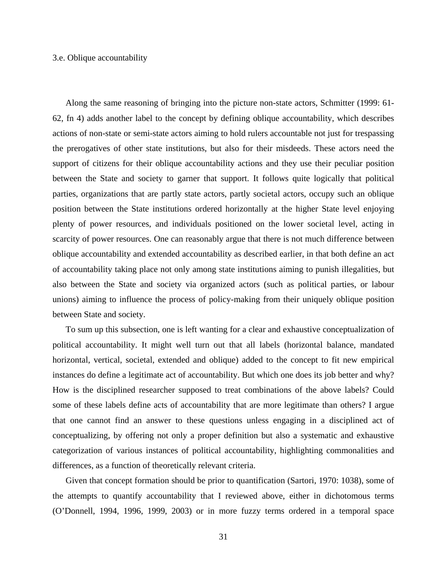#### 3.e. Oblique accountability

Along the same reasoning of bringing into the picture non-state actors, Schmitter (1999: 61- 62, fn 4) adds another label to the concept by defining oblique accountability, which describes actions of non-state or semi-state actors aiming to hold rulers accountable not just for trespassing the prerogatives of other state institutions, but also for their misdeeds. These actors need the support of citizens for their oblique accountability actions and they use their peculiar position between the State and society to garner that support. It follows quite logically that political parties, organizations that are partly state actors, partly societal actors, occupy such an oblique position between the State institutions ordered horizontally at the higher State level enjoying plenty of power resources, and individuals positioned on the lower societal level, acting in scarcity of power resources. One can reasonably argue that there is not much difference between oblique accountability and extended accountability as described earlier, in that both define an act of accountability taking place not only among state institutions aiming to punish illegalities, but also between the State and society via organized actors (such as political parties, or labour unions) aiming to influence the process of policy-making from their uniquely oblique position between State and society.

To sum up this subsection, one is left wanting for a clear and exhaustive conceptualization of political accountability. It might well turn out that all labels (horizontal balance, mandated horizontal, vertical, societal, extended and oblique) added to the concept to fit new empirical instances do define a legitimate act of accountability. But which one does its job better and why? How is the disciplined researcher supposed to treat combinations of the above labels? Could some of these labels define acts of accountability that are more legitimate than others? I argue that one cannot find an answer to these questions unless engaging in a disciplined act of conceptualizing, by offering not only a proper definition but also a systematic and exhaustive categorization of various instances of political accountability, highlighting commonalities and differences, as a function of theoretically relevant criteria.

Given that concept formation should be prior to quantification (Sartori, 1970: 1038), some of the attempts to quantify accountability that I reviewed above, either in dichotomous terms (O'Donnell, 1994, 1996, 1999, 2003) or in more fuzzy terms ordered in a temporal space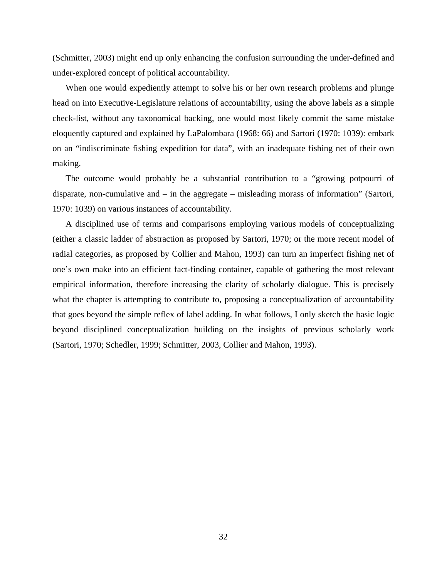(Schmitter, 2003) might end up only enhancing the confusion surrounding the under-defined and under-explored concept of political accountability.

When one would expediently attempt to solve his or her own research problems and plunge head on into Executive-Legislature relations of accountability, using the above labels as a simple check-list, without any taxonomical backing, one would most likely commit the same mistake eloquently captured and explained by LaPalombara (1968: 66) and Sartori (1970: 1039): embark on an "indiscriminate fishing expedition for data", with an inadequate fishing net of their own making.

The outcome would probably be a substantial contribution to a "growing potpourri of disparate, non-cumulative and – in the aggregate – misleading morass of information" (Sartori, 1970: 1039) on various instances of accountability.

A disciplined use of terms and comparisons employing various models of conceptualizing (either a classic ladder of abstraction as proposed by Sartori, 1970; or the more recent model of radial categories, as proposed by Collier and Mahon, 1993) can turn an imperfect fishing net of one's own make into an efficient fact-finding container, capable of gathering the most relevant empirical information, therefore increasing the clarity of scholarly dialogue. This is precisely what the chapter is attempting to contribute to, proposing a conceptualization of accountability that goes beyond the simple reflex of label adding. In what follows, I only sketch the basic logic beyond disciplined conceptualization building on the insights of previous scholarly work (Sartori, 1970; Schedler, 1999; Schmitter, 2003, Collier and Mahon, 1993).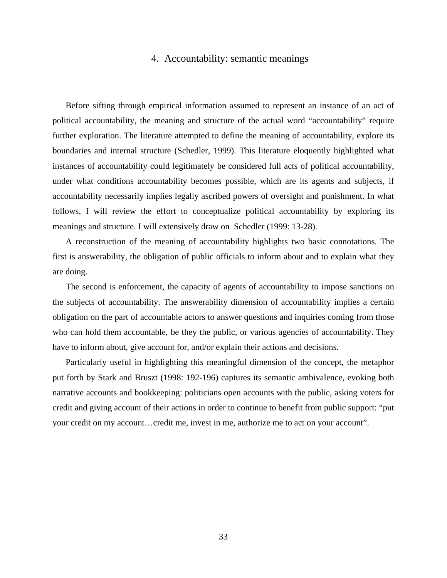#### 4. Accountability: semantic meanings

Before sifting through empirical information assumed to represent an instance of an act of political accountability, the meaning and structure of the actual word "accountability" require further exploration. The literature attempted to define the meaning of accountability, explore its boundaries and internal structure (Schedler, 1999). This literature eloquently highlighted what instances of accountability could legitimately be considered full acts of political accountability, under what conditions accountability becomes possible, which are its agents and subjects, if accountability necessarily implies legally ascribed powers of oversight and punishment. In what follows, I will review the effort to conceptualize political accountability by exploring its meanings and structure. I will extensively draw on Schedler (1999: 13-28).

A reconstruction of the meaning of accountability highlights two basic connotations. The first is answerability, the obligation of public officials to inform about and to explain what they are doing.

The second is enforcement, the capacity of agents of accountability to impose sanctions on the subjects of accountability. The answerability dimension of accountability implies a certain obligation on the part of accountable actors to answer questions and inquiries coming from those who can hold them accountable, be they the public, or various agencies of accountability. They have to inform about, give account for, and/or explain their actions and decisions.

Particularly useful in highlighting this meaningful dimension of the concept, the metaphor put forth by Stark and Bruszt (1998: 192-196) captures its semantic ambivalence, evoking both narrative accounts and bookkeeping: politicians open accounts with the public, asking voters for credit and giving account of their actions in order to continue to benefit from public support: "put your credit on my account…credit me, invest in me, authorize me to act on your account".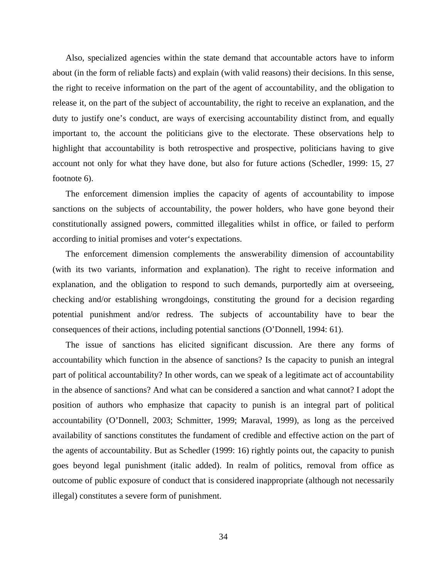Also, specialized agencies within the state demand that accountable actors have to inform about (in the form of reliable facts) and explain (with valid reasons) their decisions. In this sense, the right to receive information on the part of the agent of accountability, and the obligation to release it, on the part of the subject of accountability, the right to receive an explanation, and the duty to justify one's conduct, are ways of exercising accountability distinct from, and equally important to, the account the politicians give to the electorate. These observations help to highlight that accountability is both retrospective and prospective, politicians having to give account not only for what they have done, but also for future actions (Schedler, 1999: 15, 27 footnote 6).

The enforcement dimension implies the capacity of agents of accountability to impose sanctions on the subjects of accountability, the power holders, who have gone beyond their constitutionally assigned powers, committed illegalities whilst in office, or failed to perform according to initial promises and voter's expectations.

The enforcement dimension complements the answerability dimension of accountability (with its two variants, information and explanation). The right to receive information and explanation, and the obligation to respond to such demands, purportedly aim at overseeing, checking and/or establishing wrongdoings, constituting the ground for a decision regarding potential punishment and/or redress. The subjects of accountability have to bear the consequences of their actions, including potential sanctions (O'Donnell, 1994: 61).

The issue of sanctions has elicited significant discussion. Are there any forms of accountability which function in the absence of sanctions? Is the capacity to punish an integral part of political accountability? In other words, can we speak of a legitimate act of accountability in the absence of sanctions? And what can be considered a sanction and what cannot? I adopt the position of authors who emphasize that capacity to punish is an integral part of political accountability (O'Donnell, 2003; Schmitter, 1999; Maraval, 1999), as long as the perceived availability of sanctions constitutes the fundament of credible and effective action on the part of the agents of accountability. But as Schedler (1999: 16) rightly points out, the capacity to punish goes beyond legal punishment (italic added). In realm of politics, removal from office as outcome of public exposure of conduct that is considered inappropriate (although not necessarily illegal) constitutes a severe form of punishment.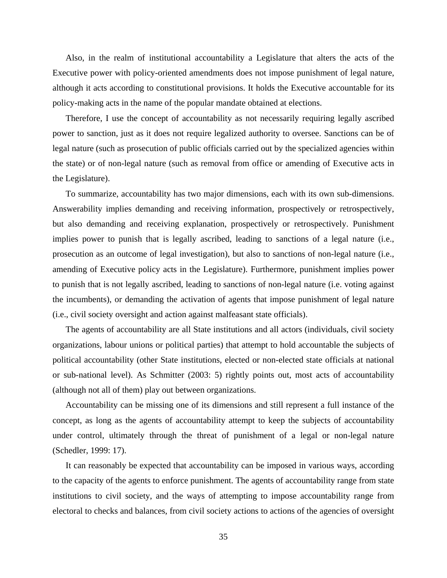Also, in the realm of institutional accountability a Legislature that alters the acts of the Executive power with policy-oriented amendments does not impose punishment of legal nature, although it acts according to constitutional provisions. It holds the Executive accountable for its policy-making acts in the name of the popular mandate obtained at elections.

Therefore, I use the concept of accountability as not necessarily requiring legally ascribed power to sanction, just as it does not require legalized authority to oversee. Sanctions can be of legal nature (such as prosecution of public officials carried out by the specialized agencies within the state) or of non-legal nature (such as removal from office or amending of Executive acts in the Legislature).

To summarize, accountability has two major dimensions, each with its own sub-dimensions. Answerability implies demanding and receiving information, prospectively or retrospectively, but also demanding and receiving explanation, prospectively or retrospectively. Punishment implies power to punish that is legally ascribed, leading to sanctions of a legal nature (i.e., prosecution as an outcome of legal investigation), but also to sanctions of non-legal nature (i.e., amending of Executive policy acts in the Legislature). Furthermore, punishment implies power to punish that is not legally ascribed, leading to sanctions of non-legal nature (i.e. voting against the incumbents), or demanding the activation of agents that impose punishment of legal nature (i.e., civil society oversight and action against malfeasant state officials).

The agents of accountability are all State institutions and all actors (individuals, civil society organizations, labour unions or political parties) that attempt to hold accountable the subjects of political accountability (other State institutions, elected or non-elected state officials at national or sub-national level). As Schmitter (2003: 5) rightly points out, most acts of accountability (although not all of them) play out between organizations.

Accountability can be missing one of its dimensions and still represent a full instance of the concept, as long as the agents of accountability attempt to keep the subjects of accountability under control, ultimately through the threat of punishment of a legal or non-legal nature (Schedler, 1999: 17).

It can reasonably be expected that accountability can be imposed in various ways, according to the capacity of the agents to enforce punishment. The agents of accountability range from state institutions to civil society, and the ways of attempting to impose accountability range from electoral to checks and balances, from civil society actions to actions of the agencies of oversight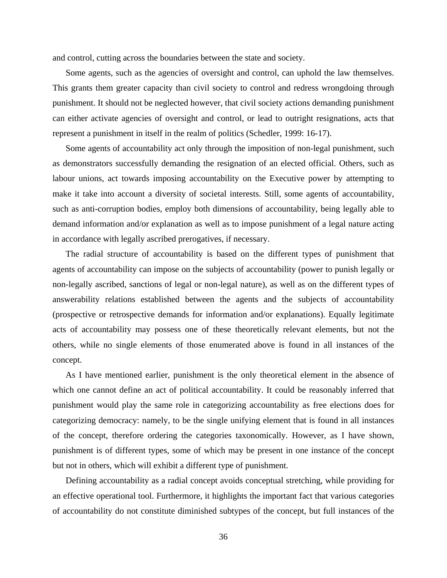and control, cutting across the boundaries between the state and society.

Some agents, such as the agencies of oversight and control, can uphold the law themselves. This grants them greater capacity than civil society to control and redress wrongdoing through punishment. It should not be neglected however, that civil society actions demanding punishment can either activate agencies of oversight and control, or lead to outright resignations, acts that represent a punishment in itself in the realm of politics (Schedler, 1999: 16-17).

Some agents of accountability act only through the imposition of non-legal punishment, such as demonstrators successfully demanding the resignation of an elected official. Others, such as labour unions, act towards imposing accountability on the Executive power by attempting to make it take into account a diversity of societal interests. Still, some agents of accountability, such as anti-corruption bodies, employ both dimensions of accountability, being legally able to demand information and/or explanation as well as to impose punishment of a legal nature acting in accordance with legally ascribed prerogatives, if necessary.

The radial structure of accountability is based on the different types of punishment that agents of accountability can impose on the subjects of accountability (power to punish legally or non-legally ascribed, sanctions of legal or non-legal nature), as well as on the different types of answerability relations established between the agents and the subjects of accountability (prospective or retrospective demands for information and/or explanations). Equally legitimate acts of accountability may possess one of these theoretically relevant elements, but not the others, while no single elements of those enumerated above is found in all instances of the concept.

As I have mentioned earlier, punishment is the only theoretical element in the absence of which one cannot define an act of political accountability. It could be reasonably inferred that punishment would play the same role in categorizing accountability as free elections does for categorizing democracy: namely, to be the single unifying element that is found in all instances of the concept, therefore ordering the categories taxonomically. However, as I have shown, punishment is of different types, some of which may be present in one instance of the concept but not in others, which will exhibit a different type of punishment.

Defining accountability as a radial concept avoids conceptual stretching, while providing for an effective operational tool. Furthermore, it highlights the important fact that various categories of accountability do not constitute diminished subtypes of the concept, but full instances of the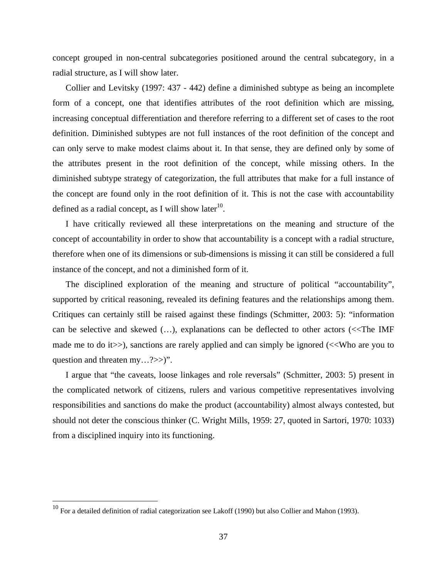concept grouped in non-central subcategories positioned around the central subcategory, in a radial structure, as I will show later.

Collier and Levitsky (1997: 437 - 442) define a diminished subtype as being an incomplete form of a concept, one that identifies attributes of the root definition which are missing, increasing conceptual differentiation and therefore referring to a different set of cases to the root definition. Diminished subtypes are not full instances of the root definition of the concept and can only serve to make modest claims about it. In that sense, they are defined only by some of the attributes present in the root definition of the concept, while missing others. In the diminished subtype strategy of categorization, the full attributes that make for a full instance of the concept are found only in the root definition of it. This is not the case with accountability defined as a radial concept, as I will show later<sup>10</sup>.

I have critically reviewed all these interpretations on the meaning and structure of the concept of accountability in order to show that accountability is a concept with a radial structure, therefore when one of its dimensions or sub-dimensions is missing it can still be considered a full instance of the concept, and not a diminished form of it.

The disciplined exploration of the meaning and structure of political "accountability", supported by critical reasoning, revealed its defining features and the relationships among them. Critiques can certainly still be raised against these findings (Schmitter, 2003: 5): "information can be selective and skewed (…), explanations can be deflected to other actors (<<The IMF made me to do it>>), sanctions are rarely applied and can simply be ignored (<<Who are you to question and threaten my...?>>)".

I argue that "the caveats, loose linkages and role reversals" (Schmitter, 2003: 5) present in the complicated network of citizens, rulers and various competitive representatives involving responsibilities and sanctions do make the product (accountability) almost always contested, but should not deter the conscious thinker (C. Wright Mills, 1959: 27, quoted in Sartori, 1970: 1033) from a disciplined inquiry into its functioning.

 $\overline{a}$ 

 $^{10}$  For a detailed definition of radial categorization see Lakoff (1990) but also Collier and Mahon (1993).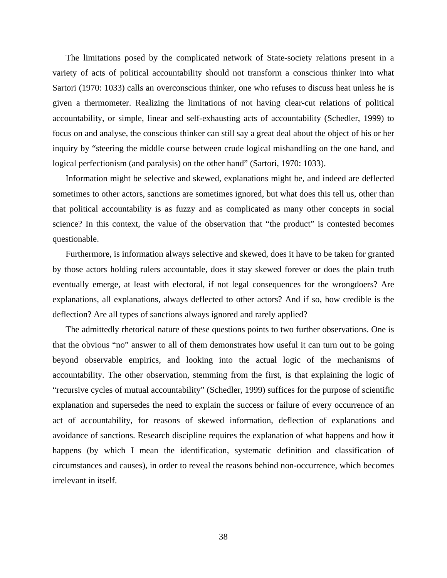The limitations posed by the complicated network of State-society relations present in a variety of acts of political accountability should not transform a conscious thinker into what Sartori (1970: 1033) calls an overconscious thinker, one who refuses to discuss heat unless he is given a thermometer. Realizing the limitations of not having clear-cut relations of political accountability, or simple, linear and self-exhausting acts of accountability (Schedler, 1999) to focus on and analyse, the conscious thinker can still say a great deal about the object of his or her inquiry by "steering the middle course between crude logical mishandling on the one hand, and logical perfectionism (and paralysis) on the other hand" (Sartori, 1970: 1033).

Information might be selective and skewed, explanations might be, and indeed are deflected sometimes to other actors, sanctions are sometimes ignored, but what does this tell us, other than that political accountability is as fuzzy and as complicated as many other concepts in social science? In this context, the value of the observation that "the product" is contested becomes questionable.

Furthermore, is information always selective and skewed, does it have to be taken for granted by those actors holding rulers accountable, does it stay skewed forever or does the plain truth eventually emerge, at least with electoral, if not legal consequences for the wrongdoers? Are explanations, all explanations, always deflected to other actors? And if so, how credible is the deflection? Are all types of sanctions always ignored and rarely applied?

The admittedly rhetorical nature of these questions points to two further observations. One is that the obvious "no" answer to all of them demonstrates how useful it can turn out to be going beyond observable empirics, and looking into the actual logic of the mechanisms of accountability. The other observation, stemming from the first, is that explaining the logic of "recursive cycles of mutual accountability" (Schedler, 1999) suffices for the purpose of scientific explanation and supersedes the need to explain the success or failure of every occurrence of an act of accountability, for reasons of skewed information, deflection of explanations and avoidance of sanctions. Research discipline requires the explanation of what happens and how it happens (by which I mean the identification, systematic definition and classification of circumstances and causes), in order to reveal the reasons behind non-occurrence, which becomes irrelevant in itself.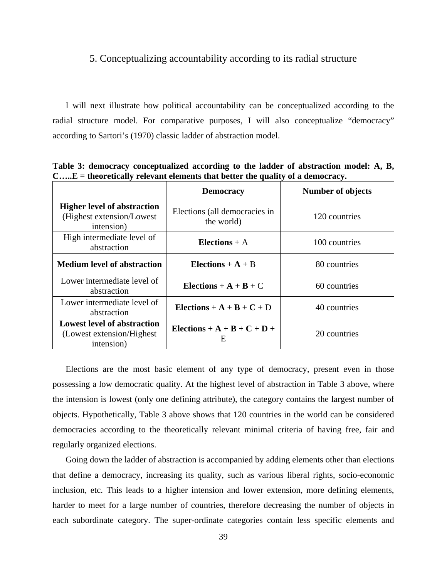#### 5. Conceptualizing accountability according to its radial structure

I will next illustrate how political accountability can be conceptualized according to the radial structure model. For comparative purposes, I will also conceptualize "democracy" according to Sartori's (1970) classic ladder of abstraction model.

|                                                                                | <b>Democracy</b>                            | <b>Number of objects</b> |
|--------------------------------------------------------------------------------|---------------------------------------------|--------------------------|
| <b>Higher level of abstraction</b><br>(Highest extension/Lowest)<br>intension) | Elections (all democracies in<br>the world) | 120 countries            |
| High intermediate level of<br>abstraction                                      | Elections $+$ A                             | 100 countries            |
| <b>Medium level of abstraction</b>                                             | Elections $+$ A $+$ B                       | 80 countries             |
| Lower intermediate level of<br>abstraction                                     | Elections + $A + B + C$                     | 60 countries             |
| Lower intermediate level of<br>abstraction                                     | Elections + $A + B + C + D$                 | 40 countries             |
| <b>Lowest level of abstraction</b><br>(Lowest extension/Highest)<br>intension) | Elections + $A + B + C + D +$<br>Ε          | 20 countries             |

**Table 3: democracy conceptualized according to the ladder of abstraction model: A, B, C…..E = theoretically relevant elements that better the quality of a democracy.** 

Elections are the most basic element of any type of democracy, present even in those possessing a low democratic quality. At the highest level of abstraction in Table 3 above, where the intension is lowest (only one defining attribute), the category contains the largest number of objects. Hypothetically, Table 3 above shows that 120 countries in the world can be considered democracies according to the theoretically relevant minimal criteria of having free, fair and regularly organized elections.

Going down the ladder of abstraction is accompanied by adding elements other than elections that define a democracy, increasing its quality, such as various liberal rights, socio-economic inclusion, etc. This leads to a higher intension and lower extension, more defining elements, harder to meet for a large number of countries, therefore decreasing the number of objects in each subordinate category. The super-ordinate categories contain less specific elements and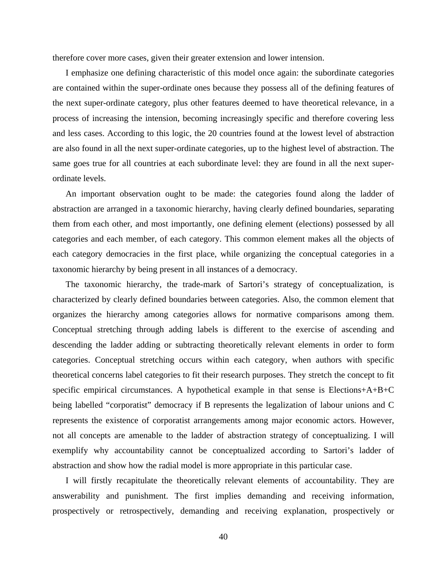therefore cover more cases, given their greater extension and lower intension.

I emphasize one defining characteristic of this model once again: the subordinate categories are contained within the super-ordinate ones because they possess all of the defining features of the next super-ordinate category, plus other features deemed to have theoretical relevance, in a process of increasing the intension, becoming increasingly specific and therefore covering less and less cases. According to this logic, the 20 countries found at the lowest level of abstraction are also found in all the next super-ordinate categories, up to the highest level of abstraction. The same goes true for all countries at each subordinate level: they are found in all the next superordinate levels.

An important observation ought to be made: the categories found along the ladder of abstraction are arranged in a taxonomic hierarchy, having clearly defined boundaries, separating them from each other, and most importantly, one defining element (elections) possessed by all categories and each member, of each category. This common element makes all the objects of each category democracies in the first place, while organizing the conceptual categories in a taxonomic hierarchy by being present in all instances of a democracy.

The taxonomic hierarchy, the trade-mark of Sartori's strategy of conceptualization, is characterized by clearly defined boundaries between categories. Also, the common element that organizes the hierarchy among categories allows for normative comparisons among them. Conceptual stretching through adding labels is different to the exercise of ascending and descending the ladder adding or subtracting theoretically relevant elements in order to form categories. Conceptual stretching occurs within each category, when authors with specific theoretical concerns label categories to fit their research purposes. They stretch the concept to fit specific empirical circumstances. A hypothetical example in that sense is Elections+ $A+B+C$ being labelled "corporatist" democracy if B represents the legalization of labour unions and C represents the existence of corporatist arrangements among major economic actors. However, not all concepts are amenable to the ladder of abstraction strategy of conceptualizing. I will exemplify why accountability cannot be conceptualized according to Sartori's ladder of abstraction and show how the radial model is more appropriate in this particular case.

I will firstly recapitulate the theoretically relevant elements of accountability. They are answerability and punishment. The first implies demanding and receiving information, prospectively or retrospectively, demanding and receiving explanation, prospectively or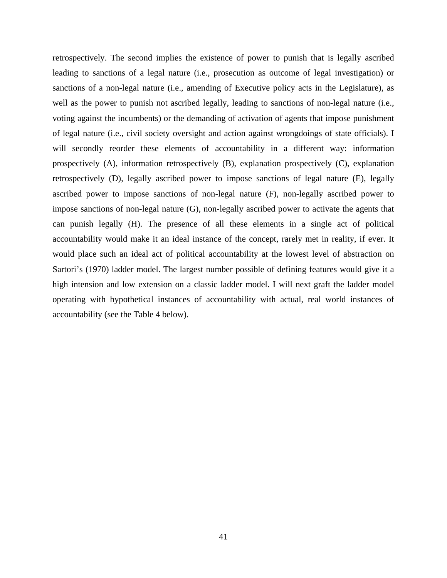retrospectively. The second implies the existence of power to punish that is legally ascribed leading to sanctions of a legal nature (i.e., prosecution as outcome of legal investigation) or sanctions of a non-legal nature (i.e., amending of Executive policy acts in the Legislature), as well as the power to punish not ascribed legally, leading to sanctions of non-legal nature (i.e., voting against the incumbents) or the demanding of activation of agents that impose punishment of legal nature (i.e., civil society oversight and action against wrongdoings of state officials). I will secondly reorder these elements of accountability in a different way: information prospectively (A), information retrospectively (B), explanation prospectively (C), explanation retrospectively (D), legally ascribed power to impose sanctions of legal nature (E), legally ascribed power to impose sanctions of non-legal nature (F), non-legally ascribed power to impose sanctions of non-legal nature (G), non-legally ascribed power to activate the agents that can punish legally (H). The presence of all these elements in a single act of political accountability would make it an ideal instance of the concept, rarely met in reality, if ever. It would place such an ideal act of political accountability at the lowest level of abstraction on Sartori's (1970) ladder model. The largest number possible of defining features would give it a high intension and low extension on a classic ladder model. I will next graft the ladder model operating with hypothetical instances of accountability with actual, real world instances of accountability (see the Table 4 below).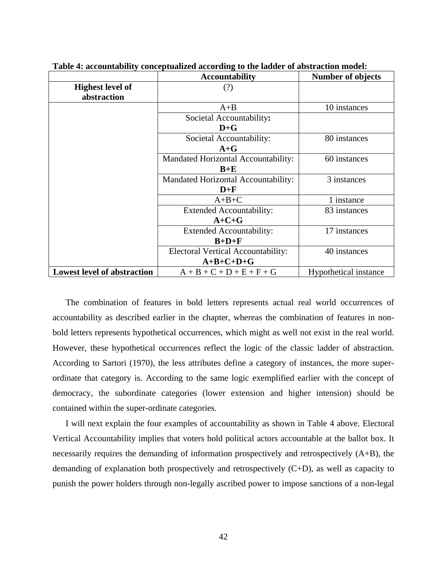|                                    | <b>Accountability</b>                     | <b>Number of objects</b> |
|------------------------------------|-------------------------------------------|--------------------------|
| <b>Highest level of</b>            | (?)                                       |                          |
| abstraction                        |                                           |                          |
|                                    | $A + B$                                   | 10 instances             |
|                                    | Societal Accountability:                  |                          |
|                                    | $D + G$                                   |                          |
|                                    | Societal Accountability:                  | 80 instances             |
|                                    | $A + G$                                   |                          |
|                                    | Mandated Horizontal Accountability:       | 60 instances             |
|                                    | $B+E$                                     |                          |
|                                    | Mandated Horizontal Accountability:       | 3 instances              |
|                                    | $D+F$                                     |                          |
|                                    | $A+B+C$                                   | 1 instance               |
|                                    | <b>Extended Accountability:</b>           | 83 instances             |
|                                    | $A+C+G$                                   |                          |
|                                    | <b>Extended Accountability:</b>           | 17 instances             |
|                                    | $B+D+F$                                   |                          |
|                                    | <b>Electoral Vertical Accountability:</b> | 40 instances             |
|                                    | $A+B+C+D+G$                               |                          |
| <b>Lowest level of abstraction</b> | $A + B + C + D + E + F + G$               | Hypothetical instance    |

**Table 4: accountability conceptualized according to the ladder of abstraction model:** 

The combination of features in bold letters represents actual real world occurrences of accountability as described earlier in the chapter, whereas the combination of features in nonbold letters represents hypothetical occurrences, which might as well not exist in the real world. However, these hypothetical occurrences reflect the logic of the classic ladder of abstraction. According to Sartori (1970), the less attributes define a category of instances, the more superordinate that category is. According to the same logic exemplified earlier with the concept of democracy, the subordinate categories (lower extension and higher intension) should be contained within the super-ordinate categories.

I will next explain the four examples of accountability as shown in Table 4 above. Electoral Vertical Accountability implies that voters hold political actors accountable at the ballot box. It necessarily requires the demanding of information prospectively and retrospectively (A+B), the demanding of explanation both prospectively and retrospectively (C+D), as well as capacity to punish the power holders through non-legally ascribed power to impose sanctions of a non-legal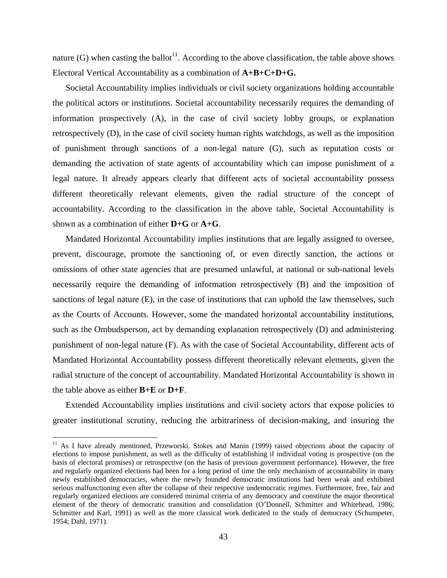nature (G) when casting the ballot<sup>11</sup>. According to the above classification, the table above shows Electoral Vertical Accountability as a combination of **A+B+C+D+G.**

Societal Accountability implies individuals or civil society organizations holding accountable the political actors or institutions. Societal accountability necessarily requires the demanding of information prospectively (A), in the case of civil society lobby groups, or explanation retrospectively (D), in the case of civil society human rights watchdogs, as well as the imposition of punishment through sanctions of a non-legal nature (G), such as reputation costs or demanding the activation of state agents of accountability which can impose punishment of a legal nature. It already appears clearly that different acts of societal accountability possess different theoretically relevant elements, given the radial structure of the concept of accountability. According to the classification in the above table, Societal Accountability is shown as a combination of either **D+G** or **A+G**.

Mandated Horizontal Accountability implies institutions that are legally assigned to oversee, prevent, discourage, promote the sanctioning of, or even directly sanction, the actions or omissions of other state agencies that are presumed unlawful, at national or sub-national levels necessarily require the demanding of information retrospectively (B) and the imposition of sanctions of legal nature (E), in the case of institutions that can uphold the law themselves, such as the Courts of Accounts. However, some the mandated horizontal accountability institutions, such as the Ombudsperson, act by demanding explanation retrospectively (D) and administering punishment of non-legal nature (F). As with the case of Societal Accountability, different acts of Mandated Horizontal Accountability possess different theoretically relevant elements, given the radial structure of the concept of accountability. Mandated Horizontal Accountability is shown in the table above as either **B+E** or **D+F**.

Extended Accountability implies institutions and civil society actors that expose policies to greater institutional scrutiny, reducing the arbitrariness of decision-making, and insuring the

 $\overline{a}$ 

<sup>&</sup>lt;sup>11</sup> As I have already mentioned, Przeworski, Stokes and Manin (1999) raised objections about the capacity of elections to impose punishment, as well as the difficulty of establishing if individual voting is prospective (on the basis of electoral promises) or retrospective (on the basis of previous government performance). However, the free and regularly organized elections had been for a long period of time the only mechanism of accountability in many newly established democracies, where the newly founded democratic institutions had been weak and exhibited serious malfunctioning even after the collapse of their respective undemocratic regimes. Furthermore, free, fair and regularly organized elections are considered minimal criteria of any democracy and constitute the major theoretical element of the theory of democratic transition and consolidation (O'Donnell, Schmitter and Whitehead, 1986; Schmitter and Karl, 1991) as well as the more classical work dedicated to the study of democracy (Schumpeter, 1954; Dahl, 1971).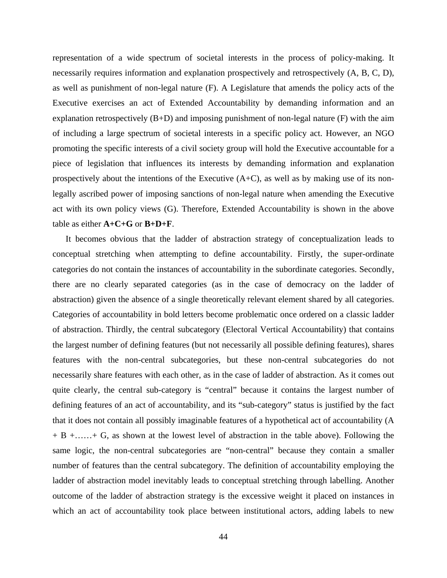representation of a wide spectrum of societal interests in the process of policy-making. It necessarily requires information and explanation prospectively and retrospectively (A, B, C, D), as well as punishment of non-legal nature (F). A Legislature that amends the policy acts of the Executive exercises an act of Extended Accountability by demanding information and an explanation retrospectively (B+D) and imposing punishment of non-legal nature (F) with the aim of including a large spectrum of societal interests in a specific policy act. However, an NGO promoting the specific interests of a civil society group will hold the Executive accountable for a piece of legislation that influences its interests by demanding information and explanation prospectively about the intentions of the Executive  $(A+C)$ , as well as by making use of its nonlegally ascribed power of imposing sanctions of non-legal nature when amending the Executive act with its own policy views (G). Therefore, Extended Accountability is shown in the above table as either **A+C+G** or **B+D+F**.

It becomes obvious that the ladder of abstraction strategy of conceptualization leads to conceptual stretching when attempting to define accountability. Firstly, the super-ordinate categories do not contain the instances of accountability in the subordinate categories. Secondly, there are no clearly separated categories (as in the case of democracy on the ladder of abstraction) given the absence of a single theoretically relevant element shared by all categories. Categories of accountability in bold letters become problematic once ordered on a classic ladder of abstraction. Thirdly, the central subcategory (Electoral Vertical Accountability) that contains the largest number of defining features (but not necessarily all possible defining features), shares features with the non-central subcategories, but these non-central subcategories do not necessarily share features with each other, as in the case of ladder of abstraction. As it comes out quite clearly, the central sub-category is "central" because it contains the largest number of defining features of an act of accountability, and its "sub-category" status is justified by the fact that it does not contain all possibly imaginable features of a hypothetical act of accountability (A + B +……+ G, as shown at the lowest level of abstraction in the table above). Following the same logic, the non-central subcategories are "non-central" because they contain a smaller number of features than the central subcategory. The definition of accountability employing the ladder of abstraction model inevitably leads to conceptual stretching through labelling. Another outcome of the ladder of abstraction strategy is the excessive weight it placed on instances in which an act of accountability took place between institutional actors, adding labels to new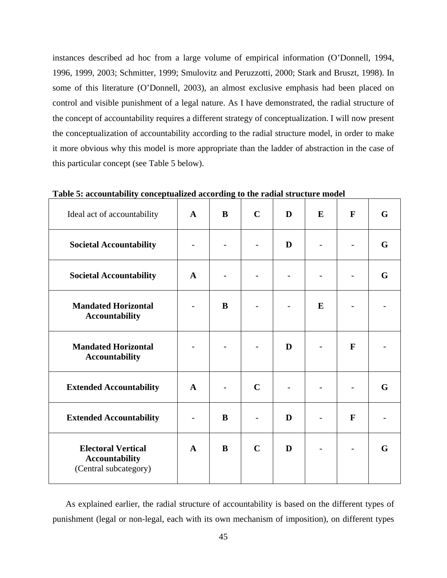instances described ad hoc from a large volume of empirical information (O'Donnell, 1994, 1996, 1999, 2003; Schmitter, 1999; Smulovitz and Peruzzotti, 2000; Stark and Bruszt, 1998). In some of this literature (O'Donnell, 2003), an almost exclusive emphasis had been placed on control and visible punishment of a legal nature. As I have demonstrated, the radial structure of the concept of accountability requires a different strategy of conceptualization. I will now present the conceptualization of accountability according to the radial structure model, in order to make it more obvious why this model is more appropriate than the ladder of abstraction in the case of this particular concept (see Table 5 below).

| Ideal act of accountability                                                 | $\mathbf{A}$    | B        | $\mathbf C$ | D              | E | $\mathbf{F}$ | G |
|-----------------------------------------------------------------------------|-----------------|----------|-------------|----------------|---|--------------|---|
| <b>Societal Accountability</b>                                              |                 |          |             | D              |   |              | G |
| <b>Societal Accountability</b>                                              | $\mathbf{A}$    |          |             | $\overline{a}$ |   |              | G |
| <b>Mandated Horizontal</b><br><b>Accountability</b>                         |                 | B        |             |                | E |              |   |
| <b>Mandated Horizontal</b><br><b>Accountability</b>                         |                 |          |             | D              |   | $\mathbf{F}$ |   |
| <b>Extended Accountability</b>                                              | $\mathbf{A}$    |          | $\mathbf C$ |                |   |              | G |
| <b>Extended Accountability</b>                                              | $\qquad \qquad$ | B        |             | D              |   | $\mathbf{F}$ |   |
| <b>Electoral Vertical</b><br><b>Accountability</b><br>(Central subcategory) | $\mathbf{A}$    | $\bf{B}$ | $\mathbf C$ | D              |   |              | G |

**Table 5: accountability conceptualized according to the radial structure model** 

As explained earlier, the radial structure of accountability is based on the different types of punishment (legal or non-legal, each with its own mechanism of imposition), on different types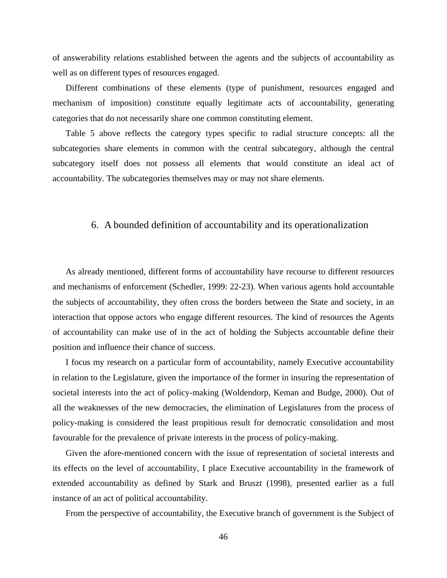of answerability relations established between the agents and the subjects of accountability as well as on different types of resources engaged.

Different combinations of these elements (type of punishment, resources engaged and mechanism of imposition) constitute equally legitimate acts of accountability, generating categories that do not necessarily share one common constituting element.

Table 5 above reflects the category types specific to radial structure concepts: all the subcategories share elements in common with the central subcategory, although the central subcategory itself does not possess all elements that would constitute an ideal act of accountability. The subcategories themselves may or may not share elements.

### 6. A bounded definition of accountability and its operationalization

As already mentioned, different forms of accountability have recourse to different resources and mechanisms of enforcement (Schedler, 1999: 22-23). When various agents hold accountable the subjects of accountability, they often cross the borders between the State and society, in an interaction that oppose actors who engage different resources. The kind of resources the Agents of accountability can make use of in the act of holding the Subjects accountable define their position and influence their chance of success.

I focus my research on a particular form of accountability, namely Executive accountability in relation to the Legislature, given the importance of the former in insuring the representation of societal interests into the act of policy-making (Woldendorp, Keman and Budge, 2000). Out of all the weaknesses of the new democracies, the elimination of Legislatures from the process of policy-making is considered the least propitious result for democratic consolidation and most favourable for the prevalence of private interests in the process of policy-making.

Given the afore-mentioned concern with the issue of representation of societal interests and its effects on the level of accountability, I place Executive accountability in the framework of extended accountability as defined by Stark and Bruszt (1998), presented earlier as a full instance of an act of political accountability.

From the perspective of accountability, the Executive branch of government is the Subject of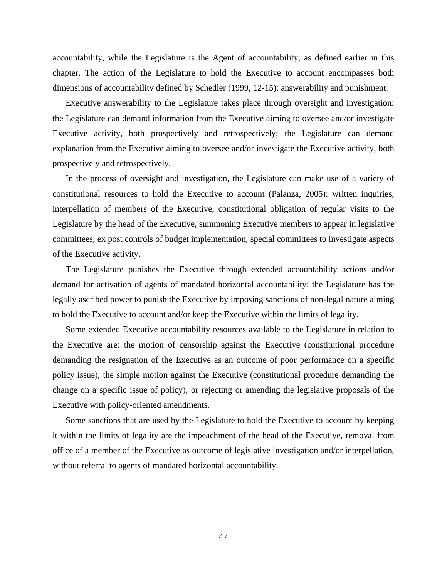accountability, while the Legislature is the Agent of accountability, as defined earlier in this chapter. The action of the Legislature to hold the Executive to account encompasses both dimensions of accountability defined by Schedler (1999, 12-15): answerability and punishment.

Executive answerability to the Legislature takes place through oversight and investigation: the Legislature can demand information from the Executive aiming to oversee and/or investigate Executive activity, both prospectively and retrospectively; the Legislature can demand explanation from the Executive aiming to oversee and/or investigate the Executive activity, both prospectively and retrospectively.

In the process of oversight and investigation, the Legislature can make use of a variety of constitutional resources to hold the Executive to account (Palanza, 2005): written inquiries, interpellation of members of the Executive, constitutional obligation of regular visits to the Legislature by the head of the Executive, summoning Executive members to appear in legislative committees, ex post controls of budget implementation, special committees to investigate aspects of the Executive activity.

The Legislature punishes the Executive through extended accountability actions and/or demand for activation of agents of mandated horizontal accountability: the Legislature has the legally ascribed power to punish the Executive by imposing sanctions of non-legal nature aiming to hold the Executive to account and/or keep the Executive within the limits of legality.

Some extended Executive accountability resources available to the Legislature in relation to the Executive are: the motion of censorship against the Executive (constitutional procedure demanding the resignation of the Executive as an outcome of poor performance on a specific policy issue), the simple motion against the Executive (constitutional procedure demanding the change on a specific issue of policy), or rejecting or amending the legislative proposals of the Executive with policy-oriented amendments.

Some sanctions that are used by the Legislature to hold the Executive to account by keeping it within the limits of legality are the impeachment of the head of the Executive, removal from office of a member of the Executive as outcome of legislative investigation and/or interpellation, without referral to agents of mandated horizontal accountability.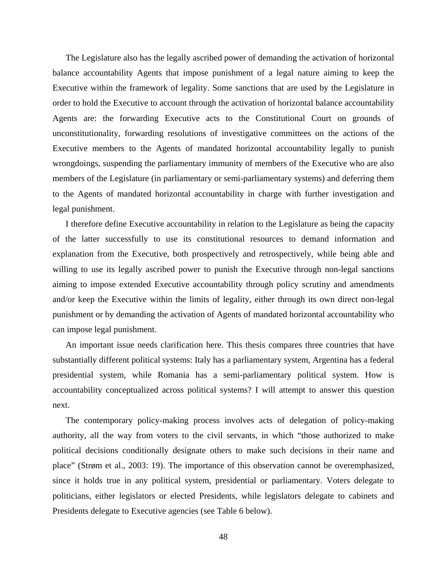The Legislature also has the legally ascribed power of demanding the activation of horizontal balance accountability Agents that impose punishment of a legal nature aiming to keep the Executive within the framework of legality. Some sanctions that are used by the Legislature in order to hold the Executive to account through the activation of horizontal balance accountability Agents are: the forwarding Executive acts to the Constitutional Court on grounds of unconstitutionality, forwarding resolutions of investigative committees on the actions of the Executive members to the Agents of mandated horizontal accountability legally to punish wrongdoings, suspending the parliamentary immunity of members of the Executive who are also members of the Legislature (in parliamentary or semi-parliamentary systems) and deferring them to the Agents of mandated horizontal accountability in charge with further investigation and legal punishment.

I therefore define Executive accountability in relation to the Legislature as being the capacity of the latter successfully to use its constitutional resources to demand information and explanation from the Executive, both prospectively and retrospectively, while being able and willing to use its legally ascribed power to punish the Executive through non-legal sanctions aiming to impose extended Executive accountability through policy scrutiny and amendments and/or keep the Executive within the limits of legality, either through its own direct non-legal punishment or by demanding the activation of Agents of mandated horizontal accountability who can impose legal punishment.

An important issue needs clarification here. This thesis compares three countries that have substantially different political systems: Italy has a parliamentary system, Argentina has a federal presidential system, while Romania has a semi-parliamentary political system. How is accountability conceptualized across political systems? I will attempt to answer this question next.

The contemporary policy-making process involves acts of delegation of policy-making authority, all the way from voters to the civil servants, in which "those authorized to make political decisions conditionally designate others to make such decisions in their name and place" (Strøm et al., 2003: 19). The importance of this observation cannot be overemphasized, since it holds true in any political system, presidential or parliamentary. Voters delegate to politicians, either legislators or elected Presidents, while legislators delegate to cabinets and Presidents delegate to Executive agencies (see Table 6 below).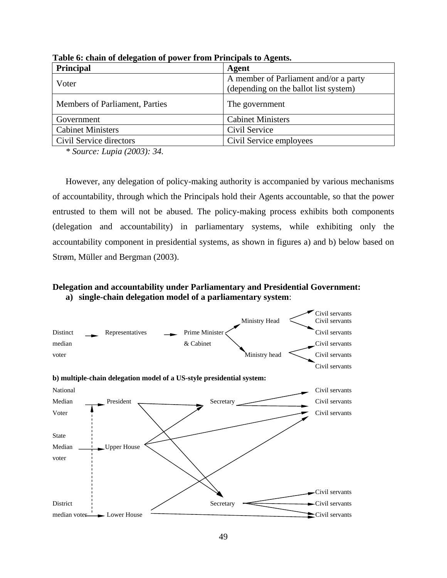| <b>Principal</b>               | Agent                                                                          |
|--------------------------------|--------------------------------------------------------------------------------|
| Voter                          | A member of Parliament and/or a party<br>(depending on the ballot list system) |
| Members of Parliament, Parties | The government                                                                 |
| Government                     | <b>Cabinet Ministers</b>                                                       |
| <b>Cabinet Ministers</b>       | Civil Service                                                                  |
| Civil Service directors        | Civil Service employees                                                        |

**Table 6: chain of delegation of power from Principals to Agents.** 

*\* Source: Lupia (2003): 34.* 

However, any delegation of policy-making authority is accompanied by various mechanisms of accountability, through which the Principals hold their Agents accountable, so that the power entrusted to them will not be abused. The policy-making process exhibits both components (delegation and accountability) in parliamentary systems, while exhibiting only the accountability component in presidential systems, as shown in figures a) and b) below based on Strøm, Müller and Bergman (2003).

### **Delegation and accountability under Parliamentary and Presidential Government: a) single-chain delegation model of a parliamentary system**:

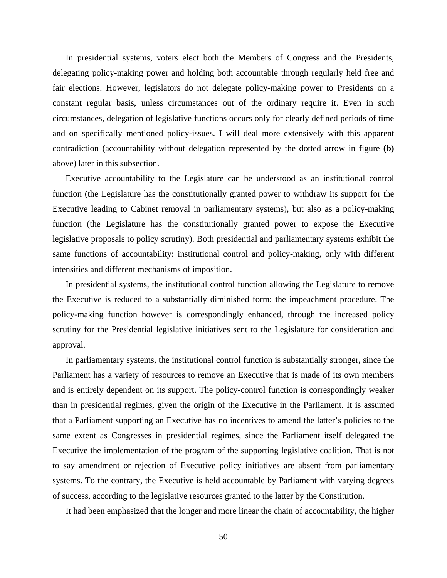In presidential systems, voters elect both the Members of Congress and the Presidents, delegating policy-making power and holding both accountable through regularly held free and fair elections. However, legislators do not delegate policy-making power to Presidents on a constant regular basis, unless circumstances out of the ordinary require it. Even in such circumstances, delegation of legislative functions occurs only for clearly defined periods of time and on specifically mentioned policy-issues. I will deal more extensively with this apparent contradiction (accountability without delegation represented by the dotted arrow in figure **(b)** above) later in this subsection.

Executive accountability to the Legislature can be understood as an institutional control function (the Legislature has the constitutionally granted power to withdraw its support for the Executive leading to Cabinet removal in parliamentary systems), but also as a policy-making function (the Legislature has the constitutionally granted power to expose the Executive legislative proposals to policy scrutiny). Both presidential and parliamentary systems exhibit the same functions of accountability: institutional control and policy-making, only with different intensities and different mechanisms of imposition.

In presidential systems, the institutional control function allowing the Legislature to remove the Executive is reduced to a substantially diminished form: the impeachment procedure. The policy-making function however is correspondingly enhanced, through the increased policy scrutiny for the Presidential legislative initiatives sent to the Legislature for consideration and approval.

In parliamentary systems, the institutional control function is substantially stronger, since the Parliament has a variety of resources to remove an Executive that is made of its own members and is entirely dependent on its support. The policy-control function is correspondingly weaker than in presidential regimes, given the origin of the Executive in the Parliament. It is assumed that a Parliament supporting an Executive has no incentives to amend the latter's policies to the same extent as Congresses in presidential regimes, since the Parliament itself delegated the Executive the implementation of the program of the supporting legislative coalition. That is not to say amendment or rejection of Executive policy initiatives are absent from parliamentary systems. To the contrary, the Executive is held accountable by Parliament with varying degrees of success, according to the legislative resources granted to the latter by the Constitution.

It had been emphasized that the longer and more linear the chain of accountability, the higher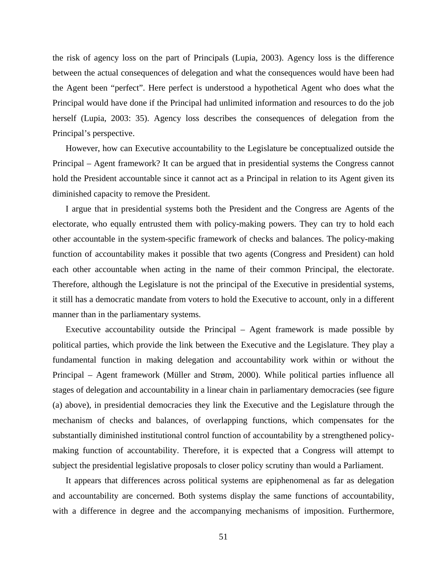the risk of agency loss on the part of Principals (Lupia, 2003). Agency loss is the difference between the actual consequences of delegation and what the consequences would have been had the Agent been "perfect". Here perfect is understood a hypothetical Agent who does what the Principal would have done if the Principal had unlimited information and resources to do the job herself (Lupia, 2003: 35). Agency loss describes the consequences of delegation from the Principal's perspective.

However, how can Executive accountability to the Legislature be conceptualized outside the Principal – Agent framework? It can be argued that in presidential systems the Congress cannot hold the President accountable since it cannot act as a Principal in relation to its Agent given its diminished capacity to remove the President.

I argue that in presidential systems both the President and the Congress are Agents of the electorate, who equally entrusted them with policy-making powers. They can try to hold each other accountable in the system-specific framework of checks and balances. The policy-making function of accountability makes it possible that two agents (Congress and President) can hold each other accountable when acting in the name of their common Principal, the electorate. Therefore, although the Legislature is not the principal of the Executive in presidential systems, it still has a democratic mandate from voters to hold the Executive to account, only in a different manner than in the parliamentary systems.

Executive accountability outside the Principal – Agent framework is made possible by political parties, which provide the link between the Executive and the Legislature. They play a fundamental function in making delegation and accountability work within or without the Principal – Agent framework (Müller and Strøm, 2000). While political parties influence all stages of delegation and accountability in a linear chain in parliamentary democracies (see figure (a) above), in presidential democracies they link the Executive and the Legislature through the mechanism of checks and balances, of overlapping functions, which compensates for the substantially diminished institutional control function of accountability by a strengthened policymaking function of accountability. Therefore, it is expected that a Congress will attempt to subject the presidential legislative proposals to closer policy scrutiny than would a Parliament.

It appears that differences across political systems are epiphenomenal as far as delegation and accountability are concerned. Both systems display the same functions of accountability, with a difference in degree and the accompanying mechanisms of imposition. Furthermore,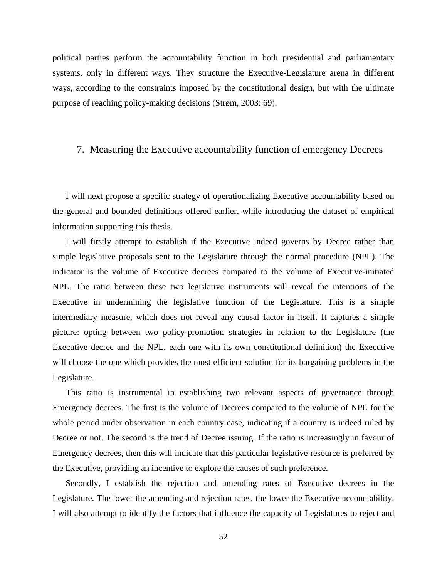political parties perform the accountability function in both presidential and parliamentary systems, only in different ways. They structure the Executive-Legislature arena in different ways, according to the constraints imposed by the constitutional design, but with the ultimate purpose of reaching policy-making decisions (Strøm, 2003: 69).

### 7. Measuring the Executive accountability function of emergency Decrees

I will next propose a specific strategy of operationalizing Executive accountability based on the general and bounded definitions offered earlier, while introducing the dataset of empirical information supporting this thesis.

I will firstly attempt to establish if the Executive indeed governs by Decree rather than simple legislative proposals sent to the Legislature through the normal procedure (NPL). The indicator is the volume of Executive decrees compared to the volume of Executive-initiated NPL. The ratio between these two legislative instruments will reveal the intentions of the Executive in undermining the legislative function of the Legislature. This is a simple intermediary measure, which does not reveal any causal factor in itself. It captures a simple picture: opting between two policy-promotion strategies in relation to the Legislature (the Executive decree and the NPL, each one with its own constitutional definition) the Executive will choose the one which provides the most efficient solution for its bargaining problems in the Legislature.

This ratio is instrumental in establishing two relevant aspects of governance through Emergency decrees. The first is the volume of Decrees compared to the volume of NPL for the whole period under observation in each country case, indicating if a country is indeed ruled by Decree or not. The second is the trend of Decree issuing. If the ratio is increasingly in favour of Emergency decrees, then this will indicate that this particular legislative resource is preferred by the Executive, providing an incentive to explore the causes of such preference.

Secondly, I establish the rejection and amending rates of Executive decrees in the Legislature. The lower the amending and rejection rates, the lower the Executive accountability. I will also attempt to identify the factors that influence the capacity of Legislatures to reject and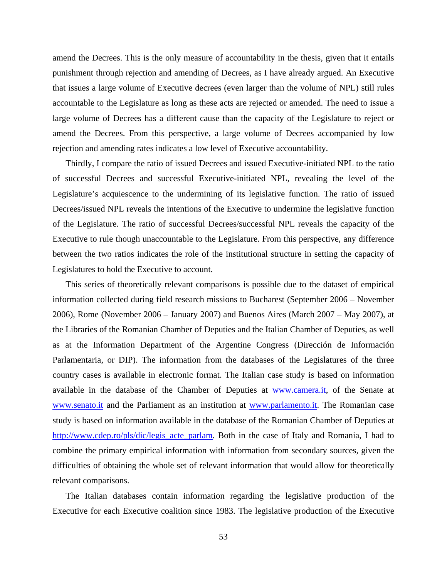amend the Decrees. This is the only measure of accountability in the thesis, given that it entails punishment through rejection and amending of Decrees, as I have already argued. An Executive that issues a large volume of Executive decrees (even larger than the volume of NPL) still rules accountable to the Legislature as long as these acts are rejected or amended. The need to issue a large volume of Decrees has a different cause than the capacity of the Legislature to reject or amend the Decrees. From this perspective, a large volume of Decrees accompanied by low rejection and amending rates indicates a low level of Executive accountability.

Thirdly, I compare the ratio of issued Decrees and issued Executive-initiated NPL to the ratio of successful Decrees and successful Executive-initiated NPL, revealing the level of the Legislature's acquiescence to the undermining of its legislative function. The ratio of issued Decrees/issued NPL reveals the intentions of the Executive to undermine the legislative function of the Legislature. The ratio of successful Decrees/successful NPL reveals the capacity of the Executive to rule though unaccountable to the Legislature. From this perspective, any difference between the two ratios indicates the role of the institutional structure in setting the capacity of Legislatures to hold the Executive to account.

This series of theoretically relevant comparisons is possible due to the dataset of empirical information collected during field research missions to Bucharest (September 2006 – November 2006), Rome (November 2006 – January 2007) and Buenos Aires (March 2007 – May 2007), at the Libraries of the Romanian Chamber of Deputies and the Italian Chamber of Deputies, as well as at the Information Department of the Argentine Congress (Dirección de Información Parlamentaria, or DIP). The information from the databases of the Legislatures of the three country cases is available in electronic format. The Italian case study is based on information available in the database of the Chamber of Deputies at www.camera.it, of the Senate at www.senato.it and the Parliament as an institution at www.parlamento.it. The Romanian case study is based on information available in the database of the Romanian Chamber of Deputies at http://www.cdep.ro/pls/dic/legis\_acte\_parlam. Both in the case of Italy and Romania, I had to combine the primary empirical information with information from secondary sources, given the difficulties of obtaining the whole set of relevant information that would allow for theoretically relevant comparisons.

The Italian databases contain information regarding the legislative production of the Executive for each Executive coalition since 1983. The legislative production of the Executive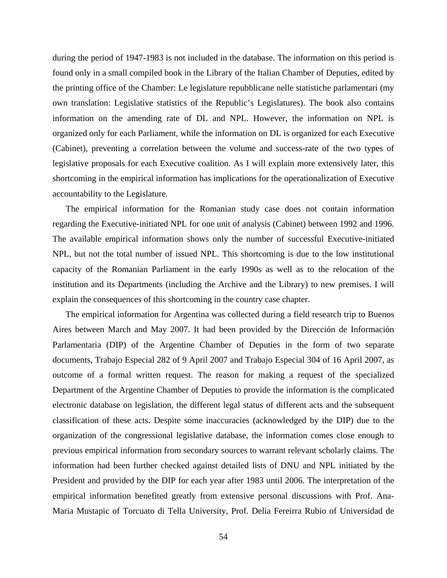during the period of 1947-1983 is not included in the database. The information on this period is found only in a small compiled book in the Library of the Italian Chamber of Deputies, edited by the printing office of the Chamber: Le legislature repubblicane nelle statistiche parlamentari (my own translation: Legislative statistics of the Republic's Legislatures). The book also contains information on the amending rate of DL and NPL. However, the information on NPL is organized only for each Parliament, while the information on DL is organized for each Executive (Cabinet), preventing a correlation between the volume and success-rate of the two types of legislative proposals for each Executive coalition. As I will explain more extensively later, this shortcoming in the empirical information has implications for the operationalization of Executive accountability to the Legislature.

The empirical information for the Romanian study case does not contain information regarding the Executive-initiated NPL for one unit of analysis (Cabinet) between 1992 and 1996. The available empirical information shows only the number of successful Executive-initiated NPL, but not the total number of issued NPL. This shortcoming is due to the low institutional capacity of the Romanian Parliament in the early 1990s as well as to the relocation of the institution and its Departments (including the Archive and the Library) to new premises. I will explain the consequences of this shortcoming in the country case chapter.

The empirical information for Argentina was collected during a field research trip to Buenos Aires between March and May 2007. It had been provided by the Dirección de Información Parlamentaria (DIP) of the Argentine Chamber of Deputies in the form of two separate documents, Trabajo Especial 282 of 9 April 2007 and Trabajo Especial 304 of 16 April 2007, as outcome of a formal written request. The reason for making a request of the specialized Department of the Argentine Chamber of Deputies to provide the information is the complicated electronic database on legislation, the different legal status of different acts and the subsequent classification of these acts. Despite some inaccuracies (acknowledged by the DIP) due to the organization of the congressional legislative database, the information comes close enough to previous empirical information from secondary sources to warrant relevant scholarly claims. The information had been further checked against detailed lists of DNU and NPL initiated by the President and provided by the DIP for each year after 1983 until 2006. The interpretation of the empirical information benefited greatly from extensive personal discussions with Prof. Ana-Maria Mustapic of Torcuato di Tella University, Prof. Delia Fereirra Rubio of Universidad de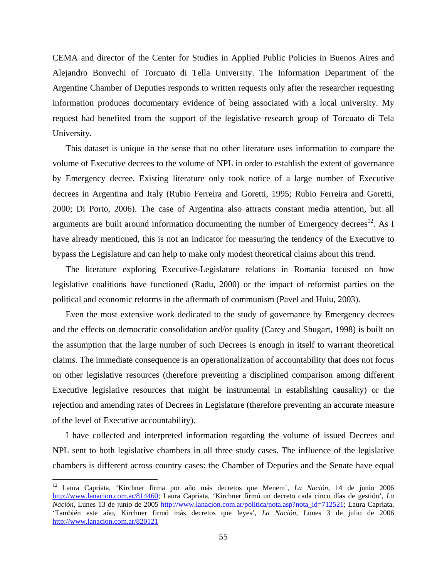CEMA and director of the Center for Studies in Applied Public Policies in Buenos Aires and Alejandro Bonvechi of Torcuato di Tella University. The Information Department of the Argentine Chamber of Deputies responds to written requests only after the researcher requesting information produces documentary evidence of being associated with a local university. My request had benefited from the support of the legislative research group of Torcuato di Tela University.

This dataset is unique in the sense that no other literature uses information to compare the volume of Executive decrees to the volume of NPL in order to establish the extent of governance by Emergency decree. Existing literature only took notice of a large number of Executive decrees in Argentina and Italy (Rubio Ferreira and Goretti, 1995; Rubio Ferreira and Goretti, 2000; Di Porto, 2006). The case of Argentina also attracts constant media attention, but all arguments are built around information documenting the number of Emergency decrees $^{12}$ . As I have already mentioned, this is not an indicator for measuring the tendency of the Executive to bypass the Legislature and can help to make only modest theoretical claims about this trend.

The literature exploring Executive-Legislature relations in Romania focused on how legislative coalitions have functioned (Radu, 2000) or the impact of reformist parties on the political and economic reforms in the aftermath of communism (Pavel and Huiu, 2003).

Even the most extensive work dedicated to the study of governance by Emergency decrees and the effects on democratic consolidation and/or quality (Carey and Shugart, 1998) is built on the assumption that the large number of such Decrees is enough in itself to warrant theoretical claims. The immediate consequence is an operationalization of accountability that does not focus on other legislative resources (therefore preventing a disciplined comparison among different Executive legislative resources that might be instrumental in establishing causality) or the rejection and amending rates of Decrees in Legislature (therefore preventing an accurate measure of the level of Executive accountability).

I have collected and interpreted information regarding the volume of issued Decrees and NPL sent to both legislative chambers in all three study cases. The influence of the legislative chambers is different across country cases: the Chamber of Deputies and the Senate have equal

1

<sup>12</sup> Laura Capriata, 'Kirchner firma por año más decretos que Menem', *La Nación*, 14 de junio 2006 http://www.lanacion.com.ar/814460; Laura Capriata, 'Kirchner firmó un decreto cada cinco días de gestión', *La Nación*, Lunes 13 de junio de 2005 http://www.lanacion.com.ar/politica/nota.asp?nota\_id=712521; Laura Capriata, 'También este año, Kirchner firmó más decretos que leyes', *La Nación*, Lunes 3 de julio de 2006 http://www.lanacion.com.ar/820121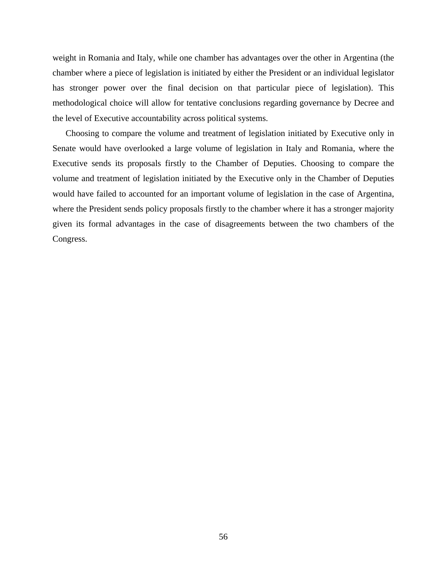weight in Romania and Italy, while one chamber has advantages over the other in Argentina (the chamber where a piece of legislation is initiated by either the President or an individual legislator has stronger power over the final decision on that particular piece of legislation). This methodological choice will allow for tentative conclusions regarding governance by Decree and the level of Executive accountability across political systems.

Choosing to compare the volume and treatment of legislation initiated by Executive only in Senate would have overlooked a large volume of legislation in Italy and Romania, where the Executive sends its proposals firstly to the Chamber of Deputies. Choosing to compare the volume and treatment of legislation initiated by the Executive only in the Chamber of Deputies would have failed to accounted for an important volume of legislation in the case of Argentina, where the President sends policy proposals firstly to the chamber where it has a stronger majority given its formal advantages in the case of disagreements between the two chambers of the Congress.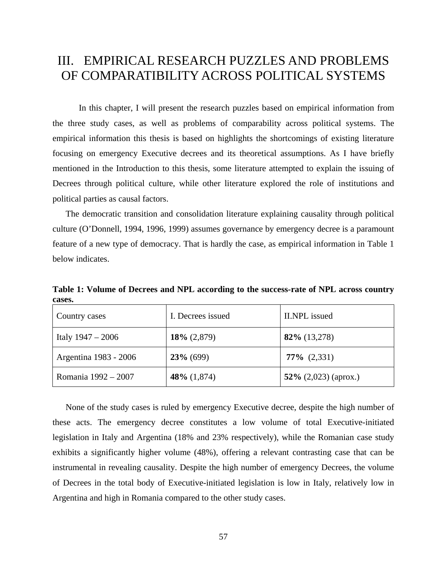# III. EMPIRICAL RESEARCH PUZZLES AND PROBLEMS OF COMPARATIBILITY ACROSS POLITICAL SYSTEMS

In this chapter, I will present the research puzzles based on empirical information from the three study cases, as well as problems of comparability across political systems. The empirical information this thesis is based on highlights the shortcomings of existing literature focusing on emergency Executive decrees and its theoretical assumptions. As I have briefly mentioned in the Introduction to this thesis, some literature attempted to explain the issuing of Decrees through political culture, while other literature explored the role of institutions and political parties as causal factors.

The democratic transition and consolidation literature explaining causality through political culture (O'Donnell, 1994, 1996, 1999) assumes governance by emergency decree is a paramount feature of a new type of democracy. That is hardly the case, as empirical information in Table 1 below indicates.

**Table 1: Volume of Decrees and NPL according to the success-rate of NPL across country cases.** 

| Country cases         | I. Decrees issued | II.NPL issued           |
|-----------------------|-------------------|-------------------------|
| Italy $1947 - 2006$   | $18\% (2,879)$    | $82\%$ (13,278)         |
| Argentina 1983 - 2006 | $23\%$ (699)      | $77\%$ (2,331)          |
| Romania 1992 – 2007   | 48\% $(1,874)$    | 52\% $(2,023)$ (aprox.) |

None of the study cases is ruled by emergency Executive decree, despite the high number of these acts. The emergency decree constitutes a low volume of total Executive-initiated legislation in Italy and Argentina (18% and 23% respectively), while the Romanian case study exhibits a significantly higher volume (48%), offering a relevant contrasting case that can be instrumental in revealing causality. Despite the high number of emergency Decrees, the volume of Decrees in the total body of Executive-initiated legislation is low in Italy, relatively low in Argentina and high in Romania compared to the other study cases.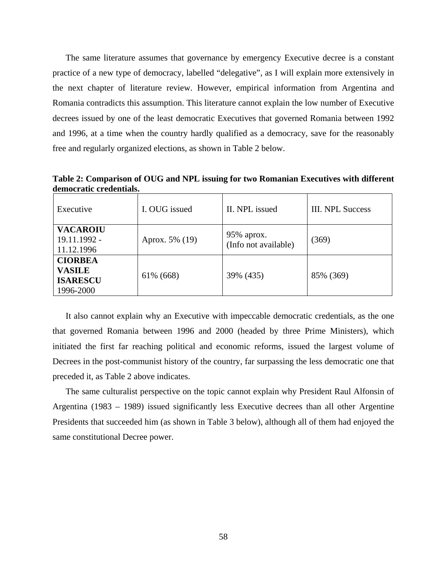The same literature assumes that governance by emergency Executive decree is a constant practice of a new type of democracy, labelled "delegative", as I will explain more extensively in the next chapter of literature review. However, empirical information from Argentina and Romania contradicts this assumption. This literature cannot explain the low number of Executive decrees issued by one of the least democratic Executives that governed Romania between 1992 and 1996, at a time when the country hardly qualified as a democracy, save for the reasonably free and regularly organized elections, as shown in Table 2 below.

**Table 2: Comparison of OUG and NPL issuing for two Romanian Executives with different democratic credentials.** 

| Executive                                                       | I. OUG issued  | II. NPL issued                        | <b>III. NPL Success</b> |
|-----------------------------------------------------------------|----------------|---------------------------------------|-------------------------|
| <b>VACAROIU</b><br>19.11.1992 -<br>11.12.1996                   | Aprox. 5% (19) | $95\%$ aprox.<br>(Info not available) | (369)                   |
| <b>CIORBEA</b><br><b>VASILE</b><br><b>ISARESCU</b><br>1996-2000 | 61% (668)      | 39% (435)                             | 85% (369)               |

It also cannot explain why an Executive with impeccable democratic credentials, as the one that governed Romania between 1996 and 2000 (headed by three Prime Ministers), which initiated the first far reaching political and economic reforms, issued the largest volume of Decrees in the post-communist history of the country, far surpassing the less democratic one that preceded it, as Table 2 above indicates.

The same culturalist perspective on the topic cannot explain why President Raul Alfonsin of Argentina (1983 – 1989) issued significantly less Executive decrees than all other Argentine Presidents that succeeded him (as shown in Table 3 below), although all of them had enjoyed the same constitutional Decree power.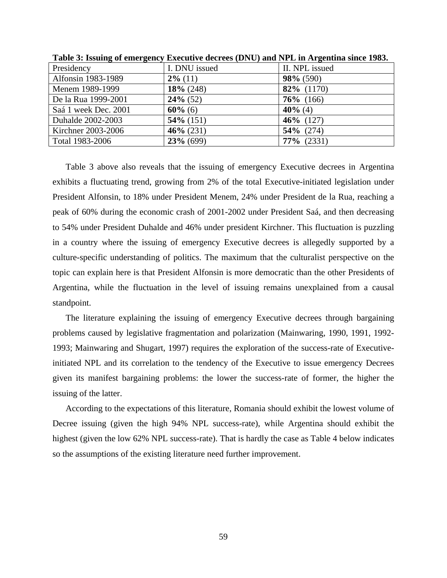| Presidency           | I. DNU issued | II. NPL issued |
|----------------------|---------------|----------------|
| Alfonsin 1983-1989   | $2\%$ (11)    | $98\%$ (590)   |
| Menem 1989-1999      | $18\%$ (248)  | 82% (1170)     |
| De la Rua 1999-2001  | $24\%$ (52)   | $76\%$ (166)   |
| Saá 1 week Dec. 2001 | $60\%$ (6)    | $40\%$ (4)     |
| Duhalde 2002-2003    | $54\%$ (151)  | 46\% $(127)$   |
| Kirchner 2003-2006   | $46\% (231)$  | $54\%$ (274)   |
| Total 1983-2006      | $23\%$ (699)  | $77\%$ (2331)  |

**Table 3: Issuing of emergency Executive decrees (DNU) and NPL in Argentina since 1983.** 

Table 3 above also reveals that the issuing of emergency Executive decrees in Argentina exhibits a fluctuating trend, growing from 2% of the total Executive-initiated legislation under President Alfonsin, to 18% under President Menem, 24% under President de la Rua, reaching a peak of 60% during the economic crash of 2001-2002 under President Saá, and then decreasing to 54% under President Duhalde and 46% under president Kirchner. This fluctuation is puzzling in a country where the issuing of emergency Executive decrees is allegedly supported by a culture-specific understanding of politics. The maximum that the culturalist perspective on the topic can explain here is that President Alfonsin is more democratic than the other Presidents of Argentina, while the fluctuation in the level of issuing remains unexplained from a causal standpoint.

The literature explaining the issuing of emergency Executive decrees through bargaining problems caused by legislative fragmentation and polarization (Mainwaring, 1990, 1991, 1992- 1993; Mainwaring and Shugart, 1997) requires the exploration of the success-rate of Executiveinitiated NPL and its correlation to the tendency of the Executive to issue emergency Decrees given its manifest bargaining problems: the lower the success-rate of former, the higher the issuing of the latter.

According to the expectations of this literature, Romania should exhibit the lowest volume of Decree issuing (given the high 94% NPL success-rate), while Argentina should exhibit the highest (given the low 62% NPL success-rate). That is hardly the case as Table 4 below indicates so the assumptions of the existing literature need further improvement.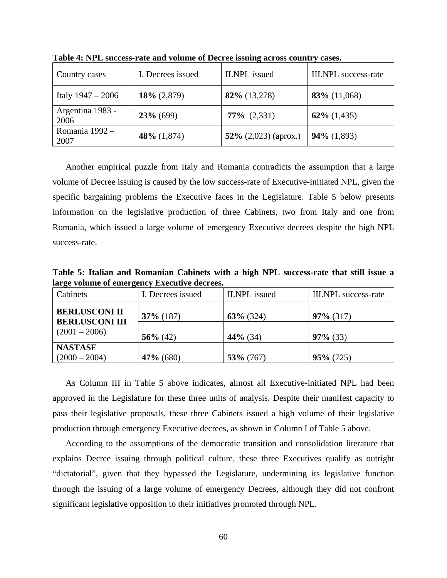| Country cases            | I. Decrees issued | <b>II.NPL</b> issued    | <b>III.NPL</b> success-rate |
|--------------------------|-------------------|-------------------------|-----------------------------|
| Italy $1947 - 2006$      | $18\% (2,879)$    | 82% (13,278)            | $83\%$ (11,068)             |
| Argentina 1983 -<br>2006 | $23\%$ (699)      | $77\%$ $(2,331)$        | $62\%$ (1,435)              |
| Romania 1992 -<br>2007   | 48\% $(1,874)$    | 52\% $(2,023)$ (aprox.) | $94\%$ (1,893)              |

**Table 4: NPL success-rate and volume of Decree issuing across country cases.** 

Another empirical puzzle from Italy and Romania contradicts the assumption that a large volume of Decree issuing is caused by the low success-rate of Executive-initiated NPL, given the specific bargaining problems the Executive faces in the Legislature. Table 5 below presents information on the legislative production of three Cabinets, two from Italy and one from Romania, which issued a large volume of emergency Executive decrees despite the high NPL success-rate.

**Table 5: Italian and Romanian Cabinets with a high NPL success-rate that still issue a large volume of emergency Executive decrees.** 

| I. Decrees issued | II.NPL issued | III.NPL success-rate |
|-------------------|---------------|----------------------|
| $37\%$ (187)      | $63\%$ (324)  | $97\%$ (317)         |
| $56\%$ (42)       | $44\%$ (34)   | $97\%$ (33)          |
|                   |               | $95\% (725)$         |
|                   | $47\%$ (680)  | $53\%$ (767)         |

As Column III in Table 5 above indicates, almost all Executive-initiated NPL had been approved in the Legislature for these three units of analysis. Despite their manifest capacity to pass their legislative proposals, these three Cabinets issued a high volume of their legislative production through emergency Executive decrees, as shown in Column I of Table 5 above.

According to the assumptions of the democratic transition and consolidation literature that explains Decree issuing through political culture, these three Executives qualify as outright "dictatorial", given that they bypassed the Legislature, undermining its legislative function through the issuing of a large volume of emergency Decrees, although they did not confront significant legislative opposition to their initiatives promoted through NPL.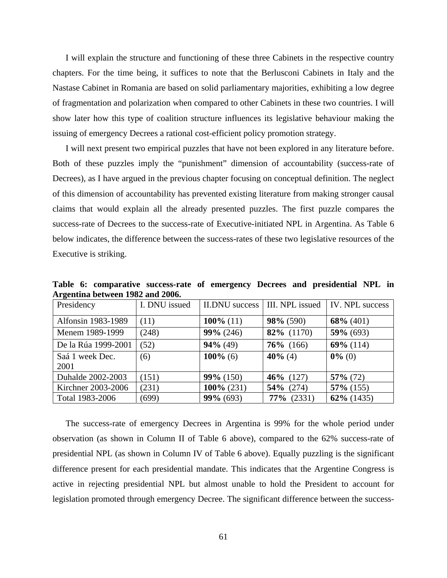I will explain the structure and functioning of these three Cabinets in the respective country chapters. For the time being, it suffices to note that the Berlusconi Cabinets in Italy and the Nastase Cabinet in Romania are based on solid parliamentary majorities, exhibiting a low degree of fragmentation and polarization when compared to other Cabinets in these two countries. I will show later how this type of coalition structure influences its legislative behaviour making the issuing of emergency Decrees a rational cost-efficient policy promotion strategy.

I will next present two empirical puzzles that have not been explored in any literature before. Both of these puzzles imply the "punishment" dimension of accountability (success-rate of Decrees), as I have argued in the previous chapter focusing on conceptual definition. The neglect of this dimension of accountability has prevented existing literature from making stronger causal claims that would explain all the already presented puzzles. The first puzzle compares the success-rate of Decrees to the success-rate of Executive-initiated NPL in Argentina. As Table 6 below indicates, the difference between the success-rates of these two legislative resources of the Executive is striking.

**Table 6: comparative success-rate of emergency Decrees and presidential NPL in Argentina between 1982 and 2006.** 

| Presidency          | I. DNU issued | II.DNU success |               | III. NPL issued   IV. NPL success |
|---------------------|---------------|----------------|---------------|-----------------------------------|
| Alfonsin 1983-1989  | (11)          | 100\% $(11)$   | $98\%$ (590)  | $68\%$ (401)                      |
| Menem 1989-1999     | (248)         | $99\% (246)$   | 82% (1170)    | $59\%$ (693)                      |
| De la Rúa 1999-2001 | (52)          | $94\% (49)$    | $76\%$ (166)  | $69\%$ (114)                      |
| Saá 1 week Dec.     | (6)           | $100\%$ (6)    | 40% (4)       | $0\%$ (0)                         |
| 2001                |               |                |               |                                   |
| Duhalde 2002-2003   | (151)         | $99\% (150)$   | 46\% $(127)$  | $57\%$ (72)                       |
| Kirchner 2003-2006  | (231)         | $100\%$ (231)  | $54\%$ (274)  | $57\%$ (155)                      |
| Total 1983-2006     | (699)         | $99\% (693)$   | $77\%$ (2331) | $62\%$ (1435)                     |

The success-rate of emergency Decrees in Argentina is 99% for the whole period under observation (as shown in Column II of Table 6 above), compared to the 62% success-rate of presidential NPL (as shown in Column IV of Table 6 above). Equally puzzling is the significant difference present for each presidential mandate. This indicates that the Argentine Congress is active in rejecting presidential NPL but almost unable to hold the President to account for legislation promoted through emergency Decree. The significant difference between the success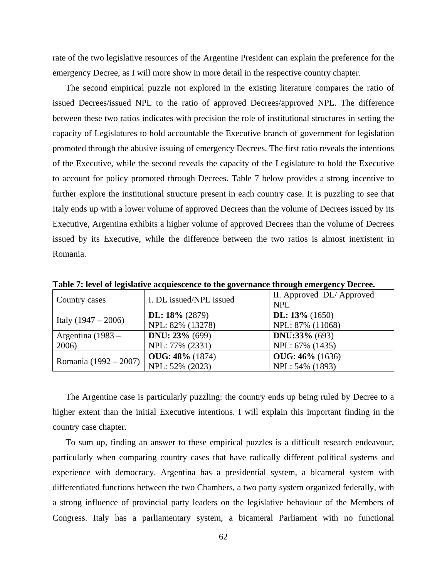rate of the two legislative resources of the Argentine President can explain the preference for the emergency Decree, as I will more show in more detail in the respective country chapter.

The second empirical puzzle not explored in the existing literature compares the ratio of issued Decrees/issued NPL to the ratio of approved Decrees/approved NPL. The difference between these two ratios indicates with precision the role of institutional structures in setting the capacity of Legislatures to hold accountable the Executive branch of government for legislation promoted through the abusive issuing of emergency Decrees. The first ratio reveals the intentions of the Executive, while the second reveals the capacity of the Legislature to hold the Executive to account for policy promoted through Decrees. Table 7 below provides a strong incentive to further explore the institutional structure present in each country case. It is puzzling to see that Italy ends up with a lower volume of approved Decrees than the volume of Decrees issued by its Executive, Argentina exhibits a higher volume of approved Decrees than the volume of Decrees issued by its Executive, while the difference between the two ratios is almost inexistent in Romania.

| Country cases         | I. DL issued/NPL issued                   | II. Approved DL/Approved<br><b>NPL</b> |
|-----------------------|-------------------------------------------|----------------------------------------|
| Italy $(1947 - 2006)$ | DL: $18\%$ (2879)<br>NPL: 82% (13278)     | DL: $13\%$ (1650)<br>NPL: 87% (11068)  |
| Argentina $(1983 -$   | <b>DNU</b> : $23% (699)$                  | <b>DNU:33%</b> (693)                   |
| 2006)                 | NPL: 77% (2331)<br><b>OUG: 48%</b> (1874) | NPL: 67% (1435)<br>$OUG: 46\% (1636)$  |
| Romania (1992 – 2007) | NPL: 52% (2023)                           | NPL: 54% (1893)                        |

**Table 7: level of legislative acquiescence to the governance through emergency Decree.** 

The Argentine case is particularly puzzling: the country ends up being ruled by Decree to a higher extent than the initial Executive intentions. I will explain this important finding in the country case chapter.

To sum up, finding an answer to these empirical puzzles is a difficult research endeavour, particularly when comparing country cases that have radically different political systems and experience with democracy. Argentina has a presidential system, a bicameral system with differentiated functions between the two Chambers, a two party system organized federally, with a strong influence of provincial party leaders on the legislative behaviour of the Members of Congress. Italy has a parliamentary system, a bicameral Parliament with no functional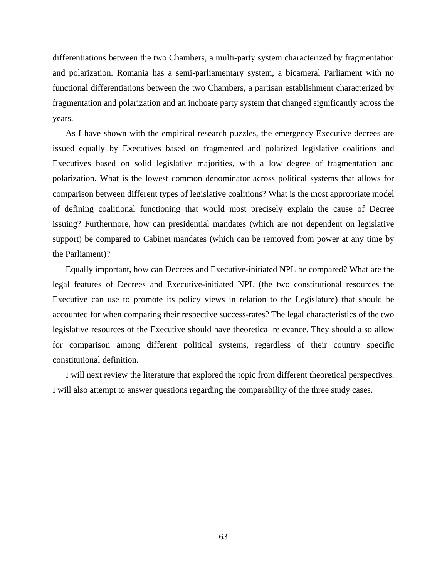differentiations between the two Chambers, a multi-party system characterized by fragmentation and polarization. Romania has a semi-parliamentary system, a bicameral Parliament with no functional differentiations between the two Chambers, a partisan establishment characterized by fragmentation and polarization and an inchoate party system that changed significantly across the years.

As I have shown with the empirical research puzzles, the emergency Executive decrees are issued equally by Executives based on fragmented and polarized legislative coalitions and Executives based on solid legislative majorities, with a low degree of fragmentation and polarization. What is the lowest common denominator across political systems that allows for comparison between different types of legislative coalitions? What is the most appropriate model of defining coalitional functioning that would most precisely explain the cause of Decree issuing? Furthermore, how can presidential mandates (which are not dependent on legislative support) be compared to Cabinet mandates (which can be removed from power at any time by the Parliament)?

Equally important, how can Decrees and Executive-initiated NPL be compared? What are the legal features of Decrees and Executive-initiated NPL (the two constitutional resources the Executive can use to promote its policy views in relation to the Legislature) that should be accounted for when comparing their respective success-rates? The legal characteristics of the two legislative resources of the Executive should have theoretical relevance. They should also allow for comparison among different political systems, regardless of their country specific constitutional definition.

I will next review the literature that explored the topic from different theoretical perspectives. I will also attempt to answer questions regarding the comparability of the three study cases.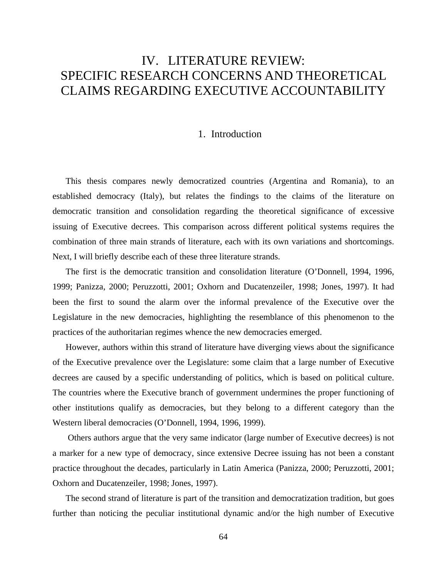# IV. LITERATURE REVIEW: SPECIFIC RESEARCH CONCERNS AND THEORETICAL CLAIMS REGARDING EXECUTIVE ACCOUNTABILITY

### 1. Introduction

This thesis compares newly democratized countries (Argentina and Romania), to an established democracy (Italy), but relates the findings to the claims of the literature on democratic transition and consolidation regarding the theoretical significance of excessive issuing of Executive decrees. This comparison across different political systems requires the combination of three main strands of literature, each with its own variations and shortcomings. Next, I will briefly describe each of these three literature strands.

The first is the democratic transition and consolidation literature (O'Donnell, 1994, 1996, 1999; Panizza, 2000; Peruzzotti, 2001; Oxhorn and Ducatenzeiler, 1998; Jones, 1997). It had been the first to sound the alarm over the informal prevalence of the Executive over the Legislature in the new democracies, highlighting the resemblance of this phenomenon to the practices of the authoritarian regimes whence the new democracies emerged.

However, authors within this strand of literature have diverging views about the significance of the Executive prevalence over the Legislature: some claim that a large number of Executive decrees are caused by a specific understanding of politics, which is based on political culture. The countries where the Executive branch of government undermines the proper functioning of other institutions qualify as democracies, but they belong to a different category than the Western liberal democracies (O'Donnell, 1994, 1996, 1999).

 Others authors argue that the very same indicator (large number of Executive decrees) is not a marker for a new type of democracy, since extensive Decree issuing has not been a constant practice throughout the decades, particularly in Latin America (Panizza, 2000; Peruzzotti, 2001; Oxhorn and Ducatenzeiler, 1998; Jones, 1997).

The second strand of literature is part of the transition and democratization tradition, but goes further than noticing the peculiar institutional dynamic and/or the high number of Executive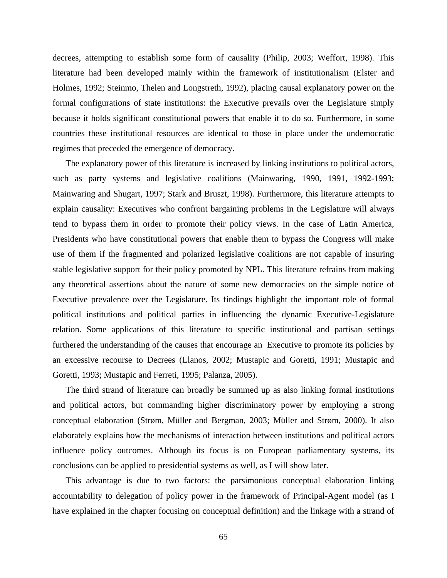decrees, attempting to establish some form of causality (Philip, 2003; Weffort, 1998). This literature had been developed mainly within the framework of institutionalism (Elster and Holmes, 1992; Steinmo, Thelen and Longstreth, 1992), placing causal explanatory power on the formal configurations of state institutions: the Executive prevails over the Legislature simply because it holds significant constitutional powers that enable it to do so. Furthermore, in some countries these institutional resources are identical to those in place under the undemocratic regimes that preceded the emergence of democracy.

The explanatory power of this literature is increased by linking institutions to political actors, such as party systems and legislative coalitions (Mainwaring, 1990, 1991, 1992-1993; Mainwaring and Shugart, 1997; Stark and Bruszt, 1998). Furthermore, this literature attempts to explain causality: Executives who confront bargaining problems in the Legislature will always tend to bypass them in order to promote their policy views. In the case of Latin America, Presidents who have constitutional powers that enable them to bypass the Congress will make use of them if the fragmented and polarized legislative coalitions are not capable of insuring stable legislative support for their policy promoted by NPL. This literature refrains from making any theoretical assertions about the nature of some new democracies on the simple notice of Executive prevalence over the Legislature. Its findings highlight the important role of formal political institutions and political parties in influencing the dynamic Executive-Legislature relation. Some applications of this literature to specific institutional and partisan settings furthered the understanding of the causes that encourage an Executive to promote its policies by an excessive recourse to Decrees (Llanos, 2002; Mustapic and Goretti, 1991; Mustapic and Goretti, 1993; Mustapic and Ferreti, 1995; Palanza, 2005).

The third strand of literature can broadly be summed up as also linking formal institutions and political actors, but commanding higher discriminatory power by employing a strong conceptual elaboration (Strøm, Müller and Bergman, 2003; Müller and Strøm, 2000). It also elaborately explains how the mechanisms of interaction between institutions and political actors influence policy outcomes. Although its focus is on European parliamentary systems, its conclusions can be applied to presidential systems as well, as I will show later.

This advantage is due to two factors: the parsimonious conceptual elaboration linking accountability to delegation of policy power in the framework of Principal-Agent model (as I have explained in the chapter focusing on conceptual definition) and the linkage with a strand of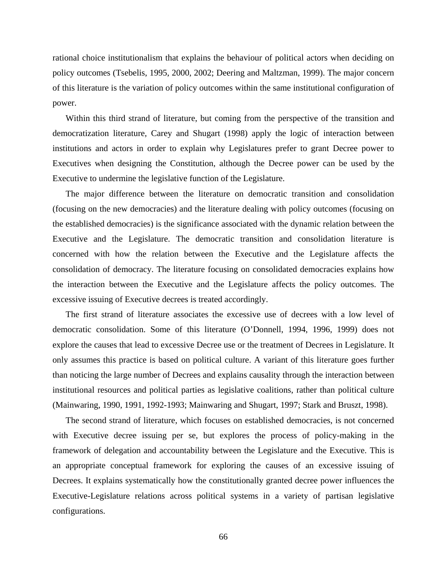rational choice institutionalism that explains the behaviour of political actors when deciding on policy outcomes (Tsebelis, 1995, 2000, 2002; Deering and Maltzman, 1999). The major concern of this literature is the variation of policy outcomes within the same institutional configuration of power.

Within this third strand of literature, but coming from the perspective of the transition and democratization literature, Carey and Shugart (1998) apply the logic of interaction between institutions and actors in order to explain why Legislatures prefer to grant Decree power to Executives when designing the Constitution, although the Decree power can be used by the Executive to undermine the legislative function of the Legislature.

The major difference between the literature on democratic transition and consolidation (focusing on the new democracies) and the literature dealing with policy outcomes (focusing on the established democracies) is the significance associated with the dynamic relation between the Executive and the Legislature. The democratic transition and consolidation literature is concerned with how the relation between the Executive and the Legislature affects the consolidation of democracy. The literature focusing on consolidated democracies explains how the interaction between the Executive and the Legislature affects the policy outcomes. The excessive issuing of Executive decrees is treated accordingly.

The first strand of literature associates the excessive use of decrees with a low level of democratic consolidation. Some of this literature (O'Donnell, 1994, 1996, 1999) does not explore the causes that lead to excessive Decree use or the treatment of Decrees in Legislature. It only assumes this practice is based on political culture. A variant of this literature goes further than noticing the large number of Decrees and explains causality through the interaction between institutional resources and political parties as legislative coalitions, rather than political culture (Mainwaring, 1990, 1991, 1992-1993; Mainwaring and Shugart, 1997; Stark and Bruszt, 1998).

The second strand of literature, which focuses on established democracies, is not concerned with Executive decree issuing per se, but explores the process of policy-making in the framework of delegation and accountability between the Legislature and the Executive. This is an appropriate conceptual framework for exploring the causes of an excessive issuing of Decrees. It explains systematically how the constitutionally granted decree power influences the Executive-Legislature relations across political systems in a variety of partisan legislative configurations.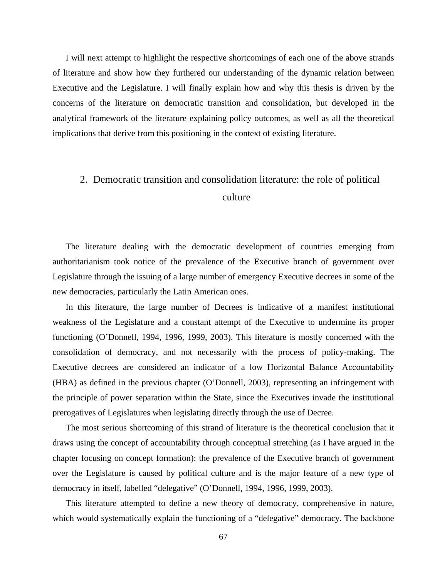I will next attempt to highlight the respective shortcomings of each one of the above strands of literature and show how they furthered our understanding of the dynamic relation between Executive and the Legislature. I will finally explain how and why this thesis is driven by the concerns of the literature on democratic transition and consolidation, but developed in the analytical framework of the literature explaining policy outcomes, as well as all the theoretical implications that derive from this positioning in the context of existing literature.

### 2. Democratic transition and consolidation literature: the role of political culture

The literature dealing with the democratic development of countries emerging from authoritarianism took notice of the prevalence of the Executive branch of government over Legislature through the issuing of a large number of emergency Executive decrees in some of the new democracies, particularly the Latin American ones.

In this literature, the large number of Decrees is indicative of a manifest institutional weakness of the Legislature and a constant attempt of the Executive to undermine its proper functioning (O'Donnell, 1994, 1996, 1999, 2003). This literature is mostly concerned with the consolidation of democracy, and not necessarily with the process of policy-making. The Executive decrees are considered an indicator of a low Horizontal Balance Accountability (HBA) as defined in the previous chapter (O'Donnell, 2003), representing an infringement with the principle of power separation within the State, since the Executives invade the institutional prerogatives of Legislatures when legislating directly through the use of Decree.

The most serious shortcoming of this strand of literature is the theoretical conclusion that it draws using the concept of accountability through conceptual stretching (as I have argued in the chapter focusing on concept formation): the prevalence of the Executive branch of government over the Legislature is caused by political culture and is the major feature of a new type of democracy in itself, labelled "delegative" (O'Donnell, 1994, 1996, 1999, 2003).

This literature attempted to define a new theory of democracy, comprehensive in nature, which would systematically explain the functioning of a "delegative" democracy. The backbone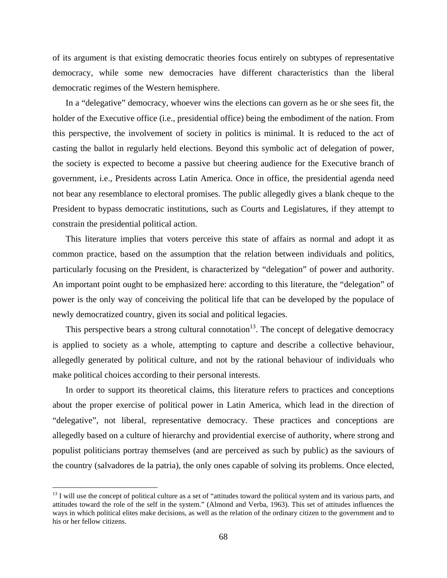of its argument is that existing democratic theories focus entirely on subtypes of representative democracy, while some new democracies have different characteristics than the liberal democratic regimes of the Western hemisphere.

In a "delegative" democracy, whoever wins the elections can govern as he or she sees fit, the holder of the Executive office (i.e., presidential office) being the embodiment of the nation. From this perspective, the involvement of society in politics is minimal. It is reduced to the act of casting the ballot in regularly held elections. Beyond this symbolic act of delegation of power, the society is expected to become a passive but cheering audience for the Executive branch of government, i.e., Presidents across Latin America. Once in office, the presidential agenda need not bear any resemblance to electoral promises. The public allegedly gives a blank cheque to the President to bypass democratic institutions, such as Courts and Legislatures, if they attempt to constrain the presidential political action.

This literature implies that voters perceive this state of affairs as normal and adopt it as common practice, based on the assumption that the relation between individuals and politics, particularly focusing on the President, is characterized by "delegation" of power and authority. An important point ought to be emphasized here: according to this literature, the "delegation" of power is the only way of conceiving the political life that can be developed by the populace of newly democratized country, given its social and political legacies.

This perspective bears a strong cultural connotation<sup>13</sup>. The concept of delegative democracy is applied to society as a whole, attempting to capture and describe a collective behaviour, allegedly generated by political culture, and not by the rational behaviour of individuals who make political choices according to their personal interests.

In order to support its theoretical claims, this literature refers to practices and conceptions about the proper exercise of political power in Latin America, which lead in the direction of "delegative", not liberal, representative democracy. These practices and conceptions are allegedly based on a culture of hierarchy and providential exercise of authority, where strong and populist politicians portray themselves (and are perceived as such by public) as the saviours of the country (salvadores de la patria), the only ones capable of solving its problems. Once elected,

 $\overline{a}$ 

 $13$  I will use the concept of political culture as a set of "attitudes toward the political system and its various parts, and attitudes toward the role of the self in the system." (Almond and Verba, 1963). This set of attitudes influences the ways in which political elites make decisions, as well as the relation of the ordinary citizen to the government and to his or her fellow citizens.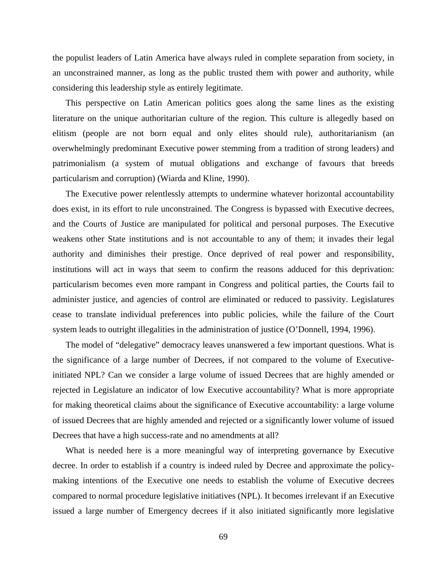the populist leaders of Latin America have always ruled in complete separation from society, in an unconstrained manner, as long as the public trusted them with power and authority, while considering this leadership style as entirely legitimate.

This perspective on Latin American politics goes along the same lines as the existing literature on the unique authoritarian culture of the region. This culture is allegedly based on elitism (people are not born equal and only elites should rule), authoritarianism (an overwhelmingly predominant Executive power stemming from a tradition of strong leaders) and patrimonialism (a system of mutual obligations and exchange of favours that breeds particularism and corruption) (Wiarda and Kline, 1990).

The Executive power relentlessly attempts to undermine whatever horizontal accountability does exist, in its effort to rule unconstrained. The Congress is bypassed with Executive decrees, and the Courts of Justice are manipulated for political and personal purposes. The Executive weakens other State institutions and is not accountable to any of them; it invades their legal authority and diminishes their prestige. Once deprived of real power and responsibility, institutions will act in ways that seem to confirm the reasons adduced for this deprivation: particularism becomes even more rampant in Congress and political parties, the Courts fail to administer justice, and agencies of control are eliminated or reduced to passivity. Legislatures cease to translate individual preferences into public policies, while the failure of the Court system leads to outright illegalities in the administration of justice (O'Donnell, 1994, 1996).

The model of "delegative" democracy leaves unanswered a few important questions. What is the significance of a large number of Decrees, if not compared to the volume of Executiveinitiated NPL? Can we consider a large volume of issued Decrees that are highly amended or rejected in Legislature an indicator of low Executive accountability? What is more appropriate for making theoretical claims about the significance of Executive accountability: a large volume of issued Decrees that are highly amended and rejected or a significantly lower volume of issued Decrees that have a high success-rate and no amendments at all?

What is needed here is a more meaningful way of interpreting governance by Executive decree. In order to establish if a country is indeed ruled by Decree and approximate the policymaking intentions of the Executive one needs to establish the volume of Executive decrees compared to normal procedure legislative initiatives (NPL). It becomes irrelevant if an Executive issued a large number of Emergency decrees if it also initiated significantly more legislative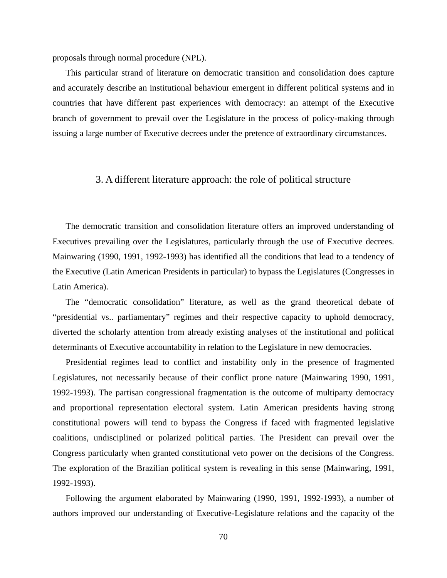proposals through normal procedure (NPL).

This particular strand of literature on democratic transition and consolidation does capture and accurately describe an institutional behaviour emergent in different political systems and in countries that have different past experiences with democracy: an attempt of the Executive branch of government to prevail over the Legislature in the process of policy-making through issuing a large number of Executive decrees under the pretence of extraordinary circumstances.

### 3. A different literature approach: the role of political structure

The democratic transition and consolidation literature offers an improved understanding of Executives prevailing over the Legislatures, particularly through the use of Executive decrees. Mainwaring (1990, 1991, 1992-1993) has identified all the conditions that lead to a tendency of the Executive (Latin American Presidents in particular) to bypass the Legislatures (Congresses in Latin America).

The "democratic consolidation" literature, as well as the grand theoretical debate of "presidential vs.. parliamentary" regimes and their respective capacity to uphold democracy, diverted the scholarly attention from already existing analyses of the institutional and political determinants of Executive accountability in relation to the Legislature in new democracies.

Presidential regimes lead to conflict and instability only in the presence of fragmented Legislatures, not necessarily because of their conflict prone nature (Mainwaring 1990, 1991, 1992-1993). The partisan congressional fragmentation is the outcome of multiparty democracy and proportional representation electoral system. Latin American presidents having strong constitutional powers will tend to bypass the Congress if faced with fragmented legislative coalitions, undisciplined or polarized political parties. The President can prevail over the Congress particularly when granted constitutional veto power on the decisions of the Congress. The exploration of the Brazilian political system is revealing in this sense (Mainwaring, 1991, 1992-1993).

Following the argument elaborated by Mainwaring (1990, 1991, 1992-1993), a number of authors improved our understanding of Executive-Legislature relations and the capacity of the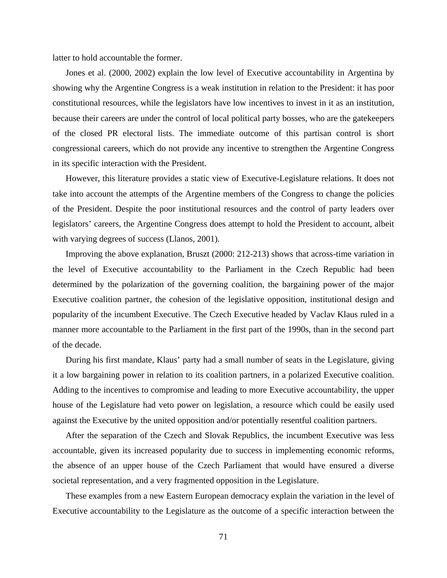latter to hold accountable the former.

Jones et al. (2000, 2002) explain the low level of Executive accountability in Argentina by showing why the Argentine Congress is a weak institution in relation to the President: it has poor constitutional resources, while the legislators have low incentives to invest in it as an institution, because their careers are under the control of local political party bosses, who are the gatekeepers of the closed PR electoral lists. The immediate outcome of this partisan control is short congressional careers, which do not provide any incentive to strengthen the Argentine Congress in its specific interaction with the President.

However, this literature provides a static view of Executive-Legislature relations. It does not take into account the attempts of the Argentine members of the Congress to change the policies of the President. Despite the poor institutional resources and the control of party leaders over legislators' careers, the Argentine Congress does attempt to hold the President to account, albeit with varying degrees of success (Llanos, 2001).

Improving the above explanation, Bruszt (2000: 212-213) shows that across-time variation in the level of Executive accountability to the Parliament in the Czech Republic had been determined by the polarization of the governing coalition, the bargaining power of the major Executive coalition partner, the cohesion of the legislative opposition, institutional design and popularity of the incumbent Executive. The Czech Executive headed by Vaclav Klaus ruled in a manner more accountable to the Parliament in the first part of the 1990s, than in the second part of the decade.

During his first mandate, Klaus' party had a small number of seats in the Legislature, giving it a low bargaining power in relation to its coalition partners, in a polarized Executive coalition. Adding to the incentives to compromise and leading to more Executive accountability, the upper house of the Legislature had veto power on legislation, a resource which could be easily used against the Executive by the united opposition and/or potentially resentful coalition partners.

After the separation of the Czech and Slovak Republics, the incumbent Executive was less accountable, given its increased popularity due to success in implementing economic reforms, the absence of an upper house of the Czech Parliament that would have ensured a diverse societal representation, and a very fragmented opposition in the Legislature.

These examples from a new Eastern European democracy explain the variation in the level of Executive accountability to the Legislature as the outcome of a specific interaction between the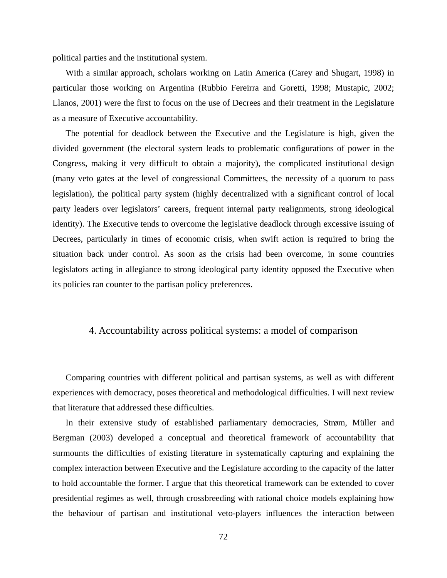political parties and the institutional system.

With a similar approach, scholars working on Latin America (Carey and Shugart, 1998) in particular those working on Argentina (Rubbio Fereirra and Goretti, 1998; Mustapic, 2002; Llanos, 2001) were the first to focus on the use of Decrees and their treatment in the Legislature as a measure of Executive accountability.

The potential for deadlock between the Executive and the Legislature is high, given the divided government (the electoral system leads to problematic configurations of power in the Congress, making it very difficult to obtain a majority), the complicated institutional design (many veto gates at the level of congressional Committees, the necessity of a quorum to pass legislation), the political party system (highly decentralized with a significant control of local party leaders over legislators' careers, frequent internal party realignments, strong ideological identity). The Executive tends to overcome the legislative deadlock through excessive issuing of Decrees, particularly in times of economic crisis, when swift action is required to bring the situation back under control. As soon as the crisis had been overcome, in some countries legislators acting in allegiance to strong ideological party identity opposed the Executive when its policies ran counter to the partisan policy preferences.

### 4. Accountability across political systems: a model of comparison

Comparing countries with different political and partisan systems, as well as with different experiences with democracy, poses theoretical and methodological difficulties. I will next review that literature that addressed these difficulties.

In their extensive study of established parliamentary democracies, Strøm, Müller and Bergman (2003) developed a conceptual and theoretical framework of accountability that surmounts the difficulties of existing literature in systematically capturing and explaining the complex interaction between Executive and the Legislature according to the capacity of the latter to hold accountable the former. I argue that this theoretical framework can be extended to cover presidential regimes as well, through crossbreeding with rational choice models explaining how the behaviour of partisan and institutional veto-players influences the interaction between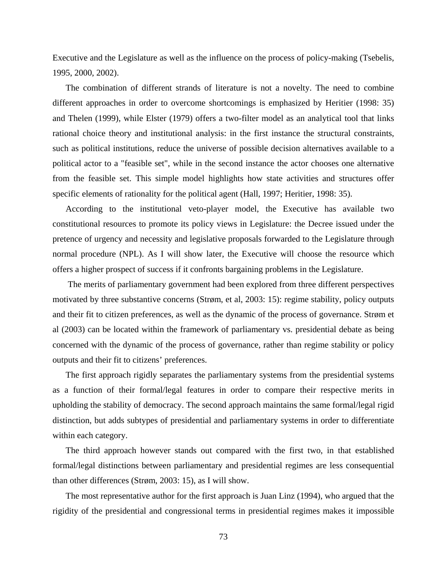Executive and the Legislature as well as the influence on the process of policy-making (Tsebelis, 1995, 2000, 2002).

The combination of different strands of literature is not a novelty. The need to combine different approaches in order to overcome shortcomings is emphasized by Heritier (1998: 35) and Thelen (1999), while Elster (1979) offers a two-filter model as an analytical tool that links rational choice theory and institutional analysis: in the first instance the structural constraints, such as political institutions, reduce the universe of possible decision alternatives available to a political actor to a "feasible set", while in the second instance the actor chooses one alternative from the feasible set. This simple model highlights how state activities and structures offer specific elements of rationality for the political agent (Hall, 1997; Heritier, 1998: 35).

According to the institutional veto-player model, the Executive has available two constitutional resources to promote its policy views in Legislature: the Decree issued under the pretence of urgency and necessity and legislative proposals forwarded to the Legislature through normal procedure (NPL). As I will show later, the Executive will choose the resource which offers a higher prospect of success if it confronts bargaining problems in the Legislature.

 The merits of parliamentary government had been explored from three different perspectives motivated by three substantive concerns (Strøm, et al, 2003: 15): regime stability, policy outputs and their fit to citizen preferences, as well as the dynamic of the process of governance. Strøm et al (2003) can be located within the framework of parliamentary vs. presidential debate as being concerned with the dynamic of the process of governance, rather than regime stability or policy outputs and their fit to citizens' preferences.

The first approach rigidly separates the parliamentary systems from the presidential systems as a function of their formal/legal features in order to compare their respective merits in upholding the stability of democracy. The second approach maintains the same formal/legal rigid distinction, but adds subtypes of presidential and parliamentary systems in order to differentiate within each category.

The third approach however stands out compared with the first two, in that established formal/legal distinctions between parliamentary and presidential regimes are less consequential than other differences (Strøm, 2003: 15), as I will show.

The most representative author for the first approach is Juan Linz (1994), who argued that the rigidity of the presidential and congressional terms in presidential regimes makes it impossible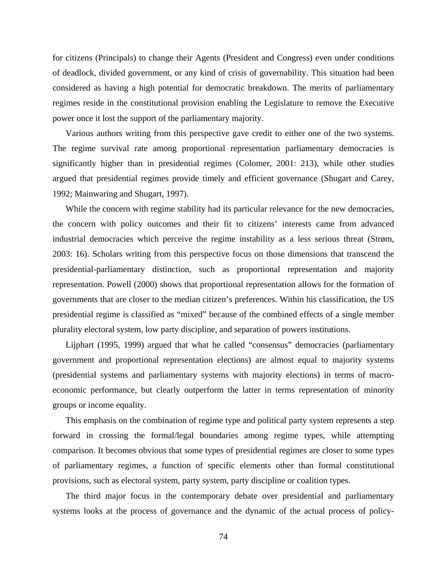for citizens (Principals) to change their Agents (President and Congress) even under conditions of deadlock, divided government, or any kind of crisis of governability. This situation had been considered as having a high potential for democratic breakdown. The merits of parliamentary regimes reside in the constitutional provision enabling the Legislature to remove the Executive power once it lost the support of the parliamentary majority.

Various authors writing from this perspective gave credit to either one of the two systems. The regime survival rate among proportional representation parliamentary democracies is significantly higher than in presidential regimes (Colomer, 2001: 213), while other studies argued that presidential regimes provide timely and efficient governance (Shugart and Carey, 1992; Mainwaring and Shugart, 1997).

While the concern with regime stability had its particular relevance for the new democracies, the concern with policy outcomes and their fit to citizens' interests came from advanced industrial democracies which perceive the regime instability as a less serious threat (Strøm, 2003: 16). Scholars writing from this perspective focus on those dimensions that transcend the presidential-parliamentary distinction, such as proportional representation and majority representation. Powell (2000) shows that proportional representation allows for the formation of governments that are closer to the median citizen's preferences. Within his classification, the US presidential regime is classified as "mixed" because of the combined effects of a single member plurality electoral system, low party discipline, and separation of powers institutions.

Lijphart (1995, 1999) argued that what he called "consensus" democracies (parliamentary government and proportional representation elections) are almost equal to majority systems (presidential systems and parliamentary systems with majority elections) in terms of macroeconomic performance, but clearly outperform the latter in terms representation of minority groups or income equality.

This emphasis on the combination of regime type and political party system represents a step forward in crossing the formal/legal boundaries among regime types, while attempting comparison. It becomes obvious that some types of presidential regimes are closer to some types of parliamentary regimes, a function of specific elements other than formal constitutional provisions, such as electoral system, party system, party discipline or coalition types.

The third major focus in the contemporary debate over presidential and parliamentary systems looks at the process of governance and the dynamic of the actual process of policy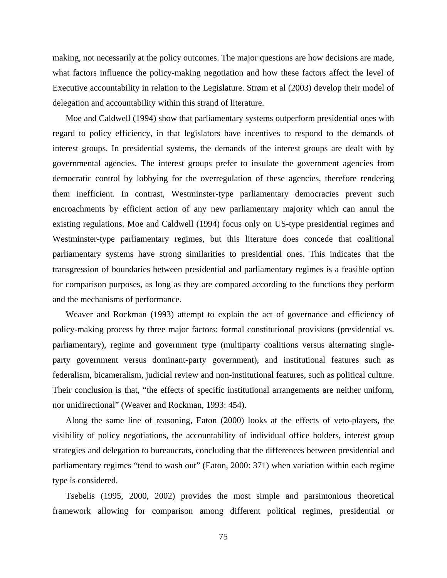making, not necessarily at the policy outcomes. The major questions are how decisions are made, what factors influence the policy-making negotiation and how these factors affect the level of Executive accountability in relation to the Legislature. Strøm et al (2003) develop their model of delegation and accountability within this strand of literature.

Moe and Caldwell (1994) show that parliamentary systems outperform presidential ones with regard to policy efficiency, in that legislators have incentives to respond to the demands of interest groups. In presidential systems, the demands of the interest groups are dealt with by governmental agencies. The interest groups prefer to insulate the government agencies from democratic control by lobbying for the overregulation of these agencies, therefore rendering them inefficient. In contrast, Westminster-type parliamentary democracies prevent such encroachments by efficient action of any new parliamentary majority which can annul the existing regulations. Moe and Caldwell (1994) focus only on US-type presidential regimes and Westminster-type parliamentary regimes, but this literature does concede that coalitional parliamentary systems have strong similarities to presidential ones. This indicates that the transgression of boundaries between presidential and parliamentary regimes is a feasible option for comparison purposes, as long as they are compared according to the functions they perform and the mechanisms of performance.

Weaver and Rockman (1993) attempt to explain the act of governance and efficiency of policy-making process by three major factors: formal constitutional provisions (presidential vs. parliamentary), regime and government type (multiparty coalitions versus alternating singleparty government versus dominant-party government), and institutional features such as federalism, bicameralism, judicial review and non-institutional features, such as political culture. Their conclusion is that, "the effects of specific institutional arrangements are neither uniform, nor unidirectional" (Weaver and Rockman, 1993: 454).

Along the same line of reasoning, Eaton (2000) looks at the effects of veto-players, the visibility of policy negotiations, the accountability of individual office holders, interest group strategies and delegation to bureaucrats, concluding that the differences between presidential and parliamentary regimes "tend to wash out" (Eaton, 2000: 371) when variation within each regime type is considered.

Tsebelis (1995, 2000, 2002) provides the most simple and parsimonious theoretical framework allowing for comparison among different political regimes, presidential or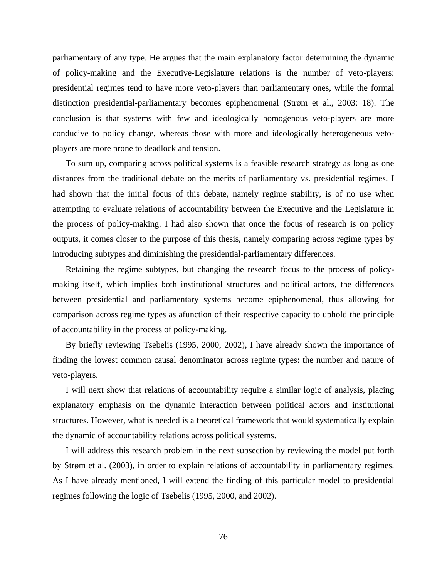parliamentary of any type. He argues that the main explanatory factor determining the dynamic of policy-making and the Executive-Legislature relations is the number of veto-players: presidential regimes tend to have more veto-players than parliamentary ones, while the formal distinction presidential-parliamentary becomes epiphenomenal (Strøm et al., 2003: 18). The conclusion is that systems with few and ideologically homogenous veto-players are more conducive to policy change, whereas those with more and ideologically heterogeneous vetoplayers are more prone to deadlock and tension.

To sum up, comparing across political systems is a feasible research strategy as long as one distances from the traditional debate on the merits of parliamentary vs. presidential regimes. I had shown that the initial focus of this debate, namely regime stability, is of no use when attempting to evaluate relations of accountability between the Executive and the Legislature in the process of policy-making. I had also shown that once the focus of research is on policy outputs, it comes closer to the purpose of this thesis, namely comparing across regime types by introducing subtypes and diminishing the presidential-parliamentary differences.

Retaining the regime subtypes, but changing the research focus to the process of policymaking itself, which implies both institutional structures and political actors, the differences between presidential and parliamentary systems become epiphenomenal, thus allowing for comparison across regime types as afunction of their respective capacity to uphold the principle of accountability in the process of policy-making.

By briefly reviewing Tsebelis (1995, 2000, 2002), I have already shown the importance of finding the lowest common causal denominator across regime types: the number and nature of veto-players.

I will next show that relations of accountability require a similar logic of analysis, placing explanatory emphasis on the dynamic interaction between political actors and institutional structures. However, what is needed is a theoretical framework that would systematically explain the dynamic of accountability relations across political systems.

I will address this research problem in the next subsection by reviewing the model put forth by Strøm et al. (2003), in order to explain relations of accountability in parliamentary regimes. As I have already mentioned, I will extend the finding of this particular model to presidential regimes following the logic of Tsebelis (1995, 2000, and 2002).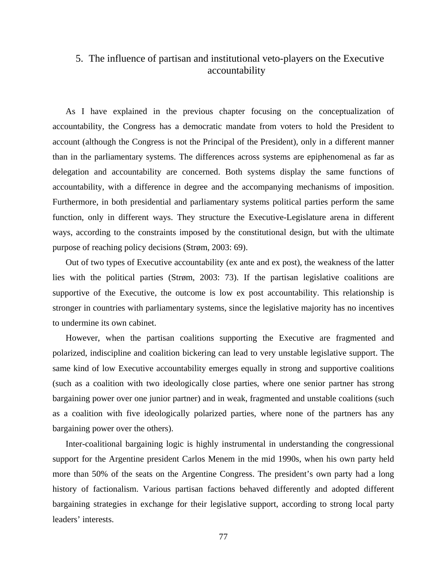### 5. The influence of partisan and institutional veto-players on the Executive accountability

As I have explained in the previous chapter focusing on the conceptualization of accountability, the Congress has a democratic mandate from voters to hold the President to account (although the Congress is not the Principal of the President), only in a different manner than in the parliamentary systems. The differences across systems are epiphenomenal as far as delegation and accountability are concerned. Both systems display the same functions of accountability, with a difference in degree and the accompanying mechanisms of imposition. Furthermore, in both presidential and parliamentary systems political parties perform the same function, only in different ways. They structure the Executive-Legislature arena in different ways, according to the constraints imposed by the constitutional design, but with the ultimate purpose of reaching policy decisions (Strøm, 2003: 69).

Out of two types of Executive accountability (ex ante and ex post), the weakness of the latter lies with the political parties (Strøm, 2003: 73). If the partisan legislative coalitions are supportive of the Executive, the outcome is low ex post accountability. This relationship is stronger in countries with parliamentary systems, since the legislative majority has no incentives to undermine its own cabinet.

However, when the partisan coalitions supporting the Executive are fragmented and polarized, indiscipline and coalition bickering can lead to very unstable legislative support. The same kind of low Executive accountability emerges equally in strong and supportive coalitions (such as a coalition with two ideologically close parties, where one senior partner has strong bargaining power over one junior partner) and in weak, fragmented and unstable coalitions (such as a coalition with five ideologically polarized parties, where none of the partners has any bargaining power over the others).

Inter-coalitional bargaining logic is highly instrumental in understanding the congressional support for the Argentine president Carlos Menem in the mid 1990s, when his own party held more than 50% of the seats on the Argentine Congress. The president's own party had a long history of factionalism. Various partisan factions behaved differently and adopted different bargaining strategies in exchange for their legislative support, according to strong local party leaders' interests.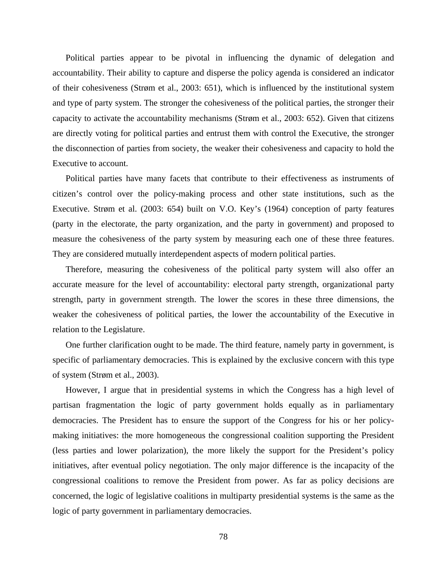Political parties appear to be pivotal in influencing the dynamic of delegation and accountability. Their ability to capture and disperse the policy agenda is considered an indicator of their cohesiveness (Strøm et al., 2003: 651), which is influenced by the institutional system and type of party system. The stronger the cohesiveness of the political parties, the stronger their capacity to activate the accountability mechanisms (Strøm et al., 2003: 652). Given that citizens are directly voting for political parties and entrust them with control the Executive, the stronger the disconnection of parties from society, the weaker their cohesiveness and capacity to hold the Executive to account.

Political parties have many facets that contribute to their effectiveness as instruments of citizen's control over the policy-making process and other state institutions, such as the Executive. Strøm et al. (2003: 654) built on V.O. Key's (1964) conception of party features (party in the electorate, the party organization, and the party in government) and proposed to measure the cohesiveness of the party system by measuring each one of these three features. They are considered mutually interdependent aspects of modern political parties.

Therefore, measuring the cohesiveness of the political party system will also offer an accurate measure for the level of accountability: electoral party strength, organizational party strength, party in government strength. The lower the scores in these three dimensions, the weaker the cohesiveness of political parties, the lower the accountability of the Executive in relation to the Legislature.

One further clarification ought to be made. The third feature, namely party in government, is specific of parliamentary democracies. This is explained by the exclusive concern with this type of system (Strøm et al., 2003).

However, I argue that in presidential systems in which the Congress has a high level of partisan fragmentation the logic of party government holds equally as in parliamentary democracies. The President has to ensure the support of the Congress for his or her policymaking initiatives: the more homogeneous the congressional coalition supporting the President (less parties and lower polarization), the more likely the support for the President's policy initiatives, after eventual policy negotiation. The only major difference is the incapacity of the congressional coalitions to remove the President from power. As far as policy decisions are concerned, the logic of legislative coalitions in multiparty presidential systems is the same as the logic of party government in parliamentary democracies.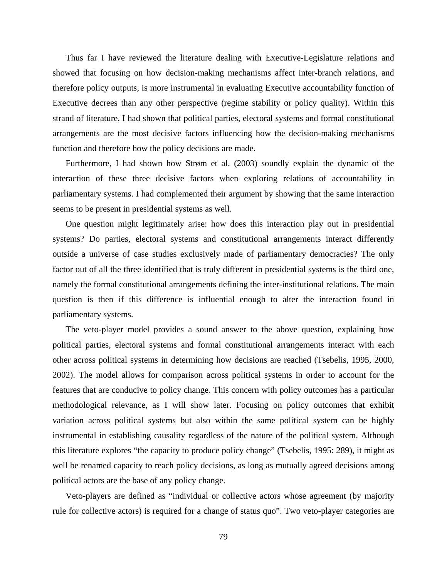Thus far I have reviewed the literature dealing with Executive-Legislature relations and showed that focusing on how decision-making mechanisms affect inter-branch relations, and therefore policy outputs, is more instrumental in evaluating Executive accountability function of Executive decrees than any other perspective (regime stability or policy quality). Within this strand of literature, I had shown that political parties, electoral systems and formal constitutional arrangements are the most decisive factors influencing how the decision-making mechanisms function and therefore how the policy decisions are made.

Furthermore, I had shown how Strøm et al. (2003) soundly explain the dynamic of the interaction of these three decisive factors when exploring relations of accountability in parliamentary systems. I had complemented their argument by showing that the same interaction seems to be present in presidential systems as well.

One question might legitimately arise: how does this interaction play out in presidential systems? Do parties, electoral systems and constitutional arrangements interact differently outside a universe of case studies exclusively made of parliamentary democracies? The only factor out of all the three identified that is truly different in presidential systems is the third one, namely the formal constitutional arrangements defining the inter-institutional relations. The main question is then if this difference is influential enough to alter the interaction found in parliamentary systems.

The veto-player model provides a sound answer to the above question, explaining how political parties, electoral systems and formal constitutional arrangements interact with each other across political systems in determining how decisions are reached (Tsebelis, 1995, 2000, 2002). The model allows for comparison across political systems in order to account for the features that are conducive to policy change. This concern with policy outcomes has a particular methodological relevance, as I will show later. Focusing on policy outcomes that exhibit variation across political systems but also within the same political system can be highly instrumental in establishing causality regardless of the nature of the political system. Although this literature explores "the capacity to produce policy change" (Tsebelis, 1995: 289), it might as well be renamed capacity to reach policy decisions, as long as mutually agreed decisions among political actors are the base of any policy change.

Veto-players are defined as "individual or collective actors whose agreement (by majority rule for collective actors) is required for a change of status quo". Two veto-player categories are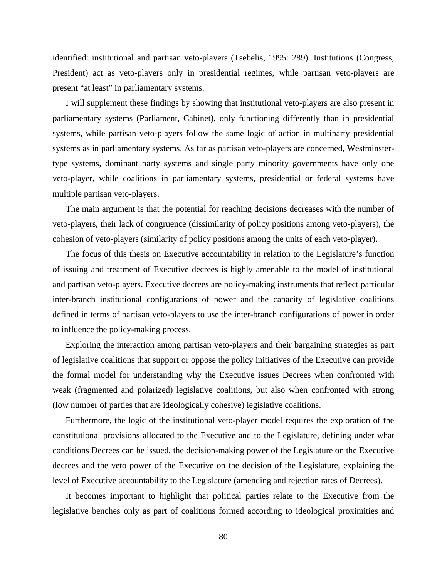identified: institutional and partisan veto-players (Tsebelis, 1995: 289). Institutions (Congress, President) act as veto-players only in presidential regimes, while partisan veto-players are present "at least" in parliamentary systems.

I will supplement these findings by showing that institutional veto-players are also present in parliamentary systems (Parliament, Cabinet), only functioning differently than in presidential systems, while partisan veto-players follow the same logic of action in multiparty presidential systems as in parliamentary systems. As far as partisan veto-players are concerned, Westminstertype systems, dominant party systems and single party minority governments have only one veto-player, while coalitions in parliamentary systems, presidential or federal systems have multiple partisan veto-players.

The main argument is that the potential for reaching decisions decreases with the number of veto-players, their lack of congruence (dissimilarity of policy positions among veto-players), the cohesion of veto-players (similarity of policy positions among the units of each veto-player).

The focus of this thesis on Executive accountability in relation to the Legislature's function of issuing and treatment of Executive decrees is highly amenable to the model of institutional and partisan veto-players. Executive decrees are policy-making instruments that reflect particular inter-branch institutional configurations of power and the capacity of legislative coalitions defined in terms of partisan veto-players to use the inter-branch configurations of power in order to influence the policy-making process.

Exploring the interaction among partisan veto-players and their bargaining strategies as part of legislative coalitions that support or oppose the policy initiatives of the Executive can provide the formal model for understanding why the Executive issues Decrees when confronted with weak (fragmented and polarized) legislative coalitions, but also when confronted with strong (low number of parties that are ideologically cohesive) legislative coalitions.

Furthermore, the logic of the institutional veto-player model requires the exploration of the constitutional provisions allocated to the Executive and to the Legislature, defining under what conditions Decrees can be issued, the decision-making power of the Legislature on the Executive decrees and the veto power of the Executive on the decision of the Legislature, explaining the level of Executive accountability to the Legislature (amending and rejection rates of Decrees).

It becomes important to highlight that political parties relate to the Executive from the legislative benches only as part of coalitions formed according to ideological proximities and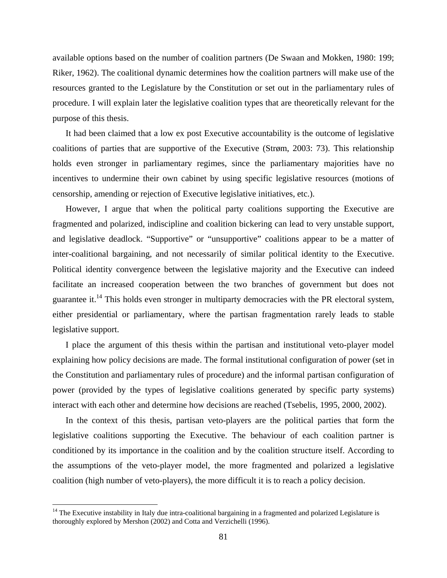available options based on the number of coalition partners (De Swaan and Mokken, 1980: 199; Riker, 1962). The coalitional dynamic determines how the coalition partners will make use of the resources granted to the Legislature by the Constitution or set out in the parliamentary rules of procedure. I will explain later the legislative coalition types that are theoretically relevant for the purpose of this thesis.

It had been claimed that a low ex post Executive accountability is the outcome of legislative coalitions of parties that are supportive of the Executive (Strøm, 2003: 73). This relationship holds even stronger in parliamentary regimes, since the parliamentary majorities have no incentives to undermine their own cabinet by using specific legislative resources (motions of censorship, amending or rejection of Executive legislative initiatives, etc.).

However, I argue that when the political party coalitions supporting the Executive are fragmented and polarized, indiscipline and coalition bickering can lead to very unstable support, and legislative deadlock. "Supportive" or "unsupportive" coalitions appear to be a matter of inter-coalitional bargaining, and not necessarily of similar political identity to the Executive. Political identity convergence between the legislative majority and the Executive can indeed facilitate an increased cooperation between the two branches of government but does not guarantee it.14 This holds even stronger in multiparty democracies with the PR electoral system, either presidential or parliamentary, where the partisan fragmentation rarely leads to stable legislative support.

I place the argument of this thesis within the partisan and institutional veto-player model explaining how policy decisions are made. The formal institutional configuration of power (set in the Constitution and parliamentary rules of procedure) and the informal partisan configuration of power (provided by the types of legislative coalitions generated by specific party systems) interact with each other and determine how decisions are reached (Tsebelis, 1995, 2000, 2002).

In the context of this thesis, partisan veto-players are the political parties that form the legislative coalitions supporting the Executive. The behaviour of each coalition partner is conditioned by its importance in the coalition and by the coalition structure itself. According to the assumptions of the veto-player model, the more fragmented and polarized a legislative coalition (high number of veto-players), the more difficult it is to reach a policy decision.

 $\overline{a}$ 

<sup>&</sup>lt;sup>14</sup> The Executive instability in Italy due intra-coalitional bargaining in a fragmented and polarized Legislature is thoroughly explored by Mershon (2002) and Cotta and Verzichelli (1996).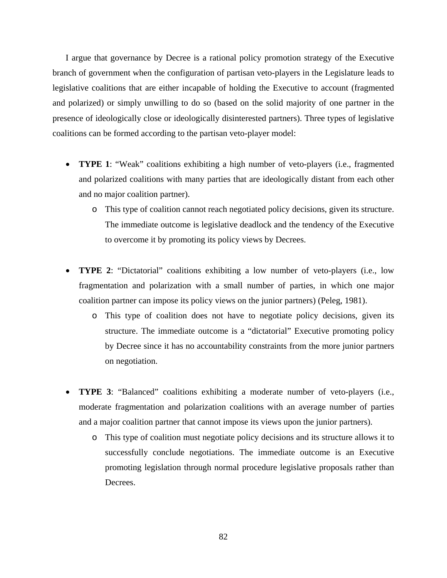I argue that governance by Decree is a rational policy promotion strategy of the Executive branch of government when the configuration of partisan veto-players in the Legislature leads to legislative coalitions that are either incapable of holding the Executive to account (fragmented and polarized) or simply unwilling to do so (based on the solid majority of one partner in the presence of ideologically close or ideologically disinterested partners). Three types of legislative coalitions can be formed according to the partisan veto-player model:

- **TYPE 1**: "Weak" coalitions exhibiting a high number of veto-players (i.e., fragmented and polarized coalitions with many parties that are ideologically distant from each other and no major coalition partner).
	- o This type of coalition cannot reach negotiated policy decisions, given its structure. The immediate outcome is legislative deadlock and the tendency of the Executive to overcome it by promoting its policy views by Decrees.
- **TYPE 2**: "Dictatorial" coalitions exhibiting a low number of veto-players (i.e., low fragmentation and polarization with a small number of parties, in which one major coalition partner can impose its policy views on the junior partners) (Peleg, 1981).
	- o This type of coalition does not have to negotiate policy decisions, given its structure. The immediate outcome is a "dictatorial" Executive promoting policy by Decree since it has no accountability constraints from the more junior partners on negotiation.
- **TYPE 3**: "Balanced" coalitions exhibiting a moderate number of veto-players (i.e., moderate fragmentation and polarization coalitions with an average number of parties and a major coalition partner that cannot impose its views upon the junior partners).
	- o This type of coalition must negotiate policy decisions and its structure allows it to successfully conclude negotiations. The immediate outcome is an Executive promoting legislation through normal procedure legislative proposals rather than Decrees.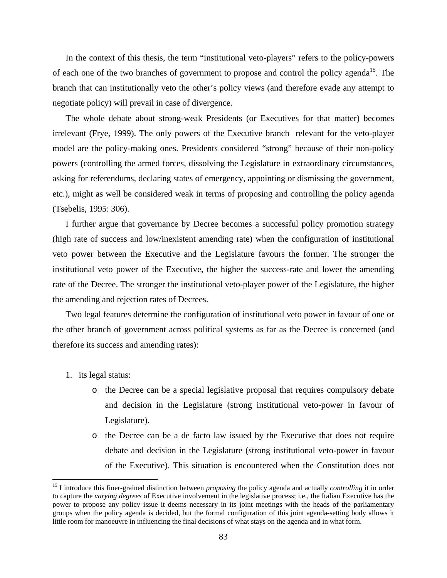In the context of this thesis, the term "institutional veto-players" refers to the policy-powers of each one of the two branches of government to propose and control the policy agenda<sup>15</sup>. The branch that can institutionally veto the other's policy views (and therefore evade any attempt to negotiate policy) will prevail in case of divergence.

The whole debate about strong-weak Presidents (or Executives for that matter) becomes irrelevant (Frye, 1999). The only powers of the Executive branch relevant for the veto-player model are the policy-making ones. Presidents considered "strong" because of their non-policy powers (controlling the armed forces, dissolving the Legislature in extraordinary circumstances, asking for referendums, declaring states of emergency, appointing or dismissing the government, etc.), might as well be considered weak in terms of proposing and controlling the policy agenda (Tsebelis, 1995: 306).

I further argue that governance by Decree becomes a successful policy promotion strategy (high rate of success and low/inexistent amending rate) when the configuration of institutional veto power between the Executive and the Legislature favours the former. The stronger the institutional veto power of the Executive, the higher the success-rate and lower the amending rate of the Decree. The stronger the institutional veto-player power of the Legislature, the higher the amending and rejection rates of Decrees.

Two legal features determine the configuration of institutional veto power in favour of one or the other branch of government across political systems as far as the Decree is concerned (and therefore its success and amending rates):

1. its legal status:

1

- o the Decree can be a special legislative proposal that requires compulsory debate and decision in the Legislature (strong institutional veto-power in favour of Legislature).
- o the Decree can be a de facto law issued by the Executive that does not require debate and decision in the Legislature (strong institutional veto-power in favour of the Executive). This situation is encountered when the Constitution does not

<sup>&</sup>lt;sup>15</sup> I introduce this finer-grained distinction between *proposing* the policy agenda and actually *controlling* it in order to capture the *varying degrees* of Executive involvement in the legislative process; i.e., the Italian Executive has the power to propose any policy issue it deems necessary in its joint meetings with the heads of the parliamentary groups when the policy agenda is decided, but the formal configuration of this joint agenda-setting body allows it little room for manoeuvre in influencing the final decisions of what stays on the agenda and in what form.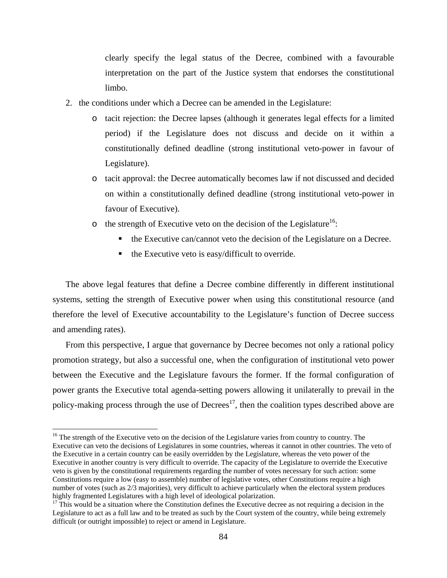clearly specify the legal status of the Decree, combined with a favourable interpretation on the part of the Justice system that endorses the constitutional limbo.

- 2. the conditions under which a Decree can be amended in the Legislature:
	- o tacit rejection: the Decree lapses (although it generates legal effects for a limited period) if the Legislature does not discuss and decide on it within a constitutionally defined deadline (strong institutional veto-power in favour of Legislature).
	- o tacit approval: the Decree automatically becomes law if not discussed and decided on within a constitutionally defined deadline (strong institutional veto-power in favour of Executive).
	- $\circ$  the strength of Executive veto on the decision of the Legislature<sup>16</sup>:
		- the Executive can/cannot veto the decision of the Legislature on a Decree.
		- the Executive veto is easy/difficult to override.

The above legal features that define a Decree combine differently in different institutional systems, setting the strength of Executive power when using this constitutional resource (and therefore the level of Executive accountability to the Legislature's function of Decree success and amending rates).

From this perspective, I argue that governance by Decree becomes not only a rational policy promotion strategy, but also a successful one, when the configuration of institutional veto power between the Executive and the Legislature favours the former. If the formal configuration of power grants the Executive total agenda-setting powers allowing it unilaterally to prevail in the policy-making process through the use of  $D$ ecrees<sup>17</sup>, then the coalition types described above are

 $\overline{a}$ 

<sup>&</sup>lt;sup>16</sup> The strength of the Executive veto on the decision of the Legislature varies from country to country. The Executive can veto the decisions of Legislatures in some countries, whereas it cannot in other countries. The veto of the Executive in a certain country can be easily overridden by the Legislature, whereas the veto power of the Executive in another country is very difficult to override. The capacity of the Legislature to override the Executive veto is given by the constitutional requirements regarding the number of votes necessary for such action: some Constitutions require a low (easy to assemble) number of legislative votes, other Constitutions require a high number of votes (such as  $2/3$  majorities), very difficult to achieve particularly when the electoral system produces highly fragmented Legislatures with a high level of ideological polarization.

 $17$  This would be a situation where the Constitution defines the Executive decree as not requiring a decision in the Legislature to act as a full law and to be treated as such by the Court system of the country, while being extremely difficult (or outright impossible) to reject or amend in Legislature.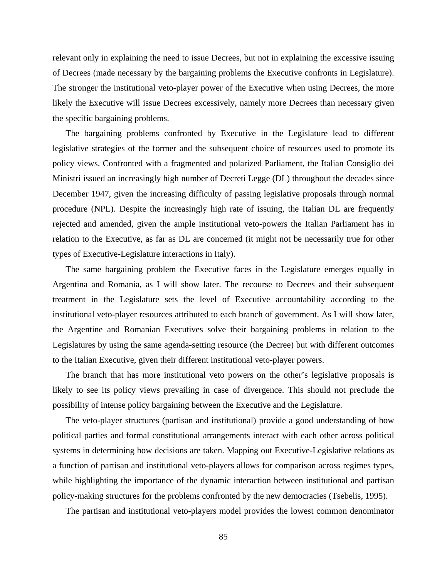relevant only in explaining the need to issue Decrees, but not in explaining the excessive issuing of Decrees (made necessary by the bargaining problems the Executive confronts in Legislature). The stronger the institutional veto-player power of the Executive when using Decrees, the more likely the Executive will issue Decrees excessively, namely more Decrees than necessary given the specific bargaining problems.

The bargaining problems confronted by Executive in the Legislature lead to different legislative strategies of the former and the subsequent choice of resources used to promote its policy views. Confronted with a fragmented and polarized Parliament, the Italian Consiglio dei Ministri issued an increasingly high number of Decreti Legge (DL) throughout the decades since December 1947, given the increasing difficulty of passing legislative proposals through normal procedure (NPL). Despite the increasingly high rate of issuing, the Italian DL are frequently rejected and amended, given the ample institutional veto-powers the Italian Parliament has in relation to the Executive, as far as DL are concerned (it might not be necessarily true for other types of Executive-Legislature interactions in Italy).

The same bargaining problem the Executive faces in the Legislature emerges equally in Argentina and Romania, as I will show later. The recourse to Decrees and their subsequent treatment in the Legislature sets the level of Executive accountability according to the institutional veto-player resources attributed to each branch of government. As I will show later, the Argentine and Romanian Executives solve their bargaining problems in relation to the Legislatures by using the same agenda-setting resource (the Decree) but with different outcomes to the Italian Executive, given their different institutional veto-player powers.

The branch that has more institutional veto powers on the other's legislative proposals is likely to see its policy views prevailing in case of divergence. This should not preclude the possibility of intense policy bargaining between the Executive and the Legislature.

The veto-player structures (partisan and institutional) provide a good understanding of how political parties and formal constitutional arrangements interact with each other across political systems in determining how decisions are taken. Mapping out Executive-Legislative relations as a function of partisan and institutional veto-players allows for comparison across regimes types, while highlighting the importance of the dynamic interaction between institutional and partisan policy-making structures for the problems confronted by the new democracies (Tsebelis, 1995).

The partisan and institutional veto-players model provides the lowest common denominator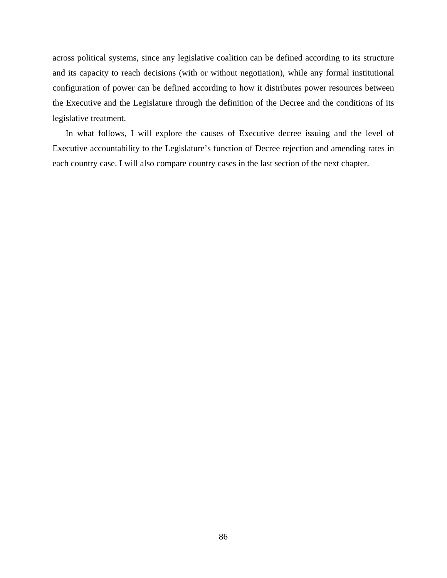across political systems, since any legislative coalition can be defined according to its structure and its capacity to reach decisions (with or without negotiation), while any formal institutional configuration of power can be defined according to how it distributes power resources between the Executive and the Legislature through the definition of the Decree and the conditions of its legislative treatment.

In what follows, I will explore the causes of Executive decree issuing and the level of Executive accountability to the Legislature's function of Decree rejection and amending rates in each country case. I will also compare country cases in the last section of the next chapter.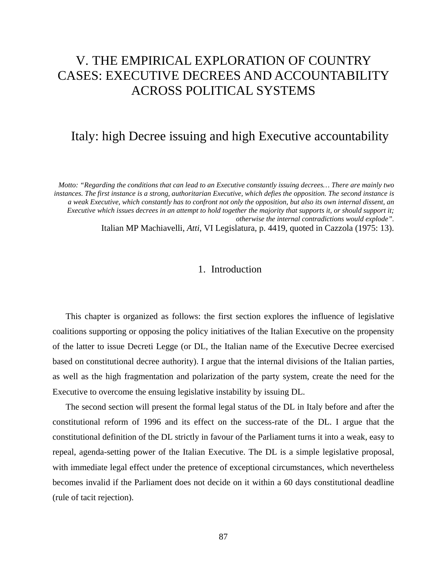# V. THE EMPIRICAL EXPLORATION OF COUNTRY CASES: EXECUTIVE DECREES AND ACCOUNTABILITY ACROSS POLITICAL SYSTEMS

## Italy: high Decree issuing and high Executive accountability

*Motto: "Regarding the conditions that can lead to an Executive constantly issuing decrees… There are mainly two instances. The first instance is a strong, authoritarian Executive, which defies the opposition. The second instance is a weak Executive, which constantly has to confront not only the opposition, but also its own internal dissent, an Executive which issues decrees in an attempt to hold together the majority that supports it, or should support it; otherwise the internal contradictions would explode".* 

Italian MP Machiavelli, *Atti*, VI Legislatura, p. 4419, quoted in Cazzola (1975: 13).

### 1. Introduction

This chapter is organized as follows: the first section explores the influence of legislative coalitions supporting or opposing the policy initiatives of the Italian Executive on the propensity of the latter to issue Decreti Legge (or DL, the Italian name of the Executive Decree exercised based on constitutional decree authority). I argue that the internal divisions of the Italian parties, as well as the high fragmentation and polarization of the party system, create the need for the Executive to overcome the ensuing legislative instability by issuing DL.

The second section will present the formal legal status of the DL in Italy before and after the constitutional reform of 1996 and its effect on the success-rate of the DL. I argue that the constitutional definition of the DL strictly in favour of the Parliament turns it into a weak, easy to repeal, agenda-setting power of the Italian Executive. The DL is a simple legislative proposal, with immediate legal effect under the pretence of exceptional circumstances, which nevertheless becomes invalid if the Parliament does not decide on it within a 60 days constitutional deadline (rule of tacit rejection).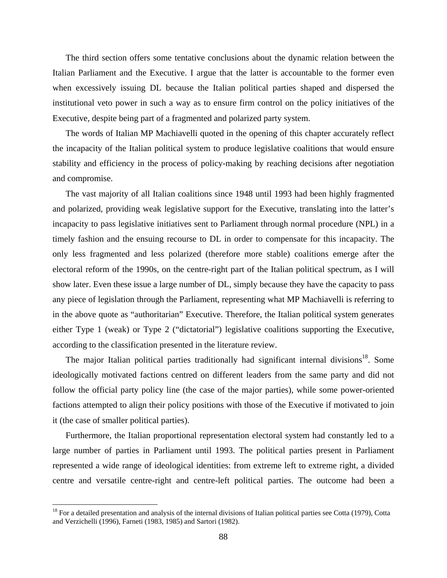The third section offers some tentative conclusions about the dynamic relation between the Italian Parliament and the Executive. I argue that the latter is accountable to the former even when excessively issuing DL because the Italian political parties shaped and dispersed the institutional veto power in such a way as to ensure firm control on the policy initiatives of the Executive, despite being part of a fragmented and polarized party system.

The words of Italian MP Machiavelli quoted in the opening of this chapter accurately reflect the incapacity of the Italian political system to produce legislative coalitions that would ensure stability and efficiency in the process of policy-making by reaching decisions after negotiation and compromise.

The vast majority of all Italian coalitions since 1948 until 1993 had been highly fragmented and polarized, providing weak legislative support for the Executive, translating into the latter's incapacity to pass legislative initiatives sent to Parliament through normal procedure (NPL) in a timely fashion and the ensuing recourse to DL in order to compensate for this incapacity. The only less fragmented and less polarized (therefore more stable) coalitions emerge after the electoral reform of the 1990s, on the centre-right part of the Italian political spectrum, as I will show later. Even these issue a large number of DL, simply because they have the capacity to pass any piece of legislation through the Parliament, representing what MP Machiavelli is referring to in the above quote as "authoritarian" Executive. Therefore, the Italian political system generates either Type 1 (weak) or Type 2 ("dictatorial") legislative coalitions supporting the Executive, according to the classification presented in the literature review.

The major Italian political parties traditionally had significant internal divisions<sup>18</sup>. Some ideologically motivated factions centred on different leaders from the same party and did not follow the official party policy line (the case of the major parties), while some power-oriented factions attempted to align their policy positions with those of the Executive if motivated to join it (the case of smaller political parties).

Furthermore, the Italian proportional representation electoral system had constantly led to a large number of parties in Parliament until 1993. The political parties present in Parliament represented a wide range of ideological identities: from extreme left to extreme right, a divided centre and versatile centre-right and centre-left political parties. The outcome had been a

1

 $18$  For a detailed presentation and analysis of the internal divisions of Italian political parties see Cotta (1979), Cotta and Verzichelli (1996), Farneti (1983, 1985) and Sartori (1982).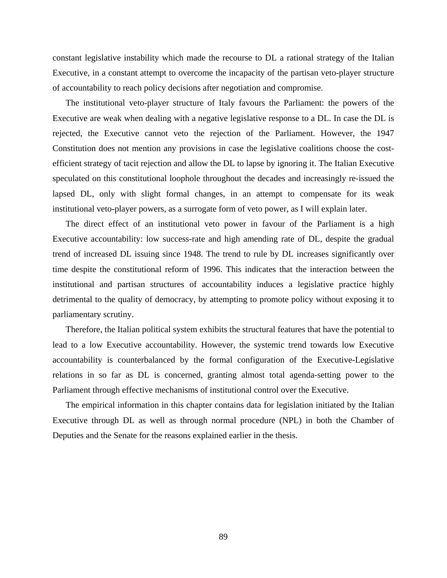constant legislative instability which made the recourse to DL a rational strategy of the Italian Executive, in a constant attempt to overcome the incapacity of the partisan veto-player structure of accountability to reach policy decisions after negotiation and compromise.

The institutional veto-player structure of Italy favours the Parliament: the powers of the Executive are weak when dealing with a negative legislative response to a DL. In case the DL is rejected, the Executive cannot veto the rejection of the Parliament. However, the 1947 Constitution does not mention any provisions in case the legislative coalitions choose the costefficient strategy of tacit rejection and allow the DL to lapse by ignoring it. The Italian Executive speculated on this constitutional loophole throughout the decades and increasingly re-issued the lapsed DL, only with slight formal changes, in an attempt to compensate for its weak institutional veto-player powers, as a surrogate form of veto power, as I will explain later.

The direct effect of an institutional veto power in favour of the Parliament is a high Executive accountability: low success-rate and high amending rate of DL, despite the gradual trend of increased DL issuing since 1948. The trend to rule by DL increases significantly over time despite the constitutional reform of 1996. This indicates that the interaction between the institutional and partisan structures of accountability induces a legislative practice highly detrimental to the quality of democracy, by attempting to promote policy without exposing it to parliamentary scrutiny.

Therefore, the Italian political system exhibits the structural features that have the potential to lead to a low Executive accountability. However, the systemic trend towards low Executive accountability is counterbalanced by the formal configuration of the Executive-Legislative relations in so far as DL is concerned, granting almost total agenda-setting power to the Parliament through effective mechanisms of institutional control over the Executive.

The empirical information in this chapter contains data for legislation initiated by the Italian Executive through DL as well as through normal procedure (NPL) in both the Chamber of Deputies and the Senate for the reasons explained earlier in the thesis.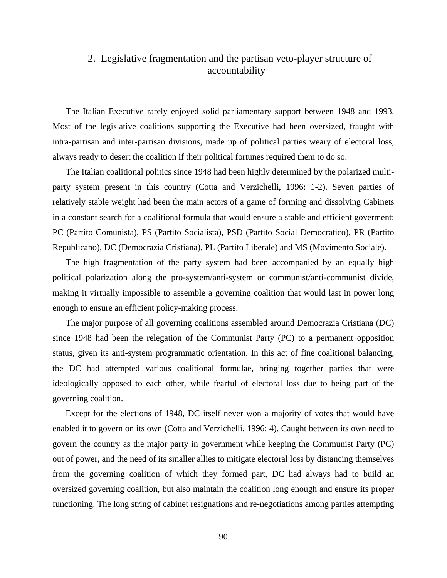### 2. Legislative fragmentation and the partisan veto-player structure of accountability

The Italian Executive rarely enjoyed solid parliamentary support between 1948 and 1993. Most of the legislative coalitions supporting the Executive had been oversized, fraught with intra-partisan and inter-partisan divisions, made up of political parties weary of electoral loss, always ready to desert the coalition if their political fortunes required them to do so.

The Italian coalitional politics since 1948 had been highly determined by the polarized multiparty system present in this country (Cotta and Verzichelli, 1996: 1-2). Seven parties of relatively stable weight had been the main actors of a game of forming and dissolving Cabinets in a constant search for a coalitional formula that would ensure a stable and efficient goverment: PC (Partito Comunista), PS (Partito Socialista), PSD (Partito Social Democratico), PR (Partito Republicano), DC (Democrazia Cristiana), PL (Partito Liberale) and MS (Movimento Sociale).

The high fragmentation of the party system had been accompanied by an equally high political polarization along the pro-system/anti-system or communist/anti-communist divide, making it virtually impossible to assemble a governing coalition that would last in power long enough to ensure an efficient policy-making process.

The major purpose of all governing coalitions assembled around Democrazia Cristiana (DC) since 1948 had been the relegation of the Communist Party (PC) to a permanent opposition status, given its anti-system programmatic orientation. In this act of fine coalitional balancing, the DC had attempted various coalitional formulae, bringing together parties that were ideologically opposed to each other, while fearful of electoral loss due to being part of the governing coalition.

Except for the elections of 1948, DC itself never won a majority of votes that would have enabled it to govern on its own (Cotta and Verzichelli, 1996: 4). Caught between its own need to govern the country as the major party in government while keeping the Communist Party (PC) out of power, and the need of its smaller allies to mitigate electoral loss by distancing themselves from the governing coalition of which they formed part, DC had always had to build an oversized governing coalition, but also maintain the coalition long enough and ensure its proper functioning. The long string of cabinet resignations and re-negotiations among parties attempting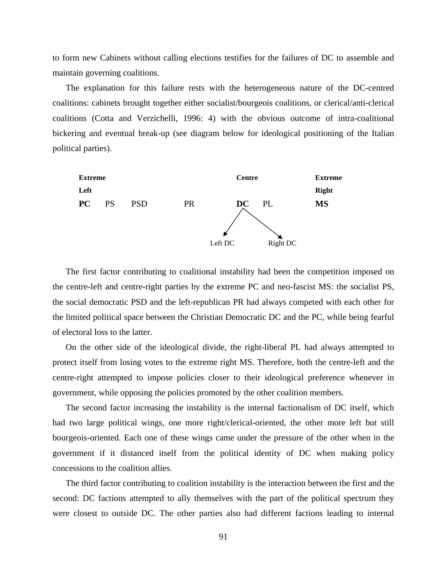to form new Cabinets without calling elections testifies for the failures of DC to assemble and maintain governing coalitions.

The explanation for this failure rests with the heterogeneous nature of the DC-centred coalitions: cabinets brought together either socialist/bourgeois coalitions, or clerical/anti-clerical coalitions (Cotta and Verzichelli, 1996: 4) with the obvious outcome of intra-coalitional bickering and eventual break-up (see diagram below for ideological positioning of the Italian political parties).



The first factor contributing to coalitional instability had been the competition imposed on the centre-left and centre-right parties by the extreme PC and neo-fascist MS: the socialist PS, the social democratic PSD and the left-republican PR had always competed with each other for the limited political space between the Christian Democratic DC and the PC, while being fearful of electoral loss to the latter.

On the other side of the ideological divide, the right-liberal PL had always attempted to protect itself from losing votes to the extreme right MS. Therefore, both the centre-left and the centre-right attempted to impose policies closer to their ideological preference whenever in government, while opposing the policies promoted by the other coalition members.

The second factor increasing the instability is the internal factionalism of DC itself, which had two large political wings, one more right/clerical-oriented, the other more left but still bourgeois-oriented. Each one of these wings came under the pressure of the other when in the government if it distanced itself from the political identity of DC when making policy concessions to the coalition allies.

The third factor contributing to coalition instability is the interaction between the first and the second: DC factions attempted to ally themselves with the part of the political spectrum they were closest to outside DC. The other parties also had different factions leading to internal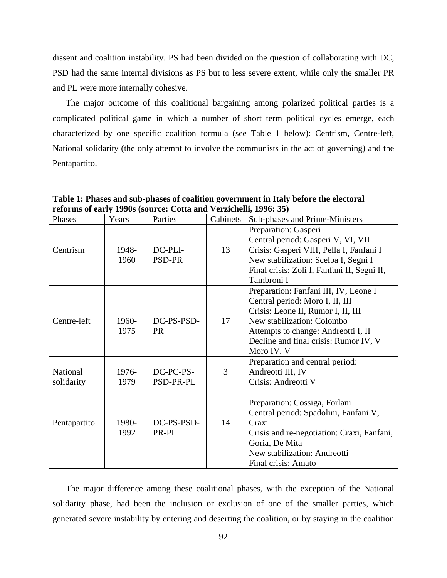dissent and coalition instability. PS had been divided on the question of collaborating with DC, PSD had the same internal divisions as PS but to less severe extent, while only the smaller PR and PL were more internally cohesive.

The major outcome of this coalitional bargaining among polarized political parties is a complicated political game in which a number of short term political cycles emerge, each characterized by one specific coalition formula (see Table 1 below): Centrism, Centre-left, National solidarity (the only attempt to involve the communists in the act of governing) and the Pentapartito.

**Table 1: Phases and sub-phases of coalition government in Italy before the electoral reforms of early 1990s (source: Cotta and Verzichelli, 1996: 35)** 

| Phases                 | Years         | $m_{\rm H}$ of early 1990s (bource, come and vermentally 1990, eet<br>Parties | Cabinets | Sub-phases and Prime-Ministers                                                                                                                                                                                                             |
|------------------------|---------------|-------------------------------------------------------------------------------|----------|--------------------------------------------------------------------------------------------------------------------------------------------------------------------------------------------------------------------------------------------|
| Centrism               | 1948-<br>1960 | DC-PLI-<br><b>PSD-PR</b>                                                      | 13       | Preparation: Gasperi<br>Central period: Gasperi V, VI, VII<br>Crisis: Gasperi VIII, Pella I, Fanfani I<br>New stabilization: Scelba I, Segni I<br>Final crisis: Zoli I, Fanfani II, Segni II,<br>Tambroni I                                |
| Centre-left            | 1960-<br>1975 | DC-PS-PSD-<br><b>PR</b>                                                       | 17       | Preparation: Fanfani III, IV, Leone I<br>Central period: Moro I, II, III<br>Crisis: Leone II, Rumor I, II, III<br>New stabilization: Colombo<br>Attempts to change: Andreotti I, II<br>Decline and final crisis: Rumor IV, V<br>Moro IV, V |
| National<br>solidarity | 1976-<br>1979 | DC-PC-PS-<br>PSD-PR-PL                                                        | 3        | Preparation and central period:<br>Andreotti III, IV<br>Crisis: Andreotti V                                                                                                                                                                |
| Pentapartito           | 1980-<br>1992 | DC-PS-PSD-<br>PR-PL                                                           | 14       | Preparation: Cossiga, Forlani<br>Central period: Spadolini, Fanfani V,<br>Craxi<br>Crisis and re-negotiation: Craxi, Fanfani,<br>Goria, De Mita<br>New stabilization: Andreotti<br>Final crisis: Amato                                     |

The major difference among these coalitional phases, with the exception of the National solidarity phase, had been the inclusion or exclusion of one of the smaller parties, which generated severe instability by entering and deserting the coalition, or by staying in the coalition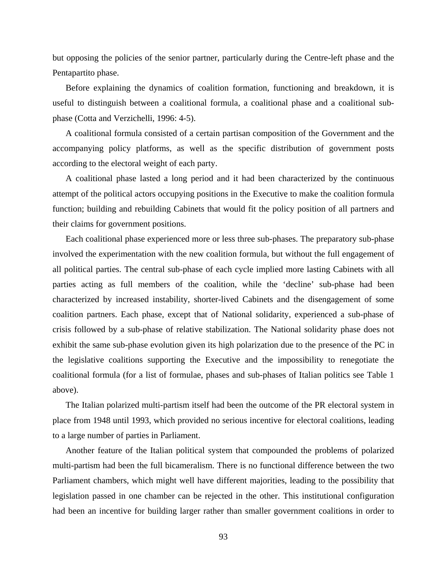but opposing the policies of the senior partner, particularly during the Centre-left phase and the Pentapartito phase.

Before explaining the dynamics of coalition formation, functioning and breakdown, it is useful to distinguish between a coalitional formula, a coalitional phase and a coalitional subphase (Cotta and Verzichelli, 1996: 4-5).

A coalitional formula consisted of a certain partisan composition of the Government and the accompanying policy platforms, as well as the specific distribution of government posts according to the electoral weight of each party.

A coalitional phase lasted a long period and it had been characterized by the continuous attempt of the political actors occupying positions in the Executive to make the coalition formula function; building and rebuilding Cabinets that would fit the policy position of all partners and their claims for government positions.

Each coalitional phase experienced more or less three sub-phases. The preparatory sub-phase involved the experimentation with the new coalition formula, but without the full engagement of all political parties. The central sub-phase of each cycle implied more lasting Cabinets with all parties acting as full members of the coalition, while the 'decline' sub-phase had been characterized by increased instability, shorter-lived Cabinets and the disengagement of some coalition partners. Each phase, except that of National solidarity, experienced a sub-phase of crisis followed by a sub-phase of relative stabilization. The National solidarity phase does not exhibit the same sub-phase evolution given its high polarization due to the presence of the PC in the legislative coalitions supporting the Executive and the impossibility to renegotiate the coalitional formula (for a list of formulae, phases and sub-phases of Italian politics see Table 1 above).

The Italian polarized multi-partism itself had been the outcome of the PR electoral system in place from 1948 until 1993, which provided no serious incentive for electoral coalitions, leading to a large number of parties in Parliament.

Another feature of the Italian political system that compounded the problems of polarized multi-partism had been the full bicameralism. There is no functional difference between the two Parliament chambers, which might well have different majorities, leading to the possibility that legislation passed in one chamber can be rejected in the other. This institutional configuration had been an incentive for building larger rather than smaller government coalitions in order to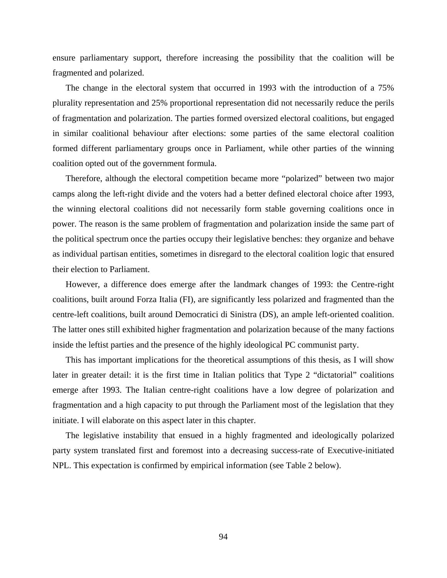ensure parliamentary support, therefore increasing the possibility that the coalition will be fragmented and polarized.

The change in the electoral system that occurred in 1993 with the introduction of a 75% plurality representation and 25% proportional representation did not necessarily reduce the perils of fragmentation and polarization. The parties formed oversized electoral coalitions, but engaged in similar coalitional behaviour after elections: some parties of the same electoral coalition formed different parliamentary groups once in Parliament, while other parties of the winning coalition opted out of the government formula.

Therefore, although the electoral competition became more "polarized" between two major camps along the left-right divide and the voters had a better defined electoral choice after 1993, the winning electoral coalitions did not necessarily form stable governing coalitions once in power. The reason is the same problem of fragmentation and polarization inside the same part of the political spectrum once the parties occupy their legislative benches: they organize and behave as individual partisan entities, sometimes in disregard to the electoral coalition logic that ensured their election to Parliament.

However, a difference does emerge after the landmark changes of 1993: the Centre-right coalitions, built around Forza Italia (FI), are significantly less polarized and fragmented than the centre-left coalitions, built around Democratici di Sinistra (DS), an ample left-oriented coalition. The latter ones still exhibited higher fragmentation and polarization because of the many factions inside the leftist parties and the presence of the highly ideological PC communist party.

This has important implications for the theoretical assumptions of this thesis, as I will show later in greater detail: it is the first time in Italian politics that Type 2 "dictatorial" coalitions emerge after 1993. The Italian centre-right coalitions have a low degree of polarization and fragmentation and a high capacity to put through the Parliament most of the legislation that they initiate. I will elaborate on this aspect later in this chapter.

The legislative instability that ensued in a highly fragmented and ideologically polarized party system translated first and foremost into a decreasing success-rate of Executive-initiated NPL. This expectation is confirmed by empirical information (see Table 2 below).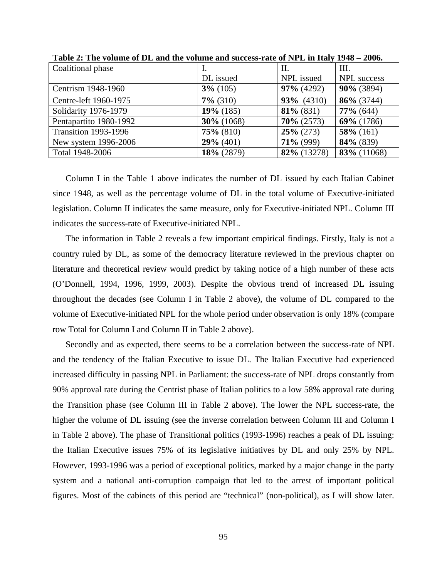|              | П.            | III.               |
|--------------|---------------|--------------------|
| DL issued    | NPL issued    | <b>NPL</b> success |
| $3\%$ (105)  | $97\%$ (4292) | $90\%$ (3894)      |
| $7\%$ (310)  | $93\%$ (4310) | 86% (3744)         |
| $19\%$ (185) | $81\%$ (831)  | $77\%$ (644)       |
| 30% (1068)   | $70\% (2573)$ | 69% (1786)         |
| $75\%$ (810) | $25\% (273)$  | $58\%$ (161)       |
| $29\%$ (401) | $71\%$ (999)  | 84% (839)          |
| 18% (2879)   | 82% (13278)   | 83% (11068)        |
|              |               |                    |

**Table 2: The volume of DL and the volume and success-rate of NPL in Italy 1948 – 2006.** 

Column I in the Table 1 above indicates the number of DL issued by each Italian Cabinet since 1948, as well as the percentage volume of DL in the total volume of Executive-initiated legislation. Column II indicates the same measure, only for Executive-initiated NPL. Column III indicates the success-rate of Executive-initiated NPL.

The information in Table 2 reveals a few important empirical findings. Firstly, Italy is not a country ruled by DL, as some of the democracy literature reviewed in the previous chapter on literature and theoretical review would predict by taking notice of a high number of these acts (O'Donnell, 1994, 1996, 1999, 2003). Despite the obvious trend of increased DL issuing throughout the decades (see Column I in Table 2 above), the volume of DL compared to the volume of Executive-initiated NPL for the whole period under observation is only 18% (compare row Total for Column I and Column II in Table 2 above).

Secondly and as expected, there seems to be a correlation between the success-rate of NPL and the tendency of the Italian Executive to issue DL. The Italian Executive had experienced increased difficulty in passing NPL in Parliament: the success-rate of NPL drops constantly from 90% approval rate during the Centrist phase of Italian politics to a low 58% approval rate during the Transition phase (see Column III in Table 2 above). The lower the NPL success-rate, the higher the volume of DL issuing (see the inverse correlation between Column III and Column I in Table 2 above). The phase of Transitional politics (1993-1996) reaches a peak of DL issuing: the Italian Executive issues 75% of its legislative initiatives by DL and only 25% by NPL. However, 1993-1996 was a period of exceptional politics, marked by a major change in the party system and a national anti-corruption campaign that led to the arrest of important political figures. Most of the cabinets of this period are "technical" (non-political), as I will show later.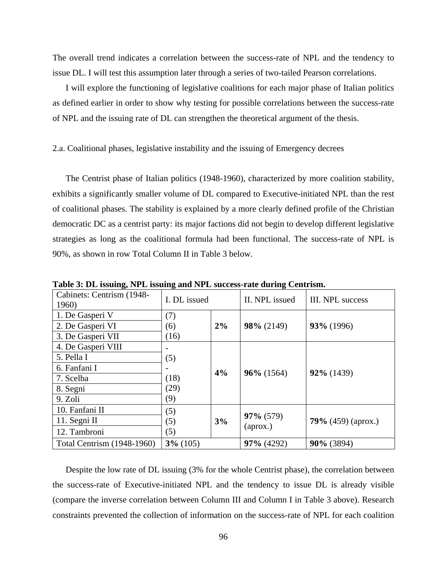The overall trend indicates a correlation between the success-rate of NPL and the tendency to issue DL. I will test this assumption later through a series of two-tailed Pearson correlations.

I will explore the functioning of legislative coalitions for each major phase of Italian politics as defined earlier in order to show why testing for possible correlations between the success-rate of NPL and the issuing rate of DL can strengthen the theoretical argument of the thesis.

#### 2.a. Coalitional phases, legislative instability and the issuing of Emergency decrees

The Centrist phase of Italian politics (1948-1960), characterized by more coalition stability, exhibits a significantly smaller volume of DL compared to Executive-initiated NPL than the rest of coalitional phases. The stability is explained by a more clearly defined profile of the Christian democratic DC as a centrist party: its major factions did not begin to develop different legislative strategies as long as the coalitional formula had been functional. The success-rate of NPL is 90%, as shown in row Total Column II in Table 3 below.

| Cabinets: Centrism (1948-<br>1960) | I. DL issued       |  | II. NPL issued            | III. NPL success          |  |
|------------------------------------|--------------------|--|---------------------------|---------------------------|--|
| 1. De Gasperi V                    | (7)                |  |                           |                           |  |
| 2. De Gasperi VI                   | 2%<br>(6)          |  | 98% (2149)                | 93% (1996)                |  |
| 3. De Gasperi VII                  | (16)               |  |                           |                           |  |
| 4. De Gasperi VIII                 |                    |  |                           |                           |  |
| 5. Pella I                         | (5)                |  |                           |                           |  |
| 6. Fanfani I                       | 4%<br>(18)<br>(29) |  | $96\%$ (1564)             | 92% (1439)                |  |
| 7. Scelba                          |                    |  |                           |                           |  |
| 8. Segni                           |                    |  |                           |                           |  |
| 9. Zoli                            | (9)                |  |                           |                           |  |
| 10. Fanfani II                     | (5)<br>3%<br>(5)   |  | $97\% (579)$              | <b>79%</b> (459) (aprox.) |  |
| 11. Segni $II$                     |                    |  |                           |                           |  |
| 12. Tambroni                       | (5)                |  | $\left($ aprox. $\right)$ |                           |  |
| Total Centrism (1948-1960)         | $3\%$ (105)        |  | $97\%$ (4292)             | 90% (3894)                |  |

**Table 3: DL issuing, NPL issuing and NPL success-rate during Centrism.** 

Despite the low rate of DL issuing (3% for the whole Centrist phase), the correlation between the success-rate of Executive-initiated NPL and the tendency to issue DL is already visible (compare the inverse correlation between Column III and Column I in Table 3 above). Research constraints prevented the collection of information on the success-rate of NPL for each coalition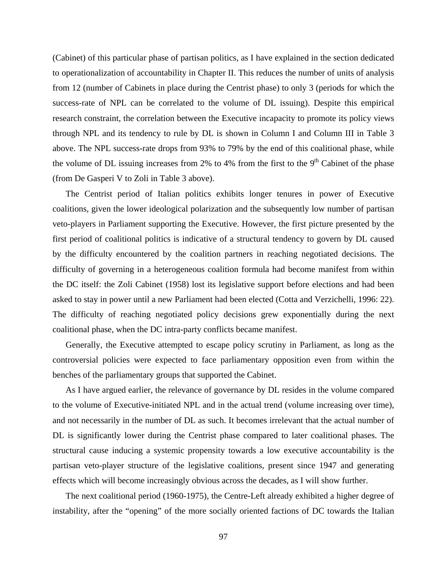(Cabinet) of this particular phase of partisan politics, as I have explained in the section dedicated to operationalization of accountability in Chapter II. This reduces the number of units of analysis from 12 (number of Cabinets in place during the Centrist phase) to only 3 (periods for which the success-rate of NPL can be correlated to the volume of DL issuing). Despite this empirical research constraint, the correlation between the Executive incapacity to promote its policy views through NPL and its tendency to rule by DL is shown in Column I and Column III in Table 3 above. The NPL success-rate drops from 93% to 79% by the end of this coalitional phase, while the volume of DL issuing increases from 2% to 4% from the first to the  $9<sup>th</sup>$  Cabinet of the phase (from De Gasperi V to Zoli in Table 3 above).

The Centrist period of Italian politics exhibits longer tenures in power of Executive coalitions, given the lower ideological polarization and the subsequently low number of partisan veto-players in Parliament supporting the Executive. However, the first picture presented by the first period of coalitional politics is indicative of a structural tendency to govern by DL caused by the difficulty encountered by the coalition partners in reaching negotiated decisions. The difficulty of governing in a heterogeneous coalition formula had become manifest from within the DC itself: the Zoli Cabinet (1958) lost its legislative support before elections and had been asked to stay in power until a new Parliament had been elected (Cotta and Verzichelli, 1996: 22). The difficulty of reaching negotiated policy decisions grew exponentially during the next coalitional phase, when the DC intra-party conflicts became manifest.

Generally, the Executive attempted to escape policy scrutiny in Parliament, as long as the controversial policies were expected to face parliamentary opposition even from within the benches of the parliamentary groups that supported the Cabinet.

As I have argued earlier, the relevance of governance by DL resides in the volume compared to the volume of Executive-initiated NPL and in the actual trend (volume increasing over time), and not necessarily in the number of DL as such. It becomes irrelevant that the actual number of DL is significantly lower during the Centrist phase compared to later coalitional phases. The structural cause inducing a systemic propensity towards a low executive accountability is the partisan veto-player structure of the legislative coalitions, present since 1947 and generating effects which will become increasingly obvious across the decades, as I will show further.

The next coalitional period (1960-1975), the Centre-Left already exhibited a higher degree of instability, after the "opening" of the more socially oriented factions of DC towards the Italian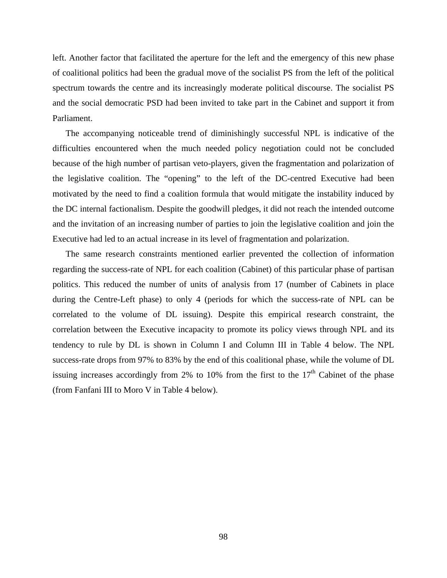left. Another factor that facilitated the aperture for the left and the emergency of this new phase of coalitional politics had been the gradual move of the socialist PS from the left of the political spectrum towards the centre and its increasingly moderate political discourse. The socialist PS and the social democratic PSD had been invited to take part in the Cabinet and support it from Parliament.

The accompanying noticeable trend of diminishingly successful NPL is indicative of the difficulties encountered when the much needed policy negotiation could not be concluded because of the high number of partisan veto-players, given the fragmentation and polarization of the legislative coalition. The "opening" to the left of the DC-centred Executive had been motivated by the need to find a coalition formula that would mitigate the instability induced by the DC internal factionalism. Despite the goodwill pledges, it did not reach the intended outcome and the invitation of an increasing number of parties to join the legislative coalition and join the Executive had led to an actual increase in its level of fragmentation and polarization.

The same research constraints mentioned earlier prevented the collection of information regarding the success-rate of NPL for each coalition (Cabinet) of this particular phase of partisan politics. This reduced the number of units of analysis from 17 (number of Cabinets in place during the Centre-Left phase) to only 4 (periods for which the success-rate of NPL can be correlated to the volume of DL issuing). Despite this empirical research constraint, the correlation between the Executive incapacity to promote its policy views through NPL and its tendency to rule by DL is shown in Column I and Column III in Table 4 below. The NPL success-rate drops from 97% to 83% by the end of this coalitional phase, while the volume of DL issuing increases accordingly from 2% to 10% from the first to the  $17<sup>th</sup>$  Cabinet of the phase (from Fanfani III to Moro V in Table 4 below).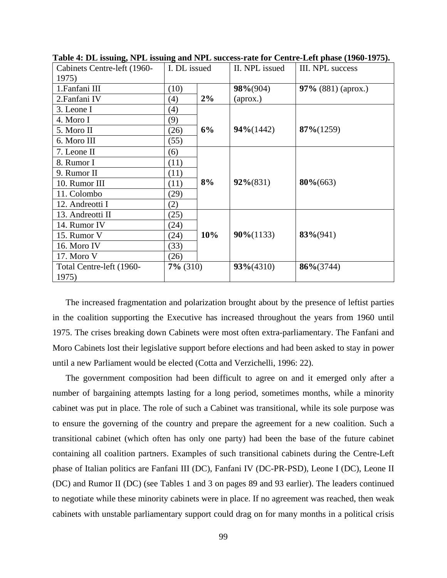| Cabinets Centre-left (1960-<br>1975) | I. DL issued |    | II. NPL issued | III. NPL success     |  |
|--------------------------------------|--------------|----|----------------|----------------------|--|
| 1. Fanfani III<br>(10)               |              |    | $98\%(904)$    | 97% $(881)$ (aprox.) |  |
| 2. Fanfani IV                        | (4)          | 2% | (aprox.)       |                      |  |
| 3. Leone I                           | (4)          |    |                |                      |  |
| 4. Moro I                            | (9)          |    | $94\% (1442)$  | $87\% (1259)$        |  |
| 5. Moro II                           | (26)         | 6% |                |                      |  |
| 6. Moro III                          | (55)         |    |                |                      |  |
| 7. Leone II                          | (6)          |    |                |                      |  |
| 8. Rumor I                           | (11)         |    |                |                      |  |
| 9. Rumor II                          | (11)         |    |                |                      |  |
| 10. Rumor III<br>(11)                |              | 8% | $92\%(831)$    | $80\% (663)$         |  |
| 11. Colombo                          | (29)         |    |                |                      |  |
| 12. Andreotti I                      | (2)          |    |                |                      |  |
| 13. Andreotti II                     | (25)         |    |                |                      |  |
| 14. Rumor IV<br>(24)                 |              |    |                | $83\%(941)$          |  |
| 15. Rumor V                          | (24)         |    | $90\% (1133)$  |                      |  |
| 16. Moro IV                          | (33)         |    |                |                      |  |
| 17. Moro V                           | (26)         |    |                |                      |  |
| Total Centre-left (1960-             | $7\%$ (310)  |    | $93\% (4310)$  | $86\% (3744)$        |  |
| 1975)                                |              |    |                |                      |  |

**Table 4: DL issuing, NPL issuing and NPL success-rate for Centre-Left phase (1960-1975).** 

The increased fragmentation and polarization brought about by the presence of leftist parties in the coalition supporting the Executive has increased throughout the years from 1960 until 1975. The crises breaking down Cabinets were most often extra-parliamentary. The Fanfani and Moro Cabinets lost their legislative support before elections and had been asked to stay in power until a new Parliament would be elected (Cotta and Verzichelli, 1996: 22).

The government composition had been difficult to agree on and it emerged only after a number of bargaining attempts lasting for a long period, sometimes months, while a minority cabinet was put in place. The role of such a Cabinet was transitional, while its sole purpose was to ensure the governing of the country and prepare the agreement for a new coalition. Such a transitional cabinet (which often has only one party) had been the base of the future cabinet containing all coalition partners. Examples of such transitional cabinets during the Centre-Left phase of Italian politics are Fanfani III (DC), Fanfani IV (DC-PR-PSD), Leone I (DC), Leone II (DC) and Rumor II (DC) (see Tables 1 and 3 on pages 89 and 93 earlier). The leaders continued to negotiate while these minority cabinets were in place. If no agreement was reached, then weak cabinets with unstable parliamentary support could drag on for many months in a political crisis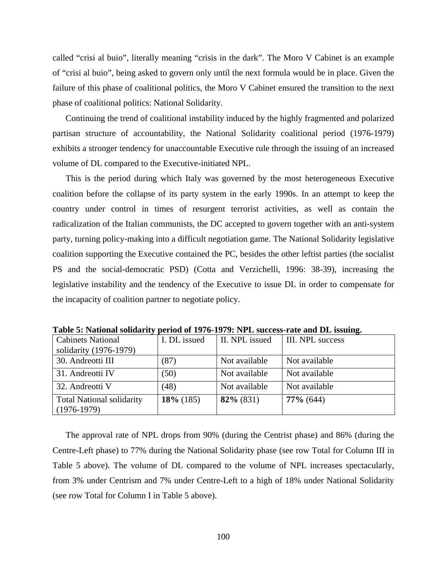called "crisi al buio", literally meaning "crisis in the dark". The Moro V Cabinet is an example of "crisi al buio", being asked to govern only until the next formula would be in place. Given the failure of this phase of coalitional politics, the Moro V Cabinet ensured the transition to the next phase of coalitional politics: National Solidarity.

Continuing the trend of coalitional instability induced by the highly fragmented and polarized partisan structure of accountability, the National Solidarity coalitional period (1976-1979) exhibits a stronger tendency for unaccountable Executive rule through the issuing of an increased volume of DL compared to the Executive-initiated NPL.

This is the period during which Italy was governed by the most heterogeneous Executive coalition before the collapse of its party system in the early 1990s. In an attempt to keep the country under control in times of resurgent terrorist activities, as well as contain the radicalization of the Italian communists, the DC accepted to govern together with an anti-system party, turning policy-making into a difficult negotiation game. The National Solidarity legislative coalition supporting the Executive contained the PC, besides the other leftist parties (the socialist PS and the social-democratic PSD) (Cotta and Verzichelli, 1996: 38-39), increasing the legislative instability and the tendency of the Executive to issue DL in order to compensate for the incapacity of coalition partner to negotiate policy.

| <b>Cabinets National</b>                          | I. DL issued | II. NPL issued | <b>III. NPL success</b> |
|---------------------------------------------------|--------------|----------------|-------------------------|
| solidarity (1976-1979)                            |              |                |                         |
| 30. Andreotti III                                 | (87)         | Not available  | Not available           |
| 31. Andreotti IV                                  | (50)         | Not available  | Not available           |
| 32. Andreotti V                                   | (48)         | Not available  | Not available           |
| <b>Total National solidarity</b><br>$(1976-1979)$ | $18\%$ (185) | $82\%$ (831)   | $77\%$ (644)            |

**Table 5: National solidarity period of 1976-1979: NPL success-rate and DL issuing.** 

The approval rate of NPL drops from 90% (during the Centrist phase) and 86% (during the Centre-Left phase) to 77% during the National Solidarity phase (see row Total for Column III in Table 5 above). The volume of DL compared to the volume of NPL increases spectacularly, from 3% under Centrism and 7% under Centre-Left to a high of 18% under National Solidarity (see row Total for Column I in Table 5 above).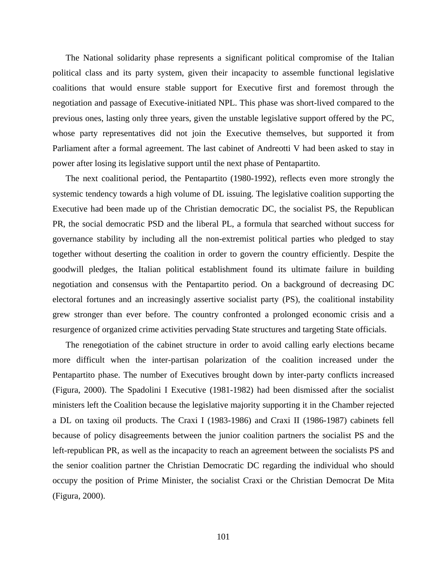The National solidarity phase represents a significant political compromise of the Italian political class and its party system, given their incapacity to assemble functional legislative coalitions that would ensure stable support for Executive first and foremost through the negotiation and passage of Executive-initiated NPL. This phase was short-lived compared to the previous ones, lasting only three years, given the unstable legislative support offered by the PC, whose party representatives did not join the Executive themselves, but supported it from Parliament after a formal agreement. The last cabinet of Andreotti V had been asked to stay in power after losing its legislative support until the next phase of Pentapartito.

The next coalitional period, the Pentapartito (1980-1992), reflects even more strongly the systemic tendency towards a high volume of DL issuing. The legislative coalition supporting the Executive had been made up of the Christian democratic DC, the socialist PS, the Republican PR, the social democratic PSD and the liberal PL, a formula that searched without success for governance stability by including all the non-extremist political parties who pledged to stay together without deserting the coalition in order to govern the country efficiently. Despite the goodwill pledges, the Italian political establishment found its ultimate failure in building negotiation and consensus with the Pentapartito period. On a background of decreasing DC electoral fortunes and an increasingly assertive socialist party (PS), the coalitional instability grew stronger than ever before. The country confronted a prolonged economic crisis and a resurgence of organized crime activities pervading State structures and targeting State officials.

The renegotiation of the cabinet structure in order to avoid calling early elections became more difficult when the inter-partisan polarization of the coalition increased under the Pentapartito phase. The number of Executives brought down by inter-party conflicts increased (Figura, 2000). The Spadolini I Executive (1981-1982) had been dismissed after the socialist ministers left the Coalition because the legislative majority supporting it in the Chamber rejected a DL on taxing oil products. The Craxi I (1983-1986) and Craxi II (1986-1987) cabinets fell because of policy disagreements between the junior coalition partners the socialist PS and the left-republican PR, as well as the incapacity to reach an agreement between the socialists PS and the senior coalition partner the Christian Democratic DC regarding the individual who should occupy the position of Prime Minister, the socialist Craxi or the Christian Democrat De Mita (Figura, 2000).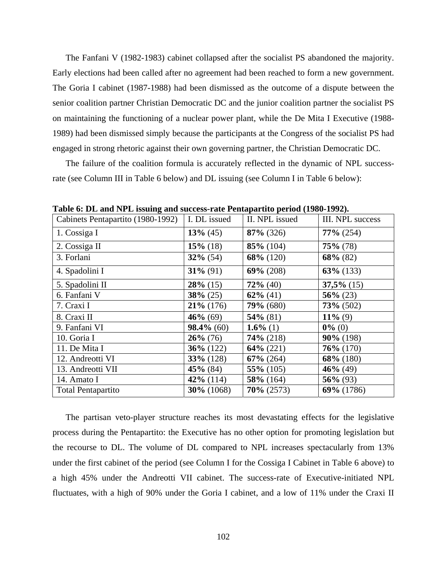The Fanfani V (1982-1983) cabinet collapsed after the socialist PS abandoned the majority. Early elections had been called after no agreement had been reached to form a new government. The Goria I cabinet (1987-1988) had been dismissed as the outcome of a dispute between the senior coalition partner Christian Democratic DC and the junior coalition partner the socialist PS on maintaining the functioning of a nuclear power plant, while the De Mita I Executive (1988- 1989) had been dismissed simply because the participants at the Congress of the socialist PS had engaged in strong rhetoric against their own governing partner, the Christian Democratic DC.

The failure of the coalition formula is accurately reflected in the dynamic of NPL successrate (see Column III in Table 6 below) and DL issuing (see Column I in Table 6 below):

| Cabinets Pentapartito (1980-1992) | I. DL issued  | II. NPL issued | III. NPL success |
|-----------------------------------|---------------|----------------|------------------|
| 1. Cossiga I                      | $13\%$ (45)   | $87\%$ (326)   | $77\%$ (254)     |
| 2. Cossiga II                     | $15\%$ (18)   | $85\%$ (104)   | $75\%$ (78)      |
| 3. Forlani                        | $32\%$ (54)   | $68\%$ (120)   | $68\%$ (82)      |
| 4. Spadolini I                    | $31\%$ (91)   | $69\% (208)$   | $63\%$ (133)     |
| 5. Spadolini II                   | $28\%$ (15)   | $72\%$ (40)    | $37,5\%$ (15)    |
| 6. Fanfani V                      | $38\% (25)$   | $62\%$ (41)    | $56\% (23)$      |
| 7. Craxi I                        | $21\%$ (176)  | $79\%$ (680)   | $73\% (502)$     |
| 8. Craxi II                       | $46\%$ (69)   | $54\%$ (81)    | $11\%$ (9)       |
| 9. Fanfani VI                     | $98.4\%$ (60) | 1.6% (1)       | $0\%$ (0)        |
| 10. Goria I                       | $26\%$ (76)   | $74\%$ (218)   | $90\%$ (198)     |
| 11. De Mita I                     | $36\%$ (122)  | $64\% (221)$   | $76\% (170)$     |
| 12. Andreotti VI                  | $33\%$ (128)  | $67\%$ (264)   | 68% (180)        |
| 13. Andreotti VII                 | $45\%$ (84)   | $55\%$ (105)   | $46\%$ (49)      |
| 14. Amato I                       | $42\%$ (114)  | $58\%$ (164)   | $56\%$ (93)      |
| <b>Total Pentapartito</b>         | $30\%$ (1068) | $70\%$ (2573)  | 69% (1786)       |

**Table 6: DL and NPL issuing and success-rate Pentapartito period (1980-1992).** 

The partisan veto-player structure reaches its most devastating effects for the legislative process during the Pentapartito: the Executive has no other option for promoting legislation but the recourse to DL. The volume of DL compared to NPL increases spectacularly from 13% under the first cabinet of the period (see Column I for the Cossiga I Cabinet in Table 6 above) to a high 45% under the Andreotti VII cabinet. The success-rate of Executive-initiated NPL fluctuates, with a high of 90% under the Goria I cabinet, and a low of 11% under the Craxi II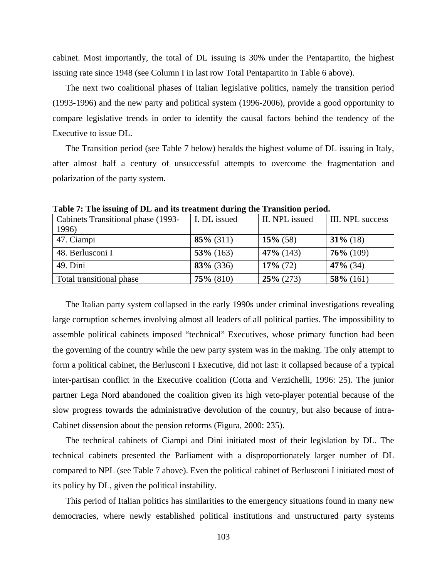cabinet. Most importantly, the total of DL issuing is 30% under the Pentapartito, the highest issuing rate since 1948 (see Column I in last row Total Pentapartito in Table 6 above).

The next two coalitional phases of Italian legislative politics, namely the transition period (1993-1996) and the new party and political system (1996-2006), provide a good opportunity to compare legislative trends in order to identify the causal factors behind the tendency of the Executive to issue DL.

The Transition period (see Table 7 below) heralds the highest volume of DL issuing in Italy, after almost half a century of unsuccessful attempts to overcome the fragmentation and polarization of the party system.

| Cabinets Transitional phase (1993- | I. DL issued | II. NPL issued | <b>III.</b> NPL success |
|------------------------------------|--------------|----------------|-------------------------|
| 1996)                              |              |                |                         |
| 47. Ciampi                         | $85\%$ (311) | $15\%$ (58)    | $31\%$ (18)             |
| 48. Berlusconi I                   | $53\%$ (163) | $47\%$ (143)   | $76\%$ (109)            |
| 49. Dini                           | $83\%$ (336) | $17\%$ (72)    | $47\%$ (34)             |
| Total transitional phase           | $75\%$ (810) | $25\%$ (273)   | $58\%$ (161)            |

**Table 7: The issuing of DL and its treatment during the Transition period.** 

The Italian party system collapsed in the early 1990s under criminal investigations revealing large corruption schemes involving almost all leaders of all political parties. The impossibility to assemble political cabinets imposed "technical" Executives, whose primary function had been the governing of the country while the new party system was in the making. The only attempt to form a political cabinet, the Berlusconi I Executive, did not last: it collapsed because of a typical inter-partisan conflict in the Executive coalition (Cotta and Verzichelli, 1996: 25). The junior partner Lega Nord abandoned the coalition given its high veto-player potential because of the slow progress towards the administrative devolution of the country, but also because of intra-Cabinet dissension about the pension reforms (Figura, 2000: 235).

The technical cabinets of Ciampi and Dini initiated most of their legislation by DL. The technical cabinets presented the Parliament with a disproportionately larger number of DL compared to NPL (see Table 7 above). Even the political cabinet of Berlusconi I initiated most of its policy by DL, given the political instability.

This period of Italian politics has similarities to the emergency situations found in many new democracies, where newly established political institutions and unstructured party systems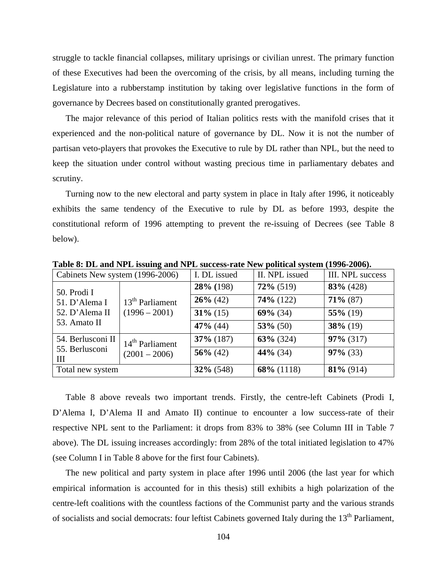struggle to tackle financial collapses, military uprisings or civilian unrest. The primary function of these Executives had been the overcoming of the crisis, by all means, including turning the Legislature into a rubberstamp institution by taking over legislative functions in the form of governance by Decrees based on constitutionally granted prerogatives.

The major relevance of this period of Italian politics rests with the manifold crises that it experienced and the non-political nature of governance by DL. Now it is not the number of partisan veto-players that provokes the Executive to rule by DL rather than NPL, but the need to keep the situation under control without wasting precious time in parliamentary debates and scrutiny.

Turning now to the new electoral and party system in place in Italy after 1996, it noticeably exhibits the same tendency of the Executive to rule by DL as before 1993, despite the constitutional reform of 1996 attempting to prevent the re-issuing of Decrees (see Table 8 below).

| Cabinets New system (1996-2006)                |                                      | I. DL issued | II. NPL issued | III. NPL success |
|------------------------------------------------|--------------------------------------|--------------|----------------|------------------|
| 50. Prodi I<br>51. D'Alema I<br>52. D'Alema II | $13th$ Parliament<br>$(1996 - 2001)$ | $28\%$ (198) | $72\%$ (519)   | $83\%$ (428)     |
|                                                |                                      | $26\%$ (42)  | $74\%$ (122)   | $71\%$ (87)      |
|                                                |                                      | $31\%$ (15)  | $69\%$ (34)    | $55\%$ (19)      |
| 53. Amato II                                   |                                      | $47\%$ (44)  | $53\%$ (50)    | $38\%$ (19)      |
| 54. Berlusconi II                              | 14 <sup>th</sup> Parliament          | $37\%$ (187) | $63\%$ (324)   | $97\%$ (317)     |
| 55. Berlusconi<br>Ш                            | $(2001 - 2006)$                      | $56\%$ (42)  | $44\%$ (34)    | $97\%$ (33)      |
| Total new system                               |                                      | $32\%$ (548) | $68\%$ (1118)  | $81\%$ (914)     |

**Table 8: DL and NPL issuing and NPL success-rate New political system (1996-2006).** 

Table 8 above reveals two important trends. Firstly, the centre-left Cabinets (Prodi I, D'Alema I, D'Alema II and Amato II) continue to encounter a low success-rate of their respective NPL sent to the Parliament: it drops from 83% to 38% (see Column III in Table 7 above). The DL issuing increases accordingly: from 28% of the total initiated legislation to 47% (see Column I in Table 8 above for the first four Cabinets).

The new political and party system in place after 1996 until 2006 (the last year for which empirical information is accounted for in this thesis) still exhibits a high polarization of the centre-left coalitions with the countless factions of the Communist party and the various strands of socialists and social democrats: four leftist Cabinets governed Italy during the 13<sup>th</sup> Parliament,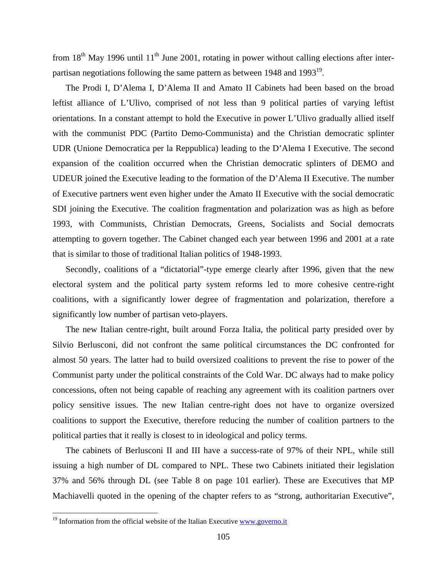from  $18<sup>th</sup>$  May 1996 until  $11<sup>th</sup>$  June 2001, rotating in power without calling elections after interpartisan negotiations following the same pattern as between  $1948$  and  $1993^{19}$ .

The Prodi I, D'Alema I, D'Alema II and Amato II Cabinets had been based on the broad leftist alliance of L'Ulivo, comprised of not less than 9 political parties of varying leftist orientations. In a constant attempt to hold the Executive in power L'Ulivo gradually allied itself with the communist PDC (Partito Demo-Communista) and the Christian democratic splinter UDR (Unione Democratica per la Reppublica) leading to the D'Alema I Executive. The second expansion of the coalition occurred when the Christian democratic splinters of DEMO and UDEUR joined the Executive leading to the formation of the D'Alema II Executive. The number of Executive partners went even higher under the Amato II Executive with the social democratic SDI joining the Executive. The coalition fragmentation and polarization was as high as before 1993, with Communists, Christian Democrats, Greens, Socialists and Social democrats attempting to govern together. The Cabinet changed each year between 1996 and 2001 at a rate that is similar to those of traditional Italian politics of 1948-1993.

Secondly, coalitions of a "dictatorial"-type emerge clearly after 1996, given that the new electoral system and the political party system reforms led to more cohesive centre-right coalitions, with a significantly lower degree of fragmentation and polarization, therefore a significantly low number of partisan veto-players.

The new Italian centre-right, built around Forza Italia, the political party presided over by Silvio Berlusconi, did not confront the same political circumstances the DC confronted for almost 50 years. The latter had to build oversized coalitions to prevent the rise to power of the Communist party under the political constraints of the Cold War. DC always had to make policy concessions, often not being capable of reaching any agreement with its coalition partners over policy sensitive issues. The new Italian centre-right does not have to organize oversized coalitions to support the Executive, therefore reducing the number of coalition partners to the political parties that it really is closest to in ideological and policy terms.

The cabinets of Berlusconi II and III have a success-rate of 97% of their NPL, while still issuing a high number of DL compared to NPL. These two Cabinets initiated their legislation 37% and 56% through DL (see Table 8 on page 101 earlier). These are Executives that MP Machiavelli quoted in the opening of the chapter refers to as "strong, authoritarian Executive",

 $\overline{a}$ 

 $19$  Information from the official website of the Italian Executive www.governo.it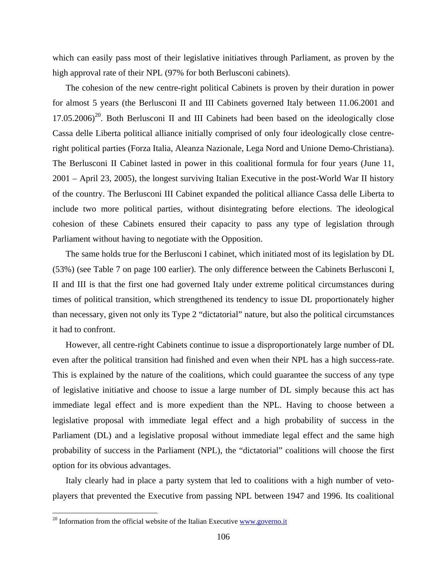which can easily pass most of their legislative initiatives through Parliament, as proven by the high approval rate of their NPL (97% for both Berlusconi cabinets).

The cohesion of the new centre-right political Cabinets is proven by their duration in power for almost 5 years (the Berlusconi II and III Cabinets governed Italy between 11.06.2001 and  $17.05.2006<sup>20</sup>$ . Both Berlusconi II and III Cabinets had been based on the ideologically close Cassa delle Liberta political alliance initially comprised of only four ideologically close centreright political parties (Forza Italia, Aleanza Nazionale, Lega Nord and Unione Demo-Christiana). The Berlusconi II Cabinet lasted in power in this coalitional formula for four years (June 11, 2001 – April 23, 2005), the longest surviving Italian Executive in the post-World War II history of the country. The Berlusconi III Cabinet expanded the political alliance Cassa delle Liberta to include two more political parties, without disintegrating before elections. The ideological cohesion of these Cabinets ensured their capacity to pass any type of legislation through Parliament without having to negotiate with the Opposition.

The same holds true for the Berlusconi I cabinet, which initiated most of its legislation by DL (53%) (see Table 7 on page 100 earlier). The only difference between the Cabinets Berlusconi I, II and III is that the first one had governed Italy under extreme political circumstances during times of political transition, which strengthened its tendency to issue DL proportionately higher than necessary, given not only its Type 2 "dictatorial" nature, but also the political circumstances it had to confront.

However, all centre-right Cabinets continue to issue a disproportionately large number of DL even after the political transition had finished and even when their NPL has a high success-rate. This is explained by the nature of the coalitions, which could guarantee the success of any type of legislative initiative and choose to issue a large number of DL simply because this act has immediate legal effect and is more expedient than the NPL. Having to choose between a legislative proposal with immediate legal effect and a high probability of success in the Parliament (DL) and a legislative proposal without immediate legal effect and the same high probability of success in the Parliament (NPL), the "dictatorial" coalitions will choose the first option for its obvious advantages.

Italy clearly had in place a party system that led to coalitions with a high number of vetoplayers that prevented the Executive from passing NPL between 1947 and 1996. Its coalitional

 $20$  Information from the official website of the Italian Executive www.governo.it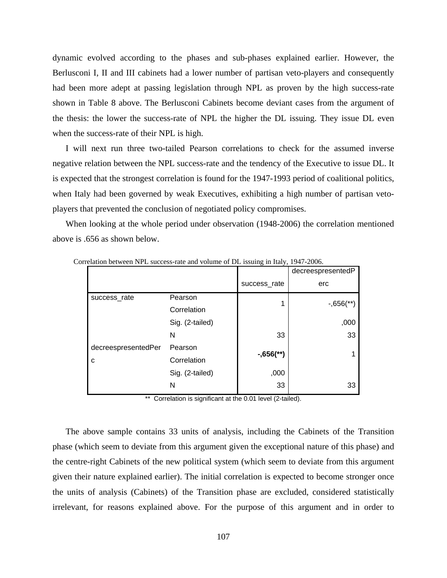dynamic evolved according to the phases and sub-phases explained earlier. However, the Berlusconi I, II and III cabinets had a lower number of partisan veto-players and consequently had been more adept at passing legislation through NPL as proven by the high success-rate shown in Table 8 above. The Berlusconi Cabinets become deviant cases from the argument of the thesis: the lower the success-rate of NPL the higher the DL issuing. They issue DL even when the success-rate of their NPL is high.

I will next run three two-tailed Pearson correlations to check for the assumed inverse negative relation between the NPL success-rate and the tendency of the Executive to issue DL. It is expected that the strongest correlation is found for the 1947-1993 period of coalitional politics, when Italy had been governed by weak Executives, exhibiting a high number of partisan vetoplayers that prevented the conclusion of negotiated policy compromises.

When looking at the whole period under observation (1948-2006) the correlation mentioned above is .656 as shown below.

|                     |                 |              | decreespresentedP        |
|---------------------|-----------------|--------------|--------------------------|
|                     |                 | success_rate | erc                      |
| success_rate        | Pearson         | 1            | $-0.656$ <sup>**</sup> ) |
|                     | Correlation     |              |                          |
|                     | Sig. (2-tailed) |              | ,000                     |
|                     | N               | 33           | 33                       |
| decreespresentedPer | Pearson         |              | 1                        |
| C                   | Correlation     | $-,656$ (**) |                          |
|                     | Sig. (2-tailed) | ,000         |                          |
|                     | N               | 33           | 33                       |
|                     |                 |              |                          |

Correlation between NPL success-rate and volume of DL issuing in Italy, 1947-2006.

\*\* Correlation is significant at the 0.01 level (2-tailed).

The above sample contains 33 units of analysis, including the Cabinets of the Transition phase (which seem to deviate from this argument given the exceptional nature of this phase) and the centre-right Cabinets of the new political system (which seem to deviate from this argument given their nature explained earlier). The initial correlation is expected to become stronger once the units of analysis (Cabinets) of the Transition phase are excluded, considered statistically irrelevant, for reasons explained above. For the purpose of this argument and in order to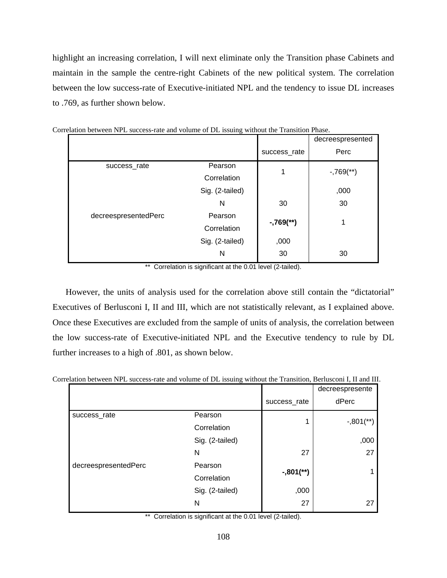highlight an increasing correlation, I will next eliminate only the Transition phase Cabinets and maintain in the sample the centre-right Cabinets of the new political system. The correlation between the low success-rate of Executive-initiated NPL and the tendency to issue DL increases to .769, as further shown below.

|                      |                 |              | decreespresented       |
|----------------------|-----------------|--------------|------------------------|
|                      |                 | success_rate | Perc                   |
| success_rate         | Pearson         | 1            | $-769$ <sup>**</sup> ) |
|                      | Correlation     |              |                        |
|                      | Sig. (2-tailed) |              | ,000                   |
|                      | N               | 30           | 30                     |
| decreespresentedPerc | Pearson         |              | 1                      |
|                      | Correlation     | $-769$ (**)  |                        |
|                      | Sig. (2-tailed) | ,000         |                        |
|                      | N               | 30           | 30                     |

|  |  |  |  | Correlation between NPL success-rate and volume of DL issuing without the Transition Phase. |  |  |  |  |  |  |  |  |  |
|--|--|--|--|---------------------------------------------------------------------------------------------|--|--|--|--|--|--|--|--|--|
|--|--|--|--|---------------------------------------------------------------------------------------------|--|--|--|--|--|--|--|--|--|

\*\* Correlation is significant at the 0.01 level (2-tailed).

However, the units of analysis used for the correlation above still contain the "dictatorial" Executives of Berlusconi I, II and III, which are not statistically relevant, as I explained above. Once these Executives are excluded from the sample of units of analysis, the correlation between the low success-rate of Executive-initiated NPL and the Executive tendency to rule by DL further increases to a high of .801, as shown below.

| Correlation between NPL success-rate and volume of DL issuing without the Transition, Berlusconi I. II and III. |  |                   |  |
|-----------------------------------------------------------------------------------------------------------------|--|-------------------|--|
|                                                                                                                 |  | doorooonrooonta L |  |

|                      |                 |              | decreespresente         |
|----------------------|-----------------|--------------|-------------------------|
|                      |                 | success_rate | dPerc                   |
| success_rate         | Pearson         | 1            | $-,801$ <sup>**</sup> ) |
|                      | Correlation     |              |                         |
|                      | Sig. (2-tailed) |              | ,000                    |
|                      | N               | 27           | 27                      |
| decreespresentedPerc | Pearson         |              |                         |
|                      | Correlation     | $-,801$ (**) |                         |
|                      | Sig. (2-tailed) | ,000         |                         |
|                      | N               | 27           | 27                      |

\*\* Correlation is significant at the 0.01 level (2-tailed).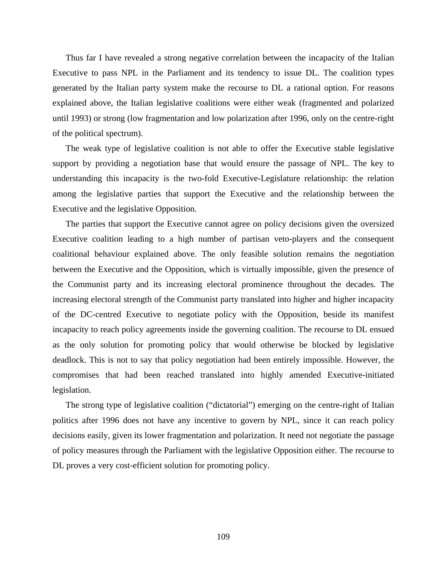Thus far I have revealed a strong negative correlation between the incapacity of the Italian Executive to pass NPL in the Parliament and its tendency to issue DL. The coalition types generated by the Italian party system make the recourse to DL a rational option. For reasons explained above, the Italian legislative coalitions were either weak (fragmented and polarized until 1993) or strong (low fragmentation and low polarization after 1996, only on the centre-right of the political spectrum).

The weak type of legislative coalition is not able to offer the Executive stable legislative support by providing a negotiation base that would ensure the passage of NPL. The key to understanding this incapacity is the two-fold Executive-Legislature relationship: the relation among the legislative parties that support the Executive and the relationship between the Executive and the legislative Opposition.

The parties that support the Executive cannot agree on policy decisions given the oversized Executive coalition leading to a high number of partisan veto-players and the consequent coalitional behaviour explained above. The only feasible solution remains the negotiation between the Executive and the Opposition, which is virtually impossible, given the presence of the Communist party and its increasing electoral prominence throughout the decades. The increasing electoral strength of the Communist party translated into higher and higher incapacity of the DC-centred Executive to negotiate policy with the Opposition, beside its manifest incapacity to reach policy agreements inside the governing coalition. The recourse to DL ensued as the only solution for promoting policy that would otherwise be blocked by legislative deadlock. This is not to say that policy negotiation had been entirely impossible. However, the compromises that had been reached translated into highly amended Executive-initiated legislation.

The strong type of legislative coalition ("dictatorial") emerging on the centre-right of Italian politics after 1996 does not have any incentive to govern by NPL, since it can reach policy decisions easily, given its lower fragmentation and polarization. It need not negotiate the passage of policy measures through the Parliament with the legislative Opposition either. The recourse to DL proves a very cost-efficient solution for promoting policy.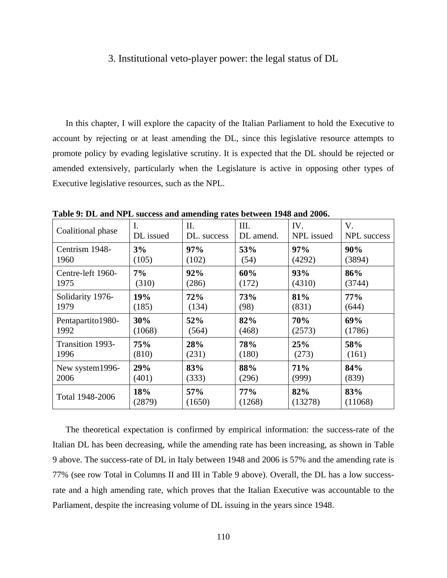### 3. Institutional veto-player power: the legal status of DL

In this chapter, I will explore the capacity of the Italian Parliament to hold the Executive to account by rejecting or at least amending the DL, since this legislative resource attempts to promote policy by evading legislative scrutiny. It is expected that the DL should be rejected or amended extensively, particularly when the Legislature is active in opposing other types of Executive legislative resources, such as the NPL.

| Coalitional phase | Ι.         | П.          | III.      | IV.        | V.          |
|-------------------|------------|-------------|-----------|------------|-------------|
|                   | DL issued  | DL. success | DL amend. | NPL issued | NPL success |
| Centrism 1948-    | 3%         | 97%         | 53%       | 97%        | 90%         |
| 1960              | (105)      | (102)       | (54)      | (4292)     | (3894)      |
| Centre-left 1960- | 7%         | 92%         | 60%       | 93%        | 86%         |
| 1975              | (310)      | (286)       | (172)     | (4310)     | (3744)      |
| Solidarity 1976-  | 19%        | 72%         | 73%       | 81%        | $77\%$      |
| 1979              | (185)      | (134)       | (98)      | (831)      | (644)       |
| Pentapartito1980- | 30%        | 52%         | 82%       | 70%        | 69%         |
| 1992              | (1068)     | (564)       | (468)     | (2573)     | (1786)      |
| Transition 1993-  | <b>75%</b> | 28%         | 78%       | 25%        | 58%         |
| 1996              | (810)      | (231)       | (180)     | (273)      | (161)       |
| New system1996-   | 29%        | 83%         | 88%       | 71%        | 84%         |
| 2006              | (401)      | (333)       | (296)     | (999)      | (839)       |
| Total 1948-2006   | 18%        | 57%         | $77\%$    | 82%        | 83%         |
|                   | (2879)     | (1650)      | (1268)    | (13278)    | (11068)     |

**Table 9: DL and NPL success and amending rates between 1948 and 2006.** 

The theoretical expectation is confirmed by empirical information: the success-rate of the Italian DL has been decreasing, while the amending rate has been increasing, as shown in Table 9 above. The success-rate of DL in Italy between 1948 and 2006 is 57% and the amending rate is 77% (see row Total in Columns II and III in Table 9 above). Overall, the DL has a low successrate and a high amending rate, which proves that the Italian Executive was accountable to the Parliament, despite the increasing volume of DL issuing in the years since 1948.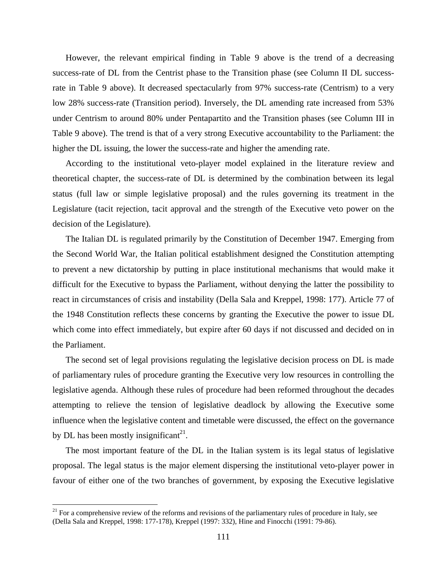However, the relevant empirical finding in Table 9 above is the trend of a decreasing success-rate of DL from the Centrist phase to the Transition phase (see Column II DL successrate in Table 9 above). It decreased spectacularly from 97% success-rate (Centrism) to a very low 28% success-rate (Transition period). Inversely, the DL amending rate increased from 53% under Centrism to around 80% under Pentapartito and the Transition phases (see Column III in Table 9 above). The trend is that of a very strong Executive accountability to the Parliament: the higher the DL issuing, the lower the success-rate and higher the amending rate.

According to the institutional veto-player model explained in the literature review and theoretical chapter, the success-rate of DL is determined by the combination between its legal status (full law or simple legislative proposal) and the rules governing its treatment in the Legislature (tacit rejection, tacit approval and the strength of the Executive veto power on the decision of the Legislature).

The Italian DL is regulated primarily by the Constitution of December 1947. Emerging from the Second World War, the Italian political establishment designed the Constitution attempting to prevent a new dictatorship by putting in place institutional mechanisms that would make it difficult for the Executive to bypass the Parliament, without denying the latter the possibility to react in circumstances of crisis and instability (Della Sala and Kreppel, 1998: 177). Article 77 of the 1948 Constitution reflects these concerns by granting the Executive the power to issue DL which come into effect immediately, but expire after 60 days if not discussed and decided on in the Parliament.

The second set of legal provisions regulating the legislative decision process on DL is made of parliamentary rules of procedure granting the Executive very low resources in controlling the legislative agenda. Although these rules of procedure had been reformed throughout the decades attempting to relieve the tension of legislative deadlock by allowing the Executive some influence when the legislative content and timetable were discussed, the effect on the governance by DL has been mostly insignificant<sup>21</sup>.

The most important feature of the DL in the Italian system is its legal status of legislative proposal. The legal status is the major element dispersing the institutional veto-player power in favour of either one of the two branches of government, by exposing the Executive legislative

1

 $21$  For a comprehensive review of the reforms and revisions of the parliamentary rules of procedure in Italy, see (Della Sala and Kreppel, 1998: 177-178), Kreppel (1997: 332), Hine and Finocchi (1991: 79-86).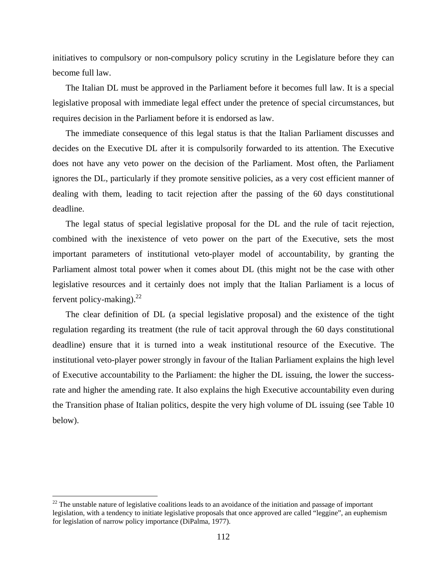initiatives to compulsory or non-compulsory policy scrutiny in the Legislature before they can become full law.

The Italian DL must be approved in the Parliament before it becomes full law. It is a special legislative proposal with immediate legal effect under the pretence of special circumstances, but requires decision in the Parliament before it is endorsed as law.

The immediate consequence of this legal status is that the Italian Parliament discusses and decides on the Executive DL after it is compulsorily forwarded to its attention. The Executive does not have any veto power on the decision of the Parliament. Most often, the Parliament ignores the DL, particularly if they promote sensitive policies, as a very cost efficient manner of dealing with them, leading to tacit rejection after the passing of the 60 days constitutional deadline.

The legal status of special legislative proposal for the DL and the rule of tacit rejection, combined with the inexistence of veto power on the part of the Executive, sets the most important parameters of institutional veto-player model of accountability, by granting the Parliament almost total power when it comes about DL (this might not be the case with other legislative resources and it certainly does not imply that the Italian Parliament is a locus of fervent policy-making). $^{22}$ 

The clear definition of DL (a special legislative proposal) and the existence of the tight regulation regarding its treatment (the rule of tacit approval through the 60 days constitutional deadline) ensure that it is turned into a weak institutional resource of the Executive. The institutional veto-player power strongly in favour of the Italian Parliament explains the high level of Executive accountability to the Parliament: the higher the DL issuing, the lower the successrate and higher the amending rate. It also explains the high Executive accountability even during the Transition phase of Italian politics, despite the very high volume of DL issuing (see Table 10 below).

 $22$  The unstable nature of legislative coalitions leads to an avoidance of the initiation and passage of important legislation, with a tendency to initiate legislative proposals that once approved are called "leggine", an euphemism for legislation of narrow policy importance (DiPalma, 1977).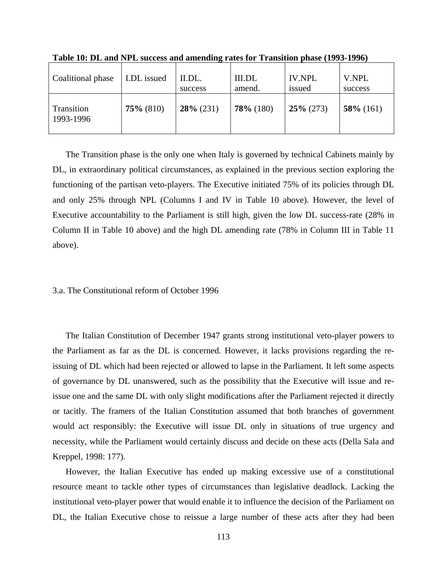| Coalitional phase       | I.DL issued  | II.DL.<br>success | <b>III.DL</b><br>amend. | <b>IV.NPL</b><br>issued | V.NPL<br>success |
|-------------------------|--------------|-------------------|-------------------------|-------------------------|------------------|
| Transition<br>1993-1996 | $75\%$ (810) | $28\%$ (231)      | $78\%$ (180)            | $25\%$ (273)            | $58\%$ (161)     |

**Table 10: DL and NPL success and amending rates for Transition phase (1993-1996)** 

The Transition phase is the only one when Italy is governed by technical Cabinets mainly by DL, in extraordinary political circumstances, as explained in the previous section exploring the functioning of the partisan veto-players. The Executive initiated 75% of its policies through DL and only 25% through NPL (Columns I and IV in Table 10 above). However, the level of Executive accountability to the Parliament is still high, given the low DL success-rate (28% in Column II in Table 10 above) and the high DL amending rate (78% in Column III in Table 11 above).

#### 3.a. The Constitutional reform of October 1996

The Italian Constitution of December 1947 grants strong institutional veto-player powers to the Parliament as far as the DL is concerned. However, it lacks provisions regarding the reissuing of DL which had been rejected or allowed to lapse in the Parliament. It left some aspects of governance by DL unanswered, such as the possibility that the Executive will issue and reissue one and the same DL with only slight modifications after the Parliament rejected it directly or tacitly. The framers of the Italian Constitution assumed that both branches of government would act responsibly: the Executive will issue DL only in situations of true urgency and necessity, while the Parliament would certainly discuss and decide on these acts (Della Sala and Kreppel, 1998: 177).

However, the Italian Executive has ended up making excessive use of a constitutional resource meant to tackle other types of circumstances than legislative deadlock. Lacking the institutional veto-player power that would enable it to influence the decision of the Parliament on DL, the Italian Executive chose to reissue a large number of these acts after they had been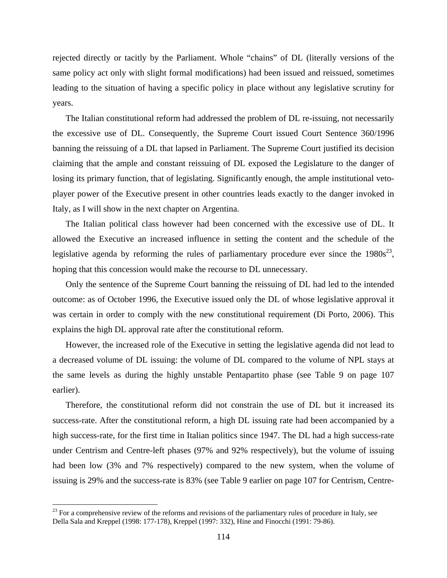rejected directly or tacitly by the Parliament. Whole "chains" of DL (literally versions of the same policy act only with slight formal modifications) had been issued and reissued, sometimes leading to the situation of having a specific policy in place without any legislative scrutiny for years.

The Italian constitutional reform had addressed the problem of DL re-issuing, not necessarily the excessive use of DL. Consequently, the Supreme Court issued Court Sentence 360/1996 banning the reissuing of a DL that lapsed in Parliament. The Supreme Court justified its decision claiming that the ample and constant reissuing of DL exposed the Legislature to the danger of losing its primary function, that of legislating. Significantly enough, the ample institutional vetoplayer power of the Executive present in other countries leads exactly to the danger invoked in Italy, as I will show in the next chapter on Argentina.

The Italian political class however had been concerned with the excessive use of DL. It allowed the Executive an increased influence in setting the content and the schedule of the legislative agenda by reforming the rules of parliamentary procedure ever since the  $1980s^{23}$ , hoping that this concession would make the recourse to DL unnecessary.

Only the sentence of the Supreme Court banning the reissuing of DL had led to the intended outcome: as of October 1996, the Executive issued only the DL of whose legislative approval it was certain in order to comply with the new constitutional requirement (Di Porto, 2006). This explains the high DL approval rate after the constitutional reform.

However, the increased role of the Executive in setting the legislative agenda did not lead to a decreased volume of DL issuing: the volume of DL compared to the volume of NPL stays at the same levels as during the highly unstable Pentapartito phase (see Table 9 on page 107 earlier).

Therefore, the constitutional reform did not constrain the use of DL but it increased its success-rate. After the constitutional reform, a high DL issuing rate had been accompanied by a high success-rate, for the first time in Italian politics since 1947. The DL had a high success-rate under Centrism and Centre-left phases (97% and 92% respectively), but the volume of issuing had been low (3% and 7% respectively) compared to the new system, when the volume of issuing is 29% and the success-rate is 83% (see Table 9 earlier on page 107 for Centrism, Centre-

1

 $2<sup>23</sup>$  For a comprehensive review of the reforms and revisions of the parliamentary rules of procedure in Italy, see Della Sala and Kreppel (1998: 177-178), Kreppel (1997: 332), Hine and Finocchi (1991: 79-86).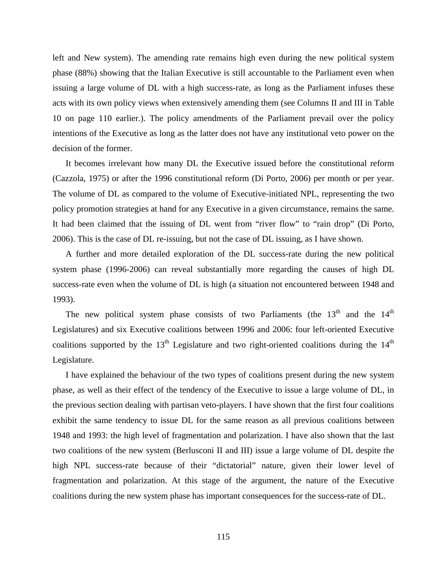left and New system). The amending rate remains high even during the new political system phase (88%) showing that the Italian Executive is still accountable to the Parliament even when issuing a large volume of DL with a high success-rate, as long as the Parliament infuses these acts with its own policy views when extensively amending them (see Columns II and III in Table 10 on page 110 earlier.). The policy amendments of the Parliament prevail over the policy intentions of the Executive as long as the latter does not have any institutional veto power on the decision of the former.

It becomes irrelevant how many DL the Executive issued before the constitutional reform (Cazzola, 1975) or after the 1996 constitutional reform (Di Porto, 2006) per month or per year. The volume of DL as compared to the volume of Executive-initiated NPL, representing the two policy promotion strategies at hand for any Executive in a given circumstance, remains the same. It had been claimed that the issuing of DL went from "river flow" to "rain drop" (Di Porto, 2006). This is the case of DL re-issuing, but not the case of DL issuing, as I have shown.

A further and more detailed exploration of the DL success-rate during the new political system phase (1996-2006) can reveal substantially more regarding the causes of high DL success-rate even when the volume of DL is high (a situation not encountered between 1948 and 1993).

The new political system phase consists of two Parliaments (the  $13<sup>th</sup>$  and the  $14<sup>th</sup>$ Legislatures) and six Executive coalitions between 1996 and 2006: four left-oriented Executive coalitions supported by the  $13<sup>th</sup>$  Legislature and two right-oriented coalitions during the  $14<sup>th</sup>$ Legislature.

I have explained the behaviour of the two types of coalitions present during the new system phase, as well as their effect of the tendency of the Executive to issue a large volume of DL, in the previous section dealing with partisan veto-players. I have shown that the first four coalitions exhibit the same tendency to issue DL for the same reason as all previous coalitions between 1948 and 1993: the high level of fragmentation and polarization. I have also shown that the last two coalitions of the new system (Berlusconi II and III) issue a large volume of DL despite the high NPL success-rate because of their "dictatorial" nature, given their lower level of fragmentation and polarization. At this stage of the argument, the nature of the Executive coalitions during the new system phase has important consequences for the success-rate of DL.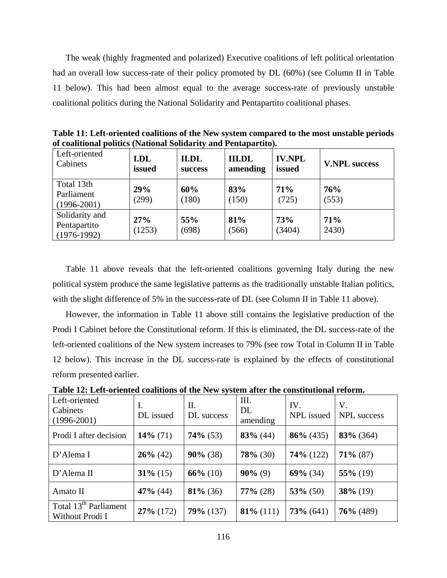The weak (highly fragmented and polarized) Executive coalitions of left political orientation had an overall low success-rate of their policy promoted by DL (60%) (see Column II in Table 11 below). This had been almost equal to the average success-rate of previously unstable coalitional politics during the National Solidarity and Pentapartito coalitional phases.

| Left-oriented<br>Cabinets                       | <b>I.DL</b><br>issued | II.DL<br><b>success</b> | <b>III.DL</b><br>amending | <b>IV.NPL</b><br>issued | <b>V.NPL success</b> |
|-------------------------------------------------|-----------------------|-------------------------|---------------------------|-------------------------|----------------------|
| Total 13th<br>Parliament<br>$(1996 - 2001)$     | 29%<br>(299)          | 60%<br>(180)            | 83%<br>(150)              | 71%<br>(725)            | 76%<br>(553)         |
| Solidarity and<br>Pentapartito<br>$(1976-1992)$ | 27%<br>(1253)         | 55%<br>(698)            | 81%<br>(566)              | 73%<br>(3404)           | 71%<br>2430)         |

**Table 11: Left-oriented coalitions of the New system compared to the most unstable periods of coalitional politics (National Solidarity and Pentapartito).** 

Table 11 above reveals that the left-oriented coalitions governing Italy during the new political system produce the same legislative patterns as the traditionally unstable Italian politics, with the slight difference of 5% in the success-rate of DL (see Column II in Table 11 above).

However, the information in Table 11 above still contains the legislative production of the Prodi I Cabinet before the Constitutional reform. If this is eliminated, the DL success-rate of the left-oriented coalitions of the New system increases to 79% (see row Total in Column II in Table 12 below). This increase in the DL success-rate is explained by the effects of constitutional reform presented earlier.

| Left-oriented<br>Cabinets<br>$(1996 - 2001)$         | Ι.<br>DL issued | П.<br>DL success | III.<br><b>DL</b><br>amending | IV.<br>NPL issued | V.<br>NPL success |
|------------------------------------------------------|-----------------|------------------|-------------------------------|-------------------|-------------------|
| Prodi I after decision                               | $14\%$ (71)     | $74\%$ (53)      | $83\%$ (44)                   | $86\%$ (435)      | $83\%$ (364)      |
| D'Alema I                                            | $26\%$ (42)     | $90\% (38)$      | $78\%$ (30)                   | $74\%$ (122)      | $71\%$ (87)       |
| D'Alema II                                           | $31\%$ (15)     | $66\%$ (10)      | $90\%$ (9)                    | $69\%$ (34)       | $55\%$ (19)       |
| Amato II                                             | $47\%$ (44)     | $81\%$ (36)      | $77\%$ (28)                   | $53\%$ (50)       | $38\%$ (19)       |
| Total 13 <sup>th</sup> Parliament<br>Without Prodi I | $27\%$ (172)    | $79\%$ (137)     | $81\%$ (111)                  | $73\%$ (641)      | $76\%$ (489)      |

**Table 12: Left-oriented coalitions of the New system after the constitutional reform.**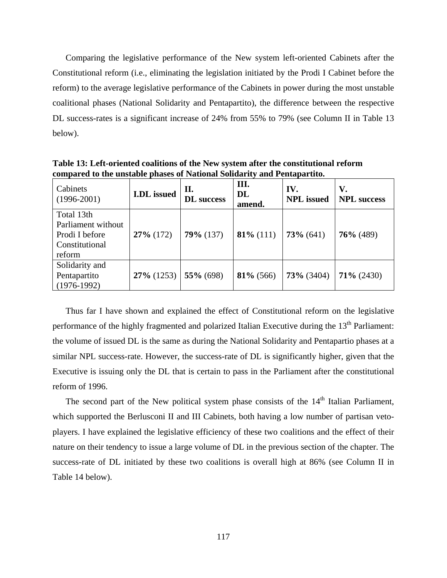Comparing the legislative performance of the New system left-oriented Cabinets after the Constitutional reform (i.e., eliminating the legislation initiated by the Prodi I Cabinet before the reform) to the average legislative performance of the Cabinets in power during the most unstable coalitional phases (National Solidarity and Pentapartito), the difference between the respective DL success-rates is a significant increase of 24% from 55% to 79% (see Column II in Table 13 below).

| Cabinets<br>$(1996 - 2001)$ | <b>I.DL</b> issued | П.<br><b>DL</b> success | III.<br><b>DL</b><br>amend. | IV.<br><b>NPL</b> issued | V.<br><b>NPL</b> success |
|-----------------------------|--------------------|-------------------------|-----------------------------|--------------------------|--------------------------|
| Total 13th                  |                    |                         |                             |                          |                          |
| Parliament without          |                    |                         |                             |                          |                          |
| Prodi I before              | $27\%$ (172)       | $79\%$ (137)            | $81\%$ (111)                | $73\%$ (641)             | $76\%$ (489)             |
| Constitutional              |                    |                         |                             |                          |                          |
| reform                      |                    |                         |                             |                          |                          |
| Solidarity and              |                    |                         |                             |                          |                          |
| Pentapartito                | $27\%$ (1253)      | $55\%$ (698)            | $81\%$ (566)                | $73\%$ (3404)            | $71\% (2430)$            |
| $(1976-1992)$               |                    |                         |                             |                          |                          |

**Table 13: Left-oriented coalitions of the New system after the constitutional reform compared to the unstable phases of National Solidarity and Pentapartito.** 

Thus far I have shown and explained the effect of Constitutional reform on the legislative performance of the highly fragmented and polarized Italian Executive during the  $13<sup>th</sup>$  Parliament: the volume of issued DL is the same as during the National Solidarity and Pentapartio phases at a similar NPL success-rate. However, the success-rate of DL is significantly higher, given that the Executive is issuing only the DL that is certain to pass in the Parliament after the constitutional reform of 1996.

The second part of the New political system phase consists of the 14<sup>th</sup> Italian Parliament, which supported the Berlusconi II and III Cabinets, both having a low number of partisan vetoplayers. I have explained the legislative efficiency of these two coalitions and the effect of their nature on their tendency to issue a large volume of DL in the previous section of the chapter. The success-rate of DL initiated by these two coalitions is overall high at 86% (see Column II in Table 14 below).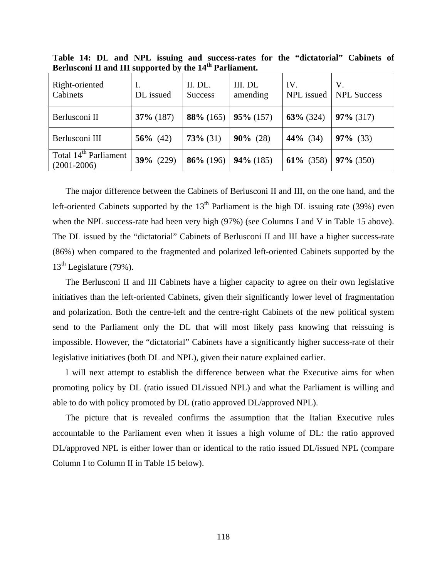| Right-oriented<br>Cabinets                           | Ι.<br>DL issued | II. DL.<br><b>Success</b> | III. DL<br>amending | IV.<br>NPL issued | V.<br><b>NPL Success</b> |
|------------------------------------------------------|-----------------|---------------------------|---------------------|-------------------|--------------------------|
| Berlusconi II                                        | $37\%$ (187)    | $88\%$ (165)              | $95\% (157)$        | $63\%$ (324)      | $97\%$ (317)             |
| Berlusconi III                                       | 56\% $(42)$     | $73\%$ (31)               | $90\%$ (28)         | 44% $(34)$        | $97\%$ (33)              |
| Total 14 <sup>th</sup> Parliament<br>$(2001 - 2006)$ | $39\%$ (229)    | $86\%$ (196)              | $94\%$ (185)        | $61\%$ (358)      | $97\%$ (350)             |

**Table 14: DL and NPL issuing and success-rates for the "dictatorial" Cabinets of Berlusconi II and III supported by the 14th Parliament.** 

The major difference between the Cabinets of Berlusconi II and III, on the one hand, and the left-oriented Cabinets supported by the  $13<sup>th</sup>$  Parliament is the high DL issuing rate (39%) even when the NPL success-rate had been very high (97%) (see Columns I and V in Table 15 above). The DL issued by the "dictatorial" Cabinets of Berlusconi II and III have a higher success-rate (86%) when compared to the fragmented and polarized left-oriented Cabinets supported by the  $13<sup>th</sup>$  Legislature (79%).

The Berlusconi II and III Cabinets have a higher capacity to agree on their own legislative initiatives than the left-oriented Cabinets, given their significantly lower level of fragmentation and polarization. Both the centre-left and the centre-right Cabinets of the new political system send to the Parliament only the DL that will most likely pass knowing that reissuing is impossible. However, the "dictatorial" Cabinets have a significantly higher success-rate of their legislative initiatives (both DL and NPL), given their nature explained earlier.

I will next attempt to establish the difference between what the Executive aims for when promoting policy by DL (ratio issued DL/issued NPL) and what the Parliament is willing and able to do with policy promoted by DL (ratio approved DL/approved NPL).

The picture that is revealed confirms the assumption that the Italian Executive rules accountable to the Parliament even when it issues a high volume of DL: the ratio approved DL/approved NPL is either lower than or identical to the ratio issued DL/issued NPL (compare Column I to Column II in Table 15 below).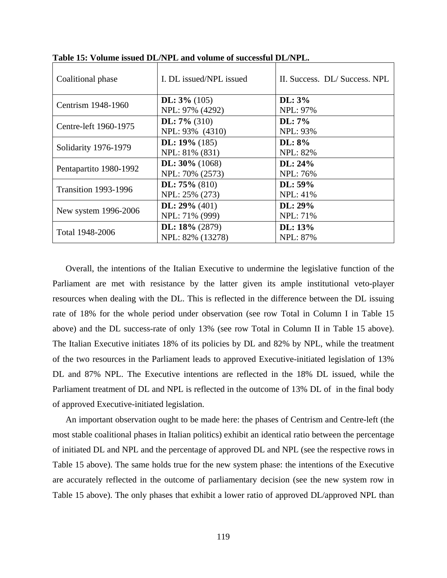| Coalitional phase           | I. DL issued/NPL issued | II. Success. DL/Success. NPL |
|-----------------------------|-------------------------|------------------------------|
| Centrism 1948-1960          | DL: $3\%$ (105)         | $\mathbf{DL:}3\%$            |
|                             | NPL: 97% (4292)         | NPL: 97%                     |
| Centre-left 1960-1975       | DL: $7\%$ (310)         | $\mathbf{DL:}7\%$            |
|                             | NPL: 93% (4310)         | NPL: 93%                     |
|                             | DL: $19\%$ (185)        | $\mathbf{DL: } 8\%$          |
| Solidarity 1976-1979        | NPL: 81% (831)          | <b>NPL: 82%</b>              |
|                             | DL: $30\%$ (1068)       | DL: 24%                      |
| Pentapartito 1980-1992      | NPL: 70% (2573)         | NPL: 76%                     |
| <b>Transition 1993-1996</b> | DL: $75\%$ (810)        | $DL: 59\%$                   |
|                             | NPL: 25% (273)          | <b>NPL: 41%</b>              |
|                             | DL: $29\%$ (401)        | $DL: 29\%$                   |
| New system 1996-2006        | NPL: 71% (999)          | NPL: 71%                     |
|                             | DL: $18\%$ (2879)       | DL: 13%                      |
| Total 1948-2006             | NPL: 82% (13278)        | <b>NPL: 87%</b>              |

**Table 15: Volume issued DL/NPL and volume of successful DL/NPL.** 

Overall, the intentions of the Italian Executive to undermine the legislative function of the Parliament are met with resistance by the latter given its ample institutional veto-player resources when dealing with the DL. This is reflected in the difference between the DL issuing rate of 18% for the whole period under observation (see row Total in Column I in Table 15 above) and the DL success-rate of only 13% (see row Total in Column II in Table 15 above). The Italian Executive initiates 18% of its policies by DL and 82% by NPL, while the treatment of the two resources in the Parliament leads to approved Executive-initiated legislation of 13% DL and 87% NPL. The Executive intentions are reflected in the 18% DL issued, while the Parliament treatment of DL and NPL is reflected in the outcome of 13% DL of in the final body of approved Executive-initiated legislation.

An important observation ought to be made here: the phases of Centrism and Centre-left (the most stable coalitional phases in Italian politics) exhibit an identical ratio between the percentage of initiated DL and NPL and the percentage of approved DL and NPL (see the respective rows in Table 15 above). The same holds true for the new system phase: the intentions of the Executive are accurately reflected in the outcome of parliamentary decision (see the new system row in Table 15 above). The only phases that exhibit a lower ratio of approved DL/approved NPL than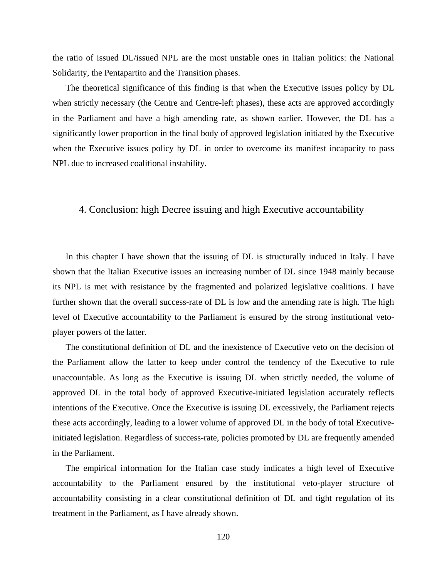the ratio of issued DL/issued NPL are the most unstable ones in Italian politics: the National Solidarity, the Pentapartito and the Transition phases.

The theoretical significance of this finding is that when the Executive issues policy by DL when strictly necessary (the Centre and Centre-left phases), these acts are approved accordingly in the Parliament and have a high amending rate, as shown earlier. However, the DL has a significantly lower proportion in the final body of approved legislation initiated by the Executive when the Executive issues policy by DL in order to overcome its manifest incapacity to pass NPL due to increased coalitional instability.

## 4. Conclusion: high Decree issuing and high Executive accountability

In this chapter I have shown that the issuing of DL is structurally induced in Italy. I have shown that the Italian Executive issues an increasing number of DL since 1948 mainly because its NPL is met with resistance by the fragmented and polarized legislative coalitions. I have further shown that the overall success-rate of DL is low and the amending rate is high. The high level of Executive accountability to the Parliament is ensured by the strong institutional vetoplayer powers of the latter.

The constitutional definition of DL and the inexistence of Executive veto on the decision of the Parliament allow the latter to keep under control the tendency of the Executive to rule unaccountable. As long as the Executive is issuing DL when strictly needed, the volume of approved DL in the total body of approved Executive-initiated legislation accurately reflects intentions of the Executive. Once the Executive is issuing DL excessively, the Parliament rejects these acts accordingly, leading to a lower volume of approved DL in the body of total Executiveinitiated legislation. Regardless of success-rate, policies promoted by DL are frequently amended in the Parliament.

The empirical information for the Italian case study indicates a high level of Executive accountability to the Parliament ensured by the institutional veto-player structure of accountability consisting in a clear constitutional definition of DL and tight regulation of its treatment in the Parliament, as I have already shown.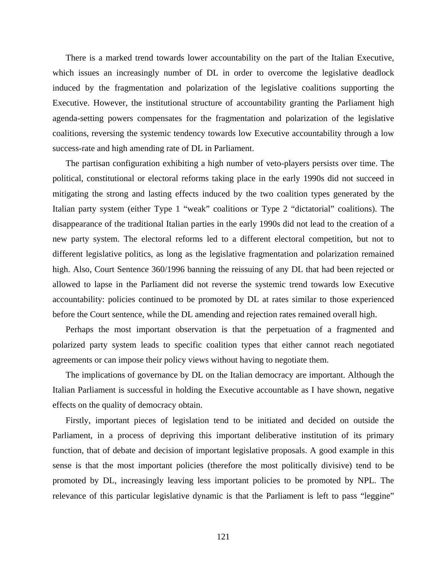There is a marked trend towards lower accountability on the part of the Italian Executive, which issues an increasingly number of DL in order to overcome the legislative deadlock induced by the fragmentation and polarization of the legislative coalitions supporting the Executive. However, the institutional structure of accountability granting the Parliament high agenda-setting powers compensates for the fragmentation and polarization of the legislative coalitions, reversing the systemic tendency towards low Executive accountability through a low success-rate and high amending rate of DL in Parliament.

The partisan configuration exhibiting a high number of veto-players persists over time. The political, constitutional or electoral reforms taking place in the early 1990s did not succeed in mitigating the strong and lasting effects induced by the two coalition types generated by the Italian party system (either Type 1 "weak" coalitions or Type 2 "dictatorial" coalitions). The disappearance of the traditional Italian parties in the early 1990s did not lead to the creation of a new party system. The electoral reforms led to a different electoral competition, but not to different legislative politics, as long as the legislative fragmentation and polarization remained high. Also, Court Sentence 360/1996 banning the reissuing of any DL that had been rejected or allowed to lapse in the Parliament did not reverse the systemic trend towards low Executive accountability: policies continued to be promoted by DL at rates similar to those experienced before the Court sentence, while the DL amending and rejection rates remained overall high.

Perhaps the most important observation is that the perpetuation of a fragmented and polarized party system leads to specific coalition types that either cannot reach negotiated agreements or can impose their policy views without having to negotiate them.

The implications of governance by DL on the Italian democracy are important. Although the Italian Parliament is successful in holding the Executive accountable as I have shown, negative effects on the quality of democracy obtain.

Firstly, important pieces of legislation tend to be initiated and decided on outside the Parliament, in a process of depriving this important deliberative institution of its primary function, that of debate and decision of important legislative proposals. A good example in this sense is that the most important policies (therefore the most politically divisive) tend to be promoted by DL, increasingly leaving less important policies to be promoted by NPL. The relevance of this particular legislative dynamic is that the Parliament is left to pass "leggine"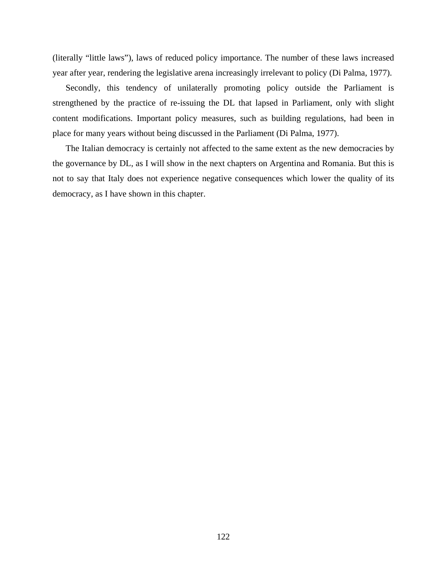(literally "little laws"), laws of reduced policy importance. The number of these laws increased year after year, rendering the legislative arena increasingly irrelevant to policy (Di Palma, 1977).

Secondly, this tendency of unilaterally promoting policy outside the Parliament is strengthened by the practice of re-issuing the DL that lapsed in Parliament, only with slight content modifications. Important policy measures, such as building regulations, had been in place for many years without being discussed in the Parliament (Di Palma, 1977).

The Italian democracy is certainly not affected to the same extent as the new democracies by the governance by DL, as I will show in the next chapters on Argentina and Romania. But this is not to say that Italy does not experience negative consequences which lower the quality of its democracy, as I have shown in this chapter.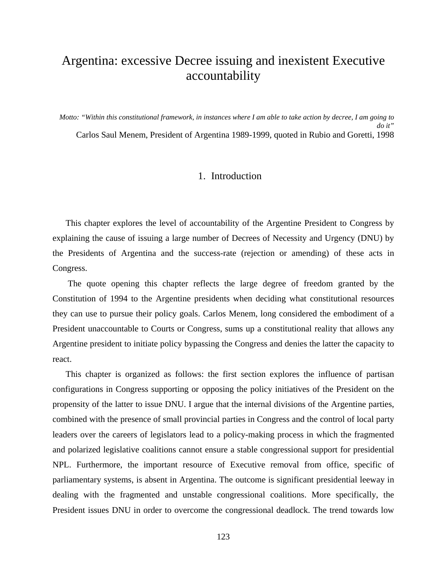# Argentina: excessive Decree issuing and inexistent Executive accountability

*Motto: "Within this constitutional framework, in instances where I am able to take action by decree, I am going to do it"*  Carlos Saul Menem, President of Argentina 1989-1999, quoted in Rubio and Goretti, 1998

## 1. Introduction

This chapter explores the level of accountability of the Argentine President to Congress by explaining the cause of issuing a large number of Decrees of Necessity and Urgency (DNU) by the Presidents of Argentina and the success-rate (rejection or amending) of these acts in Congress.

 The quote opening this chapter reflects the large degree of freedom granted by the Constitution of 1994 to the Argentine presidents when deciding what constitutional resources they can use to pursue their policy goals. Carlos Menem, long considered the embodiment of a President unaccountable to Courts or Congress, sums up a constitutional reality that allows any Argentine president to initiate policy bypassing the Congress and denies the latter the capacity to react.

This chapter is organized as follows: the first section explores the influence of partisan configurations in Congress supporting or opposing the policy initiatives of the President on the propensity of the latter to issue DNU. I argue that the internal divisions of the Argentine parties, combined with the presence of small provincial parties in Congress and the control of local party leaders over the careers of legislators lead to a policy-making process in which the fragmented and polarized legislative coalitions cannot ensure a stable congressional support for presidential NPL. Furthermore, the important resource of Executive removal from office, specific of parliamentary systems, is absent in Argentina. The outcome is significant presidential leeway in dealing with the fragmented and unstable congressional coalitions. More specifically, the President issues DNU in order to overcome the congressional deadlock. The trend towards low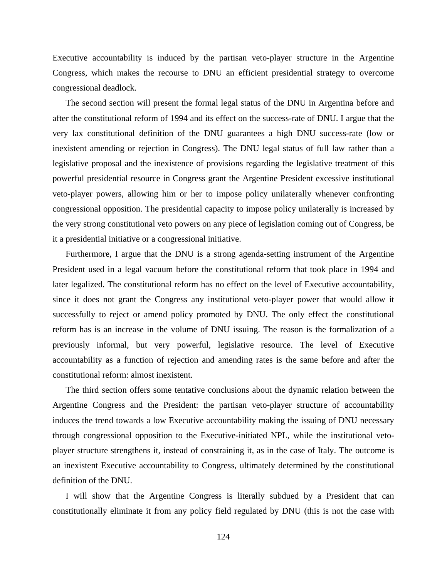Executive accountability is induced by the partisan veto-player structure in the Argentine Congress, which makes the recourse to DNU an efficient presidential strategy to overcome congressional deadlock.

The second section will present the formal legal status of the DNU in Argentina before and after the constitutional reform of 1994 and its effect on the success-rate of DNU. I argue that the very lax constitutional definition of the DNU guarantees a high DNU success-rate (low or inexistent amending or rejection in Congress). The DNU legal status of full law rather than a legislative proposal and the inexistence of provisions regarding the legislative treatment of this powerful presidential resource in Congress grant the Argentine President excessive institutional veto-player powers, allowing him or her to impose policy unilaterally whenever confronting congressional opposition. The presidential capacity to impose policy unilaterally is increased by the very strong constitutional veto powers on any piece of legislation coming out of Congress, be it a presidential initiative or a congressional initiative.

Furthermore, I argue that the DNU is a strong agenda-setting instrument of the Argentine President used in a legal vacuum before the constitutional reform that took place in 1994 and later legalized. The constitutional reform has no effect on the level of Executive accountability, since it does not grant the Congress any institutional veto-player power that would allow it successfully to reject or amend policy promoted by DNU. The only effect the constitutional reform has is an increase in the volume of DNU issuing. The reason is the formalization of a previously informal, but very powerful, legislative resource. The level of Executive accountability as a function of rejection and amending rates is the same before and after the constitutional reform: almost inexistent.

The third section offers some tentative conclusions about the dynamic relation between the Argentine Congress and the President: the partisan veto-player structure of accountability induces the trend towards a low Executive accountability making the issuing of DNU necessary through congressional opposition to the Executive-initiated NPL, while the institutional vetoplayer structure strengthens it, instead of constraining it, as in the case of Italy. The outcome is an inexistent Executive accountability to Congress, ultimately determined by the constitutional definition of the DNU.

I will show that the Argentine Congress is literally subdued by a President that can constitutionally eliminate it from any policy field regulated by DNU (this is not the case with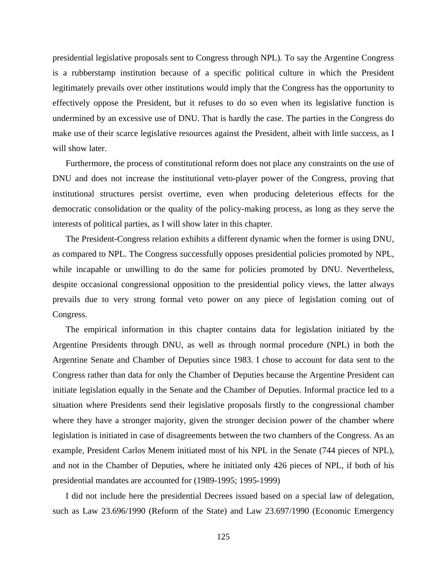presidential legislative proposals sent to Congress through NPL). To say the Argentine Congress is a rubberstamp institution because of a specific political culture in which the President legitimately prevails over other institutions would imply that the Congress has the opportunity to effectively oppose the President, but it refuses to do so even when its legislative function is undermined by an excessive use of DNU. That is hardly the case. The parties in the Congress do make use of their scarce legislative resources against the President, albeit with little success, as I will show later.

Furthermore, the process of constitutional reform does not place any constraints on the use of DNU and does not increase the institutional veto-player power of the Congress, proving that institutional structures persist overtime, even when producing deleterious effects for the democratic consolidation or the quality of the policy-making process, as long as they serve the interests of political parties, as I will show later in this chapter.

The President-Congress relation exhibits a different dynamic when the former is using DNU, as compared to NPL. The Congress successfully opposes presidential policies promoted by NPL, while incapable or unwilling to do the same for policies promoted by DNU. Nevertheless, despite occasional congressional opposition to the presidential policy views, the latter always prevails due to very strong formal veto power on any piece of legislation coming out of Congress.

The empirical information in this chapter contains data for legislation initiated by the Argentine Presidents through DNU, as well as through normal procedure (NPL) in both the Argentine Senate and Chamber of Deputies since 1983. I chose to account for data sent to the Congress rather than data for only the Chamber of Deputies because the Argentine President can initiate legislation equally in the Senate and the Chamber of Deputies. Informal practice led to a situation where Presidents send their legislative proposals firstly to the congressional chamber where they have a stronger majority, given the stronger decision power of the chamber where legislation is initiated in case of disagreements between the two chambers of the Congress. As an example, President Carlos Menem initiated most of his NPL in the Senate (744 pieces of NPL), and not in the Chamber of Deputies, where he initiated only 426 pieces of NPL, if both of his presidential mandates are accounted for (1989-1995; 1995-1999)

I did not include here the presidential Decrees issued based on a special law of delegation, such as Law 23.696/1990 (Reform of the State) and Law 23.697/1990 (Economic Emergency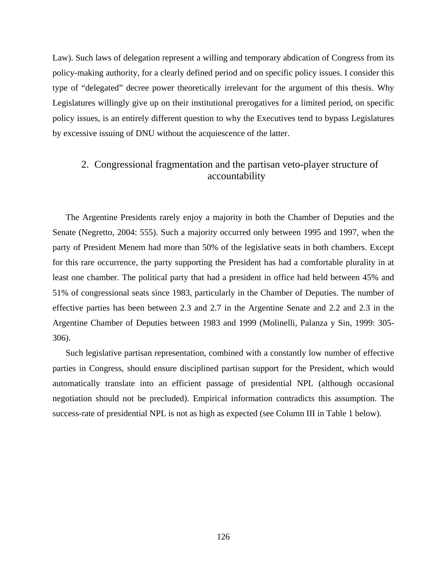Law). Such laws of delegation represent a willing and temporary abdication of Congress from its policy-making authority, for a clearly defined period and on specific policy issues. I consider this type of "delegated" decree power theoretically irrelevant for the argument of this thesis. Why Legislatures willingly give up on their institutional prerogatives for a limited period, on specific policy issues, is an entirely different question to why the Executives tend to bypass Legislatures by excessive issuing of DNU without the acquiescence of the latter.

# 2. Congressional fragmentation and the partisan veto-player structure of accountability

The Argentine Presidents rarely enjoy a majority in both the Chamber of Deputies and the Senate (Negretto, 2004: 555). Such a majority occurred only between 1995 and 1997, when the party of President Menem had more than 50% of the legislative seats in both chambers. Except for this rare occurrence, the party supporting the President has had a comfortable plurality in at least one chamber. The political party that had a president in office had held between 45% and 51% of congressional seats since 1983, particularly in the Chamber of Deputies. The number of effective parties has been between 2.3 and 2.7 in the Argentine Senate and 2.2 and 2.3 in the Argentine Chamber of Deputies between 1983 and 1999 (Molinelli, Palanza y Sin, 1999: 305- 306).

Such legislative partisan representation, combined with a constantly low number of effective parties in Congress, should ensure disciplined partisan support for the President, which would automatically translate into an efficient passage of presidential NPL (although occasional negotiation should not be precluded). Empirical information contradicts this assumption. The success-rate of presidential NPL is not as high as expected (see Column III in Table 1 below).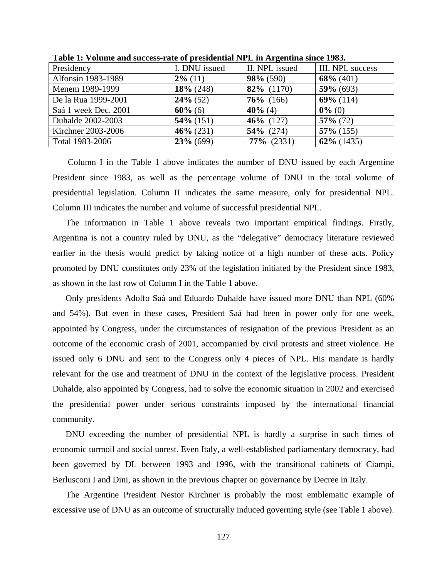| Presidency           | I. DNU issued | II. NPL issued | III. NPL success |
|----------------------|---------------|----------------|------------------|
| Alfonsin 1983-1989   | $2\%$ (11)    | $98\%$ (590)   | $68\%$ (401)     |
| Menem 1989-1999      | $18\%$ (248)  | 82% (1170)     | $59\%$ (693)     |
| De la Rua 1999-2001  | $24\%$ (52)   | $76\%$ (166)   | $69\%$ (114)     |
| Saá 1 week Dec. 2001 | $60\%$ (6)    | $40\%$ (4)     | $0\%$ (0)        |
| Duhalde 2002-2003    | $54\%$ (151)  | $46\%$ (127)   | $57\%$ (72)      |
| Kirchner 2003-2006   | $46\% (231)$  | $54\%$ (274)   | $57\%$ (155)     |
| Total 1983-2006      | $23\%$ (699)  | $77\%$ (2331)  | $62\%$ (1435)    |

**Table 1: Volume and success-rate of presidential NPL in Argentina since 1983.** 

 Column I in the Table 1 above indicates the number of DNU issued by each Argentine President since 1983, as well as the percentage volume of DNU in the total volume of presidential legislation. Column II indicates the same measure, only for presidential NPL. Column III indicates the number and volume of successful presidential NPL.

The information in Table 1 above reveals two important empirical findings. Firstly, Argentina is not a country ruled by DNU, as the "delegative" democracy literature reviewed earlier in the thesis would predict by taking notice of a high number of these acts. Policy promoted by DNU constitutes only 23% of the legislation initiated by the President since 1983, as shown in the last row of Column I in the Table 1 above.

Only presidents Adolfo Saá and Eduardo Duhalde have issued more DNU than NPL (60% and 54%). But even in these cases, President Saá had been in power only for one week, appointed by Congress, under the circumstances of resignation of the previous President as an outcome of the economic crash of 2001, accompanied by civil protests and street violence. He issued only 6 DNU and sent to the Congress only 4 pieces of NPL. His mandate is hardly relevant for the use and treatment of DNU in the context of the legislative process. President Duhalde, also appointed by Congress, had to solve the economic situation in 2002 and exercised the presidential power under serious constraints imposed by the international financial community.

DNU exceeding the number of presidential NPL is hardly a surprise in such times of economic turmoil and social unrest. Even Italy, a well-established parliamentary democracy, had been governed by DL between 1993 and 1996, with the transitional cabinets of Ciampi, Berlusconi I and Dini, as shown in the previous chapter on governance by Decree in Italy.

The Argentine President Nestor Kirchner is probably the most emblematic example of excessive use of DNU as an outcome of structurally induced governing style (see Table 1 above).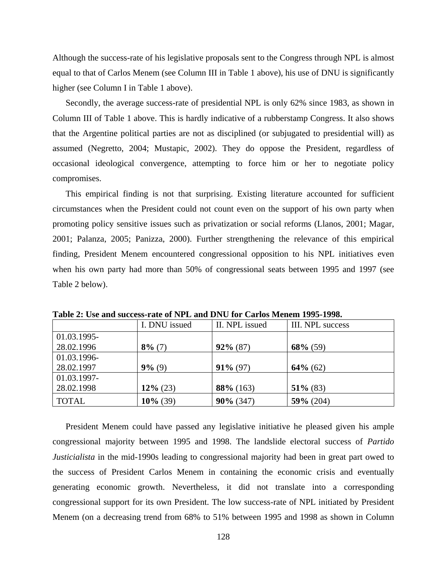Although the success-rate of his legislative proposals sent to the Congress through NPL is almost equal to that of Carlos Menem (see Column III in Table 1 above), his use of DNU is significantly higher (see Column I in Table 1 above).

Secondly, the average success-rate of presidential NPL is only 62% since 1983, as shown in Column III of Table 1 above. This is hardly indicative of a rubberstamp Congress. It also shows that the Argentine political parties are not as disciplined (or subjugated to presidential will) as assumed (Negretto, 2004; Mustapic, 2002). They do oppose the President, regardless of occasional ideological convergence, attempting to force him or her to negotiate policy compromises.

This empirical finding is not that surprising. Existing literature accounted for sufficient circumstances when the President could not count even on the support of his own party when promoting policy sensitive issues such as privatization or social reforms (Llanos, 2001; Magar, 2001; Palanza, 2005; Panizza, 2000). Further strengthening the relevance of this empirical finding, President Menem encountered congressional opposition to his NPL initiatives even when his own party had more than 50% of congressional seats between 1995 and 1997 (see Table 2 below).

|             | I. DNU issued | II. NPL issued | III. NPL success |
|-------------|---------------|----------------|------------------|
| 01.03.1995- |               |                |                  |
| 28.02.1996  | $8\%$ (7)     | $92\% (87)$    | $68\%$ (59)      |
| 01.03.1996- |               |                |                  |
| 28.02.1997  | $9\%$ (9)     | $91\% (97)$    | $64\%$ (62)      |
| 01.03.1997- |               |                |                  |
| 28.02.1998  | $12\%$ (23)   | $88\%$ (163)   | $51\%$ (83)      |
| TOTAL       | $10\%$ (39)   | $90\%$ (347)   | $59\%$ (204)     |

**Table 2: Use and success-rate of NPL and DNU for Carlos Menem 1995-1998.** 

President Menem could have passed any legislative initiative he pleased given his ample congressional majority between 1995 and 1998. The landslide electoral success of *Partido Justicialista* in the mid-1990s leading to congressional majority had been in great part owed to the success of President Carlos Menem in containing the economic crisis and eventually generating economic growth. Nevertheless, it did not translate into a corresponding congressional support for its own President. The low success-rate of NPL initiated by President Menem (on a decreasing trend from 68% to 51% between 1995 and 1998 as shown in Column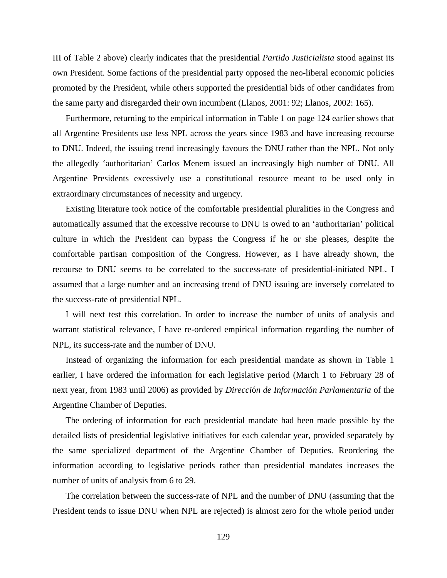III of Table 2 above) clearly indicates that the presidential *Partido Justicialista* stood against its own President. Some factions of the presidential party opposed the neo-liberal economic policies promoted by the President, while others supported the presidential bids of other candidates from the same party and disregarded their own incumbent (Llanos, 2001: 92; Llanos, 2002: 165).

Furthermore, returning to the empirical information in Table 1 on page 124 earlier shows that all Argentine Presidents use less NPL across the years since 1983 and have increasing recourse to DNU. Indeed, the issuing trend increasingly favours the DNU rather than the NPL. Not only the allegedly 'authoritarian' Carlos Menem issued an increasingly high number of DNU. All Argentine Presidents excessively use a constitutional resource meant to be used only in extraordinary circumstances of necessity and urgency.

Existing literature took notice of the comfortable presidential pluralities in the Congress and automatically assumed that the excessive recourse to DNU is owed to an 'authoritarian' political culture in which the President can bypass the Congress if he or she pleases, despite the comfortable partisan composition of the Congress. However, as I have already shown, the recourse to DNU seems to be correlated to the success-rate of presidential-initiated NPL. I assumed that a large number and an increasing trend of DNU issuing are inversely correlated to the success-rate of presidential NPL.

I will next test this correlation. In order to increase the number of units of analysis and warrant statistical relevance, I have re-ordered empirical information regarding the number of NPL, its success-rate and the number of DNU.

Instead of organizing the information for each presidential mandate as shown in Table 1 earlier, I have ordered the information for each legislative period (March 1 to February 28 of next year, from 1983 until 2006) as provided by *Direcci*ó*n de Informaci*ó*n Parlamentaria* of the Argentine Chamber of Deputies.

The ordering of information for each presidential mandate had been made possible by the detailed lists of presidential legislative initiatives for each calendar year, provided separately by the same specialized department of the Argentine Chamber of Deputies. Reordering the information according to legislative periods rather than presidential mandates increases the number of units of analysis from 6 to 29.

The correlation between the success-rate of NPL and the number of DNU (assuming that the President tends to issue DNU when NPL are rejected) is almost zero for the whole period under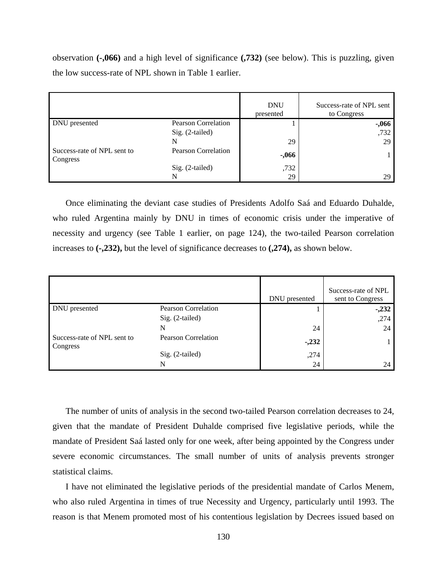observation **(-,066)** and a high level of significance **(,732)** (see below). This is puzzling, given the low success-rate of NPL shown in Table 1 earlier.

|                                         |                            | <b>DNU</b><br>presented | Success-rate of NPL sent<br>to Congress |
|-----------------------------------------|----------------------------|-------------------------|-----------------------------------------|
| DNU presented                           | Pearson Correlation        |                         | $-.066$                                 |
|                                         | Sig. (2-tailed)            |                         | ,732                                    |
|                                         | N                          | 29                      | 29                                      |
| Success-rate of NPL sent to<br>Congress | <b>Pearson Correlation</b> | $-0.066$                |                                         |
|                                         | Sig. (2-tailed)            | ,732                    |                                         |
|                                         | N                          | 29                      | 29                                      |

Once eliminating the deviant case studies of Presidents Adolfo Saá and Eduardo Duhalde, who ruled Argentina mainly by DNU in times of economic crisis under the imperative of necessity and urgency (see Table 1 earlier, on page 124), the two-tailed Pearson correlation increases to **(-,232),** but the level of significance decreases to **(,274),** as shown below.

|                                         |                            | DNU presented | Success-rate of NPL<br>sent to Congress |
|-----------------------------------------|----------------------------|---------------|-----------------------------------------|
| DNU presented                           | <b>Pearson Correlation</b> |               | $-.232$                                 |
|                                         | Sig. (2-tailed)            |               | ,274                                    |
|                                         | N                          | 24            | 24                                      |
| Success-rate of NPL sent to<br>Congress | <b>Pearson Correlation</b> | $-.232$       |                                         |
|                                         | Sig. (2-tailed)            | ,274          |                                         |
|                                         | N                          | 24            | 24                                      |

The number of units of analysis in the second two-tailed Pearson correlation decreases to 24, given that the mandate of President Duhalde comprised five legislative periods, while the mandate of President Saá lasted only for one week, after being appointed by the Congress under severe economic circumstances. The small number of units of analysis prevents stronger statistical claims.

I have not eliminated the legislative periods of the presidential mandate of Carlos Menem, who also ruled Argentina in times of true Necessity and Urgency, particularly until 1993. The reason is that Menem promoted most of his contentious legislation by Decrees issued based on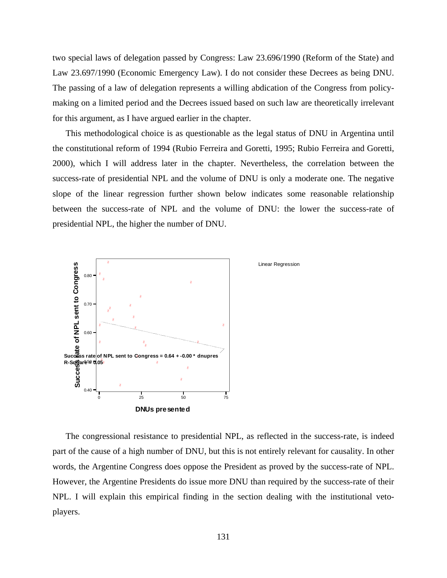two special laws of delegation passed by Congress: Law 23.696/1990 (Reform of the State) and Law 23.697/1990 (Economic Emergency Law). I do not consider these Decrees as being DNU. The passing of a law of delegation represents a willing abdication of the Congress from policymaking on a limited period and the Decrees issued based on such law are theoretically irrelevant for this argument, as I have argued earlier in the chapter.

This methodological choice is as questionable as the legal status of DNU in Argentina until the constitutional reform of 1994 (Rubio Ferreira and Goretti, 1995; Rubio Ferreira and Goretti, 2000), which I will address later in the chapter. Nevertheless, the correlation between the success-rate of presidential NPL and the volume of DNU is only a moderate one. The negative slope of the linear regression further shown below indicates some reasonable relationship between the success-rate of NPL and the volume of DNU: the lower the success-rate of presidential NPL, the higher the number of DNU.



Linear Regression

The congressional resistance to presidential NPL, as reflected in the success-rate, is indeed part of the cause of a high number of DNU, but this is not entirely relevant for causality. In other words, the Argentine Congress does oppose the President as proved by the success-rate of NPL. However, the Argentine Presidents do issue more DNU than required by the success-rate of their NPL. I will explain this empirical finding in the section dealing with the institutional vetoplayers.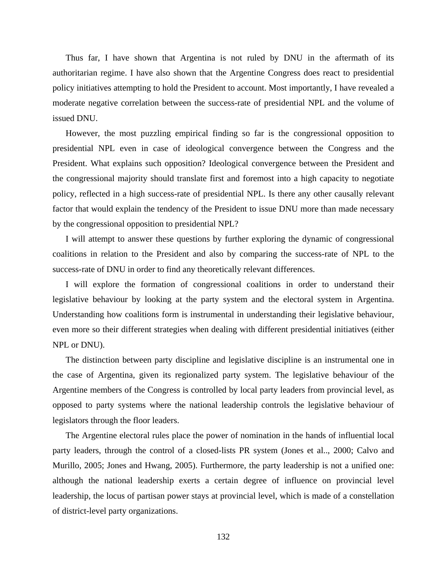Thus far, I have shown that Argentina is not ruled by DNU in the aftermath of its authoritarian regime. I have also shown that the Argentine Congress does react to presidential policy initiatives attempting to hold the President to account. Most importantly, I have revealed a moderate negative correlation between the success-rate of presidential NPL and the volume of issued DNU.

However, the most puzzling empirical finding so far is the congressional opposition to presidential NPL even in case of ideological convergence between the Congress and the President. What explains such opposition? Ideological convergence between the President and the congressional majority should translate first and foremost into a high capacity to negotiate policy, reflected in a high success-rate of presidential NPL. Is there any other causally relevant factor that would explain the tendency of the President to issue DNU more than made necessary by the congressional opposition to presidential NPL?

I will attempt to answer these questions by further exploring the dynamic of congressional coalitions in relation to the President and also by comparing the success-rate of NPL to the success-rate of DNU in order to find any theoretically relevant differences.

I will explore the formation of congressional coalitions in order to understand their legislative behaviour by looking at the party system and the electoral system in Argentina. Understanding how coalitions form is instrumental in understanding their legislative behaviour, even more so their different strategies when dealing with different presidential initiatives (either NPL or DNU).

The distinction between party discipline and legislative discipline is an instrumental one in the case of Argentina, given its regionalized party system. The legislative behaviour of the Argentine members of the Congress is controlled by local party leaders from provincial level, as opposed to party systems where the national leadership controls the legislative behaviour of legislators through the floor leaders.

The Argentine electoral rules place the power of nomination in the hands of influential local party leaders, through the control of a closed-lists PR system (Jones et al.., 2000; Calvo and Murillo, 2005; Jones and Hwang, 2005). Furthermore, the party leadership is not a unified one: although the national leadership exerts a certain degree of influence on provincial level leadership, the locus of partisan power stays at provincial level, which is made of a constellation of district-level party organizations.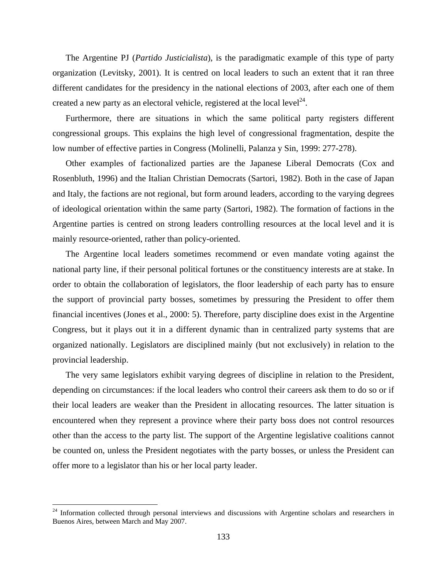The Argentine PJ (*Partido Justicialista*), is the paradigmatic example of this type of party organization (Levitsky, 2001). It is centred on local leaders to such an extent that it ran three different candidates for the presidency in the national elections of 2003, after each one of them created a new party as an electoral vehicle, registered at the local level<sup>24</sup>.

Furthermore, there are situations in which the same political party registers different congressional groups. This explains the high level of congressional fragmentation, despite the low number of effective parties in Congress (Molinelli, Palanza y Sin, 1999: 277-278).

Other examples of factionalized parties are the Japanese Liberal Democrats (Cox and Rosenbluth, 1996) and the Italian Christian Democrats (Sartori, 1982). Both in the case of Japan and Italy, the factions are not regional, but form around leaders, according to the varying degrees of ideological orientation within the same party (Sartori, 1982). The formation of factions in the Argentine parties is centred on strong leaders controlling resources at the local level and it is mainly resource-oriented, rather than policy-oriented.

The Argentine local leaders sometimes recommend or even mandate voting against the national party line, if their personal political fortunes or the constituency interests are at stake. In order to obtain the collaboration of legislators, the floor leadership of each party has to ensure the support of provincial party bosses, sometimes by pressuring the President to offer them financial incentives (Jones et al., 2000: 5). Therefore, party discipline does exist in the Argentine Congress, but it plays out it in a different dynamic than in centralized party systems that are organized nationally. Legislators are disciplined mainly (but not exclusively) in relation to the provincial leadership.

The very same legislators exhibit varying degrees of discipline in relation to the President, depending on circumstances: if the local leaders who control their careers ask them to do so or if their local leaders are weaker than the President in allocating resources. The latter situation is encountered when they represent a province where their party boss does not control resources other than the access to the party list. The support of the Argentine legislative coalitions cannot be counted on, unless the President negotiates with the party bosses, or unless the President can offer more to a legislator than his or her local party leader.

<sup>&</sup>lt;sup>24</sup> Information collected through personal interviews and discussions with Argentine scholars and researchers in Buenos Aires, between March and May 2007.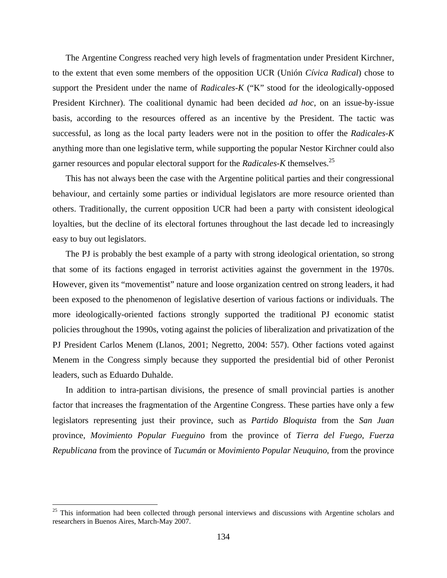The Argentine Congress reached very high levels of fragmentation under President Kirchner, to the extent that even some members of the opposition UCR (Unión *Cívica Radical*) chose to support the President under the name of *Radicales-K* ("K" stood for the ideologically-opposed President Kirchner). The coalitional dynamic had been decided *ad hoc*, on an issue-by-issue basis, according to the resources offered as an incentive by the President. The tactic was successful, as long as the local party leaders were not in the position to offer the *Radicales-K* anything more than one legislative term, while supporting the popular Nestor Kirchner could also garner resources and popular electoral support for the *Radicales-K* themselves.25

This has not always been the case with the Argentine political parties and their congressional behaviour, and certainly some parties or individual legislators are more resource oriented than others. Traditionally, the current opposition UCR had been a party with consistent ideological loyalties, but the decline of its electoral fortunes throughout the last decade led to increasingly easy to buy out legislators.

The PJ is probably the best example of a party with strong ideological orientation, so strong that some of its factions engaged in terrorist activities against the government in the 1970s. However, given its "movementist" nature and loose organization centred on strong leaders, it had been exposed to the phenomenon of legislative desertion of various factions or individuals. The more ideologically-oriented factions strongly supported the traditional PJ economic statist policies throughout the 1990s, voting against the policies of liberalization and privatization of the PJ President Carlos Menem (Llanos, 2001; Negretto, 2004: 557). Other factions voted against Menem in the Congress simply because they supported the presidential bid of other Peronist leaders, such as Eduardo Duhalde.

In addition to intra-partisan divisions, the presence of small provincial parties is another factor that increases the fragmentation of the Argentine Congress. These parties have only a few legislators representing just their province, such as *Partido Bloquista* from the *San Juan* province, *Movimiento Popular Fueguino* from the province of *Tierra del Fuego*, *Fuerza Republicana* from the province of *Tucumán* or *Movimiento Popular Neuquino*, from the province

1

<sup>&</sup>lt;sup>25</sup> This information had been collected through personal interviews and discussions with Argentine scholars and researchers in Buenos Aires, March-May 2007.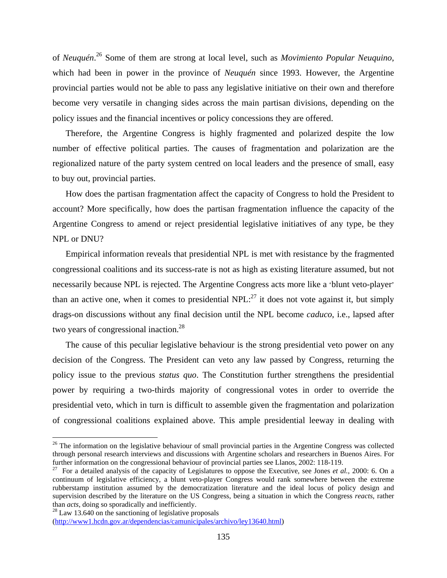of *Neuquén*. 26 Some of them are strong at local level, such as *Movimiento Popular Neuquino*, which had been in power in the province of *Neuquén* since 1993. However, the Argentine provincial parties would not be able to pass any legislative initiative on their own and therefore become very versatile in changing sides across the main partisan divisions, depending on the policy issues and the financial incentives or policy concessions they are offered.

Therefore, the Argentine Congress is highly fragmented and polarized despite the low number of effective political parties. The causes of fragmentation and polarization are the regionalized nature of the party system centred on local leaders and the presence of small, easy to buy out, provincial parties.

How does the partisan fragmentation affect the capacity of Congress to hold the President to account? More specifically, how does the partisan fragmentation influence the capacity of the Argentine Congress to amend or reject presidential legislative initiatives of any type, be they NPL or DNU?

Empirical information reveals that presidential NPL is met with resistance by the fragmented congressional coalitions and its success-rate is not as high as existing literature assumed, but not necessarily because NPL is rejected. The Argentine Congress acts more like a 'blunt veto-player' than an active one, when it comes to presidential NPL: $^{27}$  it does not vote against it, but simply drags-on discussions without any final decision until the NPL become *caduco*, i.e., lapsed after two years of congressional inaction.<sup>28</sup>

The cause of this peculiar legislative behaviour is the strong presidential veto power on any decision of the Congress. The President can veto any law passed by Congress, returning the policy issue to the previous *status quo*. The Constitution further strengthens the presidential power by requiring a two-thirds majority of congressional votes in order to override the presidential veto, which in turn is difficult to assemble given the fragmentation and polarization of congressional coalitions explained above. This ample presidential leeway in dealing with

 $26$  The information on the legislative behaviour of small provincial parties in the Argentine Congress was collected through personal research interviews and discussions with Argentine scholars and researchers in Buenos Aires. For further information on the congressional behaviour of provincial parties see Llanos, 2002: 118-119.

<sup>&</sup>lt;sup>27</sup> For a detailed analysis of the capacity of Legislatures to oppose the Executive, see Jones *et al.*, 2000: 6. On a continuum of legislative efficiency, a blunt veto-player Congress would rank somewhere between the extreme rubberstamp institution assumed by the democratization literature and the ideal locus of policy design and supervision described by the literature on the US Congress, being a situation in which the Congress *reacts*, rather than *acts*, doing so sporadically and inefficiently.

<sup>&</sup>lt;sup>28</sup> Law 13.640 on the sanctioning of legislative proposals (http://www1.hcdn.gov.ar/dependencias/camunicipales/archivo/ley13640.html)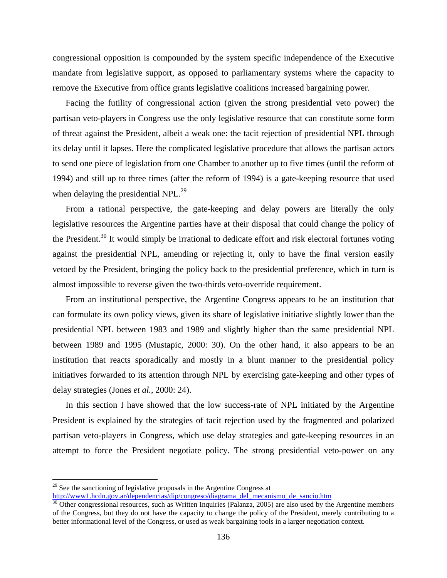congressional opposition is compounded by the system specific independence of the Executive mandate from legislative support, as opposed to parliamentary systems where the capacity to remove the Executive from office grants legislative coalitions increased bargaining power.

Facing the futility of congressional action (given the strong presidential veto power) the partisan veto-players in Congress use the only legislative resource that can constitute some form of threat against the President, albeit a weak one: the tacit rejection of presidential NPL through its delay until it lapses. Here the complicated legislative procedure that allows the partisan actors to send one piece of legislation from one Chamber to another up to five times (until the reform of 1994) and still up to three times (after the reform of 1994) is a gate-keeping resource that used when delaying the presidential NPL.<sup>29</sup>

From a rational perspective, the gate-keeping and delay powers are literally the only legislative resources the Argentine parties have at their disposal that could change the policy of the President.<sup>30</sup> It would simply be irrational to dedicate effort and risk electoral fortunes voting against the presidential NPL, amending or rejecting it, only to have the final version easily vetoed by the President, bringing the policy back to the presidential preference, which in turn is almost impossible to reverse given the two-thirds veto-override requirement.

From an institutional perspective, the Argentine Congress appears to be an institution that can formulate its own policy views, given its share of legislative initiative slightly lower than the presidential NPL between 1983 and 1989 and slightly higher than the same presidential NPL between 1989 and 1995 (Mustapic, 2000: 30). On the other hand, it also appears to be an institution that reacts sporadically and mostly in a blunt manner to the presidential policy initiatives forwarded to its attention through NPL by exercising gate-keeping and other types of delay strategies (Jones *et al.*, 2000: 24).

In this section I have showed that the low success-rate of NPL initiated by the Argentine President is explained by the strategies of tacit rejection used by the fragmented and polarized partisan veto-players in Congress, which use delay strategies and gate-keeping resources in an attempt to force the President negotiate policy. The strong presidential veto-power on any

<sup>&</sup>lt;sup>29</sup> See the sanctioning of legislative proposals in the Argentine Congress at  $\frac{http://www1.hcdn.gov.ar/dependencias/dip/congreso/diagrama$  del mecanismo de sancio.htm

 $\frac{30}{30}$  Other congressional resources, such as Written Inquiries (Palanza, 2005) are also used by the Argentine members of the Congress, but they do not have the capacity to change the policy of the President, merely contributing to a better informational level of the Congress, or used as weak bargaining tools in a larger negotiation context.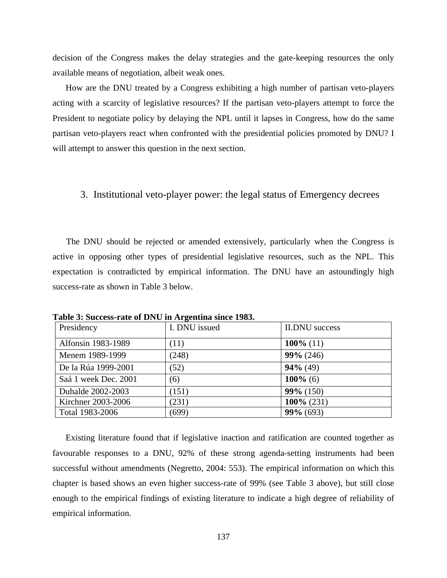decision of the Congress makes the delay strategies and the gate-keeping resources the only available means of negotiation, albeit weak ones.

How are the DNU treated by a Congress exhibiting a high number of partisan veto-players acting with a scarcity of legislative resources? If the partisan veto-players attempt to force the President to negotiate policy by delaying the NPL until it lapses in Congress, how do the same partisan veto-players react when confronted with the presidential policies promoted by DNU? I will attempt to answer this question in the next section.

## 3. Institutional veto-player power: the legal status of Emergency decrees

The DNU should be rejected or amended extensively, particularly when the Congress is active in opposing other types of presidential legislative resources, such as the NPL. This expectation is contradicted by empirical information. The DNU have an astoundingly high success-rate as shown in Table 3 below.

| Presidency           | I. DNU issued | <b>II.DNU</b> success |
|----------------------|---------------|-----------------------|
| Alfonsin 1983-1989   | (11)          | 100\% $(11)$          |
| Menem 1989-1999      | (248)         | $99\% (246)$          |
| De la Rúa 1999-2001  | (52)          | $94\%$ (49)           |
| Saá 1 week Dec. 2001 | (6)           | $100\%$ (6)           |
| Duhalde 2002-2003    | (151)         | $99\% (150)$          |
| Kirchner 2003-2006   | (231)         | $100\% (231)$         |
| Total 1983-2006      | (699)         | $99\% (693)$          |

**Table 3: Success-rate of DNU in Argentina since 1983.** 

Existing literature found that if legislative inaction and ratification are counted together as favourable responses to a DNU, 92% of these strong agenda-setting instruments had been successful without amendments (Negretto, 2004: 553). The empirical information on which this chapter is based shows an even higher success-rate of 99% (see Table 3 above), but still close enough to the empirical findings of existing literature to indicate a high degree of reliability of empirical information.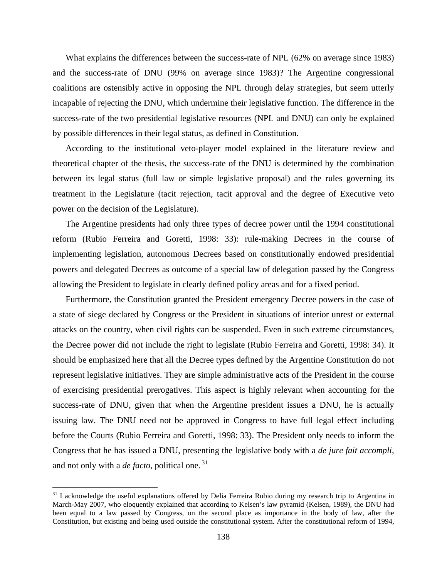What explains the differences between the success-rate of NPL (62% on average since 1983) and the success-rate of DNU (99% on average since 1983)? The Argentine congressional coalitions are ostensibly active in opposing the NPL through delay strategies, but seem utterly incapable of rejecting the DNU, which undermine their legislative function. The difference in the success-rate of the two presidential legislative resources (NPL and DNU) can only be explained by possible differences in their legal status, as defined in Constitution.

According to the institutional veto-player model explained in the literature review and theoretical chapter of the thesis, the success-rate of the DNU is determined by the combination between its legal status (full law or simple legislative proposal) and the rules governing its treatment in the Legislature (tacit rejection, tacit approval and the degree of Executive veto power on the decision of the Legislature).

The Argentine presidents had only three types of decree power until the 1994 constitutional reform (Rubio Ferreira and Goretti, 1998: 33): rule-making Decrees in the course of implementing legislation, autonomous Decrees based on constitutionally endowed presidential powers and delegated Decrees as outcome of a special law of delegation passed by the Congress allowing the President to legislate in clearly defined policy areas and for a fixed period.

Furthermore, the Constitution granted the President emergency Decree powers in the case of a state of siege declared by Congress or the President in situations of interior unrest or external attacks on the country, when civil rights can be suspended. Even in such extreme circumstances, the Decree power did not include the right to legislate (Rubio Ferreira and Goretti, 1998: 34). It should be emphasized here that all the Decree types defined by the Argentine Constitution do not represent legislative initiatives. They are simple administrative acts of the President in the course of exercising presidential prerogatives. This aspect is highly relevant when accounting for the success-rate of DNU, given that when the Argentine president issues a DNU, he is actually issuing law. The DNU need not be approved in Congress to have full legal effect including before the Courts (Rubio Ferreira and Goretti, 1998: 33). The President only needs to inform the Congress that he has issued a DNU, presenting the legislative body with a *de jure fait accompli*, and not only with a *de facto*, political one. 31

 $31$  I acknowledge the useful explanations offered by Delia Ferreira Rubio during my research trip to Argentina in March-May 2007, who eloquently explained that according to Kelsen's law pyramid (Kelsen, 1989), the DNU had been equal to a law passed by Congress, on the second place as importance in the body of law, after the Constitution, but existing and being used outside the constitutional system. After the constitutional reform of 1994,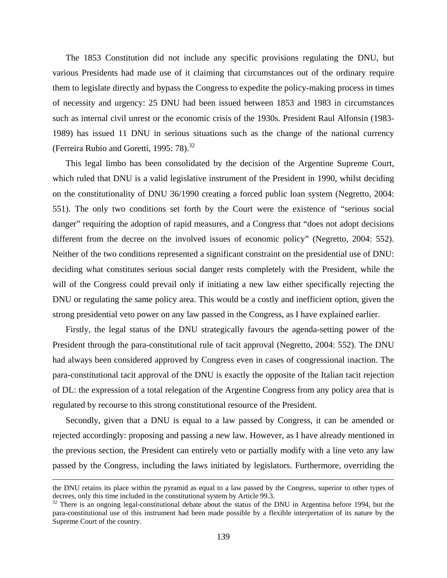The 1853 Constitution did not include any specific provisions regulating the DNU, but various Presidents had made use of it claiming that circumstances out of the ordinary require them to legislate directly and bypass the Congress to expedite the policy-making process in times of necessity and urgency: 25 DNU had been issued between 1853 and 1983 in circumstances such as internal civil unrest or the economic crisis of the 1930s. President Raul Alfonsin (1983- 1989) has issued 11 DNU in serious situations such as the change of the national currency (Ferreira Rubio and Goretti, 1995: 78).<sup>32</sup>

This legal limbo has been consolidated by the decision of the Argentine Supreme Court, which ruled that DNU is a valid legislative instrument of the President in 1990, whilst deciding on the constitutionality of DNU 36/1990 creating a forced public loan system (Negretto, 2004: 551). The only two conditions set forth by the Court were the existence of "serious social danger" requiring the adoption of rapid measures, and a Congress that "does not adopt decisions" different from the decree on the involved issues of economic policy" (Negretto, 2004: 552). Neither of the two conditions represented a significant constraint on the presidential use of DNU: deciding what constitutes serious social danger rests completely with the President, while the will of the Congress could prevail only if initiating a new law either specifically rejecting the DNU or regulating the same policy area. This would be a costly and inefficient option, given the strong presidential veto power on any law passed in the Congress, as I have explained earlier.

Firstly, the legal status of the DNU strategically favours the agenda-setting power of the President through the para-constitutional rule of tacit approval (Negretto, 2004: 552). The DNU had always been considered approved by Congress even in cases of congressional inaction. The para-constitutional tacit approval of the DNU is exactly the opposite of the Italian tacit rejection of DL: the expression of a total relegation of the Argentine Congress from any policy area that is regulated by recourse to this strong constitutional resource of the President.

Secondly, given that a DNU is equal to a law passed by Congress, it can be amended or rejected accordingly: proposing and passing a new law. However, as I have already mentioned in the previous section, the President can entirely veto or partially modify with a line veto any law passed by the Congress, including the laws initiated by legislators. Furthermore, overriding the

the DNU retains its place within the pyramid as equal to a law passed by the Congress, superior to other types of decrees, only this time included in the constitutional system by Article 99.3.

 $32$  There is an ongoing legal-constitutional debate about the status of the DNU in Argentina before 1994, but the para-constitutional use of this instrument had been made possible by a flexible interpretation of its nature by the Supreme Court of the country.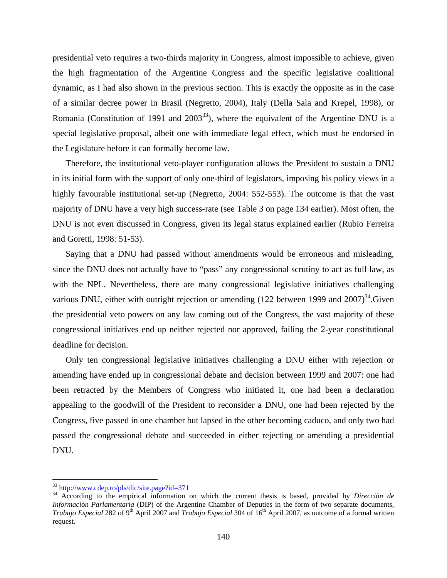presidential veto requires a two-thirds majority in Congress, almost impossible to achieve, given the high fragmentation of the Argentine Congress and the specific legislative coalitional dynamic, as I had also shown in the previous section. This is exactly the opposite as in the case of a similar decree power in Brasil (Negretto, 2004), Italy (Della Sala and Krepel, 1998), or Romania (Constitution of 1991 and  $2003^{33}$ ), where the equivalent of the Argentine DNU is a special legislative proposal, albeit one with immediate legal effect, which must be endorsed in the Legislature before it can formally become law.

Therefore, the institutional veto-player configuration allows the President to sustain a DNU in its initial form with the support of only one-third of legislators, imposing his policy views in a highly favourable institutional set-up (Negretto, 2004: 552-553). The outcome is that the vast majority of DNU have a very high success-rate (see Table 3 on page 134 earlier). Most often, the DNU is not even discussed in Congress, given its legal status explained earlier (Rubio Ferreira and Goretti, 1998: 51-53).

Saying that a DNU had passed without amendments would be erroneous and misleading, since the DNU does not actually have to "pass" any congressional scrutiny to act as full law, as with the NPL. Nevertheless, there are many congressional legislative initiatives challenging various DNU, either with outright rejection or amending (122 between 1999 and  $2007$ )<sup>34</sup>. Given the presidential veto powers on any law coming out of the Congress, the vast majority of these congressional initiatives end up neither rejected nor approved, failing the 2-year constitutional deadline for decision.

Only ten congressional legislative initiatives challenging a DNU either with rejection or amending have ended up in congressional debate and decision between 1999 and 2007: one had been retracted by the Members of Congress who initiated it, one had been a declaration appealing to the goodwill of the President to reconsider a DNU, one had been rejected by the Congress, five passed in one chamber but lapsed in the other becoming caduco, and only two had passed the congressional debate and succeeded in either rejecting or amending a presidential DNU.

 $33 \frac{\text{http://www.cdep-ro/pls/dic/site.page?id=371}}{$ 

<sup>&</sup>lt;sup>34</sup> According to the empirical information on which the current thesis is based, provided by *Dirección de Informaci*ó*n Parlamentaria* (DIP) of the Argentine Chamber of Deputies in the form of two separate documents, *Trabajo Especial* 282 of 9<sup>th</sup> April 2007 and *Trabajo Especial* 304 of 16<sup>th</sup> April 2007, as outcome of a formal written request.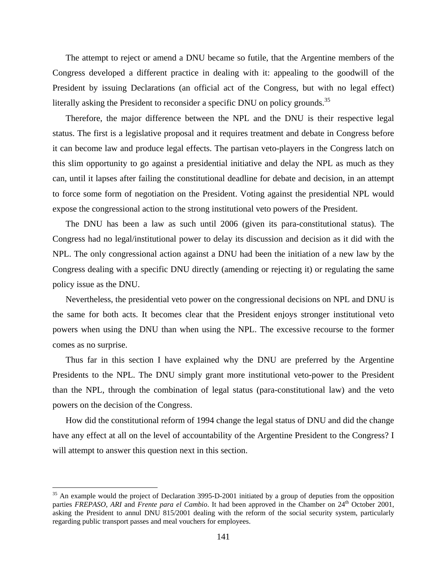The attempt to reject or amend a DNU became so futile, that the Argentine members of the Congress developed a different practice in dealing with it: appealing to the goodwill of the President by issuing Declarations (an official act of the Congress, but with no legal effect) literally asking the President to reconsider a specific DNU on policy grounds.<sup>35</sup>

Therefore, the major difference between the NPL and the DNU is their respective legal status. The first is a legislative proposal and it requires treatment and debate in Congress before it can become law and produce legal effects. The partisan veto-players in the Congress latch on this slim opportunity to go against a presidential initiative and delay the NPL as much as they can, until it lapses after failing the constitutional deadline for debate and decision, in an attempt to force some form of negotiation on the President. Voting against the presidential NPL would expose the congressional action to the strong institutional veto powers of the President.

The DNU has been a law as such until 2006 (given its para-constitutional status). The Congress had no legal/institutional power to delay its discussion and decision as it did with the NPL. The only congressional action against a DNU had been the initiation of a new law by the Congress dealing with a specific DNU directly (amending or rejecting it) or regulating the same policy issue as the DNU.

Nevertheless, the presidential veto power on the congressional decisions on NPL and DNU is the same for both acts. It becomes clear that the President enjoys stronger institutional veto powers when using the DNU than when using the NPL. The excessive recourse to the former comes as no surprise.

Thus far in this section I have explained why the DNU are preferred by the Argentine Presidents to the NPL. The DNU simply grant more institutional veto-power to the President than the NPL, through the combination of legal status (para-constitutional law) and the veto powers on the decision of the Congress.

How did the constitutional reform of 1994 change the legal status of DNU and did the change have any effect at all on the level of accountability of the Argentine President to the Congress? I will attempt to answer this question next in this section.

<sup>&</sup>lt;sup>35</sup> An example would the project of Declaration 3995-D-2001 initiated by a group of deputies from the opposition parties *FREPASO*, *ARI* and *Frente para el Cambio*. It had been approved in the Chamber on 24<sup>th</sup> October 2001, asking the President to annul DNU 815/2001 dealing with the reform of the social security system, particularly regarding public transport passes and meal vouchers for employees.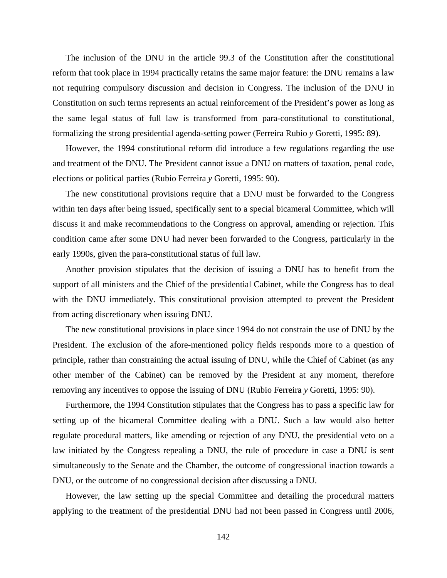The inclusion of the DNU in the article 99.3 of the Constitution after the constitutional reform that took place in 1994 practically retains the same major feature: the DNU remains a law not requiring compulsory discussion and decision in Congress. The inclusion of the DNU in Constitution on such terms represents an actual reinforcement of the President's power as long as the same legal status of full law is transformed from para-constitutional to constitutional, formalizing the strong presidential agenda-setting power (Ferreira Rubio *y* Goretti, 1995: 89).

However, the 1994 constitutional reform did introduce a few regulations regarding the use and treatment of the DNU. The President cannot issue a DNU on matters of taxation, penal code, elections or political parties (Rubio Ferreira *y* Goretti, 1995: 90).

The new constitutional provisions require that a DNU must be forwarded to the Congress within ten days after being issued, specifically sent to a special bicameral Committee, which will discuss it and make recommendations to the Congress on approval, amending or rejection. This condition came after some DNU had never been forwarded to the Congress, particularly in the early 1990s, given the para-constitutional status of full law.

Another provision stipulates that the decision of issuing a DNU has to benefit from the support of all ministers and the Chief of the presidential Cabinet, while the Congress has to deal with the DNU immediately. This constitutional provision attempted to prevent the President from acting discretionary when issuing DNU.

The new constitutional provisions in place since 1994 do not constrain the use of DNU by the President. The exclusion of the afore-mentioned policy fields responds more to a question of principle, rather than constraining the actual issuing of DNU, while the Chief of Cabinet (as any other member of the Cabinet) can be removed by the President at any moment, therefore removing any incentives to oppose the issuing of DNU (Rubio Ferreira *y* Goretti, 1995: 90).

Furthermore, the 1994 Constitution stipulates that the Congress has to pass a specific law for setting up of the bicameral Committee dealing with a DNU. Such a law would also better regulate procedural matters, like amending or rejection of any DNU, the presidential veto on a law initiated by the Congress repealing a DNU, the rule of procedure in case a DNU is sent simultaneously to the Senate and the Chamber, the outcome of congressional inaction towards a DNU, or the outcome of no congressional decision after discussing a DNU.

However, the law setting up the special Committee and detailing the procedural matters applying to the treatment of the presidential DNU had not been passed in Congress until 2006,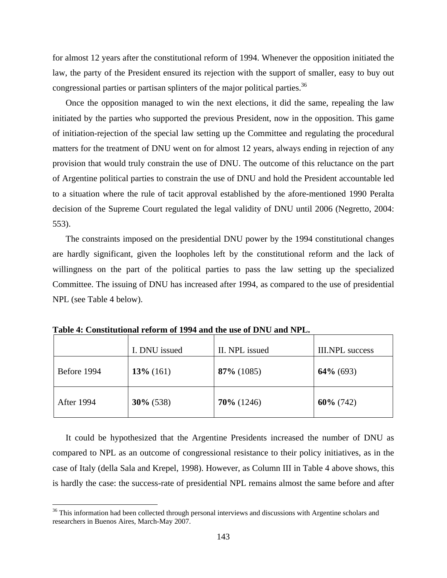for almost 12 years after the constitutional reform of 1994. Whenever the opposition initiated the law, the party of the President ensured its rejection with the support of smaller, easy to buy out congressional parties or partisan splinters of the major political parties.<sup>36</sup>

Once the opposition managed to win the next elections, it did the same, repealing the law initiated by the parties who supported the previous President, now in the opposition. This game of initiation-rejection of the special law setting up the Committee and regulating the procedural matters for the treatment of DNU went on for almost 12 years, always ending in rejection of any provision that would truly constrain the use of DNU. The outcome of this reluctance on the part of Argentine political parties to constrain the use of DNU and hold the President accountable led to a situation where the rule of tacit approval established by the afore-mentioned 1990 Peralta decision of the Supreme Court regulated the legal validity of DNU until 2006 (Negretto, 2004: 553).

The constraints imposed on the presidential DNU power by the 1994 constitutional changes are hardly significant, given the loopholes left by the constitutional reform and the lack of willingness on the part of the political parties to pass the law setting up the specialized Committee. The issuing of DNU has increased after 1994, as compared to the use of presidential NPL (see Table 4 below).

|                   | I. DNU issued | II. NPL issued | <b>III.NPL</b> success |
|-------------------|---------------|----------------|------------------------|
| Before 1994       | $13\%$ (161)  | $87\%$ (1085)  | $64\%$ (693)           |
| <b>After 1994</b> | $30\%$ (538)  | $70\%$ (1246)  | $60\%$ (742)           |

**Table 4: Constitutional reform of 1994 and the use of DNU and NPL.** 

1

It could be hypothesized that the Argentine Presidents increased the number of DNU as compared to NPL as an outcome of congressional resistance to their policy initiatives, as in the case of Italy (della Sala and Krepel, 1998). However, as Column III in Table 4 above shows, this is hardly the case: the success-rate of presidential NPL remains almost the same before and after

<sup>&</sup>lt;sup>36</sup> This information had been collected through personal interviews and discussions with Argentine scholars and researchers in Buenos Aires, March-May 2007.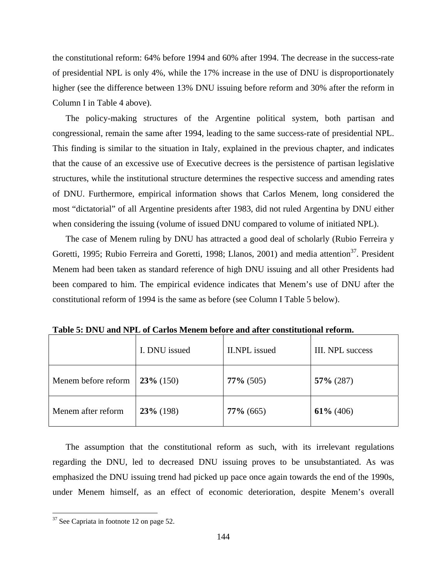the constitutional reform: 64% before 1994 and 60% after 1994. The decrease in the success-rate of presidential NPL is only 4%, while the 17% increase in the use of DNU is disproportionately higher (see the difference between 13% DNU issuing before reform and 30% after the reform in Column I in Table 4 above).

The policy-making structures of the Argentine political system, both partisan and congressional, remain the same after 1994, leading to the same success-rate of presidential NPL. This finding is similar to the situation in Italy, explained in the previous chapter, and indicates that the cause of an excessive use of Executive decrees is the persistence of partisan legislative structures, while the institutional structure determines the respective success and amending rates of DNU. Furthermore, empirical information shows that Carlos Menem, long considered the most "dictatorial" of all Argentine presidents after 1983, did not ruled Argentina by DNU either when considering the issuing (volume of issued DNU compared to volume of initiated NPL).

The case of Menem ruling by DNU has attracted a good deal of scholarly (Rubio Ferreira y Goretti, 1995; Rubio Ferreira and Goretti, 1998; Llanos, 2001) and media attention<sup>37</sup>. President Menem had been taken as standard reference of high DNU issuing and all other Presidents had been compared to him. The empirical evidence indicates that Menem's use of DNU after the constitutional reform of 1994 is the same as before (see Column I Table 5 below).

|                     | I. DNU issued | II.NPL issued | III. NPL success |
|---------------------|---------------|---------------|------------------|
| Menem before reform | $23\%$ (150)  | $77\%$ (505)  | $57\%$ (287)     |
| Menem after reform  | $23\%$ (198)  | $77\%$ (665)  | $61\% (406)$     |

**Table 5: DNU and NPL of Carlos Menem before and after constitutional reform.** 

The assumption that the constitutional reform as such, with its irrelevant regulations regarding the DNU, led to decreased DNU issuing proves to be unsubstantiated. As was emphasized the DNU issuing trend had picked up pace once again towards the end of the 1990s, under Menem himself, as an effect of economic deterioration, despite Menem's overall

<u>.</u>

 $37$  See Capriata in footnote 12 on page 52.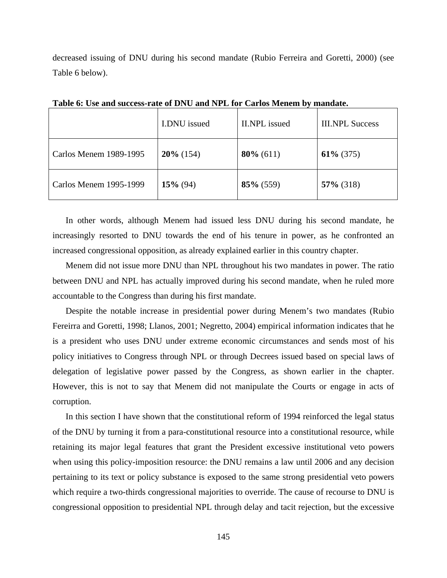decreased issuing of DNU during his second mandate (Rubio Ferreira and Goretti, 2000) (see Table 6 below).

|                        | I.DNU issued | <b>II.NPL</b> issued | <b>III.NPL Success</b> |
|------------------------|--------------|----------------------|------------------------|
| Carlos Menem 1989-1995 | $20\%$ (154) | $80\%$ (611)         | $61\% (375)$           |
| Carlos Menem 1995-1999 | $15\%$ (94)  | $85\%$ (559)         | $57\%$ (318)           |

**Table 6: Use and success-rate of DNU and NPL for Carlos Menem by mandate.** 

In other words, although Menem had issued less DNU during his second mandate, he increasingly resorted to DNU towards the end of his tenure in power, as he confronted an increased congressional opposition, as already explained earlier in this country chapter.

Menem did not issue more DNU than NPL throughout his two mandates in power. The ratio between DNU and NPL has actually improved during his second mandate, when he ruled more accountable to the Congress than during his first mandate.

Despite the notable increase in presidential power during Menem's two mandates (Rubio Fereirra and Goretti, 1998; Llanos, 2001; Negretto, 2004) empirical information indicates that he is a president who uses DNU under extreme economic circumstances and sends most of his policy initiatives to Congress through NPL or through Decrees issued based on special laws of delegation of legislative power passed by the Congress, as shown earlier in the chapter. However, this is not to say that Menem did not manipulate the Courts or engage in acts of corruption.

In this section I have shown that the constitutional reform of 1994 reinforced the legal status of the DNU by turning it from a para-constitutional resource into a constitutional resource, while retaining its major legal features that grant the President excessive institutional veto powers when using this policy-imposition resource: the DNU remains a law until 2006 and any decision pertaining to its text or policy substance is exposed to the same strong presidential veto powers which require a two-thirds congressional majorities to override. The cause of recourse to DNU is congressional opposition to presidential NPL through delay and tacit rejection, but the excessive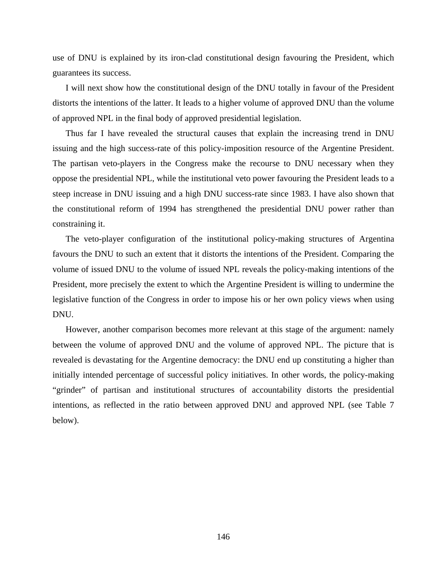use of DNU is explained by its iron-clad constitutional design favouring the President, which guarantees its success.

I will next show how the constitutional design of the DNU totally in favour of the President distorts the intentions of the latter. It leads to a higher volume of approved DNU than the volume of approved NPL in the final body of approved presidential legislation.

Thus far I have revealed the structural causes that explain the increasing trend in DNU issuing and the high success-rate of this policy-imposition resource of the Argentine President. The partisan veto-players in the Congress make the recourse to DNU necessary when they oppose the presidential NPL, while the institutional veto power favouring the President leads to a steep increase in DNU issuing and a high DNU success-rate since 1983. I have also shown that the constitutional reform of 1994 has strengthened the presidential DNU power rather than constraining it.

The veto-player configuration of the institutional policy-making structures of Argentina favours the DNU to such an extent that it distorts the intentions of the President. Comparing the volume of issued DNU to the volume of issued NPL reveals the policy-making intentions of the President, more precisely the extent to which the Argentine President is willing to undermine the legislative function of the Congress in order to impose his or her own policy views when using DNU.

However, another comparison becomes more relevant at this stage of the argument: namely between the volume of approved DNU and the volume of approved NPL. The picture that is revealed is devastating for the Argentine democracy: the DNU end up constituting a higher than initially intended percentage of successful policy initiatives. In other words, the policy-making "grinder" of partisan and institutional structures of accountability distorts the presidential intentions, as reflected in the ratio between approved DNU and approved NPL (see Table 7 below).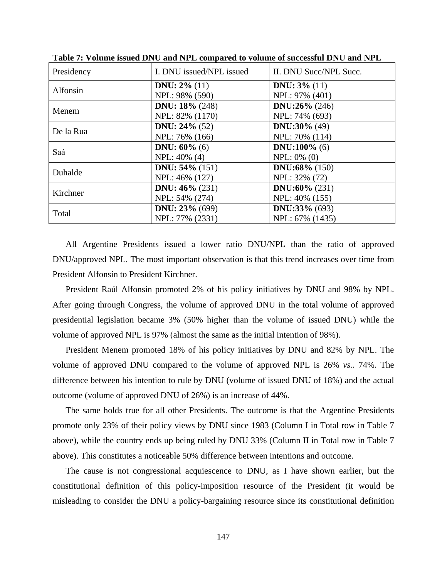| Presidency | I. DNU issued/NPL issued  | II. DNU Succ/NPL Succ.  |
|------------|---------------------------|-------------------------|
| Alfonsin   | <b>DNU</b> : $2\%$ (11)   | <b>DNU</b> : $3\%$ (11) |
|            | NPL: 98% (590)            | NPL: 97% (401)          |
| Menem      | DNU: $18\%$ (248)         | DNU:26% $(246)$         |
|            | NPL: 82% (1170)           | NPL: 74% (693)          |
| De la Rua  | <b>DNU</b> : $24\%$ (52)  | <b>DNU:30%</b> $(49)$   |
|            | NPL: 76% (166)            | NPL: 70% (114)          |
| Saá        | <b>DNU</b> : $60\%$ (6)   | DNU:100% $(6)$          |
|            | NPL: 40% (4)              | $NPL: 0\% (0)$          |
| Duhalde    | <b>DNU</b> : $54\%$ (151) | DNU:68% $(150)$         |
|            | NPL: 46% (127)            | NPL: 32% (72)           |
| Kirchner   | <b>DNU:</b> $46\%$ (231)  | <b>DNU:60%</b> $(231)$  |
|            | NPL: 54% (274)            | NPL: 40% (155)          |
| Total      | <b>DNU</b> : $23% (699)$  | DNU:33% $(693)$         |
|            | NPL: 77% (2331)           | NPL: 67% (1435)         |

**Table 7: Volume issued DNU and NPL compared to volume of successful DNU and NPL** 

All Argentine Presidents issued a lower ratio DNU/NPL than the ratio of approved DNU/approved NPL. The most important observation is that this trend increases over time from President Alfonsín to President Kirchner.

President Raúl Alfonsín promoted 2% of his policy initiatives by DNU and 98% by NPL. After going through Congress, the volume of approved DNU in the total volume of approved presidential legislation became 3% (50% higher than the volume of issued DNU) while the volume of approved NPL is 97% (almost the same as the initial intention of 98%).

President Menem promoted 18% of his policy initiatives by DNU and 82% by NPL. The volume of approved DNU compared to the volume of approved NPL is 26% *vs.*. 74%. The difference between his intention to rule by DNU (volume of issued DNU of 18%) and the actual outcome (volume of approved DNU of 26%) is an increase of 44%.

The same holds true for all other Presidents. The outcome is that the Argentine Presidents promote only 23% of their policy views by DNU since 1983 (Column I in Total row in Table 7 above), while the country ends up being ruled by DNU 33% (Column II in Total row in Table 7 above). This constitutes a noticeable 50% difference between intentions and outcome.

The cause is not congressional acquiescence to DNU, as I have shown earlier, but the constitutional definition of this policy-imposition resource of the President (it would be misleading to consider the DNU a policy-bargaining resource since its constitutional definition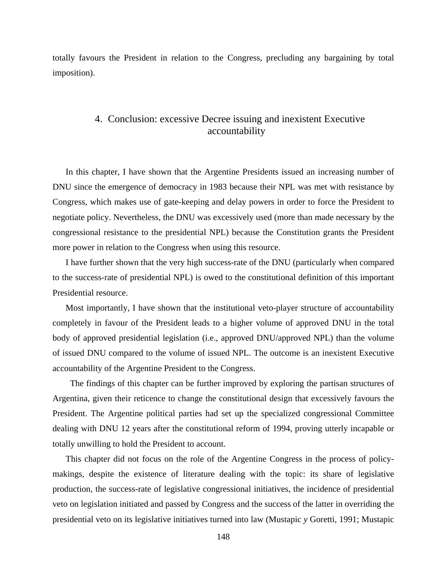totally favours the President in relation to the Congress, precluding any bargaining by total imposition).

## 4. Conclusion: excessive Decree issuing and inexistent Executive accountability

In this chapter, I have shown that the Argentine Presidents issued an increasing number of DNU since the emergence of democracy in 1983 because their NPL was met with resistance by Congress, which makes use of gate-keeping and delay powers in order to force the President to negotiate policy. Nevertheless, the DNU was excessively used (more than made necessary by the congressional resistance to the presidential NPL) because the Constitution grants the President more power in relation to the Congress when using this resource.

I have further shown that the very high success-rate of the DNU (particularly when compared to the success-rate of presidential NPL) is owed to the constitutional definition of this important Presidential resource.

Most importantly, I have shown that the institutional veto-player structure of accountability completely in favour of the President leads to a higher volume of approved DNU in the total body of approved presidential legislation (i.e., approved DNU/approved NPL) than the volume of issued DNU compared to the volume of issued NPL. The outcome is an inexistent Executive accountability of the Argentine President to the Congress.

 The findings of this chapter can be further improved by exploring the partisan structures of Argentina, given their reticence to change the constitutional design that excessively favours the President. The Argentine political parties had set up the specialized congressional Committee dealing with DNU 12 years after the constitutional reform of 1994, proving utterly incapable or totally unwilling to hold the President to account.

This chapter did not focus on the role of the Argentine Congress in the process of policymakings, despite the existence of literature dealing with the topic: its share of legislative production, the success-rate of legislative congressional initiatives, the incidence of presidential veto on legislation initiated and passed by Congress and the success of the latter in overriding the presidential veto on its legislative initiatives turned into law (Mustapic *y* Goretti, 1991; Mustapic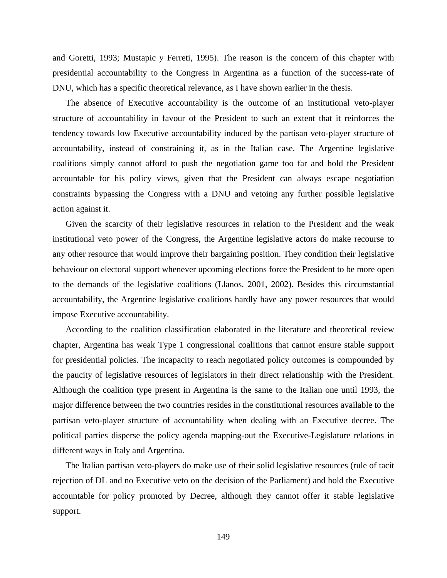and Goretti, 1993; Mustapic *y* Ferreti, 1995). The reason is the concern of this chapter with presidential accountability to the Congress in Argentina as a function of the success-rate of DNU, which has a specific theoretical relevance, as I have shown earlier in the thesis.

The absence of Executive accountability is the outcome of an institutional veto-player structure of accountability in favour of the President to such an extent that it reinforces the tendency towards low Executive accountability induced by the partisan veto-player structure of accountability, instead of constraining it, as in the Italian case. The Argentine legislative coalitions simply cannot afford to push the negotiation game too far and hold the President accountable for his policy views, given that the President can always escape negotiation constraints bypassing the Congress with a DNU and vetoing any further possible legislative action against it.

Given the scarcity of their legislative resources in relation to the President and the weak institutional veto power of the Congress, the Argentine legislative actors do make recourse to any other resource that would improve their bargaining position. They condition their legislative behaviour on electoral support whenever upcoming elections force the President to be more open to the demands of the legislative coalitions (Llanos, 2001, 2002). Besides this circumstantial accountability, the Argentine legislative coalitions hardly have any power resources that would impose Executive accountability.

According to the coalition classification elaborated in the literature and theoretical review chapter, Argentina has weak Type 1 congressional coalitions that cannot ensure stable support for presidential policies. The incapacity to reach negotiated policy outcomes is compounded by the paucity of legislative resources of legislators in their direct relationship with the President. Although the coalition type present in Argentina is the same to the Italian one until 1993, the major difference between the two countries resides in the constitutional resources available to the partisan veto-player structure of accountability when dealing with an Executive decree. The political parties disperse the policy agenda mapping-out the Executive-Legislature relations in different ways in Italy and Argentina.

The Italian partisan veto-players do make use of their solid legislative resources (rule of tacit rejection of DL and no Executive veto on the decision of the Parliament) and hold the Executive accountable for policy promoted by Decree, although they cannot offer it stable legislative support.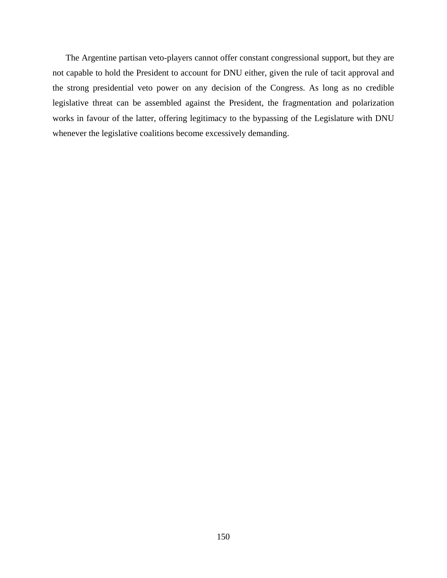The Argentine partisan veto-players cannot offer constant congressional support, but they are not capable to hold the President to account for DNU either, given the rule of tacit approval and the strong presidential veto power on any decision of the Congress. As long as no credible legislative threat can be assembled against the President, the fragmentation and polarization works in favour of the latter, offering legitimacy to the bypassing of the Legislature with DNU whenever the legislative coalitions become excessively demanding.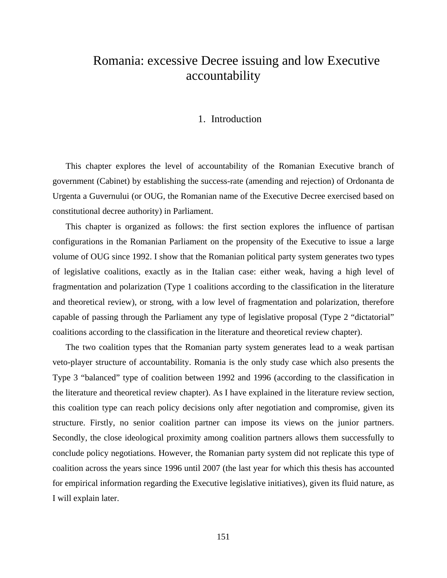# Romania: excessive Decree issuing and low Executive accountability

#### 1. Introduction

This chapter explores the level of accountability of the Romanian Executive branch of government (Cabinet) by establishing the success-rate (amending and rejection) of Ordonanta de Urgenta a Guvernului (or OUG, the Romanian name of the Executive Decree exercised based on constitutional decree authority) in Parliament.

This chapter is organized as follows: the first section explores the influence of partisan configurations in the Romanian Parliament on the propensity of the Executive to issue a large volume of OUG since 1992. I show that the Romanian political party system generates two types of legislative coalitions, exactly as in the Italian case: either weak, having a high level of fragmentation and polarization (Type 1 coalitions according to the classification in the literature and theoretical review), or strong, with a low level of fragmentation and polarization, therefore capable of passing through the Parliament any type of legislative proposal (Type 2 "dictatorial" coalitions according to the classification in the literature and theoretical review chapter).

The two coalition types that the Romanian party system generates lead to a weak partisan veto-player structure of accountability. Romania is the only study case which also presents the Type 3 "balanced" type of coalition between 1992 and 1996 (according to the classification in the literature and theoretical review chapter). As I have explained in the literature review section, this coalition type can reach policy decisions only after negotiation and compromise, given its structure. Firstly, no senior coalition partner can impose its views on the junior partners. Secondly, the close ideological proximity among coalition partners allows them successfully to conclude policy negotiations. However, the Romanian party system did not replicate this type of coalition across the years since 1996 until 2007 (the last year for which this thesis has accounted for empirical information regarding the Executive legislative initiatives), given its fluid nature, as I will explain later.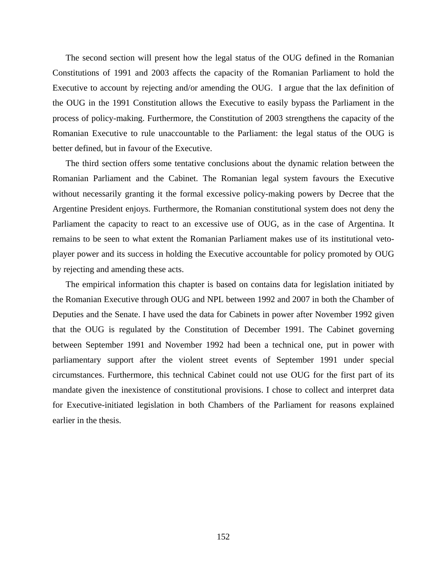The second section will present how the legal status of the OUG defined in the Romanian Constitutions of 1991 and 2003 affects the capacity of the Romanian Parliament to hold the Executive to account by rejecting and/or amending the OUG. I argue that the lax definition of the OUG in the 1991 Constitution allows the Executive to easily bypass the Parliament in the process of policy-making. Furthermore, the Constitution of 2003 strengthens the capacity of the Romanian Executive to rule unaccountable to the Parliament: the legal status of the OUG is better defined, but in favour of the Executive.

The third section offers some tentative conclusions about the dynamic relation between the Romanian Parliament and the Cabinet. The Romanian legal system favours the Executive without necessarily granting it the formal excessive policy-making powers by Decree that the Argentine President enjoys. Furthermore, the Romanian constitutional system does not deny the Parliament the capacity to react to an excessive use of OUG, as in the case of Argentina. It remains to be seen to what extent the Romanian Parliament makes use of its institutional vetoplayer power and its success in holding the Executive accountable for policy promoted by OUG by rejecting and amending these acts.

The empirical information this chapter is based on contains data for legislation initiated by the Romanian Executive through OUG and NPL between 1992 and 2007 in both the Chamber of Deputies and the Senate. I have used the data for Cabinets in power after November 1992 given that the OUG is regulated by the Constitution of December 1991. The Cabinet governing between September 1991 and November 1992 had been a technical one, put in power with parliamentary support after the violent street events of September 1991 under special circumstances. Furthermore, this technical Cabinet could not use OUG for the first part of its mandate given the inexistence of constitutional provisions. I chose to collect and interpret data for Executive-initiated legislation in both Chambers of the Parliament for reasons explained earlier in the thesis.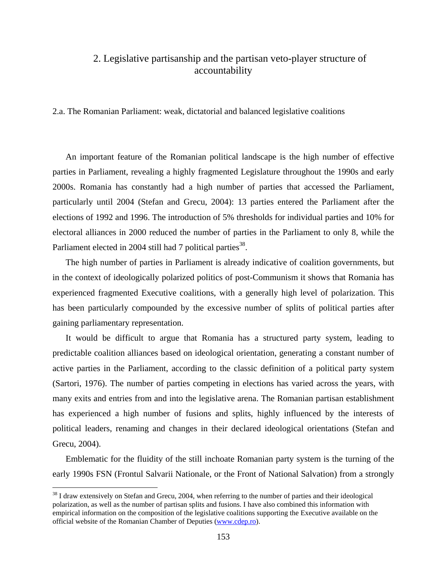## 2. Legislative partisanship and the partisan veto-player structure of accountability

2.a. The Romanian Parliament: weak, dictatorial and balanced legislative coalitions

An important feature of the Romanian political landscape is the high number of effective parties in Parliament, revealing a highly fragmented Legislature throughout the 1990s and early 2000s. Romania has constantly had a high number of parties that accessed the Parliament, particularly until 2004 (Stefan and Grecu, 2004): 13 parties entered the Parliament after the elections of 1992 and 1996. The introduction of 5% thresholds for individual parties and 10% for electoral alliances in 2000 reduced the number of parties in the Parliament to only 8, while the Parliament elected in 2004 still had 7 political parties<sup>38</sup>.

The high number of parties in Parliament is already indicative of coalition governments, but in the context of ideologically polarized politics of post-Communism it shows that Romania has experienced fragmented Executive coalitions, with a generally high level of polarization. This has been particularly compounded by the excessive number of splits of political parties after gaining parliamentary representation.

It would be difficult to argue that Romania has a structured party system, leading to predictable coalition alliances based on ideological orientation, generating a constant number of active parties in the Parliament, according to the classic definition of a political party system (Sartori, 1976). The number of parties competing in elections has varied across the years, with many exits and entries from and into the legislative arena. The Romanian partisan establishment has experienced a high number of fusions and splits, highly influenced by the interests of political leaders, renaming and changes in their declared ideological orientations (Stefan and Grecu, 2004).

Emblematic for the fluidity of the still inchoate Romanian party system is the turning of the early 1990s FSN (Frontul Salvarii Nationale, or the Front of National Salvation) from a strongly

 $\overline{a}$ 

 $38$  I draw extensively on Stefan and Grecu, 2004, when referring to the number of parties and their ideological polarization, as well as the number of partisan splits and fusions. I have also combined this information with empirical information on the composition of the legislative coalitions supporting the Executive available on the official website of the Romanian Chamber of Deputies (www.cdep.ro).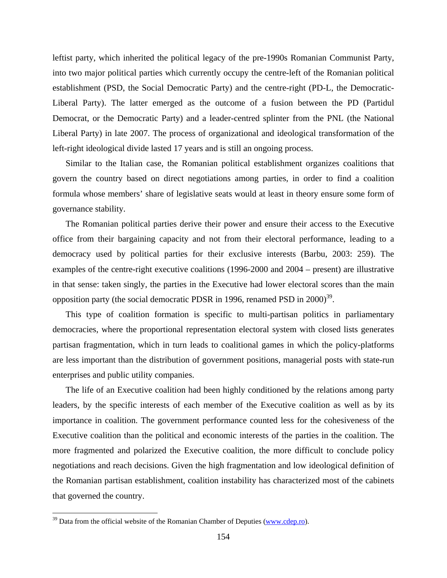leftist party, which inherited the political legacy of the pre-1990s Romanian Communist Party, into two major political parties which currently occupy the centre-left of the Romanian political establishment (PSD, the Social Democratic Party) and the centre-right (PD-L, the Democratic-Liberal Party). The latter emerged as the outcome of a fusion between the PD (Partidul Democrat, or the Democratic Party) and a leader-centred splinter from the PNL (the National Liberal Party) in late 2007. The process of organizational and ideological transformation of the left-right ideological divide lasted 17 years and is still an ongoing process.

Similar to the Italian case, the Romanian political establishment organizes coalitions that govern the country based on direct negotiations among parties, in order to find a coalition formula whose members' share of legislative seats would at least in theory ensure some form of governance stability.

The Romanian political parties derive their power and ensure their access to the Executive office from their bargaining capacity and not from their electoral performance, leading to a democracy used by political parties for their exclusive interests (Barbu, 2003: 259). The examples of the centre-right executive coalitions (1996-2000 and 2004 – present) are illustrative in that sense: taken singly, the parties in the Executive had lower electoral scores than the main opposition party (the social democratic PDSR in 1996, renamed PSD in  $2000$ <sup>39</sup>.

This type of coalition formation is specific to multi-partisan politics in parliamentary democracies, where the proportional representation electoral system with closed lists generates partisan fragmentation, which in turn leads to coalitional games in which the policy-platforms are less important than the distribution of government positions, managerial posts with state-run enterprises and public utility companies.

The life of an Executive coalition had been highly conditioned by the relations among party leaders, by the specific interests of each member of the Executive coalition as well as by its importance in coalition. The government performance counted less for the cohesiveness of the Executive coalition than the political and economic interests of the parties in the coalition. The more fragmented and polarized the Executive coalition, the more difficult to conclude policy negotiations and reach decisions. Given the high fragmentation and low ideological definition of the Romanian partisan establishment, coalition instability has characterized most of the cabinets that governed the country.

<u>.</u>

 $39$  Data from the official website of the Romanian Chamber of Deputies (www.cdep.ro).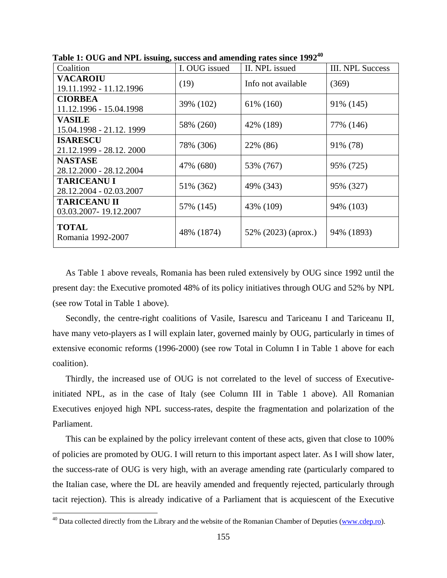| Coalition                                     | I. OUG issued | II. NPL issued      | <b>III. NPL Success</b> |
|-----------------------------------------------|---------------|---------------------|-------------------------|
| <b>VACAROIU</b><br>19.11.1992 - 11.12.1996    | (19)          | Info not available  | (369)                   |
| <b>CIORBEA</b><br>11.12.1996 - 15.04.1998     | 39% (102)     | 61% (160)           | 91% (145)               |
| <b>VASILE</b><br>15.04.1998 - 21.12.1999      | 58% (260)     | 42% (189)           | 77% (146)               |
| <b>ISARESCU</b><br>21.12.1999 - 28.12.2000    | 78% (306)     | 22% (86)            | 91% (78)                |
| <b>NASTASE</b><br>28.12.2000 - 28.12.2004     | 47% (680)     | 53% (767)           | 95% (725)               |
| <b>TARICEANU I</b><br>28.12.2004 - 02.03.2007 | 51% (362)     | 49% (343)           | 95% (327)               |
| <b>TARICEANU II</b><br>03.03.2007-19.12.2007  | 57% (145)     | 43% (109)           | 94% (103)               |
| <b>TOTAL</b><br>Romania 1992-2007             | 48% (1874)    | 52% (2023) (aprox.) | 94% (1893)              |

**Table 1: OUG and NPL issuing, success and amending rates since 199240** 

As Table 1 above reveals, Romania has been ruled extensively by OUG since 1992 until the present day: the Executive promoted 48% of its policy initiatives through OUG and 52% by NPL (see row Total in Table 1 above).

Secondly, the centre-right coalitions of Vasile, Isarescu and Tariceanu I and Tariceanu II, have many veto-players as I will explain later, governed mainly by OUG, particularly in times of extensive economic reforms (1996-2000) (see row Total in Column I in Table 1 above for each coalition).

Thirdly, the increased use of OUG is not correlated to the level of success of Executiveinitiated NPL, as in the case of Italy (see Column III in Table 1 above). All Romanian Executives enjoyed high NPL success-rates, despite the fragmentation and polarization of the Parliament.

This can be explained by the policy irrelevant content of these acts, given that close to 100% of policies are promoted by OUG. I will return to this important aspect later. As I will show later, the success-rate of OUG is very high, with an average amending rate (particularly compared to the Italian case, where the DL are heavily amended and frequently rejected, particularly through tacit rejection). This is already indicative of a Parliament that is acquiescent of the Executive

 $\overline{a}$ 

<sup>&</sup>lt;sup>40</sup> Data collected directly from the Library and the website of the Romanian Chamber of Deputies (www.cdep.ro).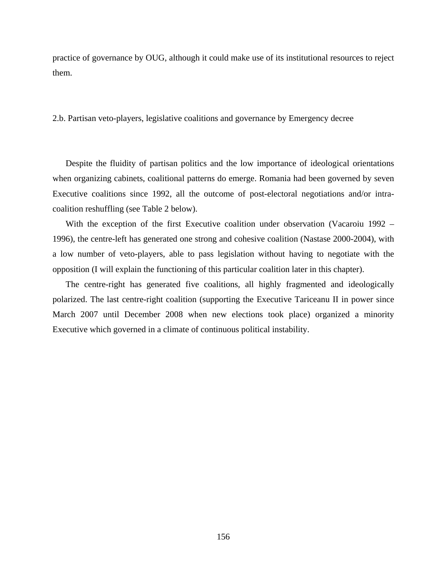practice of governance by OUG, although it could make use of its institutional resources to reject them.

2.b. Partisan veto-players, legislative coalitions and governance by Emergency decree

Despite the fluidity of partisan politics and the low importance of ideological orientations when organizing cabinets, coalitional patterns do emerge. Romania had been governed by seven Executive coalitions since 1992, all the outcome of post-electoral negotiations and/or intracoalition reshuffling (see Table 2 below).

With the exception of the first Executive coalition under observation (Vacaroiu 1992 – 1996), the centre-left has generated one strong and cohesive coalition (Nastase 2000-2004), with a low number of veto-players, able to pass legislation without having to negotiate with the opposition (I will explain the functioning of this particular coalition later in this chapter).

The centre-right has generated five coalitions, all highly fragmented and ideologically polarized. The last centre-right coalition (supporting the Executive Tariceanu II in power since March 2007 until December 2008 when new elections took place) organized a minority Executive which governed in a climate of continuous political instability.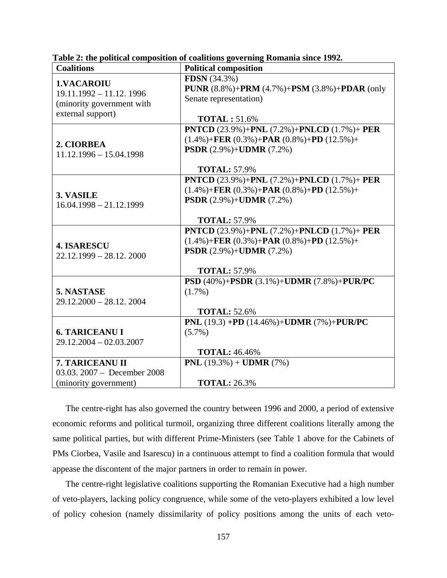| <b>Coalitions</b>                                                                                | <b>Political composition</b>                                                                                                                                                                              |
|--------------------------------------------------------------------------------------------------|-----------------------------------------------------------------------------------------------------------------------------------------------------------------------------------------------------------|
| <b>1.VACAROIU</b><br>$19.11.1992 - 11.12.1996$<br>(minority government with<br>external support) | <b>FDSN</b> (34.3%)<br><b>PUNR</b> $(8.8\%) + PRM (4.7\%) + PSM (3.8\%) + PDAR (only)$<br>Senate representation)<br><b>TOTAL: 51.6%</b>                                                                   |
| 2. CIORBEA<br>$11.12.1996 - 15.04.1998$                                                          | <b>PNTCD</b> (23.9%)+ <b>PNL</b> (7.2%)+ <b>PNLCD</b> (1.7%)+ <b>PER</b><br>$(1.4\%) + FER (0.3\%) + PAR (0.8\%) + PD (12.5\%) +$<br><b>PSDR</b> $(2.9\%) +$ <b>UDMR</b> $(7.2\%)$<br><b>TOTAL: 57.9%</b> |
| 3. VASILE<br>$16.04.1998 - 21.12.1999$                                                           | <b>PNTCD</b> (23.9%)+ <b>PNL</b> (7.2%)+ <b>PNLCD</b> (1.7%)+ <b>PER</b><br>$(1.4\%) + FER (0.3\%) + PAR (0.8\%) + PD (12.5\%) +$<br><b>PSDR</b> $(2.9\%) +$ <b>UDMR</b> $(7.2\%)$<br><b>TOTAL: 57.9%</b> |
| <b>4. ISARESCU</b><br>$22.12.1999 - 28.12.2000$                                                  | <b>PNTCD</b> (23.9%)+ <b>PNL</b> (7.2%)+ <b>PNLCD</b> (1.7%)+ <b>PER</b><br>$(1.4\%) + FER (0.3\%) + PAR (0.8\%) + PD (12.5\%) +$<br><b>PSDR</b> (2.9%)+ <b>UDMR</b> (7.2%)<br><b>TOTAL: 57.9%</b>        |
| 5. NASTASE<br>$29.12.2000 - 28.12.2004$                                                          | PSD (40%)+PSDR (3.1%)+UDMR (7.8%)+PUR/PC<br>$(1.7\%)$<br><b>TOTAL: 52.6%</b>                                                                                                                              |
| <b>6. TARICEANU I</b><br>$29.12.2004 - 02.03.2007$                                               | PNL (19.3) +PD (14.46%)+UDMR (7%)+PUR/PC<br>$(5.7\%)$<br><b>TOTAL: 46.46%</b>                                                                                                                             |
| 7. TARICEANU II<br>03.03. $2007 - December 2008$<br>(minority government)                        | PNL $(19.3\%) + \text{UDMR} (7\%)$<br><b>TOTAL: 26.3%</b>                                                                                                                                                 |

| Table 2: the political composition of coalitions governing Romania since 1992. |  |  |  |  |
|--------------------------------------------------------------------------------|--|--|--|--|
|                                                                                |  |  |  |  |

The centre-right has also governed the country between 1996 and 2000, a period of extensive economic reforms and political turmoil, organizing three different coalitions literally among the same political parties, but with different Prime-Ministers (see Table 1 above for the Cabinets of PMs Ciorbea, Vasile and Isarescu) in a continuous attempt to find a coalition formula that would appease the discontent of the major partners in order to remain in power.

The centre-right legislative coalitions supporting the Romanian Executive had a high number of veto-players, lacking policy congruence, while some of the veto-players exhibited a low level of policy cohesion (namely dissimilarity of policy positions among the units of each veto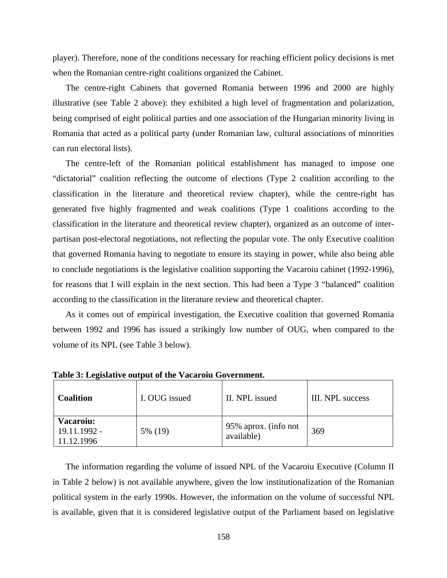player). Therefore, none of the conditions necessary for reaching efficient policy decisions is met when the Romanian centre-right coalitions organized the Cabinet.

The centre-right Cabinets that governed Romania between 1996 and 2000 are highly illustrative (see Table 2 above): they exhibited a high level of fragmentation and polarization, being comprised of eight political parties and one association of the Hungarian minority living in Romania that acted as a political party (under Romanian law, cultural associations of minorities can run electoral lists).

The centre-left of the Romanian political establishment has managed to impose one "dictatorial" coalition reflecting the outcome of elections (Type 2 coalition according to the classification in the literature and theoretical review chapter), while the centre-right has generated five highly fragmented and weak coalitions (Type 1 coalitions according to the classification in the literature and theoretical review chapter), organized as an outcome of interpartisan post-electoral negotiations, not reflecting the popular vote. The only Executive coalition that governed Romania having to negotiate to ensure its staying in power, while also being able to conclude negotiations is the legislative coalition supporting the Vacaroiu cabinet (1992-1996), for reasons that I will explain in the next section. This had been a Type 3 "balanced" coalition according to the classification in the literature review and theoretical chapter.

As it comes out of empirical investigation, the Executive coalition that governed Romania between 1992 and 1996 has issued a strikingly low number of OUG, when compared to the volume of its NPL (see Table 3 below).

| <b>Coalition</b>                               | I. OUG issued | II. NPL issued                     | III. NPL success |
|------------------------------------------------|---------------|------------------------------------|------------------|
| <b>Vacaroiu:</b><br>19.11.1992 -<br>11.12.1996 | 5% (19)       | 95% aprox. (info not<br>available) | 369              |

**Table 3: Legislative output of the Vacaroiu Government.** 

The information regarding the volume of issued NPL of the Vacaroiu Executive (Column II in Table 2 below) is not available anywhere, given the low institutionalization of the Romanian political system in the early 1990s. However, the information on the volume of successful NPL is available, given that it is considered legislative output of the Parliament based on legislative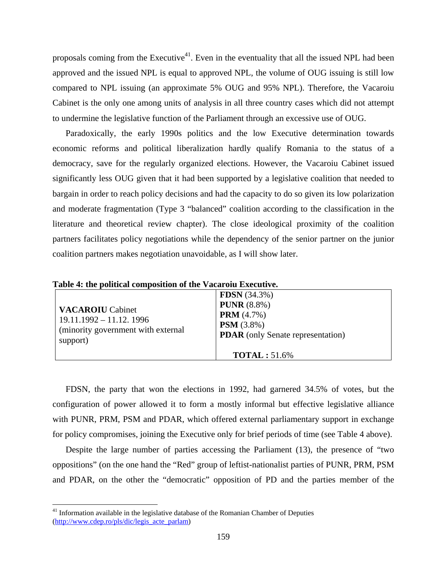proposals coming from the Executive<sup>41</sup>. Even in the eventuality that all the issued NPL had been approved and the issued NPL is equal to approved NPL, the volume of OUG issuing is still low compared to NPL issuing (an approximate 5% OUG and 95% NPL). Therefore, the Vacaroiu Cabinet is the only one among units of analysis in all three country cases which did not attempt to undermine the legislative function of the Parliament through an excessive use of OUG.

Paradoxically, the early 1990s politics and the low Executive determination towards economic reforms and political liberalization hardly qualify Romania to the status of a democracy, save for the regularly organized elections. However, the Vacaroiu Cabinet issued significantly less OUG given that it had been supported by a legislative coalition that needed to bargain in order to reach policy decisions and had the capacity to do so given its low polarization and moderate fragmentation (Type 3 "balanced" coalition according to the classification in the literature and theoretical review chapter). The close ideological proximity of the coalition partners facilitates policy negotiations while the dependency of the senior partner on the junior coalition partners makes negotiation unavoidable, as I will show later.

| <b>VACAROIU</b> Cabinet<br>$19.11.1992 - 11.12.1996$<br>(minority government with external<br>support) | <b>FDSN</b> $(34.3\%)$<br><b>PUNR</b> $(8.8\%)$<br><b>PRM</b> $(4.7%)$<br><b>PSM</b> $(3.8\%)$<br><b>PDAR</b> (only Senate representation) |
|--------------------------------------------------------------------------------------------------------|--------------------------------------------------------------------------------------------------------------------------------------------|
|                                                                                                        | $\textbf{TOTAL}: 51.6\%$                                                                                                                   |

**Table 4: the political composition of the Vacaroiu Executive.** 

FDSN, the party that won the elections in 1992, had garnered 34.5% of votes, but the configuration of power allowed it to form a mostly informal but effective legislative alliance with PUNR, PRM, PSM and PDAR, which offered external parliamentary support in exchange for policy compromises, joining the Executive only for brief periods of time (see Table 4 above).

Despite the large number of parties accessing the Parliament (13), the presence of "two oppositions" (on the one hand the "Red" group of leftist-nationalist parties of PUNR, PRM, PSM and PDAR, on the other the "democratic" opposition of PD and the parties member of the

 $\overline{a}$ 

<sup>&</sup>lt;sup>41</sup> Information available in the legislative database of the Romanian Chamber of Deputies  $(http://www.cdep.ro/pls/dic/legisacteparlam)$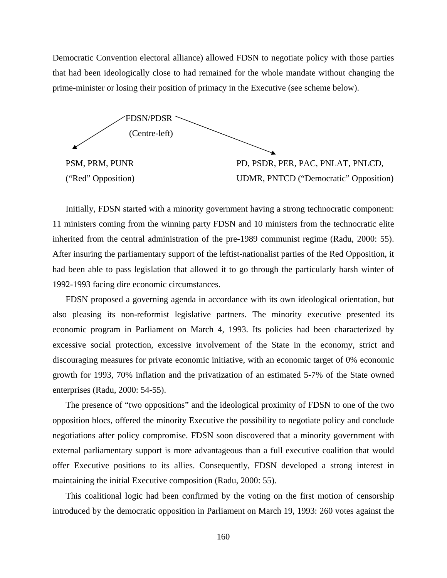Democratic Convention electoral alliance) allowed FDSN to negotiate policy with those parties that had been ideologically close to had remained for the whole mandate without changing the prime-minister or losing their position of primacy in the Executive (see scheme below).



Initially, FDSN started with a minority government having a strong technocratic component:

11 ministers coming from the winning party FDSN and 10 ministers from the technocratic elite inherited from the central administration of the pre-1989 communist regime (Radu, 2000: 55). After insuring the parliamentary support of the leftist-nationalist parties of the Red Opposition, it had been able to pass legislation that allowed it to go through the particularly harsh winter of 1992-1993 facing dire economic circumstances.

FDSN proposed a governing agenda in accordance with its own ideological orientation, but also pleasing its non-reformist legislative partners. The minority executive presented its economic program in Parliament on March 4, 1993. Its policies had been characterized by excessive social protection, excessive involvement of the State in the economy, strict and discouraging measures for private economic initiative, with an economic target of 0% economic growth for 1993, 70% inflation and the privatization of an estimated 5-7% of the State owned enterprises (Radu, 2000: 54-55).

The presence of "two oppositions" and the ideological proximity of FDSN to one of the two opposition blocs, offered the minority Executive the possibility to negotiate policy and conclude negotiations after policy compromise. FDSN soon discovered that a minority government with external parliamentary support is more advantageous than a full executive coalition that would offer Executive positions to its allies. Consequently, FDSN developed a strong interest in maintaining the initial Executive composition (Radu, 2000: 55).

This coalitional logic had been confirmed by the voting on the first motion of censorship introduced by the democratic opposition in Parliament on March 19, 1993: 260 votes against the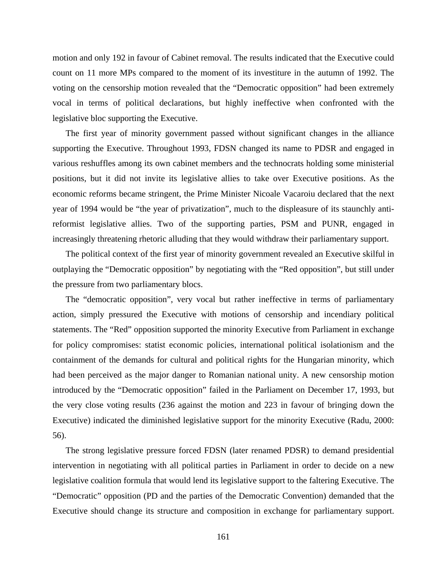motion and only 192 in favour of Cabinet removal. The results indicated that the Executive could count on 11 more MPs compared to the moment of its investiture in the autumn of 1992. The voting on the censorship motion revealed that the "Democratic opposition" had been extremely vocal in terms of political declarations, but highly ineffective when confronted with the legislative bloc supporting the Executive.

The first year of minority government passed without significant changes in the alliance supporting the Executive. Throughout 1993, FDSN changed its name to PDSR and engaged in various reshuffles among its own cabinet members and the technocrats holding some ministerial positions, but it did not invite its legislative allies to take over Executive positions. As the economic reforms became stringent, the Prime Minister Nicoale Vacaroiu declared that the next year of 1994 would be "the year of privatization", much to the displeasure of its staunchly antireformist legislative allies. Two of the supporting parties, PSM and PUNR, engaged in increasingly threatening rhetoric alluding that they would withdraw their parliamentary support.

The political context of the first year of minority government revealed an Executive skilful in outplaying the "Democratic opposition" by negotiating with the "Red opposition", but still under the pressure from two parliamentary blocs.

The "democratic opposition", very vocal but rather ineffective in terms of parliamentary action, simply pressured the Executive with motions of censorship and incendiary political statements. The "Red" opposition supported the minority Executive from Parliament in exchange for policy compromises: statist economic policies, international political isolationism and the containment of the demands for cultural and political rights for the Hungarian minority, which had been perceived as the major danger to Romanian national unity. A new censorship motion introduced by the "Democratic opposition" failed in the Parliament on December 17, 1993, but the very close voting results (236 against the motion and 223 in favour of bringing down the Executive) indicated the diminished legislative support for the minority Executive (Radu, 2000: 56).

The strong legislative pressure forced FDSN (later renamed PDSR) to demand presidential intervention in negotiating with all political parties in Parliament in order to decide on a new legislative coalition formula that would lend its legislative support to the faltering Executive. The "Democratic" opposition (PD and the parties of the Democratic Convention) demanded that the Executive should change its structure and composition in exchange for parliamentary support.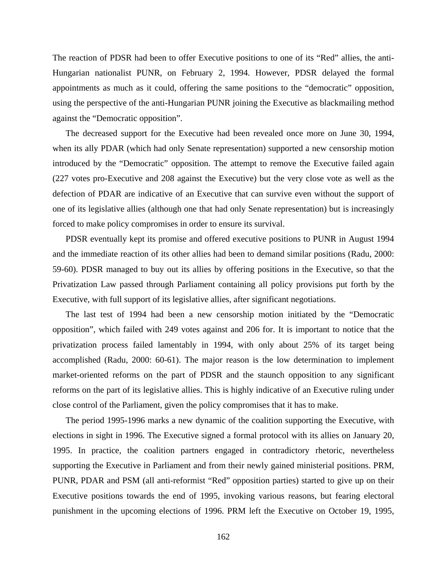The reaction of PDSR had been to offer Executive positions to one of its "Red" allies, the anti-Hungarian nationalist PUNR, on February 2, 1994. However, PDSR delayed the formal appointments as much as it could, offering the same positions to the "democratic" opposition, using the perspective of the anti-Hungarian PUNR joining the Executive as blackmailing method against the "Democratic opposition".

The decreased support for the Executive had been revealed once more on June 30, 1994, when its ally PDAR (which had only Senate representation) supported a new censorship motion introduced by the "Democratic" opposition. The attempt to remove the Executive failed again (227 votes pro-Executive and 208 against the Executive) but the very close vote as well as the defection of PDAR are indicative of an Executive that can survive even without the support of one of its legislative allies (although one that had only Senate representation) but is increasingly forced to make policy compromises in order to ensure its survival.

PDSR eventually kept its promise and offered executive positions to PUNR in August 1994 and the immediate reaction of its other allies had been to demand similar positions (Radu, 2000: 59-60). PDSR managed to buy out its allies by offering positions in the Executive, so that the Privatization Law passed through Parliament containing all policy provisions put forth by the Executive, with full support of its legislative allies, after significant negotiations.

The last test of 1994 had been a new censorship motion initiated by the "Democratic opposition", which failed with 249 votes against and 206 for. It is important to notice that the privatization process failed lamentably in 1994, with only about 25% of its target being accomplished (Radu, 2000: 60-61). The major reason is the low determination to implement market-oriented reforms on the part of PDSR and the staunch opposition to any significant reforms on the part of its legislative allies. This is highly indicative of an Executive ruling under close control of the Parliament, given the policy compromises that it has to make.

The period 1995-1996 marks a new dynamic of the coalition supporting the Executive, with elections in sight in 1996. The Executive signed a formal protocol with its allies on January 20, 1995. In practice, the coalition partners engaged in contradictory rhetoric, nevertheless supporting the Executive in Parliament and from their newly gained ministerial positions. PRM, PUNR, PDAR and PSM (all anti-reformist "Red" opposition parties) started to give up on their Executive positions towards the end of 1995, invoking various reasons, but fearing electoral punishment in the upcoming elections of 1996. PRM left the Executive on October 19, 1995,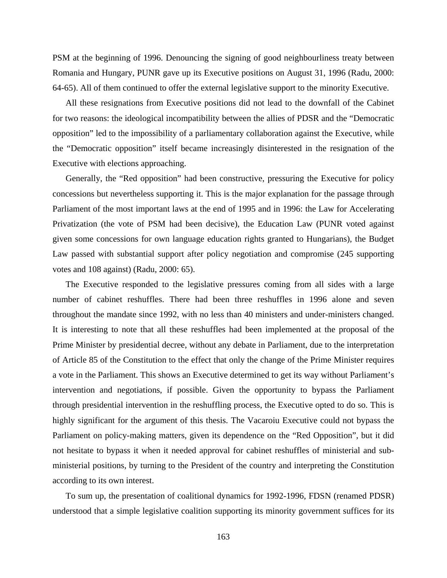PSM at the beginning of 1996. Denouncing the signing of good neighbourliness treaty between Romania and Hungary, PUNR gave up its Executive positions on August 31, 1996 (Radu, 2000: 64-65). All of them continued to offer the external legislative support to the minority Executive.

All these resignations from Executive positions did not lead to the downfall of the Cabinet for two reasons: the ideological incompatibility between the allies of PDSR and the "Democratic opposition" led to the impossibility of a parliamentary collaboration against the Executive, while the "Democratic opposition" itself became increasingly disinterested in the resignation of the Executive with elections approaching.

Generally, the "Red opposition" had been constructive, pressuring the Executive for policy concessions but nevertheless supporting it. This is the major explanation for the passage through Parliament of the most important laws at the end of 1995 and in 1996: the Law for Accelerating Privatization (the vote of PSM had been decisive), the Education Law (PUNR voted against given some concessions for own language education rights granted to Hungarians), the Budget Law passed with substantial support after policy negotiation and compromise (245 supporting votes and 108 against) (Radu, 2000: 65).

The Executive responded to the legislative pressures coming from all sides with a large number of cabinet reshuffles. There had been three reshuffles in 1996 alone and seven throughout the mandate since 1992, with no less than 40 ministers and under-ministers changed. It is interesting to note that all these reshuffles had been implemented at the proposal of the Prime Minister by presidential decree, without any debate in Parliament, due to the interpretation of Article 85 of the Constitution to the effect that only the change of the Prime Minister requires a vote in the Parliament. This shows an Executive determined to get its way without Parliament's intervention and negotiations, if possible. Given the opportunity to bypass the Parliament through presidential intervention in the reshuffling process, the Executive opted to do so. This is highly significant for the argument of this thesis. The Vacaroiu Executive could not bypass the Parliament on policy-making matters, given its dependence on the "Red Opposition", but it did not hesitate to bypass it when it needed approval for cabinet reshuffles of ministerial and subministerial positions, by turning to the President of the country and interpreting the Constitution according to its own interest.

To sum up, the presentation of coalitional dynamics for 1992-1996, FDSN (renamed PDSR) understood that a simple legislative coalition supporting its minority government suffices for its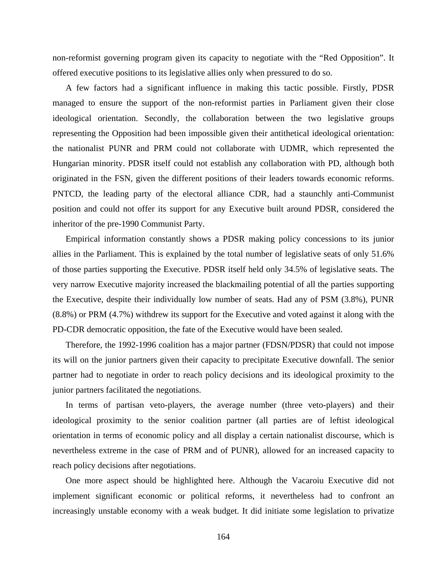non-reformist governing program given its capacity to negotiate with the "Red Opposition". It offered executive positions to its legislative allies only when pressured to do so.

A few factors had a significant influence in making this tactic possible. Firstly, PDSR managed to ensure the support of the non-reformist parties in Parliament given their close ideological orientation. Secondly, the collaboration between the two legislative groups representing the Opposition had been impossible given their antithetical ideological orientation: the nationalist PUNR and PRM could not collaborate with UDMR, which represented the Hungarian minority. PDSR itself could not establish any collaboration with PD, although both originated in the FSN, given the different positions of their leaders towards economic reforms. PNTCD, the leading party of the electoral alliance CDR, had a staunchly anti-Communist position and could not offer its support for any Executive built around PDSR, considered the inheritor of the pre-1990 Communist Party.

Empirical information constantly shows a PDSR making policy concessions to its junior allies in the Parliament. This is explained by the total number of legislative seats of only 51.6% of those parties supporting the Executive. PDSR itself held only 34.5% of legislative seats. The very narrow Executive majority increased the blackmailing potential of all the parties supporting the Executive, despite their individually low number of seats. Had any of PSM (3.8%), PUNR (8.8%) or PRM (4.7%) withdrew its support for the Executive and voted against it along with the PD-CDR democratic opposition, the fate of the Executive would have been sealed.

Therefore, the 1992-1996 coalition has a major partner (FDSN/PDSR) that could not impose its will on the junior partners given their capacity to precipitate Executive downfall. The senior partner had to negotiate in order to reach policy decisions and its ideological proximity to the junior partners facilitated the negotiations.

In terms of partisan veto-players, the average number (three veto-players) and their ideological proximity to the senior coalition partner (all parties are of leftist ideological orientation in terms of economic policy and all display a certain nationalist discourse, which is nevertheless extreme in the case of PRM and of PUNR), allowed for an increased capacity to reach policy decisions after negotiations.

One more aspect should be highlighted here. Although the Vacaroiu Executive did not implement significant economic or political reforms, it nevertheless had to confront an increasingly unstable economy with a weak budget. It did initiate some legislation to privatize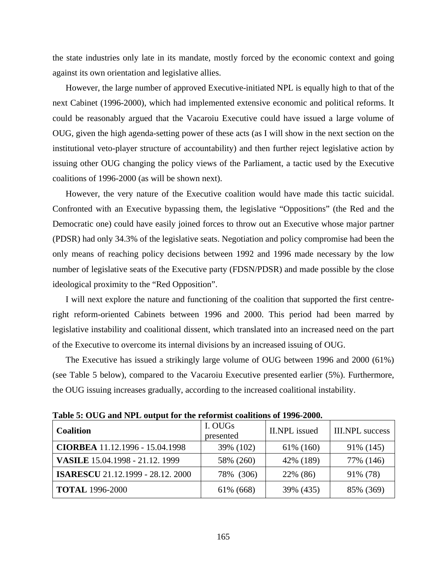the state industries only late in its mandate, mostly forced by the economic context and going against its own orientation and legislative allies.

However, the large number of approved Executive-initiated NPL is equally high to that of the next Cabinet (1996-2000), which had implemented extensive economic and political reforms. It could be reasonably argued that the Vacaroiu Executive could have issued a large volume of OUG, given the high agenda-setting power of these acts (as I will show in the next section on the institutional veto-player structure of accountability) and then further reject legislative action by issuing other OUG changing the policy views of the Parliament, a tactic used by the Executive coalitions of 1996-2000 (as will be shown next).

However, the very nature of the Executive coalition would have made this tactic suicidal. Confronted with an Executive bypassing them, the legislative "Oppositions" (the Red and the Democratic one) could have easily joined forces to throw out an Executive whose major partner (PDSR) had only 34.3% of the legislative seats. Negotiation and policy compromise had been the only means of reaching policy decisions between 1992 and 1996 made necessary by the low number of legislative seats of the Executive party (FDSN/PDSR) and made possible by the close ideological proximity to the "Red Opposition".

I will next explore the nature and functioning of the coalition that supported the first centreright reform-oriented Cabinets between 1996 and 2000. This period had been marred by legislative instability and coalitional dissent, which translated into an increased need on the part of the Executive to overcome its internal divisions by an increased issuing of OUG.

The Executive has issued a strikingly large volume of OUG between 1996 and 2000 (61%) (see Table 5 below), compared to the Vacaroiu Executive presented earlier (5%). Furthermore, the OUG issuing increases gradually, according to the increased coalitional instability.

| <b>Coalition</b>                         | I. OUGs<br>presented | <b>II.NPL</b> issued | <b>III.NPL</b> success |
|------------------------------------------|----------------------|----------------------|------------------------|
| CIORBEA 11.12.1996 - 15.04.1998          | 39% (102)            | 61\% (160)           | 91\% (145)             |
| VASILE 15.04.1998 - 21.12. 1999          | 58% (260)            | 42\% (189)           | 77% (146)              |
| <b>ISARESCU</b> 21.12.1999 - 28.12. 2000 | 78% (306)            | 22% (86)             | 91% (78)               |
| <b>TOTAL</b> 1996-2000                   | 61\% (668)           | 39% (435)            | 85% (369)              |

**Table 5: OUG and NPL output for the reformist coalitions of 1996-2000.**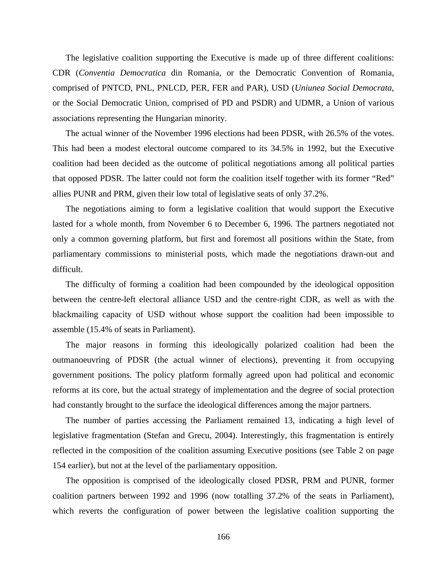The legislative coalition supporting the Executive is made up of three different coalitions: CDR (*Conventia Democratica* din Romania, or the Democratic Convention of Romania, comprised of PNTCD, PNL, PNLCD, PER, FER and PAR), USD (*Uniunea Social Democrata*, or the Social Democratic Union, comprised of PD and PSDR) and UDMR, a Union of various associations representing the Hungarian minority.

The actual winner of the November 1996 elections had been PDSR, with 26.5% of the votes. This had been a modest electoral outcome compared to its 34.5% in 1992, but the Executive coalition had been decided as the outcome of political negotiations among all political parties that opposed PDSR. The latter could not form the coalition itself together with its former "Red" allies PUNR and PRM, given their low total of legislative seats of only 37.2%.

The negotiations aiming to form a legislative coalition that would support the Executive lasted for a whole month, from November 6 to December 6, 1996. The partners negotiated not only a common governing platform, but first and foremost all positions within the State, from parliamentary commissions to ministerial posts, which made the negotiations drawn-out and difficult.

The difficulty of forming a coalition had been compounded by the ideological opposition between the centre-left electoral alliance USD and the centre-right CDR, as well as with the blackmailing capacity of USD without whose support the coalition had been impossible to assemble (15.4% of seats in Parliament).

The major reasons in forming this ideologically polarized coalition had been the outmanoeuvring of PDSR (the actual winner of elections), preventing it from occupying government positions. The policy platform formally agreed upon had political and economic reforms at its core, but the actual strategy of implementation and the degree of social protection had constantly brought to the surface the ideological differences among the major partners.

The number of parties accessing the Parliament remained 13, indicating a high level of legislative fragmentation (Stefan and Grecu, 2004). Interestingly, this fragmentation is entirely reflected in the composition of the coalition assuming Executive positions (see Table 2 on page 154 earlier), but not at the level of the parliamentary opposition.

The opposition is comprised of the ideologically closed PDSR, PRM and PUNR, former coalition partners between 1992 and 1996 (now totalling 37.2% of the seats in Parliament), which reverts the configuration of power between the legislative coalition supporting the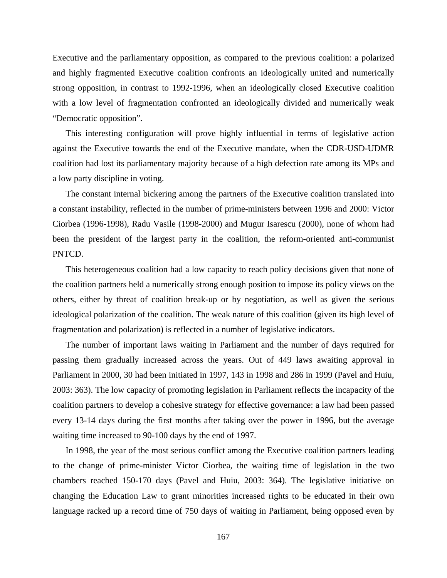Executive and the parliamentary opposition, as compared to the previous coalition: a polarized and highly fragmented Executive coalition confronts an ideologically united and numerically strong opposition, in contrast to 1992-1996, when an ideologically closed Executive coalition with a low level of fragmentation confronted an ideologically divided and numerically weak "Democratic opposition".

This interesting configuration will prove highly influential in terms of legislative action against the Executive towards the end of the Executive mandate, when the CDR-USD-UDMR coalition had lost its parliamentary majority because of a high defection rate among its MPs and a low party discipline in voting.

The constant internal bickering among the partners of the Executive coalition translated into a constant instability, reflected in the number of prime-ministers between 1996 and 2000: Victor Ciorbea (1996-1998), Radu Vasile (1998-2000) and Mugur Isarescu (2000), none of whom had been the president of the largest party in the coalition, the reform-oriented anti-communist PNTCD.

This heterogeneous coalition had a low capacity to reach policy decisions given that none of the coalition partners held a numerically strong enough position to impose its policy views on the others, either by threat of coalition break-up or by negotiation, as well as given the serious ideological polarization of the coalition. The weak nature of this coalition (given its high level of fragmentation and polarization) is reflected in a number of legislative indicators.

The number of important laws waiting in Parliament and the number of days required for passing them gradually increased across the years. Out of 449 laws awaiting approval in Parliament in 2000, 30 had been initiated in 1997, 143 in 1998 and 286 in 1999 (Pavel and Huiu, 2003: 363). The low capacity of promoting legislation in Parliament reflects the incapacity of the coalition partners to develop a cohesive strategy for effective governance: a law had been passed every 13-14 days during the first months after taking over the power in 1996, but the average waiting time increased to 90-100 days by the end of 1997.

In 1998, the year of the most serious conflict among the Executive coalition partners leading to the change of prime-minister Victor Ciorbea, the waiting time of legislation in the two chambers reached 150-170 days (Pavel and Huiu, 2003: 364). The legislative initiative on changing the Education Law to grant minorities increased rights to be educated in their own language racked up a record time of 750 days of waiting in Parliament, being opposed even by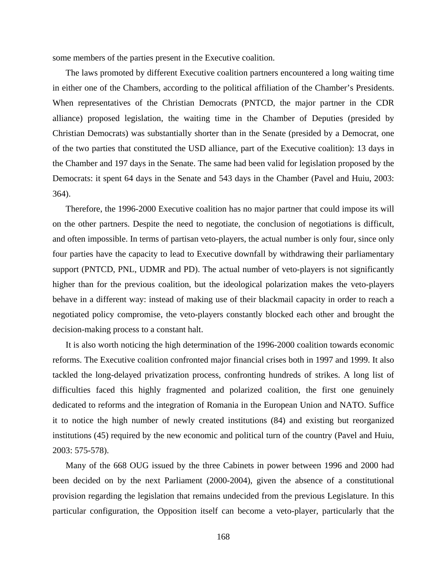some members of the parties present in the Executive coalition.

The laws promoted by different Executive coalition partners encountered a long waiting time in either one of the Chambers, according to the political affiliation of the Chamber's Presidents. When representatives of the Christian Democrats (PNTCD, the major partner in the CDR alliance) proposed legislation, the waiting time in the Chamber of Deputies (presided by Christian Democrats) was substantially shorter than in the Senate (presided by a Democrat, one of the two parties that constituted the USD alliance, part of the Executive coalition): 13 days in the Chamber and 197 days in the Senate. The same had been valid for legislation proposed by the Democrats: it spent 64 days in the Senate and 543 days in the Chamber (Pavel and Huiu, 2003: 364).

Therefore, the 1996-2000 Executive coalition has no major partner that could impose its will on the other partners. Despite the need to negotiate, the conclusion of negotiations is difficult, and often impossible. In terms of partisan veto-players, the actual number is only four, since only four parties have the capacity to lead to Executive downfall by withdrawing their parliamentary support (PNTCD, PNL, UDMR and PD). The actual number of veto-players is not significantly higher than for the previous coalition, but the ideological polarization makes the veto-players behave in a different way: instead of making use of their blackmail capacity in order to reach a negotiated policy compromise, the veto-players constantly blocked each other and brought the decision-making process to a constant halt.

It is also worth noticing the high determination of the 1996-2000 coalition towards economic reforms. The Executive coalition confronted major financial crises both in 1997 and 1999. It also tackled the long-delayed privatization process, confronting hundreds of strikes. A long list of difficulties faced this highly fragmented and polarized coalition, the first one genuinely dedicated to reforms and the integration of Romania in the European Union and NATO. Suffice it to notice the high number of newly created institutions (84) and existing but reorganized institutions (45) required by the new economic and political turn of the country (Pavel and Huiu, 2003: 575-578).

Many of the 668 OUG issued by the three Cabinets in power between 1996 and 2000 had been decided on by the next Parliament (2000-2004), given the absence of a constitutional provision regarding the legislation that remains undecided from the previous Legislature. In this particular configuration, the Opposition itself can become a veto-player, particularly that the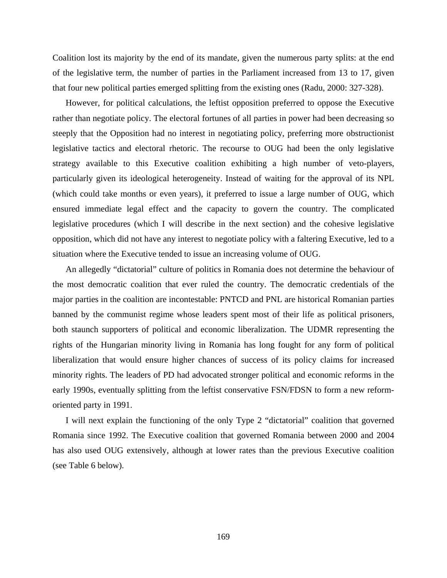Coalition lost its majority by the end of its mandate, given the numerous party splits: at the end of the legislative term, the number of parties in the Parliament increased from 13 to 17, given that four new political parties emerged splitting from the existing ones (Radu, 2000: 327-328).

However, for political calculations, the leftist opposition preferred to oppose the Executive rather than negotiate policy. The electoral fortunes of all parties in power had been decreasing so steeply that the Opposition had no interest in negotiating policy, preferring more obstructionist legislative tactics and electoral rhetoric. The recourse to OUG had been the only legislative strategy available to this Executive coalition exhibiting a high number of veto-players, particularly given its ideological heterogeneity. Instead of waiting for the approval of its NPL (which could take months or even years), it preferred to issue a large number of OUG, which ensured immediate legal effect and the capacity to govern the country. The complicated legislative procedures (which I will describe in the next section) and the cohesive legislative opposition, which did not have any interest to negotiate policy with a faltering Executive, led to a situation where the Executive tended to issue an increasing volume of OUG.

An allegedly "dictatorial" culture of politics in Romania does not determine the behaviour of the most democratic coalition that ever ruled the country. The democratic credentials of the major parties in the coalition are incontestable: PNTCD and PNL are historical Romanian parties banned by the communist regime whose leaders spent most of their life as political prisoners, both staunch supporters of political and economic liberalization. The UDMR representing the rights of the Hungarian minority living in Romania has long fought for any form of political liberalization that would ensure higher chances of success of its policy claims for increased minority rights. The leaders of PD had advocated stronger political and economic reforms in the early 1990s, eventually splitting from the leftist conservative FSN/FDSN to form a new reformoriented party in 1991.

I will next explain the functioning of the only Type 2 "dictatorial" coalition that governed Romania since 1992. The Executive coalition that governed Romania between 2000 and 2004 has also used OUG extensively, although at lower rates than the previous Executive coalition (see Table 6 below).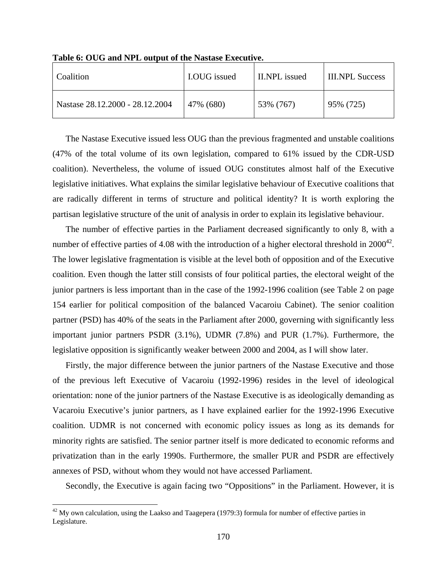| Coalition                       | <b>I.OUG</b> issued | II.NPL issued | <b>III.NPL Success</b> |
|---------------------------------|---------------------|---------------|------------------------|
| Nastase 28.12.2000 - 28.12.2004 | 47% (680)           | 53% (767)     | 95% (725)              |

**Table 6: OUG and NPL output of the Nastase Executive.** 

The Nastase Executive issued less OUG than the previous fragmented and unstable coalitions (47% of the total volume of its own legislation, compared to 61% issued by the CDR-USD coalition). Nevertheless, the volume of issued OUG constitutes almost half of the Executive legislative initiatives. What explains the similar legislative behaviour of Executive coalitions that are radically different in terms of structure and political identity? It is worth exploring the partisan legislative structure of the unit of analysis in order to explain its legislative behaviour.

The number of effective parties in the Parliament decreased significantly to only 8, with a number of effective parties of 4.08 with the introduction of a higher electoral threshold in  $2000^{42}$ . The lower legislative fragmentation is visible at the level both of opposition and of the Executive coalition. Even though the latter still consists of four political parties, the electoral weight of the junior partners is less important than in the case of the 1992-1996 coalition (see Table 2 on page 154 earlier for political composition of the balanced Vacaroiu Cabinet). The senior coalition partner (PSD) has 40% of the seats in the Parliament after 2000, governing with significantly less important junior partners PSDR (3.1%), UDMR (7.8%) and PUR (1.7%). Furthermore, the legislative opposition is significantly weaker between 2000 and 2004, as I will show later.

Firstly, the major difference between the junior partners of the Nastase Executive and those of the previous left Executive of Vacaroiu (1992-1996) resides in the level of ideological orientation: none of the junior partners of the Nastase Executive is as ideologically demanding as Vacaroiu Executive's junior partners, as I have explained earlier for the 1992-1996 Executive coalition. UDMR is not concerned with economic policy issues as long as its demands for minority rights are satisfied. The senior partner itself is more dedicated to economic reforms and privatization than in the early 1990s. Furthermore, the smaller PUR and PSDR are effectively annexes of PSD, without whom they would not have accessed Parliament.

Secondly, the Executive is again facing two "Oppositions" in the Parliament. However, it is

1

 $42$  My own calculation, using the Laakso and Taagepera (1979:3) formula for number of effective parties in Legislature.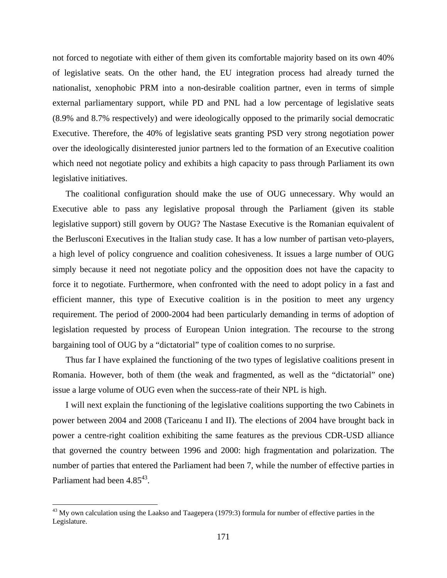not forced to negotiate with either of them given its comfortable majority based on its own 40% of legislative seats. On the other hand, the EU integration process had already turned the nationalist, xenophobic PRM into a non-desirable coalition partner, even in terms of simple external parliamentary support, while PD and PNL had a low percentage of legislative seats (8.9% and 8.7% respectively) and were ideologically opposed to the primarily social democratic Executive. Therefore, the 40% of legislative seats granting PSD very strong negotiation power over the ideologically disinterested junior partners led to the formation of an Executive coalition which need not negotiate policy and exhibits a high capacity to pass through Parliament its own legislative initiatives.

The coalitional configuration should make the use of OUG unnecessary. Why would an Executive able to pass any legislative proposal through the Parliament (given its stable legislative support) still govern by OUG? The Nastase Executive is the Romanian equivalent of the Berlusconi Executives in the Italian study case. It has a low number of partisan veto-players, a high level of policy congruence and coalition cohesiveness. It issues a large number of OUG simply because it need not negotiate policy and the opposition does not have the capacity to force it to negotiate. Furthermore, when confronted with the need to adopt policy in a fast and efficient manner, this type of Executive coalition is in the position to meet any urgency requirement. The period of 2000-2004 had been particularly demanding in terms of adoption of legislation requested by process of European Union integration. The recourse to the strong bargaining tool of OUG by a "dictatorial" type of coalition comes to no surprise.

Thus far I have explained the functioning of the two types of legislative coalitions present in Romania. However, both of them (the weak and fragmented, as well as the "dictatorial" one) issue a large volume of OUG even when the success-rate of their NPL is high.

I will next explain the functioning of the legislative coalitions supporting the two Cabinets in power between 2004 and 2008 (Tariceanu I and II). The elections of 2004 have brought back in power a centre-right coalition exhibiting the same features as the previous CDR-USD alliance that governed the country between 1996 and 2000: high fragmentation and polarization. The number of parties that entered the Parliament had been 7, while the number of effective parties in Parliament had been 4.85<sup>43</sup>.

 $\overline{a}$ 

<sup>&</sup>lt;sup>43</sup> My own calculation using the Laakso and Taagepera (1979:3) formula for number of effective parties in the Legislature.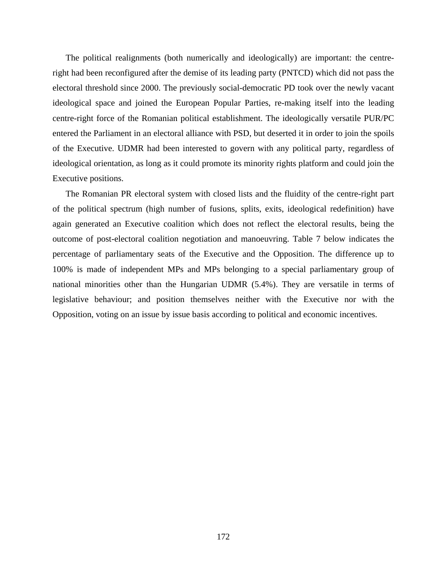The political realignments (both numerically and ideologically) are important: the centreright had been reconfigured after the demise of its leading party (PNTCD) which did not pass the electoral threshold since 2000. The previously social-democratic PD took over the newly vacant ideological space and joined the European Popular Parties, re-making itself into the leading centre-right force of the Romanian political establishment. The ideologically versatile PUR/PC entered the Parliament in an electoral alliance with PSD, but deserted it in order to join the spoils of the Executive. UDMR had been interested to govern with any political party, regardless of ideological orientation, as long as it could promote its minority rights platform and could join the Executive positions.

The Romanian PR electoral system with closed lists and the fluidity of the centre-right part of the political spectrum (high number of fusions, splits, exits, ideological redefinition) have again generated an Executive coalition which does not reflect the electoral results, being the outcome of post-electoral coalition negotiation and manoeuvring. Table 7 below indicates the percentage of parliamentary seats of the Executive and the Opposition. The difference up to 100% is made of independent MPs and MPs belonging to a special parliamentary group of national minorities other than the Hungarian UDMR (5.4%). They are versatile in terms of legislative behaviour; and position themselves neither with the Executive nor with the Opposition, voting on an issue by issue basis according to political and economic incentives.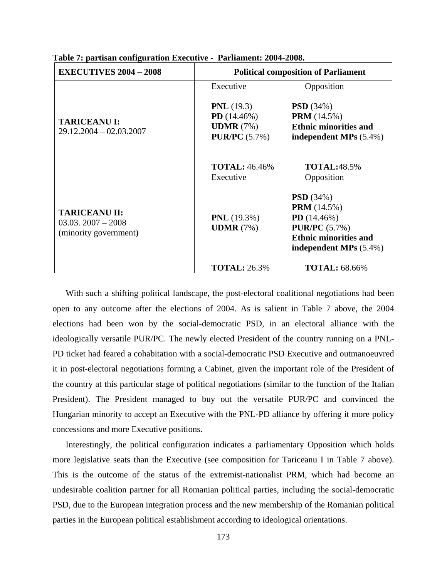| <b>EXECUTIVES 2004 - 2008</b>                                        | <b>Political composition of Parliament</b>  |                                                                                                                                                  |  |
|----------------------------------------------------------------------|---------------------------------------------|--------------------------------------------------------------------------------------------------------------------------------------------------|--|
|                                                                      | Executive                                   | Opposition                                                                                                                                       |  |
|                                                                      | <b>PNL</b> $(19.3)$                         | <b>PSD</b> $(34%)$                                                                                                                               |  |
|                                                                      | $PD(14.46\%)$                               | <b>PRM</b> (14.5%)                                                                                                                               |  |
| <b>TARICEANU I:</b><br>$29.12.2004 - 02.03.2007$                     | <b>UDMR</b> $(7%)$                          | <b>Ethnic minorities and</b>                                                                                                                     |  |
|                                                                      | <b>PUR/PC</b> (5.7%)                        | independent MPs $(5.4\%)$                                                                                                                        |  |
|                                                                      | <b>TOTAL: 46.46%</b>                        | <b>TOTAL:48.5%</b>                                                                                                                               |  |
|                                                                      | Executive                                   | Opposition                                                                                                                                       |  |
| <b>TARICEANU II:</b><br>$03.03.2007 - 2008$<br>(minority government) | <b>PNL</b> $(19.3\%)$<br><b>UDMR</b> $(7%)$ | <b>PSD</b> $(34%)$<br><b>PRM</b> (14.5%)<br>$PD(14.46\%)$<br><b>PUR/PC</b> $(5.7%)$<br><b>Ethnic minorities and</b><br>independent MPs $(5.4\%)$ |  |
|                                                                      | <b>TOTAL: 26.3%</b>                         | <b>TOTAL: 68.66%</b>                                                                                                                             |  |

**Table 7: partisan configuration Executive - Parliament: 2004-2008.** 

With such a shifting political landscape, the post-electoral coalitional negotiations had been open to any outcome after the elections of 2004. As is salient in Table 7 above, the 2004 elections had been won by the social-democratic PSD, in an electoral alliance with the ideologically versatile PUR/PC. The newly elected President of the country running on a PNL-PD ticket had feared a cohabitation with a social-democratic PSD Executive and outmanoeuvred it in post-electoral negotiations forming a Cabinet, given the important role of the President of the country at this particular stage of political negotiations (similar to the function of the Italian President). The President managed to buy out the versatile PUR/PC and convinced the Hungarian minority to accept an Executive with the PNL-PD alliance by offering it more policy concessions and more Executive positions.

Interestingly, the political configuration indicates a parliamentary Opposition which holds more legislative seats than the Executive (see composition for Tariceanu I in Table 7 above). This is the outcome of the status of the extremist-nationalist PRM, which had become an undesirable coalition partner for all Romanian political parties, including the social-democratic PSD, due to the European integration process and the new membership of the Romanian political parties in the European political establishment according to ideological orientations.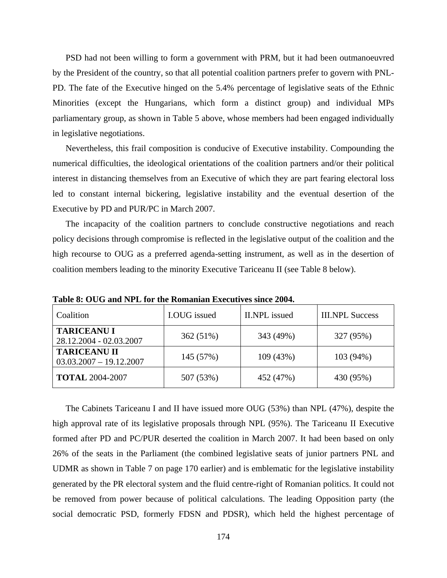PSD had not been willing to form a government with PRM, but it had been outmanoeuvred by the President of the country, so that all potential coalition partners prefer to govern with PNL-PD. The fate of the Executive hinged on the 5.4% percentage of legislative seats of the Ethnic Minorities (except the Hungarians, which form a distinct group) and individual MPs parliamentary group, as shown in Table 5 above, whose members had been engaged individually in legislative negotiations.

Nevertheless, this frail composition is conducive of Executive instability. Compounding the numerical difficulties, the ideological orientations of the coalition partners and/or their political interest in distancing themselves from an Executive of which they are part fearing electoral loss led to constant internal bickering, legislative instability and the eventual desertion of the Executive by PD and PUR/PC in March 2007.

The incapacity of the coalition partners to conclude constructive negotiations and reach policy decisions through compromise is reflected in the legislative output of the coalition and the high recourse to OUG as a preferred agenda-setting instrument, as well as in the desertion of coalition members leading to the minority Executive Tariceanu II (see Table 8 below).

| Coalition                                        | I.OUG issued | <b>II.NPL</b> issued | <b>III.NPL Success</b> |
|--------------------------------------------------|--------------|----------------------|------------------------|
| <b>TARICEANU I</b><br>28.12.2004 - 02.03.2007    | 362 (51%)    | 343 (49%)            | 327 (95%)              |
| <b>TARICEANU II</b><br>$03.03.2007 - 19.12.2007$ | 145 (57%)    | 109 (43%)            | 103 (94%)              |
| <b>TOTAL 2004-2007</b>                           | 507 (53%)    | 452 (47%)            | 430 (95%)              |

**Table 8: OUG and NPL for the Romanian Executives since 2004.** 

The Cabinets Tariceanu I and II have issued more OUG (53%) than NPL (47%), despite the high approval rate of its legislative proposals through NPL (95%). The Tariceanu II Executive formed after PD and PC/PUR deserted the coalition in March 2007. It had been based on only 26% of the seats in the Parliament (the combined legislative seats of junior partners PNL and UDMR as shown in Table 7 on page 170 earlier) and is emblematic for the legislative instability generated by the PR electoral system and the fluid centre-right of Romanian politics. It could not be removed from power because of political calculations. The leading Opposition party (the social democratic PSD, formerly FDSN and PDSR), which held the highest percentage of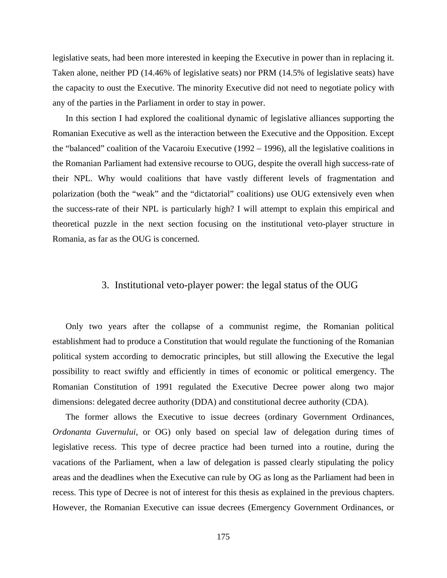legislative seats, had been more interested in keeping the Executive in power than in replacing it. Taken alone, neither PD (14.46% of legislative seats) nor PRM (14.5% of legislative seats) have the capacity to oust the Executive. The minority Executive did not need to negotiate policy with any of the parties in the Parliament in order to stay in power.

In this section I had explored the coalitional dynamic of legislative alliances supporting the Romanian Executive as well as the interaction between the Executive and the Opposition. Except the "balanced" coalition of the Vacaroiu Executive (1992 – 1996), all the legislative coalitions in the Romanian Parliament had extensive recourse to OUG, despite the overall high success-rate of their NPL. Why would coalitions that have vastly different levels of fragmentation and polarization (both the "weak" and the "dictatorial" coalitions) use OUG extensively even when the success-rate of their NPL is particularly high? I will attempt to explain this empirical and theoretical puzzle in the next section focusing on the institutional veto-player structure in Romania, as far as the OUG is concerned.

### 3. Institutional veto-player power: the legal status of the OUG

Only two years after the collapse of a communist regime, the Romanian political establishment had to produce a Constitution that would regulate the functioning of the Romanian political system according to democratic principles, but still allowing the Executive the legal possibility to react swiftly and efficiently in times of economic or political emergency. The Romanian Constitution of 1991 regulated the Executive Decree power along two major dimensions: delegated decree authority (DDA) and constitutional decree authority (CDA).

The former allows the Executive to issue decrees (ordinary Government Ordinances, *Ordonanta Guvernului*, or OG) only based on special law of delegation during times of legislative recess. This type of decree practice had been turned into a routine, during the vacations of the Parliament, when a law of delegation is passed clearly stipulating the policy areas and the deadlines when the Executive can rule by OG as long as the Parliament had been in recess. This type of Decree is not of interest for this thesis as explained in the previous chapters. However, the Romanian Executive can issue decrees (Emergency Government Ordinances, or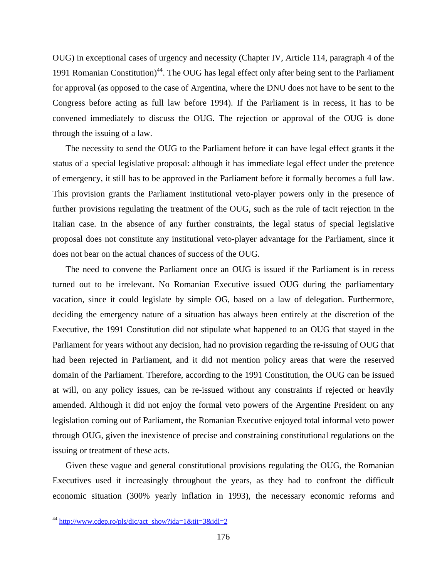OUG) in exceptional cases of urgency and necessity (Chapter IV, Article 114, paragraph 4 of the 1991 Romanian Constitution)<sup>44</sup>. The OUG has legal effect only after being sent to the Parliament for approval (as opposed to the case of Argentina, where the DNU does not have to be sent to the Congress before acting as full law before 1994). If the Parliament is in recess, it has to be convened immediately to discuss the OUG. The rejection or approval of the OUG is done through the issuing of a law.

The necessity to send the OUG to the Parliament before it can have legal effect grants it the status of a special legislative proposal: although it has immediate legal effect under the pretence of emergency, it still has to be approved in the Parliament before it formally becomes a full law. This provision grants the Parliament institutional veto-player powers only in the presence of further provisions regulating the treatment of the OUG, such as the rule of tacit rejection in the Italian case. In the absence of any further constraints, the legal status of special legislative proposal does not constitute any institutional veto-player advantage for the Parliament, since it does not bear on the actual chances of success of the OUG.

The need to convene the Parliament once an OUG is issued if the Parliament is in recess turned out to be irrelevant. No Romanian Executive issued OUG during the parliamentary vacation, since it could legislate by simple OG, based on a law of delegation. Furthermore, deciding the emergency nature of a situation has always been entirely at the discretion of the Executive, the 1991 Constitution did not stipulate what happened to an OUG that stayed in the Parliament for years without any decision, had no provision regarding the re-issuing of OUG that had been rejected in Parliament, and it did not mention policy areas that were the reserved domain of the Parliament. Therefore, according to the 1991 Constitution, the OUG can be issued at will, on any policy issues, can be re-issued without any constraints if rejected or heavily amended. Although it did not enjoy the formal veto powers of the Argentine President on any legislation coming out of Parliament, the Romanian Executive enjoyed total informal veto power through OUG, given the inexistence of precise and constraining constitutional regulations on the issuing or treatment of these acts.

Given these vague and general constitutional provisions regulating the OUG, the Romanian Executives used it increasingly throughout the years, as they had to confront the difficult economic situation (300% yearly inflation in 1993), the necessary economic reforms and

<sup>&</sup>lt;sup>44</sup> http://www.cdep.ro/pls/dic/act\_show?ida=1&tit=3&idl=2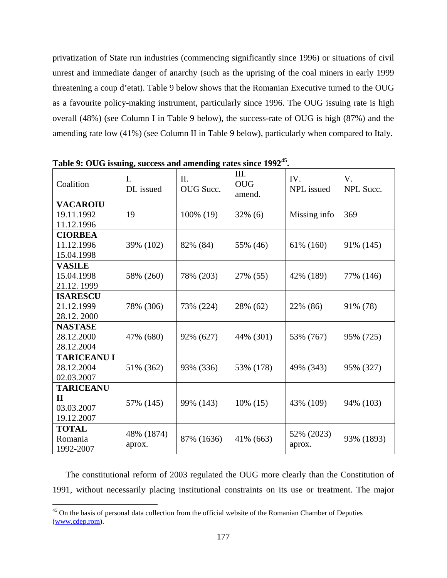privatization of State run industries (commencing significantly since 1996) or situations of civil unrest and immediate danger of anarchy (such as the uprising of the coal miners in early 1999 threatening a coup d'etat). Table 9 below shows that the Romanian Executive turned to the OUG as a favourite policy-making instrument, particularly since 1996. The OUG issuing rate is high overall (48%) (see Column I in Table 9 below), the success-rate of OUG is high (87%) and the amending rate low (41%) (see Column II in Table 9 below), particularly when compared to Italy.

| raoic $\lambda$ , $\lambda$ c $\lambda$ issuing, success and amending rates since 1772<br>Coalition | $\mathbf{I}$ .<br>DL issued | II.<br>OUG Succ. | III.<br><b>OUG</b><br>amend. | IV.<br>NPL issued    | $V_{\cdot}$<br>NPL Succ. |
|-----------------------------------------------------------------------------------------------------|-----------------------------|------------------|------------------------------|----------------------|--------------------------|
| <b>VACAROIU</b><br>19.11.1992<br>11.12.1996                                                         | 19                          | 100% (19)        | $32\%$ (6)                   | Missing info         | 369                      |
| <b>CIORBEA</b><br>11.12.1996<br>15.04.1998                                                          | 39% (102)                   | 82% (84)         | 55% (46)                     | 61% (160)            | 91% (145)                |
| <b>VASILE</b><br>15.04.1998<br>21.12.1999                                                           | 58% (260)                   | 78% (203)        | 27% (55)                     | 42% (189)            | 77% (146)                |
| <b>ISARESCU</b><br>21.12.1999<br>28.12.2000                                                         | 78% (306)                   | 73% (224)        | 28% (62)                     | 22% (86)             | 91% (78)                 |
| <b>NASTASE</b><br>28.12.2000<br>28.12.2004                                                          | 47% (680)                   | 92% (627)        | 44% (301)                    | 53% (767)            | 95% (725)                |
| <b>TARICEANU I</b><br>28.12.2004<br>02.03.2007                                                      | 51% (362)                   | 93% (336)        | 53% (178)                    | 49% (343)            | 95% (327)                |
| <b>TARICEANU</b><br>$\mathbf{H}$<br>03.03.2007<br>19.12.2007                                        | 57% (145)                   | 99% (143)        | $10\%$ (15)                  | 43% (109)            | 94% (103)                |
| <b>TOTAL</b><br>Romania<br>1992-2007                                                                | 48% (1874)<br>aprox.        | 87% (1636)       | 41% (663)                    | 52% (2023)<br>aprox. | 93% (1893)               |

**Table 9: OUG issuing, success and amending rates since 199245.** 

The constitutional reform of 2003 regulated the OUG more clearly than the Constitution of 1991, without necessarily placing institutional constraints on its use or treatment. The major

1

<sup>&</sup>lt;sup>45</sup> On the basis of personal data collection from the official website of the Romanian Chamber of Deputies (www.cdep.rom).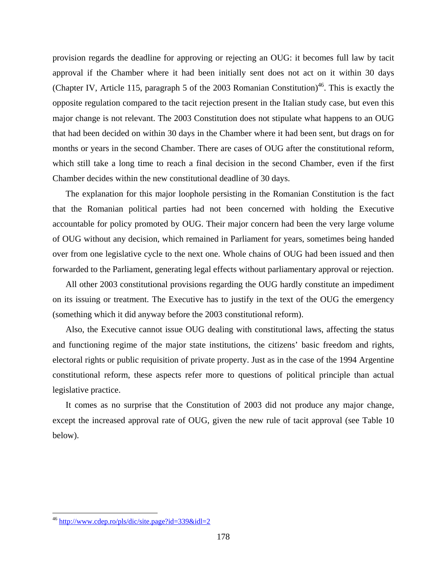provision regards the deadline for approving or rejecting an OUG: it becomes full law by tacit approval if the Chamber where it had been initially sent does not act on it within 30 days (Chapter IV, Article 115, paragraph 5 of the 2003 Romanian Constitution)<sup>46</sup>. This is exactly the opposite regulation compared to the tacit rejection present in the Italian study case, but even this major change is not relevant. The 2003 Constitution does not stipulate what happens to an OUG that had been decided on within 30 days in the Chamber where it had been sent, but drags on for months or years in the second Chamber. There are cases of OUG after the constitutional reform, which still take a long time to reach a final decision in the second Chamber, even if the first Chamber decides within the new constitutional deadline of 30 days.

The explanation for this major loophole persisting in the Romanian Constitution is the fact that the Romanian political parties had not been concerned with holding the Executive accountable for policy promoted by OUG. Their major concern had been the very large volume of OUG without any decision, which remained in Parliament for years, sometimes being handed over from one legislative cycle to the next one. Whole chains of OUG had been issued and then forwarded to the Parliament, generating legal effects without parliamentary approval or rejection.

All other 2003 constitutional provisions regarding the OUG hardly constitute an impediment on its issuing or treatment. The Executive has to justify in the text of the OUG the emergency (something which it did anyway before the 2003 constitutional reform).

Also, the Executive cannot issue OUG dealing with constitutional laws, affecting the status and functioning regime of the major state institutions, the citizens' basic freedom and rights, electoral rights or public requisition of private property. Just as in the case of the 1994 Argentine constitutional reform, these aspects refer more to questions of political principle than actual legislative practice.

It comes as no surprise that the Constitution of 2003 did not produce any major change, except the increased approval rate of OUG, given the new rule of tacit approval (see Table 10 below).

 $\overline{a}$ 

<sup>&</sup>lt;sup>46</sup> http://www.cdep.ro/pls/dic/site.page?id=339&idl=2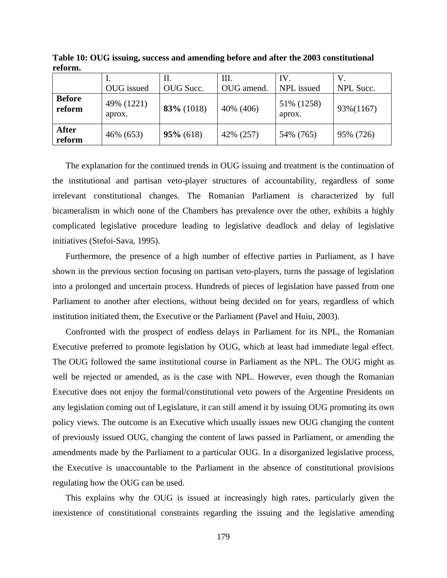|                         | OUG issued           | П.<br>OUG Succ. | III.<br>OUG amend. | IV.<br>NPL issued    | NPL Succ. |
|-------------------------|----------------------|-----------------|--------------------|----------------------|-----------|
| <b>Before</b><br>reform | 49% (1221)<br>aprox. | 83% (1018)      | 40% (406)          | 51% (1258)<br>aprox. | 93%(1167) |
| <b>After</b><br>reform  | 46% (653)            | $95\%$ (618)    | 42% (257)          | 54% (765)            | 95% (726) |

**Table 10: OUG issuing, success and amending before and after the 2003 constitutional reform.** 

The explanation for the continued trends in OUG issuing and treatment is the continuation of the institutional and partisan veto-player structures of accountability, regardless of some irrelevant constitutional changes. The Romanian Parliament is characterized by full bicameralism in which none of the Chambers has prevalence over the other, exhibits a highly complicated legislative procedure leading to legislative deadlock and delay of legislative initiatives (Stefoi-Sava, 1995).

Furthermore, the presence of a high number of effective parties in Parliament, as I have shown in the previous section focusing on partisan veto-players, turns the passage of legislation into a prolonged and uncertain process. Hundreds of pieces of legislation have passed from one Parliament to another after elections, without being decided on for years, regardless of which institution initiated them, the Executive or the Parliament (Pavel and Huiu, 2003).

Confronted with the prospect of endless delays in Parliament for its NPL, the Romanian Executive preferred to promote legislation by OUG, which at least had immediate legal effect. The OUG followed the same institutional course in Parliament as the NPL. The OUG might as well be rejected or amended, as is the case with NPL. However, even though the Romanian Executive does not enjoy the formal/constitutional veto powers of the Argentine Presidents on any legislation coming out of Legislature, it can still amend it by issuing OUG promoting its own policy views. The outcome is an Executive which usually issues new OUG changing the content of previously issued OUG, changing the content of laws passed in Parliament, or amending the amendments made by the Parliament to a particular OUG. In a disorganized legislative process, the Executive is unaccountable to the Parliament in the absence of constitutional provisions regulating how the OUG can be used.

This explains why the OUG is issued at increasingly high rates, particularly given the inexistence of constitutional constraints regarding the issuing and the legislative amending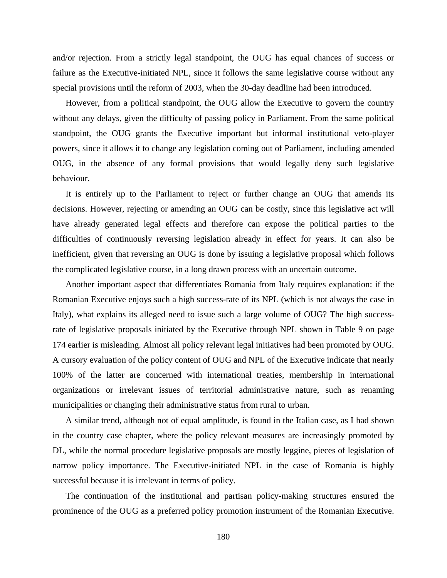and/or rejection. From a strictly legal standpoint, the OUG has equal chances of success or failure as the Executive-initiated NPL, since it follows the same legislative course without any special provisions until the reform of 2003, when the 30-day deadline had been introduced.

However, from a political standpoint, the OUG allow the Executive to govern the country without any delays, given the difficulty of passing policy in Parliament. From the same political standpoint, the OUG grants the Executive important but informal institutional veto-player powers, since it allows it to change any legislation coming out of Parliament, including amended OUG, in the absence of any formal provisions that would legally deny such legislative behaviour.

It is entirely up to the Parliament to reject or further change an OUG that amends its decisions. However, rejecting or amending an OUG can be costly, since this legislative act will have already generated legal effects and therefore can expose the political parties to the difficulties of continuously reversing legislation already in effect for years. It can also be inefficient, given that reversing an OUG is done by issuing a legislative proposal which follows the complicated legislative course, in a long drawn process with an uncertain outcome.

Another important aspect that differentiates Romania from Italy requires explanation: if the Romanian Executive enjoys such a high success-rate of its NPL (which is not always the case in Italy), what explains its alleged need to issue such a large volume of OUG? The high successrate of legislative proposals initiated by the Executive through NPL shown in Table 9 on page 174 earlier is misleading. Almost all policy relevant legal initiatives had been promoted by OUG. A cursory evaluation of the policy content of OUG and NPL of the Executive indicate that nearly 100% of the latter are concerned with international treaties, membership in international organizations or irrelevant issues of territorial administrative nature, such as renaming municipalities or changing their administrative status from rural to urban.

A similar trend, although not of equal amplitude, is found in the Italian case, as I had shown in the country case chapter, where the policy relevant measures are increasingly promoted by DL, while the normal procedure legislative proposals are mostly leggine, pieces of legislation of narrow policy importance. The Executive-initiated NPL in the case of Romania is highly successful because it is irrelevant in terms of policy.

The continuation of the institutional and partisan policy-making structures ensured the prominence of the OUG as a preferred policy promotion instrument of the Romanian Executive.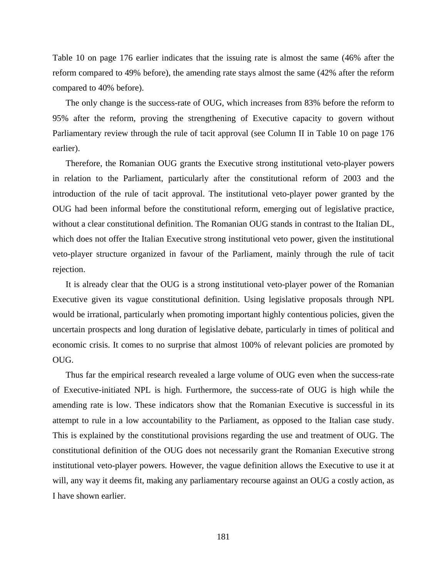Table 10 on page 176 earlier indicates that the issuing rate is almost the same (46% after the reform compared to 49% before), the amending rate stays almost the same (42% after the reform compared to 40% before).

The only change is the success-rate of OUG, which increases from 83% before the reform to 95% after the reform, proving the strengthening of Executive capacity to govern without Parliamentary review through the rule of tacit approval (see Column II in Table 10 on page 176 earlier).

Therefore, the Romanian OUG grants the Executive strong institutional veto-player powers in relation to the Parliament, particularly after the constitutional reform of 2003 and the introduction of the rule of tacit approval. The institutional veto-player power granted by the OUG had been informal before the constitutional reform, emerging out of legislative practice, without a clear constitutional definition. The Romanian OUG stands in contrast to the Italian DL, which does not offer the Italian Executive strong institutional veto power, given the institutional veto-player structure organized in favour of the Parliament, mainly through the rule of tacit rejection.

It is already clear that the OUG is a strong institutional veto-player power of the Romanian Executive given its vague constitutional definition. Using legislative proposals through NPL would be irrational, particularly when promoting important highly contentious policies, given the uncertain prospects and long duration of legislative debate, particularly in times of political and economic crisis. It comes to no surprise that almost 100% of relevant policies are promoted by OUG.

Thus far the empirical research revealed a large volume of OUG even when the success-rate of Executive-initiated NPL is high. Furthermore, the success-rate of OUG is high while the amending rate is low. These indicators show that the Romanian Executive is successful in its attempt to rule in a low accountability to the Parliament, as opposed to the Italian case study. This is explained by the constitutional provisions regarding the use and treatment of OUG. The constitutional definition of the OUG does not necessarily grant the Romanian Executive strong institutional veto-player powers. However, the vague definition allows the Executive to use it at will, any way it deems fit, making any parliamentary recourse against an OUG a costly action, as I have shown earlier.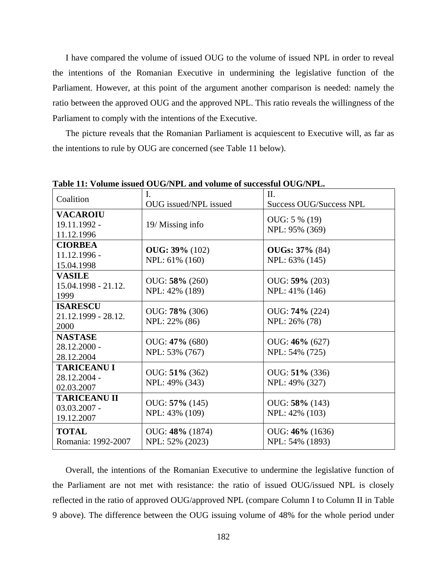I have compared the volume of issued OUG to the volume of issued NPL in order to reveal the intentions of the Romanian Executive in undermining the legislative function of the Parliament. However, at this point of the argument another comparison is needed: namely the ratio between the approved OUG and the approved NPL. This ratio reveals the willingness of the Parliament to comply with the intentions of the Executive.

The picture reveals that the Romanian Parliament is acquiescent to Executive will, as far as the intentions to rule by OUG are concerned (see Table 11 below).

| Table 11: Volume issued OUG/NPL and volume of successful OUG/NPL. |                       |                                |  |  |
|-------------------------------------------------------------------|-----------------------|--------------------------------|--|--|
| Coalition                                                         |                       | II.                            |  |  |
|                                                                   | OUG issued/NPL issued | <b>Success OUG/Success NPL</b> |  |  |
| <b>VACAROIU</b>                                                   |                       | OUG: 5 % (19)                  |  |  |
| 19.11.1992 -                                                      | 19/ Missing info      |                                |  |  |
| 11.12.1996                                                        |                       | NPL: 95% (369)                 |  |  |
| <b>CIORBEA</b>                                                    |                       |                                |  |  |
| 11.12.1996 -                                                      | $OUG: 39\% (102)$     | <b>OUGs: 37%</b> (84)          |  |  |
| 15.04.1998                                                        | NPL: 61% (160)        | NPL: 63% (145)                 |  |  |
| <b>VASILE</b>                                                     |                       |                                |  |  |
| $15.04.1998 - 21.12.$                                             | OUG: 58% (260)        | OUG: 59% (203)                 |  |  |
| 1999                                                              | NPL: 42% (189)        | NPL: 41% (146)                 |  |  |
| <b>ISARESCU</b>                                                   |                       |                                |  |  |
| 21.12.1999 - 28.12.                                               | OUG: 78% (306)        | OUG: <b>74%</b> (224)          |  |  |
| 2000                                                              | NPL: 22% (86)         | NPL: 26% (78)                  |  |  |
| <b>NASTASE</b>                                                    |                       |                                |  |  |
| 28.12.2000 -                                                      | OUG: 47% (680)        | OUG: 46% (627)                 |  |  |
| 28.12.2004                                                        | NPL: 53% (767)        | NPL: 54% (725)                 |  |  |
| <b>TARICEANU I</b>                                                |                       |                                |  |  |
| 28.12.2004 -                                                      | OUG: 51% (362)        | OUG: $51\%$ (336)              |  |  |
| 02.03.2007                                                        | NPL: 49% (343)        | NPL: 49% (327)                 |  |  |
| <b>TARICEANU II</b>                                               |                       |                                |  |  |
| $03.03.2007 -$                                                    | OUG: 57% (145)        | OUG: 58% (143)                 |  |  |
| 19.12.2007                                                        | NPL: 43% (109)        | NPL: 42% (103)                 |  |  |
| <b>TOTAL</b>                                                      | OUG: 48% (1874)       | OUG: 46% (1636)                |  |  |
| Romania: 1992-2007                                                |                       |                                |  |  |
|                                                                   | NPL: 52% (2023)       | NPL: 54% (1893)                |  |  |

**Table 11: Volume issued OUG/NPL and volume of successful OUG/NPL.** 

Overall, the intentions of the Romanian Executive to undermine the legislative function of the Parliament are not met with resistance: the ratio of issued OUG/issued NPL is closely reflected in the ratio of approved OUG/approved NPL (compare Column I to Column II in Table 9 above). The difference between the OUG issuing volume of 48% for the whole period under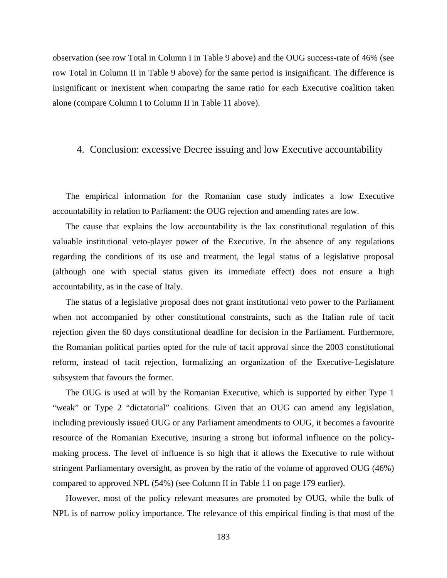observation (see row Total in Column I in Table 9 above) and the OUG success-rate of 46% (see row Total in Column II in Table 9 above) for the same period is insignificant. The difference is insignificant or inexistent when comparing the same ratio for each Executive coalition taken alone (compare Column I to Column II in Table 11 above).

## 4. Conclusion: excessive Decree issuing and low Executive accountability

The empirical information for the Romanian case study indicates a low Executive accountability in relation to Parliament: the OUG rejection and amending rates are low.

The cause that explains the low accountability is the lax constitutional regulation of this valuable institutional veto-player power of the Executive. In the absence of any regulations regarding the conditions of its use and treatment, the legal status of a legislative proposal (although one with special status given its immediate effect) does not ensure a high accountability, as in the case of Italy.

The status of a legislative proposal does not grant institutional veto power to the Parliament when not accompanied by other constitutional constraints, such as the Italian rule of tacit rejection given the 60 days constitutional deadline for decision in the Parliament. Furthermore, the Romanian political parties opted for the rule of tacit approval since the 2003 constitutional reform, instead of tacit rejection, formalizing an organization of the Executive-Legislature subsystem that favours the former.

The OUG is used at will by the Romanian Executive, which is supported by either Type 1 "weak" or Type 2 "dictatorial" coalitions. Given that an OUG can amend any legislation, including previously issued OUG or any Parliament amendments to OUG, it becomes a favourite resource of the Romanian Executive, insuring a strong but informal influence on the policymaking process. The level of influence is so high that it allows the Executive to rule without stringent Parliamentary oversight, as proven by the ratio of the volume of approved OUG (46%) compared to approved NPL (54%) (see Column II in Table 11 on page 179 earlier).

However, most of the policy relevant measures are promoted by OUG, while the bulk of NPL is of narrow policy importance. The relevance of this empirical finding is that most of the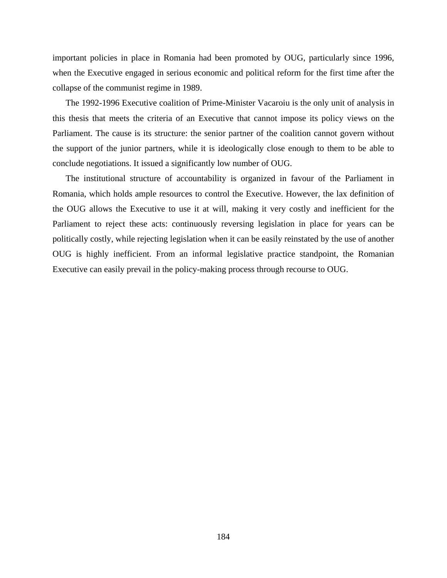important policies in place in Romania had been promoted by OUG, particularly since 1996, when the Executive engaged in serious economic and political reform for the first time after the collapse of the communist regime in 1989.

The 1992-1996 Executive coalition of Prime-Minister Vacaroiu is the only unit of analysis in this thesis that meets the criteria of an Executive that cannot impose its policy views on the Parliament. The cause is its structure: the senior partner of the coalition cannot govern without the support of the junior partners, while it is ideologically close enough to them to be able to conclude negotiations. It issued a significantly low number of OUG.

The institutional structure of accountability is organized in favour of the Parliament in Romania, which holds ample resources to control the Executive. However, the lax definition of the OUG allows the Executive to use it at will, making it very costly and inefficient for the Parliament to reject these acts: continuously reversing legislation in place for years can be politically costly, while rejecting legislation when it can be easily reinstated by the use of another OUG is highly inefficient. From an informal legislative practice standpoint, the Romanian Executive can easily prevail in the policy-making process through recourse to OUG.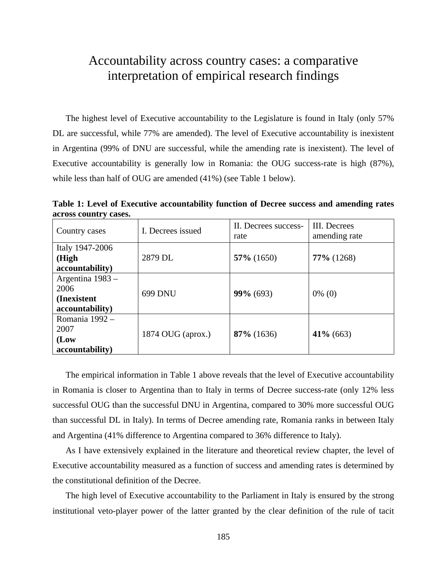## Accountability across country cases: a comparative interpretation of empirical research findings

The highest level of Executive accountability to the Legislature is found in Italy (only 57% DL are successful, while 77% are amended). The level of Executive accountability is inexistent in Argentina (99% of DNU are successful, while the amending rate is inexistent). The level of Executive accountability is generally low in Romania: the OUG success-rate is high (87%), while less than half of OUG are amended (41%) (see Table 1 below).

**Table 1: Level of Executive accountability function of Decree success and amending rates across country cases.** 

| Country cases                                              | I. Decrees issued | II. Decrees success-<br>rate | III. Decrees<br>amending rate |
|------------------------------------------------------------|-------------------|------------------------------|-------------------------------|
| Italy 1947-2006<br>(High<br>accountability)                | 2879 DL           | $57\%$ (1650)                | $77\%$ (1268)                 |
| Argentina 1983 –<br>2006<br>(Inexistent<br>accountability) | 699 DNU           | $99\% (693)$                 | $0\%$ (0)                     |
| Romania 1992 -<br>2007<br>(Low<br>accountability)          | 1874 OUG (aprox.) | $87\%$ (1636)                | $41\%$ (663)                  |

The empirical information in Table 1 above reveals that the level of Executive accountability in Romania is closer to Argentina than to Italy in terms of Decree success-rate (only 12% less successful OUG than the successful DNU in Argentina, compared to 30% more successful OUG than successful DL in Italy). In terms of Decree amending rate, Romania ranks in between Italy and Argentina (41% difference to Argentina compared to 36% difference to Italy).

As I have extensively explained in the literature and theoretical review chapter, the level of Executive accountability measured as a function of success and amending rates is determined by the constitutional definition of the Decree.

The high level of Executive accountability to the Parliament in Italy is ensured by the strong institutional veto-player power of the latter granted by the clear definition of the rule of tacit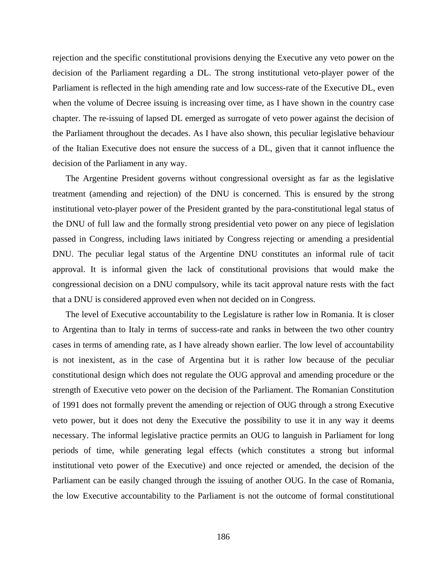rejection and the specific constitutional provisions denying the Executive any veto power on the decision of the Parliament regarding a DL. The strong institutional veto-player power of the Parliament is reflected in the high amending rate and low success-rate of the Executive DL, even when the volume of Decree issuing is increasing over time, as I have shown in the country case chapter. The re-issuing of lapsed DL emerged as surrogate of veto power against the decision of the Parliament throughout the decades. As I have also shown, this peculiar legislative behaviour of the Italian Executive does not ensure the success of a DL, given that it cannot influence the decision of the Parliament in any way.

The Argentine President governs without congressional oversight as far as the legislative treatment (amending and rejection) of the DNU is concerned. This is ensured by the strong institutional veto-player power of the President granted by the para-constitutional legal status of the DNU of full law and the formally strong presidential veto power on any piece of legislation passed in Congress, including laws initiated by Congress rejecting or amending a presidential DNU. The peculiar legal status of the Argentine DNU constitutes an informal rule of tacit approval. It is informal given the lack of constitutional provisions that would make the congressional decision on a DNU compulsory, while its tacit approval nature rests with the fact that a DNU is considered approved even when not decided on in Congress.

The level of Executive accountability to the Legislature is rather low in Romania. It is closer to Argentina than to Italy in terms of success-rate and ranks in between the two other country cases in terms of amending rate, as I have already shown earlier. The low level of accountability is not inexistent, as in the case of Argentina but it is rather low because of the peculiar constitutional design which does not regulate the OUG approval and amending procedure or the strength of Executive veto power on the decision of the Parliament. The Romanian Constitution of 1991 does not formally prevent the amending or rejection of OUG through a strong Executive veto power, but it does not deny the Executive the possibility to use it in any way it deems necessary. The informal legislative practice permits an OUG to languish in Parliament for long periods of time, while generating legal effects (which constitutes a strong but informal institutional veto power of the Executive) and once rejected or amended, the decision of the Parliament can be easily changed through the issuing of another OUG. In the case of Romania, the low Executive accountability to the Parliament is not the outcome of formal constitutional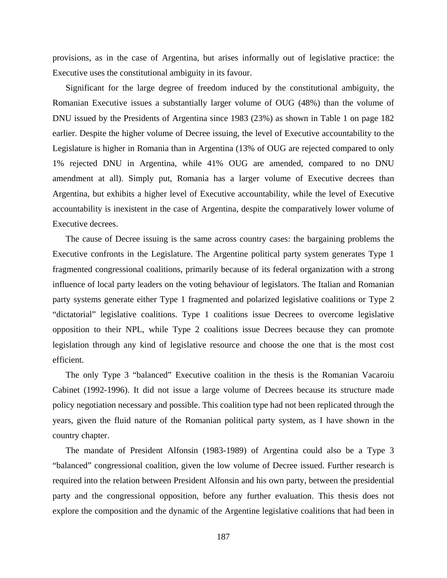provisions, as in the case of Argentina, but arises informally out of legislative practice: the Executive uses the constitutional ambiguity in its favour.

Significant for the large degree of freedom induced by the constitutional ambiguity, the Romanian Executive issues a substantially larger volume of OUG (48%) than the volume of DNU issued by the Presidents of Argentina since 1983 (23%) as shown in Table 1 on page 182 earlier. Despite the higher volume of Decree issuing, the level of Executive accountability to the Legislature is higher in Romania than in Argentina (13% of OUG are rejected compared to only 1% rejected DNU in Argentina, while 41% OUG are amended, compared to no DNU amendment at all). Simply put, Romania has a larger volume of Executive decrees than Argentina, but exhibits a higher level of Executive accountability, while the level of Executive accountability is inexistent in the case of Argentina, despite the comparatively lower volume of Executive decrees.

The cause of Decree issuing is the same across country cases: the bargaining problems the Executive confronts in the Legislature. The Argentine political party system generates Type 1 fragmented congressional coalitions, primarily because of its federal organization with a strong influence of local party leaders on the voting behaviour of legislators. The Italian and Romanian party systems generate either Type 1 fragmented and polarized legislative coalitions or Type 2 "dictatorial" legislative coalitions. Type 1 coalitions issue Decrees to overcome legislative opposition to their NPL, while Type 2 coalitions issue Decrees because they can promote legislation through any kind of legislative resource and choose the one that is the most cost efficient.

The only Type 3 "balanced" Executive coalition in the thesis is the Romanian Vacaroiu Cabinet (1992-1996). It did not issue a large volume of Decrees because its structure made policy negotiation necessary and possible. This coalition type had not been replicated through the years, given the fluid nature of the Romanian political party system, as I have shown in the country chapter.

The mandate of President Alfonsin (1983-1989) of Argentina could also be a Type 3 "balanced" congressional coalition, given the low volume of Decree issued. Further research is required into the relation between President Alfonsin and his own party, between the presidential party and the congressional opposition, before any further evaluation. This thesis does not explore the composition and the dynamic of the Argentine legislative coalitions that had been in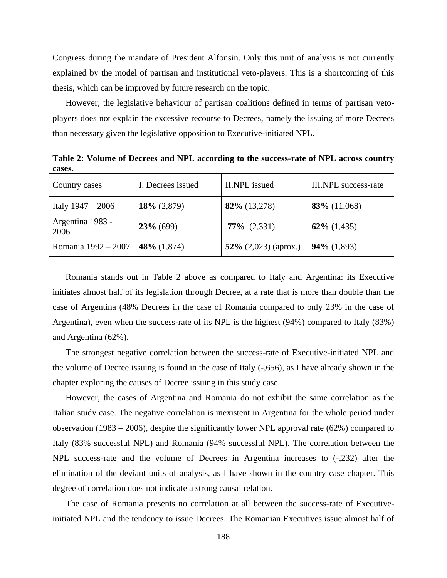Congress during the mandate of President Alfonsin. Only this unit of analysis is not currently explained by the model of partisan and institutional veto-players. This is a shortcoming of this thesis, which can be improved by future research on the topic.

However, the legislative behaviour of partisan coalitions defined in terms of partisan vetoplayers does not explain the excessive recourse to Decrees, namely the issuing of more Decrees than necessary given the legislative opposition to Executive-initiated NPL.

**Table 2: Volume of Decrees and NPL according to the success-rate of NPL across country cases.** 

| Country cases            | I. Decrees issued | II.NPL issued           | III.NPL success-rate |
|--------------------------|-------------------|-------------------------|----------------------|
| Italy $1947 - 2006$      | $18\% (2,879)$    | $82\%$ (13,278)         | $83\%$ (11,068)      |
| Argentina 1983 -<br>2006 | $23\%$ (699)      | $77\%$ $(2,331)$        | $62\%$ (1,435)       |
| Romania 1992 – 2007      | 48\% $(1,874)$    | 52\% $(2,023)$ (aprox.) | $94\%$ (1,893)       |

Romania stands out in Table 2 above as compared to Italy and Argentina: its Executive initiates almost half of its legislation through Decree, at a rate that is more than double than the case of Argentina (48% Decrees in the case of Romania compared to only 23% in the case of Argentina), even when the success-rate of its NPL is the highest (94%) compared to Italy (83%) and Argentina (62%).

The strongest negative correlation between the success-rate of Executive-initiated NPL and the volume of Decree issuing is found in the case of Italy (-,656), as I have already shown in the chapter exploring the causes of Decree issuing in this study case.

However, the cases of Argentina and Romania do not exhibit the same correlation as the Italian study case. The negative correlation is inexistent in Argentina for the whole period under observation (1983 – 2006), despite the significantly lower NPL approval rate (62%) compared to Italy (83% successful NPL) and Romania (94% successful NPL). The correlation between the NPL success-rate and the volume of Decrees in Argentina increases to (-,232) after the elimination of the deviant units of analysis, as I have shown in the country case chapter. This degree of correlation does not indicate a strong causal relation.

The case of Romania presents no correlation at all between the success-rate of Executiveinitiated NPL and the tendency to issue Decrees. The Romanian Executives issue almost half of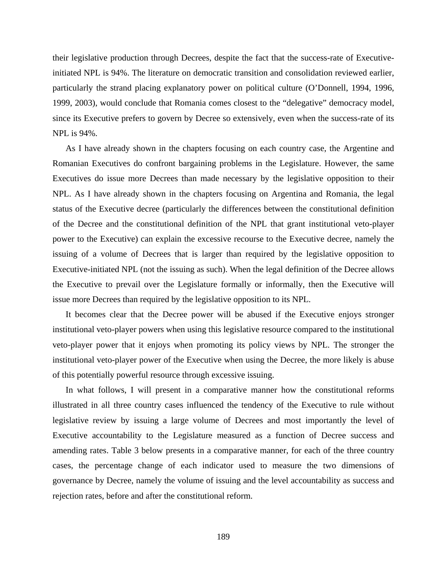their legislative production through Decrees, despite the fact that the success-rate of Executiveinitiated NPL is 94%. The literature on democratic transition and consolidation reviewed earlier, particularly the strand placing explanatory power on political culture (O'Donnell, 1994, 1996, 1999, 2003), would conclude that Romania comes closest to the "delegative" democracy model, since its Executive prefers to govern by Decree so extensively, even when the success-rate of its NPL is 94%.

As I have already shown in the chapters focusing on each country case, the Argentine and Romanian Executives do confront bargaining problems in the Legislature. However, the same Executives do issue more Decrees than made necessary by the legislative opposition to their NPL. As I have already shown in the chapters focusing on Argentina and Romania, the legal status of the Executive decree (particularly the differences between the constitutional definition of the Decree and the constitutional definition of the NPL that grant institutional veto-player power to the Executive) can explain the excessive recourse to the Executive decree, namely the issuing of a volume of Decrees that is larger than required by the legislative opposition to Executive-initiated NPL (not the issuing as such). When the legal definition of the Decree allows the Executive to prevail over the Legislature formally or informally, then the Executive will issue more Decrees than required by the legislative opposition to its NPL.

It becomes clear that the Decree power will be abused if the Executive enjoys stronger institutional veto-player powers when using this legislative resource compared to the institutional veto-player power that it enjoys when promoting its policy views by NPL. The stronger the institutional veto-player power of the Executive when using the Decree, the more likely is abuse of this potentially powerful resource through excessive issuing.

In what follows, I will present in a comparative manner how the constitutional reforms illustrated in all three country cases influenced the tendency of the Executive to rule without legislative review by issuing a large volume of Decrees and most importantly the level of Executive accountability to the Legislature measured as a function of Decree success and amending rates. Table 3 below presents in a comparative manner, for each of the three country cases, the percentage change of each indicator used to measure the two dimensions of governance by Decree, namely the volume of issuing and the level accountability as success and rejection rates, before and after the constitutional reform.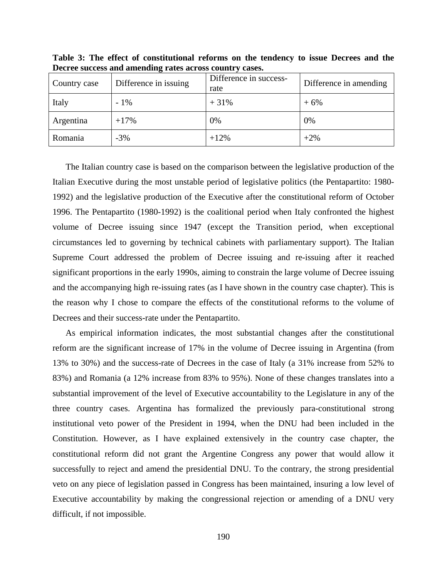| Country case | Difference in issuing | Difference in success-<br>rate | Difference in amending |
|--------------|-----------------------|--------------------------------|------------------------|
| Italy        | $-1\%$                | $+31%$                         | $+6%$                  |
| Argentina    | $+17%$                | 0%                             | 0%                     |
| Romania      | $-3\%$                | $+12%$                         | $+2\%$                 |

**Table 3: The effect of constitutional reforms on the tendency to issue Decrees and the Decree success and amending rates across country cases.** 

The Italian country case is based on the comparison between the legislative production of the Italian Executive during the most unstable period of legislative politics (the Pentapartito: 1980- 1992) and the legislative production of the Executive after the constitutional reform of October 1996. The Pentapartito (1980-1992) is the coalitional period when Italy confronted the highest volume of Decree issuing since 1947 (except the Transition period, when exceptional circumstances led to governing by technical cabinets with parliamentary support). The Italian Supreme Court addressed the problem of Decree issuing and re-issuing after it reached significant proportions in the early 1990s, aiming to constrain the large volume of Decree issuing and the accompanying high re-issuing rates (as I have shown in the country case chapter). This is the reason why I chose to compare the effects of the constitutional reforms to the volume of Decrees and their success-rate under the Pentapartito.

As empirical information indicates, the most substantial changes after the constitutional reform are the significant increase of 17% in the volume of Decree issuing in Argentina (from 13% to 30%) and the success-rate of Decrees in the case of Italy (a 31% increase from 52% to 83%) and Romania (a 12% increase from 83% to 95%). None of these changes translates into a substantial improvement of the level of Executive accountability to the Legislature in any of the three country cases. Argentina has formalized the previously para-constitutional strong institutional veto power of the President in 1994, when the DNU had been included in the Constitution. However, as I have explained extensively in the country case chapter, the constitutional reform did not grant the Argentine Congress any power that would allow it successfully to reject and amend the presidential DNU. To the contrary, the strong presidential veto on any piece of legislation passed in Congress has been maintained, insuring a low level of Executive accountability by making the congressional rejection or amending of a DNU very difficult, if not impossible.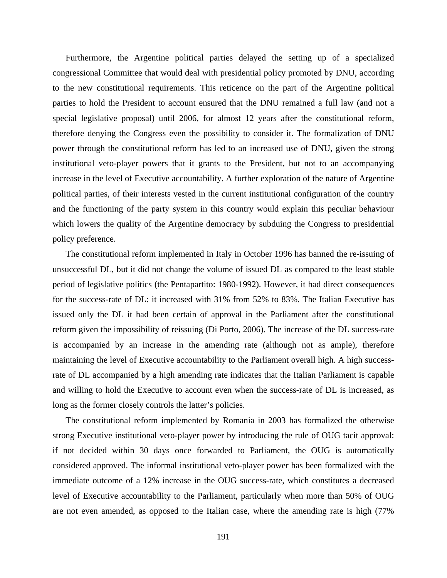Furthermore, the Argentine political parties delayed the setting up of a specialized congressional Committee that would deal with presidential policy promoted by DNU, according to the new constitutional requirements. This reticence on the part of the Argentine political parties to hold the President to account ensured that the DNU remained a full law (and not a special legislative proposal) until 2006, for almost 12 years after the constitutional reform, therefore denying the Congress even the possibility to consider it. The formalization of DNU power through the constitutional reform has led to an increased use of DNU, given the strong institutional veto-player powers that it grants to the President, but not to an accompanying increase in the level of Executive accountability. A further exploration of the nature of Argentine political parties, of their interests vested in the current institutional configuration of the country and the functioning of the party system in this country would explain this peculiar behaviour which lowers the quality of the Argentine democracy by subduing the Congress to presidential policy preference.

The constitutional reform implemented in Italy in October 1996 has banned the re-issuing of unsuccessful DL, but it did not change the volume of issued DL as compared to the least stable period of legislative politics (the Pentapartito: 1980-1992). However, it had direct consequences for the success-rate of DL: it increased with 31% from 52% to 83%. The Italian Executive has issued only the DL it had been certain of approval in the Parliament after the constitutional reform given the impossibility of reissuing (Di Porto, 2006). The increase of the DL success-rate is accompanied by an increase in the amending rate (although not as ample), therefore maintaining the level of Executive accountability to the Parliament overall high. A high successrate of DL accompanied by a high amending rate indicates that the Italian Parliament is capable and willing to hold the Executive to account even when the success-rate of DL is increased, as long as the former closely controls the latter's policies.

The constitutional reform implemented by Romania in 2003 has formalized the otherwise strong Executive institutional veto-player power by introducing the rule of OUG tacit approval: if not decided within 30 days once forwarded to Parliament, the OUG is automatically considered approved. The informal institutional veto-player power has been formalized with the immediate outcome of a 12% increase in the OUG success-rate, which constitutes a decreased level of Executive accountability to the Parliament, particularly when more than 50% of OUG are not even amended, as opposed to the Italian case, where the amending rate is high (77%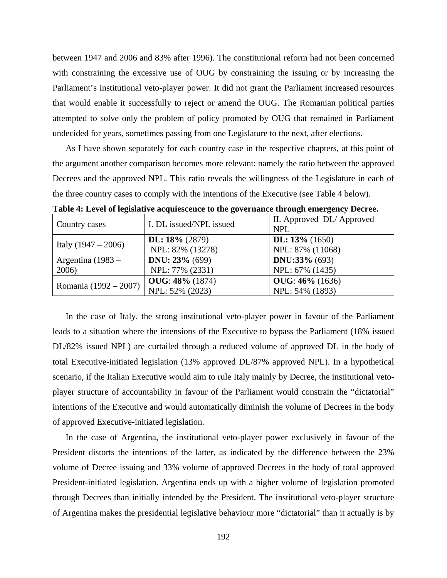between 1947 and 2006 and 83% after 1996). The constitutional reform had not been concerned with constraining the excessive use of OUG by constraining the issuing or by increasing the Parliament's institutional veto-player power. It did not grant the Parliament increased resources that would enable it successfully to reject or amend the OUG. The Romanian political parties attempted to solve only the problem of policy promoted by OUG that remained in Parliament undecided for years, sometimes passing from one Legislature to the next, after elections.

As I have shown separately for each country case in the respective chapters, at this point of the argument another comparison becomes more relevant: namely the ratio between the approved Decrees and the approved NPL. This ratio reveals the willingness of the Legislature in each of the three country cases to comply with the intentions of the Executive (see Table 4 below).

| Country cases         | I. DL issued/NPL issued  | II. Approved DL/Approved<br><b>NPL</b> |
|-----------------------|--------------------------|----------------------------------------|
|                       | DL: $18\%$ (2879)        | DL: $13\%$ (1650)                      |
| Italy $(1947 - 2006)$ | NPL: 82% (13278)         | NPL: 87% (11068)                       |
| Argentina $(1983 -$   | <b>DNU</b> : $23% (699)$ | <b>DNU:33%</b> (693)                   |
| 2006)                 | NPL: 77% (2331)          | NPL: 67% (1435)                        |
|                       | <b>OUG: 48%</b> (1874)   | $OUG: 46\% (1636)$                     |
| Romania (1992 – 2007) | NPL: 52% (2023)          | NPL: 54% (1893)                        |

**Table 4: Level of legislative acquiescence to the governance through emergency Decree.** 

In the case of Italy, the strong institutional veto-player power in favour of the Parliament leads to a situation where the intensions of the Executive to bypass the Parliament (18% issued DL/82% issued NPL) are curtailed through a reduced volume of approved DL in the body of total Executive-initiated legislation (13% approved DL/87% approved NPL). In a hypothetical scenario, if the Italian Executive would aim to rule Italy mainly by Decree, the institutional vetoplayer structure of accountability in favour of the Parliament would constrain the "dictatorial" intentions of the Executive and would automatically diminish the volume of Decrees in the body of approved Executive-initiated legislation.

In the case of Argentina, the institutional veto-player power exclusively in favour of the President distorts the intentions of the latter, as indicated by the difference between the 23% volume of Decree issuing and 33% volume of approved Decrees in the body of total approved President-initiated legislation. Argentina ends up with a higher volume of legislation promoted through Decrees than initially intended by the President. The institutional veto-player structure of Argentina makes the presidential legislative behaviour more "dictatorial" than it actually is by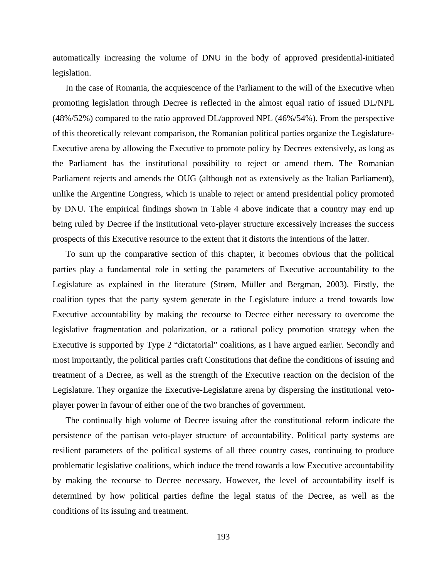automatically increasing the volume of DNU in the body of approved presidential-initiated legislation.

In the case of Romania, the acquiescence of the Parliament to the will of the Executive when promoting legislation through Decree is reflected in the almost equal ratio of issued DL/NPL (48%/52%) compared to the ratio approved DL/approved NPL (46%/54%). From the perspective of this theoretically relevant comparison, the Romanian political parties organize the Legislature-Executive arena by allowing the Executive to promote policy by Decrees extensively, as long as the Parliament has the institutional possibility to reject or amend them. The Romanian Parliament rejects and amends the OUG (although not as extensively as the Italian Parliament), unlike the Argentine Congress, which is unable to reject or amend presidential policy promoted by DNU. The empirical findings shown in Table 4 above indicate that a country may end up being ruled by Decree if the institutional veto-player structure excessively increases the success prospects of this Executive resource to the extent that it distorts the intentions of the latter.

To sum up the comparative section of this chapter, it becomes obvious that the political parties play a fundamental role in setting the parameters of Executive accountability to the Legislature as explained in the literature (Strøm, Müller and Bergman, 2003). Firstly, the coalition types that the party system generate in the Legislature induce a trend towards low Executive accountability by making the recourse to Decree either necessary to overcome the legislative fragmentation and polarization, or a rational policy promotion strategy when the Executive is supported by Type 2 "dictatorial" coalitions, as I have argued earlier. Secondly and most importantly, the political parties craft Constitutions that define the conditions of issuing and treatment of a Decree, as well as the strength of the Executive reaction on the decision of the Legislature. They organize the Executive-Legislature arena by dispersing the institutional vetoplayer power in favour of either one of the two branches of government.

The continually high volume of Decree issuing after the constitutional reform indicate the persistence of the partisan veto-player structure of accountability. Political party systems are resilient parameters of the political systems of all three country cases, continuing to produce problematic legislative coalitions, which induce the trend towards a low Executive accountability by making the recourse to Decree necessary. However, the level of accountability itself is determined by how political parties define the legal status of the Decree, as well as the conditions of its issuing and treatment.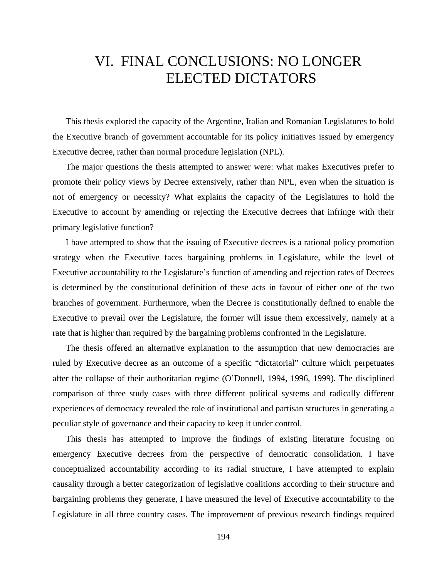## VI. FINAL CONCLUSIONS: NO LONGER ELECTED DICTATORS

This thesis explored the capacity of the Argentine, Italian and Romanian Legislatures to hold the Executive branch of government accountable for its policy initiatives issued by emergency Executive decree, rather than normal procedure legislation (NPL).

The major questions the thesis attempted to answer were: what makes Executives prefer to promote their policy views by Decree extensively, rather than NPL, even when the situation is not of emergency or necessity? What explains the capacity of the Legislatures to hold the Executive to account by amending or rejecting the Executive decrees that infringe with their primary legislative function?

I have attempted to show that the issuing of Executive decrees is a rational policy promotion strategy when the Executive faces bargaining problems in Legislature, while the level of Executive accountability to the Legislature's function of amending and rejection rates of Decrees is determined by the constitutional definition of these acts in favour of either one of the two branches of government. Furthermore, when the Decree is constitutionally defined to enable the Executive to prevail over the Legislature, the former will issue them excessively, namely at a rate that is higher than required by the bargaining problems confronted in the Legislature.

The thesis offered an alternative explanation to the assumption that new democracies are ruled by Executive decree as an outcome of a specific "dictatorial" culture which perpetuates after the collapse of their authoritarian regime (O'Donnell, 1994, 1996, 1999). The disciplined comparison of three study cases with three different political systems and radically different experiences of democracy revealed the role of institutional and partisan structures in generating a peculiar style of governance and their capacity to keep it under control.

This thesis has attempted to improve the findings of existing literature focusing on emergency Executive decrees from the perspective of democratic consolidation. I have conceptualized accountability according to its radial structure, I have attempted to explain causality through a better categorization of legislative coalitions according to their structure and bargaining problems they generate, I have measured the level of Executive accountability to the Legislature in all three country cases. The improvement of previous research findings required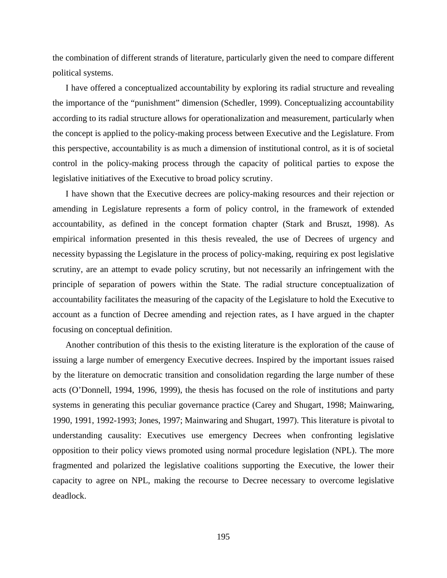the combination of different strands of literature, particularly given the need to compare different political systems.

I have offered a conceptualized accountability by exploring its radial structure and revealing the importance of the "punishment" dimension (Schedler, 1999). Conceptualizing accountability according to its radial structure allows for operationalization and measurement, particularly when the concept is applied to the policy-making process between Executive and the Legislature. From this perspective, accountability is as much a dimension of institutional control, as it is of societal control in the policy-making process through the capacity of political parties to expose the legislative initiatives of the Executive to broad policy scrutiny.

I have shown that the Executive decrees are policy-making resources and their rejection or amending in Legislature represents a form of policy control, in the framework of extended accountability, as defined in the concept formation chapter (Stark and Bruszt, 1998). As empirical information presented in this thesis revealed, the use of Decrees of urgency and necessity bypassing the Legislature in the process of policy-making, requiring ex post legislative scrutiny, are an attempt to evade policy scrutiny, but not necessarily an infringement with the principle of separation of powers within the State. The radial structure conceptualization of accountability facilitates the measuring of the capacity of the Legislature to hold the Executive to account as a function of Decree amending and rejection rates, as I have argued in the chapter focusing on conceptual definition.

Another contribution of this thesis to the existing literature is the exploration of the cause of issuing a large number of emergency Executive decrees. Inspired by the important issues raised by the literature on democratic transition and consolidation regarding the large number of these acts (O'Donnell, 1994, 1996, 1999), the thesis has focused on the role of institutions and party systems in generating this peculiar governance practice (Carey and Shugart, 1998; Mainwaring, 1990, 1991, 1992-1993; Jones, 1997; Mainwaring and Shugart, 1997). This literature is pivotal to understanding causality: Executives use emergency Decrees when confronting legislative opposition to their policy views promoted using normal procedure legislation (NPL). The more fragmented and polarized the legislative coalitions supporting the Executive, the lower their capacity to agree on NPL, making the recourse to Decree necessary to overcome legislative deadlock.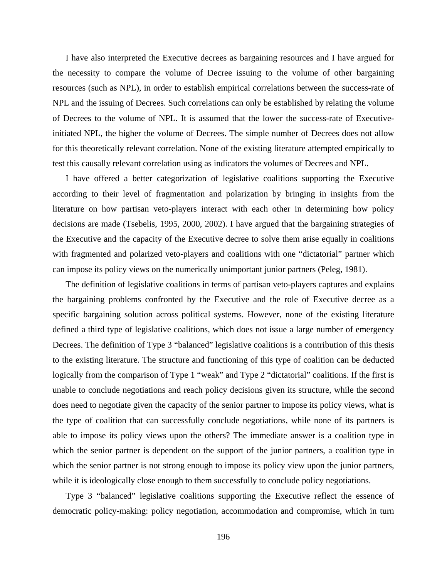I have also interpreted the Executive decrees as bargaining resources and I have argued for the necessity to compare the volume of Decree issuing to the volume of other bargaining resources (such as NPL), in order to establish empirical correlations between the success-rate of NPL and the issuing of Decrees. Such correlations can only be established by relating the volume of Decrees to the volume of NPL. It is assumed that the lower the success-rate of Executiveinitiated NPL, the higher the volume of Decrees. The simple number of Decrees does not allow for this theoretically relevant correlation. None of the existing literature attempted empirically to test this causally relevant correlation using as indicators the volumes of Decrees and NPL.

I have offered a better categorization of legislative coalitions supporting the Executive according to their level of fragmentation and polarization by bringing in insights from the literature on how partisan veto-players interact with each other in determining how policy decisions are made (Tsebelis, 1995, 2000, 2002). I have argued that the bargaining strategies of the Executive and the capacity of the Executive decree to solve them arise equally in coalitions with fragmented and polarized veto-players and coalitions with one "dictatorial" partner which can impose its policy views on the numerically unimportant junior partners (Peleg, 1981).

The definition of legislative coalitions in terms of partisan veto-players captures and explains the bargaining problems confronted by the Executive and the role of Executive decree as a specific bargaining solution across political systems. However, none of the existing literature defined a third type of legislative coalitions, which does not issue a large number of emergency Decrees. The definition of Type 3 "balanced" legislative coalitions is a contribution of this thesis to the existing literature. The structure and functioning of this type of coalition can be deducted logically from the comparison of Type 1 "weak" and Type 2 "dictatorial" coalitions. If the first is unable to conclude negotiations and reach policy decisions given its structure, while the second does need to negotiate given the capacity of the senior partner to impose its policy views, what is the type of coalition that can successfully conclude negotiations, while none of its partners is able to impose its policy views upon the others? The immediate answer is a coalition type in which the senior partner is dependent on the support of the junior partners, a coalition type in which the senior partner is not strong enough to impose its policy view upon the junior partners, while it is ideologically close enough to them successfully to conclude policy negotiations.

Type 3 "balanced" legislative coalitions supporting the Executive reflect the essence of democratic policy-making: policy negotiation, accommodation and compromise, which in turn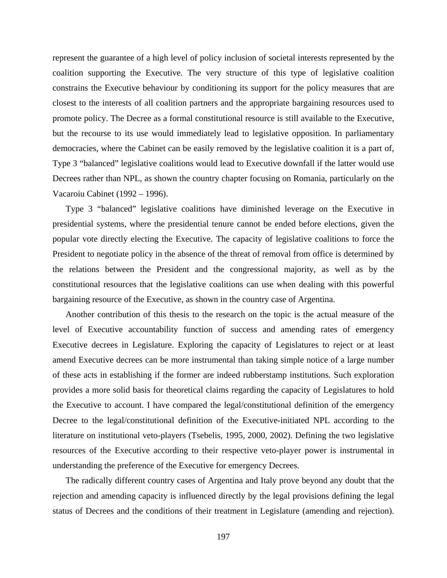represent the guarantee of a high level of policy inclusion of societal interests represented by the coalition supporting the Executive. The very structure of this type of legislative coalition constrains the Executive behaviour by conditioning its support for the policy measures that are closest to the interests of all coalition partners and the appropriate bargaining resources used to promote policy. The Decree as a formal constitutional resource is still available to the Executive, but the recourse to its use would immediately lead to legislative opposition. In parliamentary democracies, where the Cabinet can be easily removed by the legislative coalition it is a part of, Type 3 "balanced" legislative coalitions would lead to Executive downfall if the latter would use Decrees rather than NPL, as shown the country chapter focusing on Romania, particularly on the Vacaroiu Cabinet (1992 – 1996).

Type 3 "balanced" legislative coalitions have diminished leverage on the Executive in presidential systems, where the presidential tenure cannot be ended before elections, given the popular vote directly electing the Executive. The capacity of legislative coalitions to force the President to negotiate policy in the absence of the threat of removal from office is determined by the relations between the President and the congressional majority, as well as by the constitutional resources that the legislative coalitions can use when dealing with this powerful bargaining resource of the Executive, as shown in the country case of Argentina.

Another contribution of this thesis to the research on the topic is the actual measure of the level of Executive accountability function of success and amending rates of emergency Executive decrees in Legislature. Exploring the capacity of Legislatures to reject or at least amend Executive decrees can be more instrumental than taking simple notice of a large number of these acts in establishing if the former are indeed rubberstamp institutions. Such exploration provides a more solid basis for theoretical claims regarding the capacity of Legislatures to hold the Executive to account. I have compared the legal/constitutional definition of the emergency Decree to the legal/constitutional definition of the Executive-initiated NPL according to the literature on institutional veto-players (Tsebelis, 1995, 2000, 2002). Defining the two legislative resources of the Executive according to their respective veto-player power is instrumental in understanding the preference of the Executive for emergency Decrees.

The radically different country cases of Argentina and Italy prove beyond any doubt that the rejection and amending capacity is influenced directly by the legal provisions defining the legal status of Decrees and the conditions of their treatment in Legislature (amending and rejection).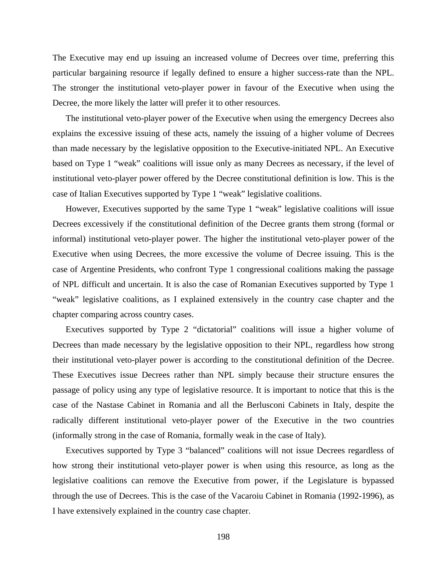The Executive may end up issuing an increased volume of Decrees over time, preferring this particular bargaining resource if legally defined to ensure a higher success-rate than the NPL. The stronger the institutional veto-player power in favour of the Executive when using the Decree, the more likely the latter will prefer it to other resources.

The institutional veto-player power of the Executive when using the emergency Decrees also explains the excessive issuing of these acts, namely the issuing of a higher volume of Decrees than made necessary by the legislative opposition to the Executive-initiated NPL. An Executive based on Type 1 "weak" coalitions will issue only as many Decrees as necessary, if the level of institutional veto-player power offered by the Decree constitutional definition is low. This is the case of Italian Executives supported by Type 1 "weak" legislative coalitions.

However, Executives supported by the same Type 1 "weak" legislative coalitions will issue Decrees excessively if the constitutional definition of the Decree grants them strong (formal or informal) institutional veto-player power. The higher the institutional veto-player power of the Executive when using Decrees, the more excessive the volume of Decree issuing. This is the case of Argentine Presidents, who confront Type 1 congressional coalitions making the passage of NPL difficult and uncertain. It is also the case of Romanian Executives supported by Type 1 "weak" legislative coalitions, as I explained extensively in the country case chapter and the chapter comparing across country cases.

Executives supported by Type 2 "dictatorial" coalitions will issue a higher volume of Decrees than made necessary by the legislative opposition to their NPL, regardless how strong their institutional veto-player power is according to the constitutional definition of the Decree. These Executives issue Decrees rather than NPL simply because their structure ensures the passage of policy using any type of legislative resource. It is important to notice that this is the case of the Nastase Cabinet in Romania and all the Berlusconi Cabinets in Italy, despite the radically different institutional veto-player power of the Executive in the two countries (informally strong in the case of Romania, formally weak in the case of Italy).

Executives supported by Type 3 "balanced" coalitions will not issue Decrees regardless of how strong their institutional veto-player power is when using this resource, as long as the legislative coalitions can remove the Executive from power, if the Legislature is bypassed through the use of Decrees. This is the case of the Vacaroiu Cabinet in Romania (1992-1996), as I have extensively explained in the country case chapter.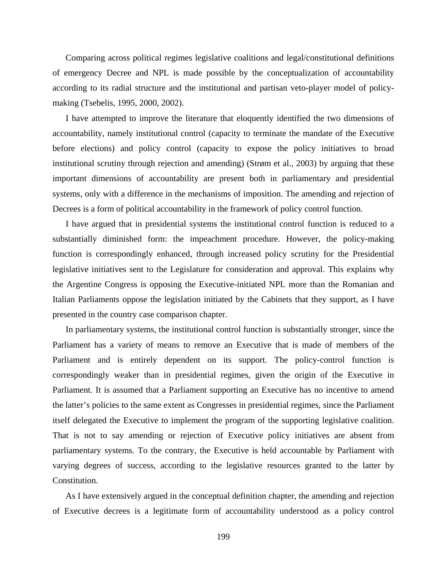Comparing across political regimes legislative coalitions and legal/constitutional definitions of emergency Decree and NPL is made possible by the conceptualization of accountability according to its radial structure and the institutional and partisan veto-player model of policymaking (Tsebelis, 1995, 2000, 2002).

I have attempted to improve the literature that eloquently identified the two dimensions of accountability, namely institutional control (capacity to terminate the mandate of the Executive before elections) and policy control (capacity to expose the policy initiatives to broad institutional scrutiny through rejection and amending) (Strøm et al., 2003) by arguing that these important dimensions of accountability are present both in parliamentary and presidential systems, only with a difference in the mechanisms of imposition. The amending and rejection of Decrees is a form of political accountability in the framework of policy control function.

I have argued that in presidential systems the institutional control function is reduced to a substantially diminished form: the impeachment procedure. However, the policy-making function is correspondingly enhanced, through increased policy scrutiny for the Presidential legislative initiatives sent to the Legislature for consideration and approval. This explains why the Argentine Congress is opposing the Executive-initiated NPL more than the Romanian and Italian Parliaments oppose the legislation initiated by the Cabinets that they support, as I have presented in the country case comparison chapter.

In parliamentary systems, the institutional control function is substantially stronger, since the Parliament has a variety of means to remove an Executive that is made of members of the Parliament and is entirely dependent on its support. The policy-control function is correspondingly weaker than in presidential regimes, given the origin of the Executive in Parliament. It is assumed that a Parliament supporting an Executive has no incentive to amend the latter's policies to the same extent as Congresses in presidential regimes, since the Parliament itself delegated the Executive to implement the program of the supporting legislative coalition. That is not to say amending or rejection of Executive policy initiatives are absent from parliamentary systems. To the contrary, the Executive is held accountable by Parliament with varying degrees of success, according to the legislative resources granted to the latter by Constitution.

As I have extensively argued in the conceptual definition chapter, the amending and rejection of Executive decrees is a legitimate form of accountability understood as a policy control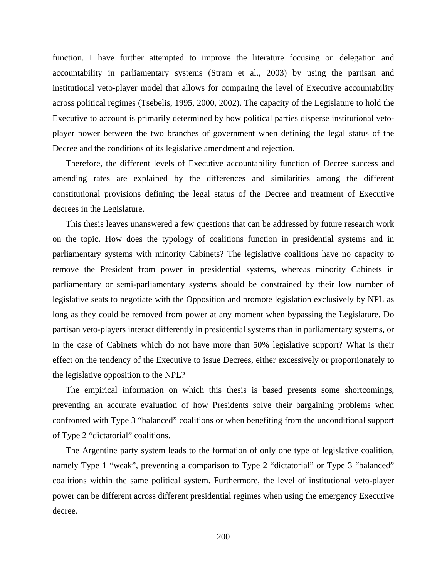function. I have further attempted to improve the literature focusing on delegation and accountability in parliamentary systems (Strøm et al., 2003) by using the partisan and institutional veto-player model that allows for comparing the level of Executive accountability across political regimes (Tsebelis, 1995, 2000, 2002). The capacity of the Legislature to hold the Executive to account is primarily determined by how political parties disperse institutional vetoplayer power between the two branches of government when defining the legal status of the Decree and the conditions of its legislative amendment and rejection.

Therefore, the different levels of Executive accountability function of Decree success and amending rates are explained by the differences and similarities among the different constitutional provisions defining the legal status of the Decree and treatment of Executive decrees in the Legislature.

This thesis leaves unanswered a few questions that can be addressed by future research work on the topic. How does the typology of coalitions function in presidential systems and in parliamentary systems with minority Cabinets? The legislative coalitions have no capacity to remove the President from power in presidential systems, whereas minority Cabinets in parliamentary or semi-parliamentary systems should be constrained by their low number of legislative seats to negotiate with the Opposition and promote legislation exclusively by NPL as long as they could be removed from power at any moment when bypassing the Legislature. Do partisan veto-players interact differently in presidential systems than in parliamentary systems, or in the case of Cabinets which do not have more than 50% legislative support? What is their effect on the tendency of the Executive to issue Decrees, either excessively or proportionately to the legislative opposition to the NPL?

The empirical information on which this thesis is based presents some shortcomings, preventing an accurate evaluation of how Presidents solve their bargaining problems when confronted with Type 3 "balanced" coalitions or when benefiting from the unconditional support of Type 2 "dictatorial" coalitions.

The Argentine party system leads to the formation of only one type of legislative coalition, namely Type 1 "weak", preventing a comparison to Type 2 "dictatorial" or Type 3 "balanced" coalitions within the same political system. Furthermore, the level of institutional veto-player power can be different across different presidential regimes when using the emergency Executive decree.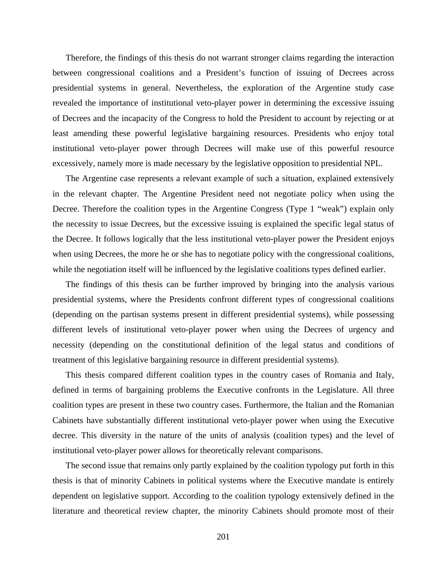Therefore, the findings of this thesis do not warrant stronger claims regarding the interaction between congressional coalitions and a President's function of issuing of Decrees across presidential systems in general. Nevertheless, the exploration of the Argentine study case revealed the importance of institutional veto-player power in determining the excessive issuing of Decrees and the incapacity of the Congress to hold the President to account by rejecting or at least amending these powerful legislative bargaining resources. Presidents who enjoy total institutional veto-player power through Decrees will make use of this powerful resource excessively, namely more is made necessary by the legislative opposition to presidential NPL.

The Argentine case represents a relevant example of such a situation, explained extensively in the relevant chapter. The Argentine President need not negotiate policy when using the Decree. Therefore the coalition types in the Argentine Congress (Type 1 "weak") explain only the necessity to issue Decrees, but the excessive issuing is explained the specific legal status of the Decree. It follows logically that the less institutional veto-player power the President enjoys when using Decrees, the more he or she has to negotiate policy with the congressional coalitions, while the negotiation itself will be influenced by the legislative coalitions types defined earlier.

The findings of this thesis can be further improved by bringing into the analysis various presidential systems, where the Presidents confront different types of congressional coalitions (depending on the partisan systems present in different presidential systems), while possessing different levels of institutional veto-player power when using the Decrees of urgency and necessity (depending on the constitutional definition of the legal status and conditions of treatment of this legislative bargaining resource in different presidential systems).

This thesis compared different coalition types in the country cases of Romania and Italy, defined in terms of bargaining problems the Executive confronts in the Legislature. All three coalition types are present in these two country cases. Furthermore, the Italian and the Romanian Cabinets have substantially different institutional veto-player power when using the Executive decree. This diversity in the nature of the units of analysis (coalition types) and the level of institutional veto-player power allows for theoretically relevant comparisons.

The second issue that remains only partly explained by the coalition typology put forth in this thesis is that of minority Cabinets in political systems where the Executive mandate is entirely dependent on legislative support. According to the coalition typology extensively defined in the literature and theoretical review chapter, the minority Cabinets should promote most of their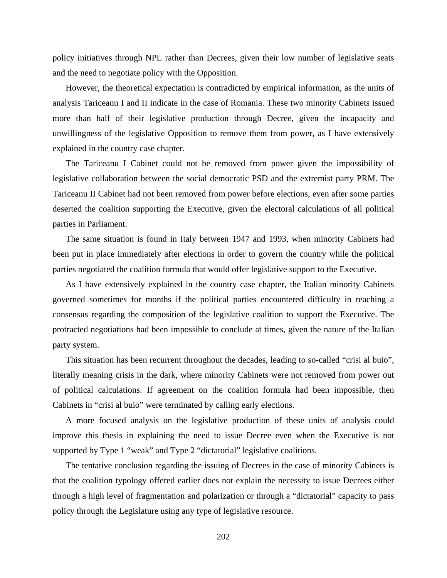policy initiatives through NPL rather than Decrees, given their low number of legislative seats and the need to negotiate policy with the Opposition.

However, the theoretical expectation is contradicted by empirical information, as the units of analysis Tariceanu I and II indicate in the case of Romania. These two minority Cabinets issued more than half of their legislative production through Decree, given the incapacity and unwillingness of the legislative Opposition to remove them from power, as I have extensively explained in the country case chapter.

The Tariceanu I Cabinet could not be removed from power given the impossibility of legislative collaboration between the social democratic PSD and the extremist party PRM. The Tariceanu II Cabinet had not been removed from power before elections, even after some parties deserted the coalition supporting the Executive, given the electoral calculations of all political parties in Parliament.

The same situation is found in Italy between 1947 and 1993, when minority Cabinets had been put in place immediately after elections in order to govern the country while the political parties negotiated the coalition formula that would offer legislative support to the Executive.

As I have extensively explained in the country case chapter, the Italian minority Cabinets governed sometimes for months if the political parties encountered difficulty in reaching a consensus regarding the composition of the legislative coalition to support the Executive. The protracted negotiations had been impossible to conclude at times, given the nature of the Italian party system.

This situation has been recurrent throughout the decades, leading to so-called "crisi al buio", literally meaning crisis in the dark, where minority Cabinets were not removed from power out of political calculations. If agreement on the coalition formula had been impossible, then Cabinets in "crisi al buio" were terminated by calling early elections.

A more focused analysis on the legislative production of these units of analysis could improve this thesis in explaining the need to issue Decree even when the Executive is not supported by Type 1 "weak" and Type 2 "dictatorial" legislative coalitions.

The tentative conclusion regarding the issuing of Decrees in the case of minority Cabinets is that the coalition typology offered earlier does not explain the necessity to issue Decrees either through a high level of fragmentation and polarization or through a "dictatorial" capacity to pass policy through the Legislature using any type of legislative resource.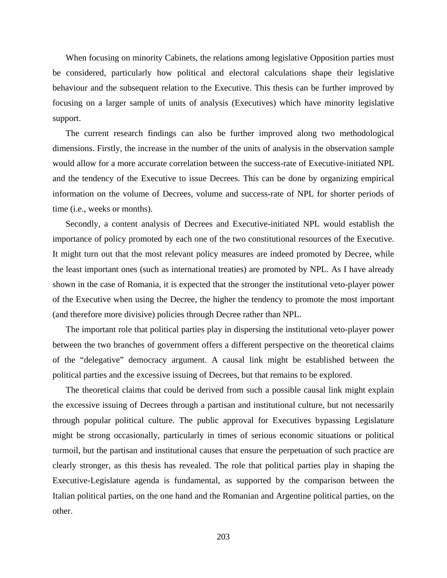When focusing on minority Cabinets, the relations among legislative Opposition parties must be considered, particularly how political and electoral calculations shape their legislative behaviour and the subsequent relation to the Executive. This thesis can be further improved by focusing on a larger sample of units of analysis (Executives) which have minority legislative support.

The current research findings can also be further improved along two methodological dimensions. Firstly, the increase in the number of the units of analysis in the observation sample would allow for a more accurate correlation between the success-rate of Executive-initiated NPL and the tendency of the Executive to issue Decrees. This can be done by organizing empirical information on the volume of Decrees, volume and success-rate of NPL for shorter periods of time (i.e., weeks or months).

Secondly, a content analysis of Decrees and Executive-initiated NPL would establish the importance of policy promoted by each one of the two constitutional resources of the Executive. It might turn out that the most relevant policy measures are indeed promoted by Decree, while the least important ones (such as international treaties) are promoted by NPL. As I have already shown in the case of Romania, it is expected that the stronger the institutional veto-player power of the Executive when using the Decree, the higher the tendency to promote the most important (and therefore more divisive) policies through Decree rather than NPL.

The important role that political parties play in dispersing the institutional veto-player power between the two branches of government offers a different perspective on the theoretical claims of the "delegative" democracy argument. A causal link might be established between the political parties and the excessive issuing of Decrees, but that remains to be explored.

The theoretical claims that could be derived from such a possible causal link might explain the excessive issuing of Decrees through a partisan and institutional culture, but not necessarily through popular political culture. The public approval for Executives bypassing Legislature might be strong occasionally, particularly in times of serious economic situations or political turmoil, but the partisan and institutional causes that ensure the perpetuation of such practice are clearly stronger, as this thesis has revealed. The role that political parties play in shaping the Executive-Legislature agenda is fundamental, as supported by the comparison between the Italian political parties, on the one hand and the Romanian and Argentine political parties, on the other.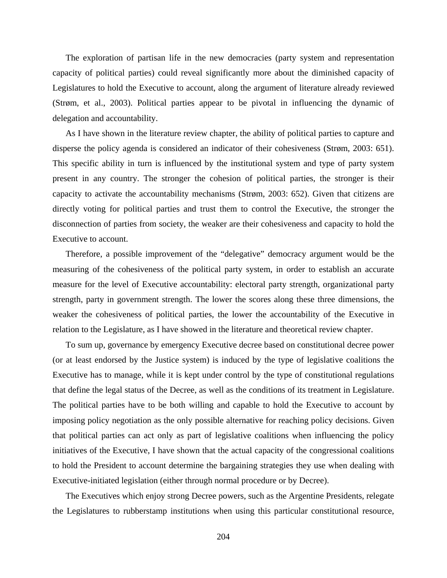The exploration of partisan life in the new democracies (party system and representation capacity of political parties) could reveal significantly more about the diminished capacity of Legislatures to hold the Executive to account, along the argument of literature already reviewed (Strøm, et al., 2003). Political parties appear to be pivotal in influencing the dynamic of delegation and accountability.

As I have shown in the literature review chapter, the ability of political parties to capture and disperse the policy agenda is considered an indicator of their cohesiveness (Strøm, 2003: 651). This specific ability in turn is influenced by the institutional system and type of party system present in any country. The stronger the cohesion of political parties, the stronger is their capacity to activate the accountability mechanisms (Strøm, 2003: 652). Given that citizens are directly voting for political parties and trust them to control the Executive, the stronger the disconnection of parties from society, the weaker are their cohesiveness and capacity to hold the Executive to account.

Therefore, a possible improvement of the "delegative" democracy argument would be the measuring of the cohesiveness of the political party system, in order to establish an accurate measure for the level of Executive accountability: electoral party strength, organizational party strength, party in government strength. The lower the scores along these three dimensions, the weaker the cohesiveness of political parties, the lower the accountability of the Executive in relation to the Legislature, as I have showed in the literature and theoretical review chapter.

To sum up, governance by emergency Executive decree based on constitutional decree power (or at least endorsed by the Justice system) is induced by the type of legislative coalitions the Executive has to manage, while it is kept under control by the type of constitutional regulations that define the legal status of the Decree, as well as the conditions of its treatment in Legislature. The political parties have to be both willing and capable to hold the Executive to account by imposing policy negotiation as the only possible alternative for reaching policy decisions. Given that political parties can act only as part of legislative coalitions when influencing the policy initiatives of the Executive, I have shown that the actual capacity of the congressional coalitions to hold the President to account determine the bargaining strategies they use when dealing with Executive-initiated legislation (either through normal procedure or by Decree).

The Executives which enjoy strong Decree powers, such as the Argentine Presidents, relegate the Legislatures to rubberstamp institutions when using this particular constitutional resource,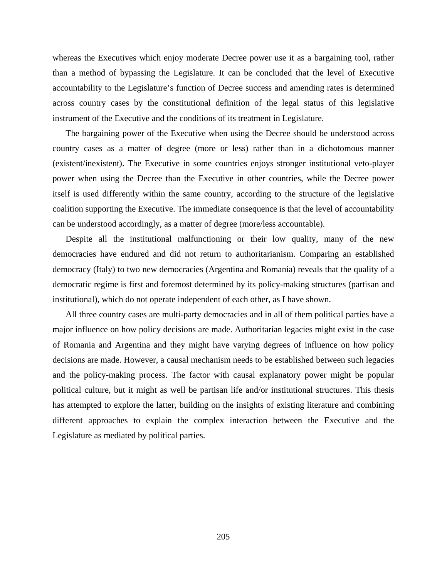whereas the Executives which enjoy moderate Decree power use it as a bargaining tool, rather than a method of bypassing the Legislature. It can be concluded that the level of Executive accountability to the Legislature's function of Decree success and amending rates is determined across country cases by the constitutional definition of the legal status of this legislative instrument of the Executive and the conditions of its treatment in Legislature.

The bargaining power of the Executive when using the Decree should be understood across country cases as a matter of degree (more or less) rather than in a dichotomous manner (existent/inexistent). The Executive in some countries enjoys stronger institutional veto-player power when using the Decree than the Executive in other countries, while the Decree power itself is used differently within the same country, according to the structure of the legislative coalition supporting the Executive. The immediate consequence is that the level of accountability can be understood accordingly, as a matter of degree (more/less accountable).

Despite all the institutional malfunctioning or their low quality, many of the new democracies have endured and did not return to authoritarianism. Comparing an established democracy (Italy) to two new democracies (Argentina and Romania) reveals that the quality of a democratic regime is first and foremost determined by its policy-making structures (partisan and institutional), which do not operate independent of each other, as I have shown.

All three country cases are multi-party democracies and in all of them political parties have a major influence on how policy decisions are made. Authoritarian legacies might exist in the case of Romania and Argentina and they might have varying degrees of influence on how policy decisions are made. However, a causal mechanism needs to be established between such legacies and the policy-making process. The factor with causal explanatory power might be popular political culture, but it might as well be partisan life and/or institutional structures. This thesis has attempted to explore the latter, building on the insights of existing literature and combining different approaches to explain the complex interaction between the Executive and the Legislature as mediated by political parties.

205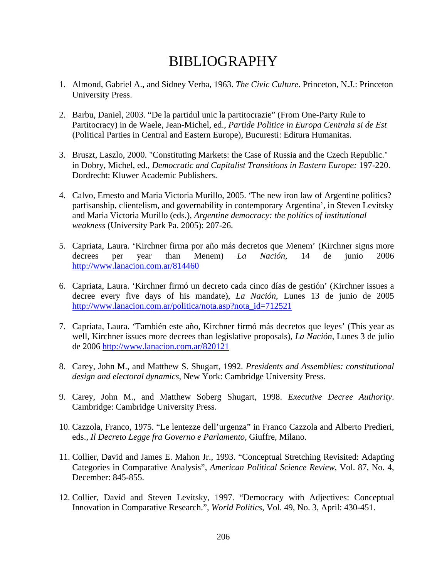## BIBLIOGRAPHY

- 1. Almond, Gabriel A., and Sidney Verba, 1963. *The Civic Culture*. Princeton, N.J.: Princeton University Press.
- 2. Barbu, Daniel, 2003. "De la partidul unic la partitocrazie" (From One-Party Rule to Partitocracy) in de Waele, Jean-Michel, ed., *Partide Politice in Europa Centrala si de Est* (Political Parties in Central and Eastern Europe), Bucuresti: Editura Humanitas.
- 3. Bruszt, Laszlo, 2000. "Constituting Markets: the Case of Russia and the Czech Republic." in Dobry, Michel, ed., *Democratic and Capitalist Transitions in Eastern Europe:* 197-220. Dordrecht: Kluwer Academic Publishers.
- 4. Calvo, Ernesto and Maria Victoria Murillo, 2005. 'The new iron law of Argentine politics? partisanship, clientelism, and governability in contemporary Argentina', in Steven Levitsky and Maria Victoria Murillo (eds.), *Argentine democracy: the politics of institutional weakness* (University Park Pa. 2005): 207-26.
- 5. Capriata, Laura. 'Kirchner firma por año más decretos que Menem' (Kirchner signs more decrees per year than Menem) *La Nación*, 14 de junio 2006 http://www.lanacion.com.ar/814460
- 6. Capriata, Laura. 'Kirchner firmó un decreto cada cinco días de gestión' (Kirchner issues a decree every five days of his mandate), *La Nación*, Lunes 13 de junio de 2005 http://www.lanacion.com.ar/politica/nota.asp?nota\_id=712521
- 7. Capriata, Laura. 'También este año, Kirchner firmó más decretos que leyes' (This year as well, Kirchner issues more decrees than legislative proposals), *La Nación*, Lunes 3 de julio de 2006 http://www.lanacion.com.ar/820121
- 8. Carey, John M., and Matthew S. Shugart, 1992. *Presidents and Assemblies: constitutional design and electoral dynamics*, New York: Cambridge University Press.
- 9. Carey, John M., and Matthew Soberg Shugart, 1998. *Executive Decree Authority*. Cambridge: Cambridge University Press.
- 10. Cazzola, Franco, 1975. "Le lentezze dell'urgenza" in Franco Cazzola and Alberto Predieri, eds., *Il Decreto Legge fra Governo e Parlamento*, Giuffre, Milano.
- 11. Collier, David and James E. Mahon Jr., 1993. "Conceptual Stretching Revisited: Adapting Categories in Comparative Analysis", *American Political Science Review*, Vol. 87, No. 4, December: 845-855.
- 12. Collier, David and Steven Levitsky, 1997. "Democracy with Adjectives: Conceptual Innovation in Comparative Research.", *World Politics*, Vol. 49, No. 3, April: 430-451.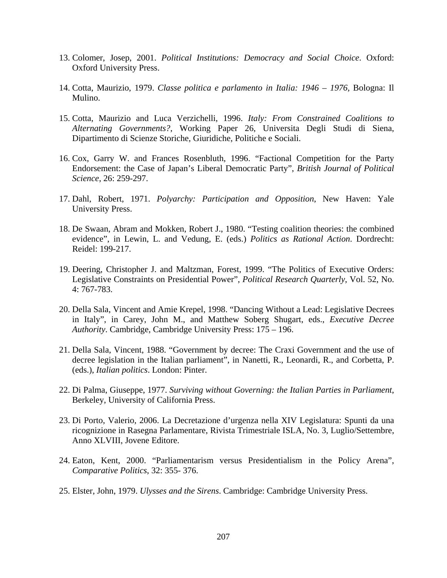- 13. Colomer, Josep, 2001. *Political Institutions: Democracy and Social Choice*. Oxford: Oxford University Press.
- 14. Cotta, Maurizio, 1979. *Classe politica e parlamento in Italia: 1946 1976,* Bologna: Il Mulino.
- 15. Cotta, Maurizio and Luca Verzichelli, 1996. *Italy: From Constrained Coalitions to Alternating Governments?*, Working Paper 26, Universita Degli Studi di Siena, Dipartimento di Scienze Storiche, Giuridiche, Politiche e Sociali.
- 16. Cox, Garry W. and Frances Rosenbluth, 1996. "Factional Competition for the Party Endorsement: the Case of Japan's Liberal Democratic Party", *British Journal of Political Science*, 26: 259-297.
- 17. Dahl, Robert, 1971. *Polyarchy: Participation and Opposition*, New Haven: Yale University Press.
- 18. De Swaan, Abram and Mokken, Robert J., 1980. "Testing coalition theories: the combined evidence", in Lewin, L. and Vedung, E. (eds.) *Politics as Rational Action*. Dordrecht: Reidel: 199-217.
- 19. Deering, Christopher J. and Maltzman, Forest, 1999. "The Politics of Executive Orders: Legislative Constraints on Presidential Power", *Political Research Quarterly*, Vol. 52, No. 4: 767-783.
- 20. Della Sala, Vincent and Amie Krepel, 1998. "Dancing Without a Lead: Legislative Decrees in Italy", in Carey, John M., and Matthew Soberg Shugart, eds., *Executive Decree Authority*. Cambridge, Cambridge University Press: 175 – 196.
- 21. Della Sala, Vincent, 1988. "Government by decree: The Craxi Government and the use of decree legislation in the Italian parliament", in Nanetti, R., Leonardi, R., and Corbetta, P. (eds.), *Italian politics*. London: Pinter.
- 22. Di Palma, Giuseppe, 1977. *Surviving without Governing: the Italian Parties in Parliament*, Berkeley, University of California Press.
- 23. Di Porto, Valerio, 2006. La Decretazione d'urgenza nella XIV Legislatura: Spunti da una ricognizione in Rasegna Parlamentare, Rivista Trimestriale ISLA, No. 3, Luglio/Settembre, Anno XLVIII, Jovene Editore.
- 24. Eaton, Kent, 2000. "Parliamentarism versus Presidentialism in the Policy Arena", *Comparative Politics*, 32: 355- 376.
- 25. Elster, John, 1979. *Ulysses and the Sirens*. Cambridge: Cambridge University Press.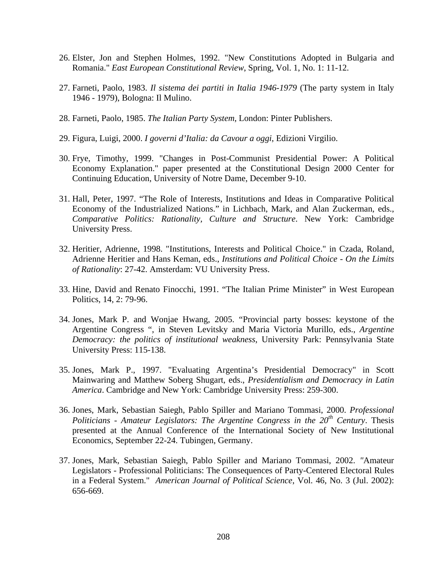- 26. Elster, Jon and Stephen Holmes, 1992. "New Constitutions Adopted in Bulgaria and Romania." *East European Constitutional Review*, Spring, Vol. 1, No. 1: 11-12.
- 27. Farneti, Paolo, 1983. *Il sistema dei partiti in Italia 1946-1979* (The party system in Italy 1946 - 1979), Bologna: Il Mulino.
- 28. Farneti, Paolo, 1985. *The Italian Party System*, London: Pinter Publishers.
- 29. Figura, Luigi, 2000. *I governi d'Italia: da Cavour a oggi*, Edizioni Virgilio.
- 30. Frye, Timothy, 1999. "Changes in Post-Communist Presidential Power: A Political Economy Explanation." paper presented at the Constitutional Design 2000 Center for Continuing Education, University of Notre Dame, December 9-10.
- 31. Hall, Peter, 1997. "The Role of Interests, Institutions and Ideas in Comparative Political Economy of the Industrialized Nations." in Lichbach, Mark, and Alan Zuckerman, eds., *Comparative Politics: Rationality, Culture and Structure*. New York: Cambridge University Press.
- 32. Heritier, Adrienne, 1998. "Institutions, Interests and Political Choice." in Czada, Roland, Adrienne Heritier and Hans Keman, eds., *Institutions and Political Choice - On the Limits of Rationality*: 27-42. Amsterdam: VU University Press.
- 33. Hine, David and Renato Finocchi, 1991. "The Italian Prime Minister" in West European Politics, 14, 2: 79-96.
- 34. Jones, Mark P. and Wonjae Hwang, 2005. "Provincial party bosses: keystone of the Argentine Congress ", in Steven Levitsky and Maria Victoria Murillo, eds., *Argentine Democracy: the politics of institutional weakness*, University Park: Pennsylvania State University Press: 115-138.
- 35. Jones, Mark P., 1997. "Evaluating Argentina's Presidential Democracy" in Scott Mainwaring and Matthew Soberg Shugart, eds., *Presidentialism and Democracy in Latin America*. Cambridge and New York: Cambridge University Press: 259-300.
- 36. Jones, Mark, Sebastian Saiegh, Pablo Spiller and Mariano Tommasi, 2000. *Professional Politicians - Amateur Legislators: The Argentine Congress in the 20th Century*. Thesis presented at the Annual Conference of the International Society of New Institutional Economics, September 22-24. Tubingen, Germany.
- 37. Jones, Mark, Sebastian Saiegh, Pablo Spiller and Mariano Tommasi, 2002. *"*Amateur Legislators - Professional Politicians: The Consequences of Party-Centered Electoral Rules in a Federal System." *American Journal of Political Science*, Vol. 46, No. 3 (Jul. 2002): 656-669.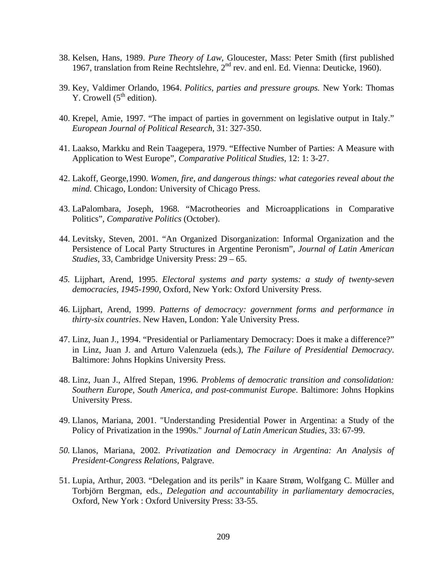- 38. Kelsen, Hans, 1989. *Pure Theory of Law*, Gloucester, Mass: Peter Smith (first published 1967, translation from Reine Rechtslehre, 2nd rev. and enl. Ed. Vienna: Deuticke, 1960).
- 39. Key, Valdimer Orlando, 1964. *Politics, parties and pressure groups.* New York: Thomas Y. Crowell  $(5<sup>th</sup>$  edition).
- 40. Krepel, Amie, 1997. "The impact of parties in government on legislative output in Italy." *European Journal of Political Research*, 31: 327-350.
- 41. Laakso, Markku and Rein Taagepera, 1979. "Effective Number of Parties: A Measure with Application to West Europe", *Comparative Political Studies*, 12: 1: 3-27.
- 42. Lakoff, George,1990. *Women, fire, and dangerous things: what categories reveal about the mind.* Chicago, London: University of Chicago Press.
- 43. LaPalombara, Joseph, 1968. "Macrotheories and Microapplications in Comparative Politics", *Comparative Politics* (October).
- 44. Levitsky, Steven, 2001. "An Organized Disorganization: Informal Organization and the Persistence of Local Party Structures in Argentine Peronism", *Journal of Latin American Studies*, 33, Cambridge University Press: 29 – 65.
- *45.* Lijphart, Arend, 1995. *Electoral systems and party systems: a study of twenty-seven democracies, 1945-1990*, Oxford, New York: Oxford University Press.
- 46. Lijphart, Arend, 1999. *Patterns of democracy: government forms and performance in thirty-six countries*. New Haven, London: Yale University Press.
- 47. Linz, Juan J., 1994. "Presidential or Parliamentary Democracy: Does it make a difference?" in Linz, Juan J. and Arturo Valenzuela (eds.), *The Failure of Presidential Democracy*. Baltimore: Johns Hopkins University Press.
- 48. Linz, Juan J., Alfred Stepan, 1996. *Problems of democratic transition and consolidation: Southern Europe, South America, and post-communist Europe*. Baltimore: Johns Hopkins University Press.
- 49. Llanos, Mariana, 2001. "Understanding Presidential Power in Argentina: a Study of the Policy of Privatization in the 1990s." *Journal of Latin American Studies*, 33: 67-99.
- *50.* Llanos, Mariana, 2002. *Privatization and Democracy in Argentina: An Analysis of President-Congress Relations*, Palgrave.
- 51. Lupia, Arthur, 2003. "Delegation and its perils" in Kaare Strøm, Wolfgang C. Müller and Torbjörn Bergman, eds., *Delegation and accountability in parliamentary democracies*, Oxford, New York : Oxford University Press: 33-55.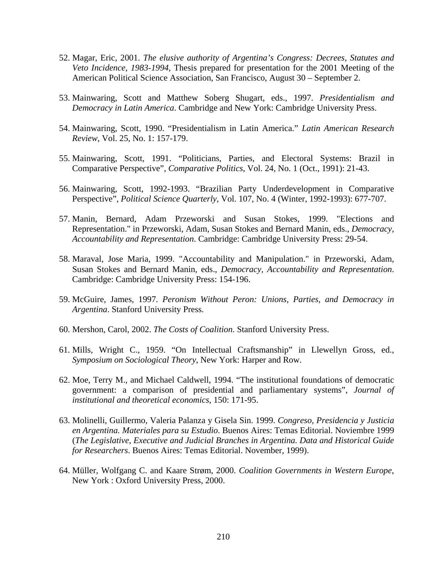- 52. Magar, Eric, 2001. *The elusive authority of Argentina's Congress: Decrees, Statutes and Veto Incidence, 1983-1994*, Thesis prepared for presentation for the 2001 Meeting of the American Political Science Association, San Francisco, August 30 – September 2.
- 53. Mainwaring, Scott and Matthew Soberg Shugart, eds., 1997. *Presidentialism and Democracy in Latin America*. Cambridge and New York: Cambridge University Press.
- 54. Mainwaring, Scott, 1990. "Presidentialism in Latin America." *Latin American Research Review*, Vol. 25, No. 1: 157-179.
- 55. Mainwaring, Scott, 1991. "Politicians, Parties, and Electoral Systems: Brazil in Comparative Perspective", *Comparative Politics*, Vol. 24, No. 1 (Oct., 1991): 21-43.
- 56. Mainwaring, Scott, 1992-1993. "Brazilian Party Underdevelopment in Comparative Perspective", *Political Science Quarterly*, Vol. 107, No. 4 (Winter, 1992-1993): 677-707.
- 57. Manin, Bernard, Adam Przeworski and Susan Stokes, 1999. "Elections and Representation." in Przeworski, Adam, Susan Stokes and Bernard Manin, eds., *Democracy, Accountability and Representation*. Cambridge: Cambridge University Press: 29-54.
- 58. Maraval, Jose Maria, 1999. "Accountability and Manipulation." in Przeworski, Adam, Susan Stokes and Bernard Manin, eds., *Democracy, Accountability and Representation*. Cambridge: Cambridge University Press: 154-196.
- 59. McGuire, James, 1997. *Peronism Without Peron: Unions, Parties, and Democracy in Argentina*. Stanford University Press.
- 60. Mershon, Carol, 2002. *The Costs of Coalition*. Stanford University Press.
- 61. Mills, Wright C., 1959. "On Intellectual Craftsmanship" in Llewellyn Gross, ed., *Symposium on Sociological Theory*, New York: Harper and Row.
- 62. Moe, Terry M., and Michael Caldwell, 1994. "The institutional foundations of democratic government: a comparison of presidential and parliamentary systems", *Journal of institutional and theoretical economics*, 150: 171-95.
- 63. Molinelli, Guillermo, Valeria Palanza y Gisela Sin. 1999. *Congreso, Presidencia y Justicia en Argentina. Materiales para su Estudio*. Buenos Aires: Temas Editorial. Noviembre 1999 (*The Legislative, Executive and Judicial Branches in Argentina. Data and Historical Guide for Researchers*. Buenos Aires: Temas Editorial. November, 1999).
- 64. Müller, Wolfgang C. and Kaare Strøm, 2000. *Coalition Governments in Western Europe*, New York : Oxford University Press, 2000.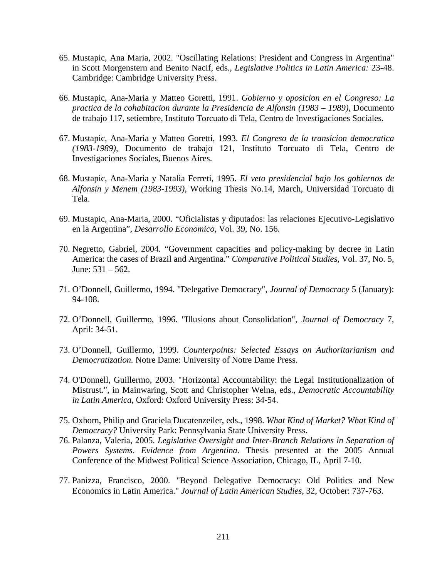- 65. Mustapic, Ana Maria, 2002. "Oscillating Relations: President and Congress in Argentina" in Scott Morgenstern and Benito Nacif, eds., *Legislative Politics in Latin America:* 23-48. Cambridge: Cambridge University Press.
- 66. Mustapic, Ana-Maria y Matteo Goretti, 1991. *Gobierno y oposicion en el Congreso: La practica de la cohabitacion durante la Presidencia de Alfonsin (1983 – 1989),* Documento de trabajo 117, setiembre, Instituto Torcuato di Tela, Centro de Investigaciones Sociales.
- 67. Mustapic, Ana-Maria y Matteo Goretti, 1993. *El Congreso de la transicion democratica (1983-1989)*, Documento de trabajo 121, Instituto Torcuato di Tela, Centro de Investigaciones Sociales, Buenos Aires.
- 68. Mustapic, Ana-Maria y Natalia Ferreti, 1995. *El veto presidencial bajo los gobiernos de Alfonsin y Menem (1983-1993)*, Working Thesis No.14, March, Universidad Torcuato di Tela.
- 69. Mustapic, Ana-Maria, 2000. "Oficialistas y diputados: las relaciones Ejecutivo-Legislativo en la Argentina", *Desarrollo Economico*, Vol. 39, No. 156.
- 70. Negretto, Gabriel, 2004. "Government capacities and policy-making by decree in Latin America: the cases of Brazil and Argentina." *Comparative Political Studies*, Vol. 37, No. 5, June: 531 – 562.
- 71. O'Donnell, Guillermo, 1994. "Delegative Democracy", *Journal of Democracy* 5 (January): 94-108.
- 72. O'Donnell, Guillermo, 1996. "Illusions about Consolidation", *Journal of Democracy* 7, April: 34-51.
- 73. O'Donnell, Guillermo, 1999. *Counterpoints: Selected Essays on Authoritarianism and Democratization.* Notre Dame: University of Notre Dame Press.
- 74. O'Donnell, Guillermo, 2003. "Horizontal Accountability: the Legal Institutionalization of Mistrust.", in Mainwaring, Scott and Christopher Welna, eds., *Democratic Accountability in Latin America*, Oxford: Oxford University Press: 34-54.
- 75. Oxhorn, Philip and Graciela Ducatenzeiler, eds., 1998. *What Kind of Market? What Kind of Democracy?* University Park: Pennsylvania State University Press.
- 76. Palanza, Valeria, 2005. *Legislative Oversight and Inter-Branch Relations in Separation of Powers Systems. Evidence from Argentina*. Thesis presented at the 2005 Annual Conference of the Midwest Political Science Association, Chicago, IL, April 7-10.
- 77. Panizza, Francisco, 2000. "Beyond Delegative Democracy: Old Politics and New Economics in Latin America." *Journal of Latin American Studies*, 32, October: 737-763.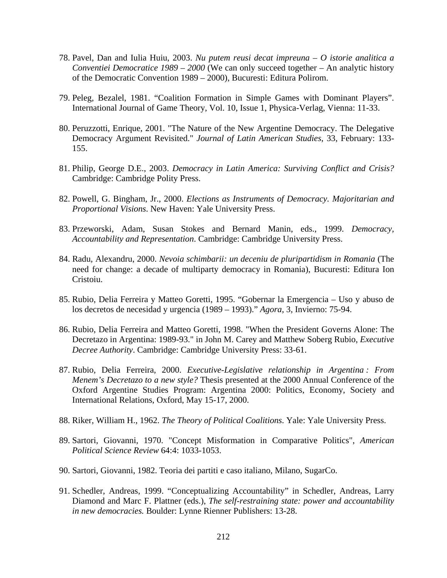- 78. Pavel, Dan and Iulia Huiu, 2003. *Nu putem reusi decat impreuna O istorie analitica a Conventiei Democratice 1989 – 2000* (We can only succeed together – An analytic history of the Democratic Convention 1989 – 2000), Bucuresti: Editura Polirom.
- 79. Peleg, Bezalel, 1981. "Coalition Formation in Simple Games with Dominant Players". International Journal of Game Theory, Vol. 10, Issue 1, Physica-Verlag, Vienna: 11-33.
- 80. Peruzzotti, Enrique, 2001. "The Nature of the New Argentine Democracy. The Delegative Democracy Argument Revisited." *Journal of Latin American Studies*, 33, February: 133- 155.
- 81. Philip, George D.E., 2003. *Democracy in Latin America: Surviving Conflict and Crisis?* Cambridge: Cambridge Polity Press.
- 82. Powell, G. Bingham, Jr., 2000. *Elections as Instruments of Democracy. Majoritarian and Proportional Visions*. New Haven: Yale University Press.
- 83. Przeworski, Adam, Susan Stokes and Bernard Manin, eds., 1999. *Democracy, Accountability and Representation*. Cambridge: Cambridge University Press.
- 84. Radu, Alexandru, 2000. *Nevoia schimbarii: un deceniu de pluripartidism in Romania* (The need for change: a decade of multiparty democracy in Romania), Bucuresti: Editura Ion Cristoiu.
- 85. Rubio, Delia Ferreira y Matteo Goretti, 1995. "Gobernar la Emergencia Uso y abuso de los decretos de necesidad y urgencia (1989 – 1993)." *Agora*, 3, Invierno: 75-94.
- 86. Rubio, Delia Ferreira and Matteo Goretti, 1998. "When the President Governs Alone: The Decretazo in Argentina: 1989-93." in John M. Carey and Matthew Soberg Rubio, *Executive Decree Authority*. Cambridge: Cambridge University Press: 33-61.
- 87. Rubio, Delia Ferreira, 2000. *Executive-Legislative relationship in Argentina : From Menem's Decretazo to a new style?* Thesis presented at the 2000 Annual Conference of the Oxford Argentine Studies Program: Argentina 2000: Politics, Economy, Society and International Relations, Oxford, May 15-17, 2000.
- 88. Riker, William H., 1962. *The Theory of Political Coalitions*. Yale: Yale University Press.
- 89. Sartori, Giovanni, 1970. "Concept Misformation in Comparative Politics", *American Political Science Review* 64:4: 1033-1053.
- 90. Sartori, Giovanni, 1982. Teoria dei partiti e caso italiano, Milano, SugarCo.
- 91. Schedler, Andreas, 1999. "Conceptualizing Accountability" in Schedler, Andreas, Larry Diamond and Marc F. Plattner (eds.), *The self-restraining state: power and accountability in new democracies.* Boulder: Lynne Rienner Publishers: 13-28.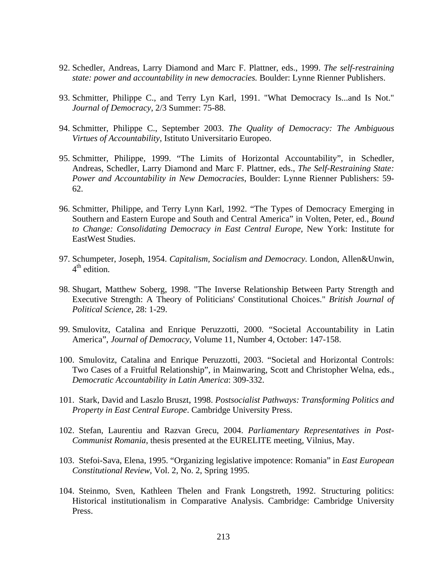- 92. Schedler, Andreas, Larry Diamond and Marc F. Plattner, eds., 1999. *The self-restraining state: power and accountability in new democracies.* Boulder: Lynne Rienner Publishers.
- 93. Schmitter, Philippe C., and Terry Lyn Karl, 1991. "What Democracy Is...and Is Not." *Journal of Democracy*, 2/3 Summer: 75-88.
- 94. Schmitter, Philippe C., September 2003. *The Quality of Democracy: The Ambiguous Virtues of Accountability*, Istituto Universitario Europeo.
- 95. Schmitter, Philippe, 1999. "The Limits of Horizontal Accountability", in Schedler, Andreas, Schedler, Larry Diamond and Marc F. Plattner, eds., *The Self-Restraining State: Power and Accountability in New Democracies*, Boulder: Lynne Rienner Publishers: 59- 62.
- 96. Schmitter, Philippe, and Terry Lynn Karl, 1992. "The Types of Democracy Emerging in Southern and Eastern Europe and South and Central America" in Volten, Peter, ed., *Bound to Change: Consolidating Democracy in East Central Europe*, New York: Institute for EastWest Studies.
- 97. Schumpeter, Joseph, 1954. *Capitalism, Socialism and Democracy.* London, Allen&Unwin,  $4<sup>th</sup>$  edition.
- 98. Shugart, Matthew Soberg, 1998. "The Inverse Relationship Between Party Strength and Executive Strength: A Theory of Politicians' Constitutional Choices." *British Journal of Political Science*, 28: 1-29.
- 99. Smulovitz, Catalina and Enrique Peruzzotti, 2000. "Societal Accountability in Latin America", *Journal of Democracy*, Volume 11, Number 4, October: 147-158.
- 100. Smulovitz, Catalina and Enrique Peruzzotti, 2003. "Societal and Horizontal Controls: Two Cases of a Fruitful Relationship", in Mainwaring, Scott and Christopher Welna, eds., *Democratic Accountability in Latin America*: 309-332.
- 101. Stark, David and Laszlo Bruszt, 1998. *Postsocialist Pathways: Transforming Politics and Property in East Central Europe*. Cambridge University Press.
- 102. Stefan, Laurentiu and Razvan Grecu, 2004. *Parliamentary Representatives in Post-Communist Romania*, thesis presented at the EURELITE meeting, Vilnius, May.
- 103. Stefoi-Sava, Elena, 1995. "Organizing legislative impotence: Romania" in *East European Constitutional Review*, Vol. 2, No. 2, Spring 1995.
- 104. Steinmo, Sven, Kathleen Thelen and Frank Longstreth, 1992. Structuring politics: Historical institutionalism in Comparative Analysis. Cambridge: Cambridge University Press.